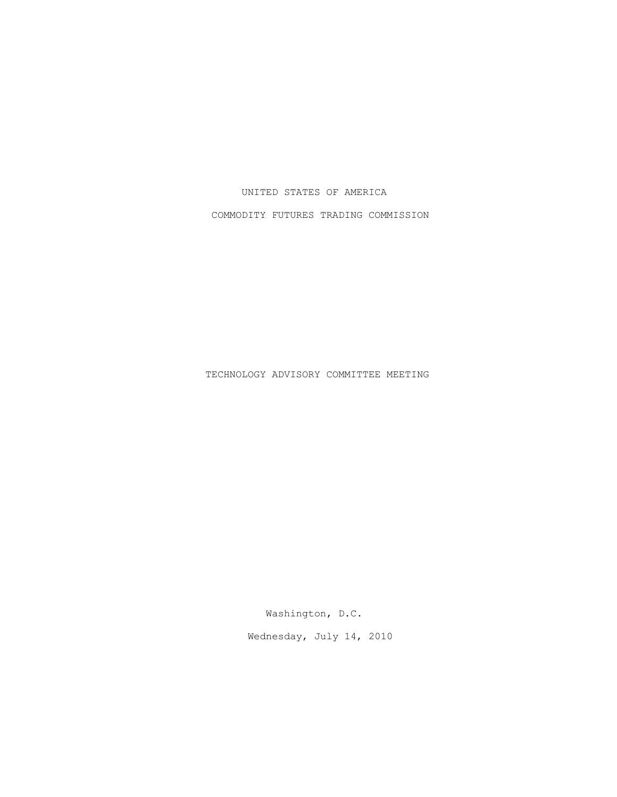## UNITED STATES OF AMERICA

COMMODITY FUTURES TRADING COMMISSION

TECHNOLOGY ADVISORY COMMITTEE MEETING

Washington, D.C.

Wednesday, July 14, 2010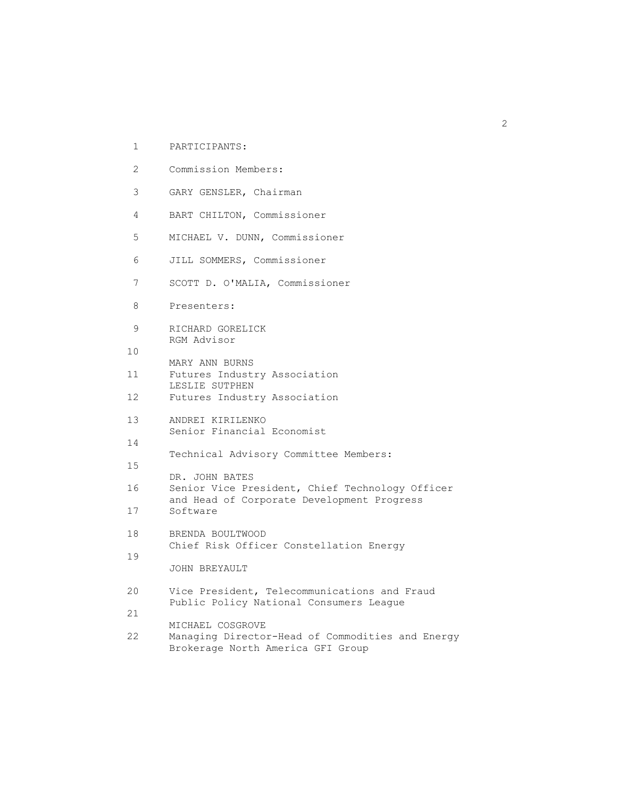| $\mathbf{1}$    | PARTICIPANTS:                                                                                             |
|-----------------|-----------------------------------------------------------------------------------------------------------|
| $\overline{2}$  | Commission Members:                                                                                       |
| 3               | GARY GENSLER, Chairman                                                                                    |
| 4               | BART CHILTON, Commissioner                                                                                |
| 5               | MICHAEL V. DUNN, Commissioner                                                                             |
| 6               | JILL SOMMERS, Commissioner                                                                                |
| 7               | SCOTT D. O'MALIA, Commissioner                                                                            |
| 8               | Presenters:                                                                                               |
| 9               | RICHARD GORELICK<br>RGM Advisor                                                                           |
| 10              |                                                                                                           |
| 11              | MARY ANN BURNS<br>Futures Industry Association                                                            |
| 12 <sup>°</sup> | LESLIE SUTPHEN<br>Futures Industry Association                                                            |
| 13 <sup>°</sup> | ANDREI KIRILENKO<br>Senior Financial Economist                                                            |
| 14              |                                                                                                           |
| 15              | Technical Advisory Committee Members:<br>DR. JOHN BATES                                                   |
| 16              | Senior Vice President, Chief Technology Officer                                                           |
| 17              | and Head of Corporate Development Progress<br>Software                                                    |
| 18              | BRENDA BOULTWOOD<br>Chief Risk Officer Constellation Energy                                               |
| 19              | <b>JOHN BREYAULT</b>                                                                                      |
|                 |                                                                                                           |
| 20              | Vice President, Telecommunications and Fraud<br>Public Policy National Consumers League                   |
| 21              |                                                                                                           |
| 22              | MICHAEL COSGROVE<br>Managing Director-Head of Commodities and Energy<br>Brokerage North America GFI Group |
|                 |                                                                                                           |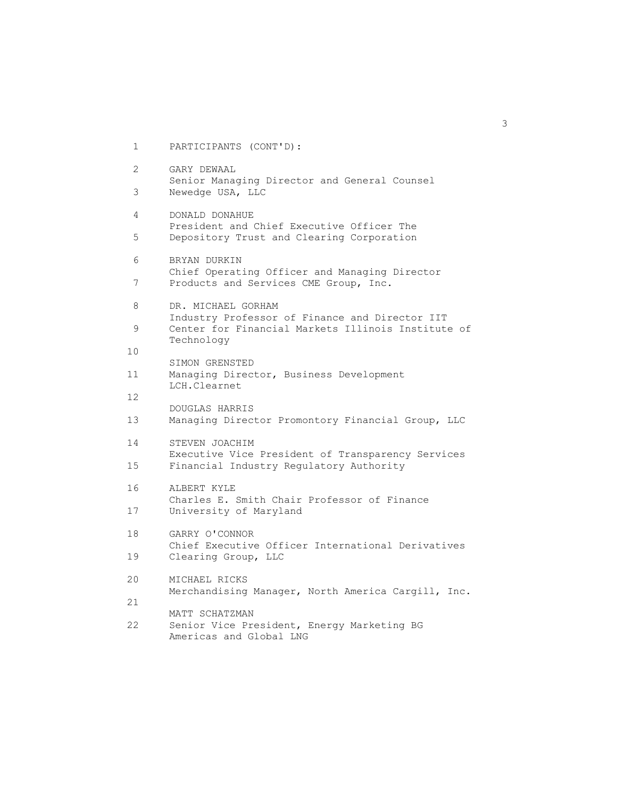1 PARTICIPANTS (CONT'D): 2 GARY DEWAAL Senior Managing Director and General Counsel 3 Newedge USA, LLC 4 DONALD DONAHUE President and Chief Executive Officer The 5 Depository Trust and Clearing Corporation 6 BRYAN DURKIN Chief Operating Officer and Managing Director 7 Products and Services CME Group, Inc. 8 DR. MICHAEL GORHAM Industry Professor of Finance and Director IIT 9 Center for Financial Markets Illinois Institute of Technology 10 SIMON GRENSTED 11 Managing Director, Business Development LCH.Clearnet 12 DOUGLAS HARRIS 13 Managing Director Promontory Financial Group, LLC 14 STEVEN JOACHIM Executive Vice President of Transparency Services 15 Financial Industry Regulatory Authority 16 ALBERT KYLE Charles E. Smith Chair Professor of Finance 17 University of Maryland 18 GARRY O'CONNOR Chief Executive Officer International Derivatives 19 Clearing Group, LLC 20 MICHAEL RICKS Merchandising Manager, North America Cargill, Inc. 21 MATT SCHATZMAN 22 Senior Vice President, Energy Marketing BG Americas and Global LNG

 $\sim$  3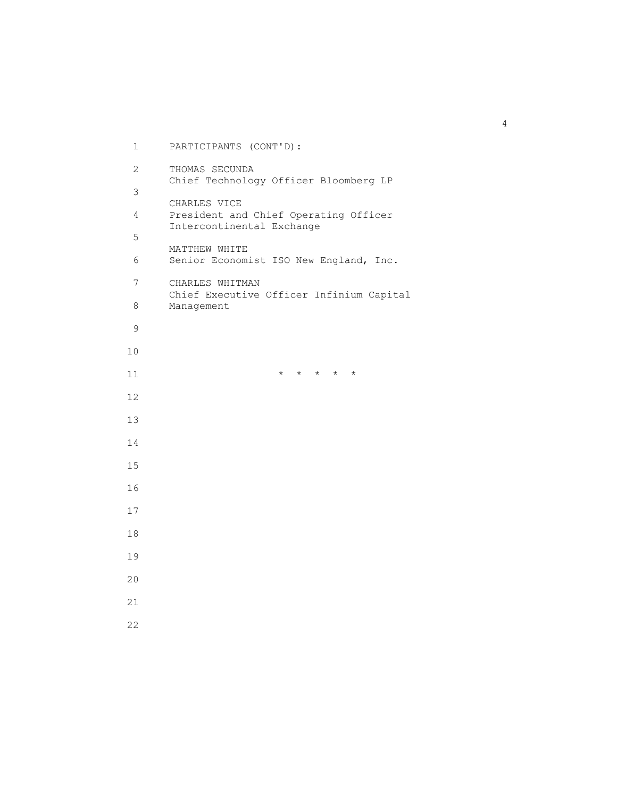1 PARTICIPANTS (CONT'D): 2 THOMAS SECUNDA Chief Technology Officer Bloomberg LP CHARLES VICE 4 President and Chief Operating Officer Intercontinental Exchange MATTHEW WHITE 6 Senior Economist ISO New England, Inc. 7 CHARLES WHITMAN Chief Executive Officer Infinium Capital 8 Management  $\qquad \qquad \star \quad \star \quad \star \quad \star \quad \star$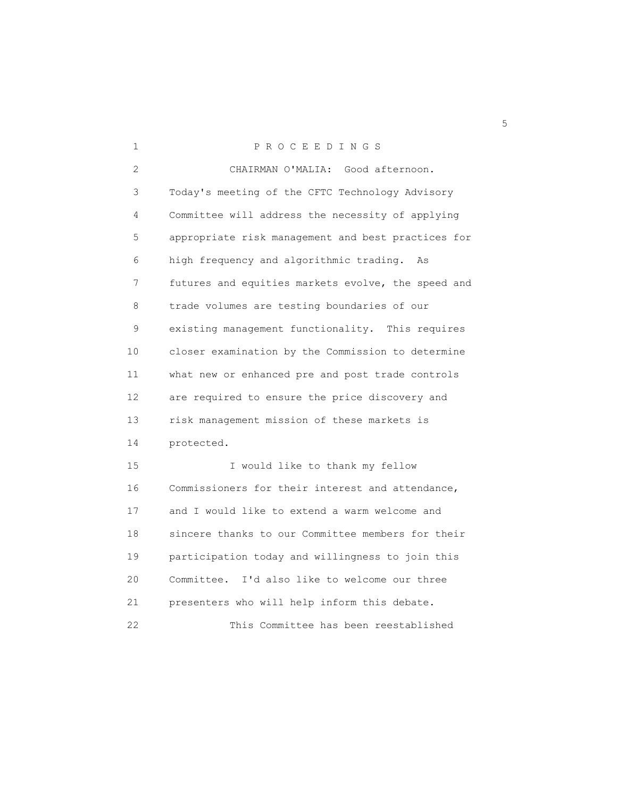| 1              | PROCEEDINGS                                        |
|----------------|----------------------------------------------------|
| $\overline{2}$ | CHAIRMAN O'MALIA: Good afternoon.                  |
| 3              | Today's meeting of the CFTC Technology Advisory    |
| 4              | Committee will address the necessity of applying   |
| 5              | appropriate risk management and best practices for |
| 6              | high frequency and algorithmic trading.<br>As      |
| 7              | futures and equities markets evolve, the speed and |
| 8              | trade volumes are testing boundaries of our        |
| 9              | existing management functionality. This requires   |
| 10             | closer examination by the Commission to determine  |
| 11             | what new or enhanced pre and post trade controls   |
| 12             | are required to ensure the price discovery and     |
| 13             | risk management mission of these markets is        |
| 14             | protected.                                         |
| 15             | I would like to thank my fellow                    |
| 16             | Commissioners for their interest and attendance,   |
| 17             | and I would like to extend a warm welcome and      |
| 18             | sincere thanks to our Committee members for their  |
| 19             | participation today and willingness to join this   |
| 20             | Committee. I'd also like to welcome our three      |
| 21             | presenters who will help inform this debate.       |
| 22             | This Committee has been reestablished              |

<u>5</u>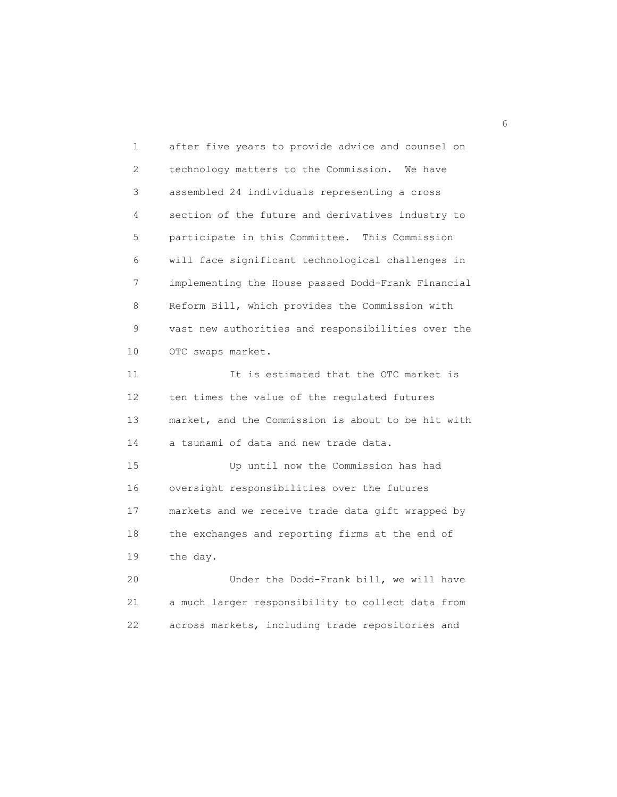1 after five years to provide advice and counsel on 2 technology matters to the Commission. We have 3 assembled 24 individuals representing a cross 4 section of the future and derivatives industry to 5 participate in this Committee. This Commission 6 will face significant technological challenges in 7 implementing the House passed Dodd-Frank Financial 8 Reform Bill, which provides the Commission with 9 vast new authorities and responsibilities over the 10 OTC swaps market. 11 11 It is estimated that the OTC market is 12 ten times the value of the regulated futures 13 market, and the Commission is about to be hit with 14 a tsunami of data and new trade data. 15 Up until now the Commission has had 16 oversight responsibilities over the futures 17 markets and we receive trade data gift wrapped by 18 the exchanges and reporting firms at the end of 19 the day. 20 Under the Dodd-Frank bill, we will have 21 a much larger responsibility to collect data from

22 across markets, including trade repositories and

 $\sim$  6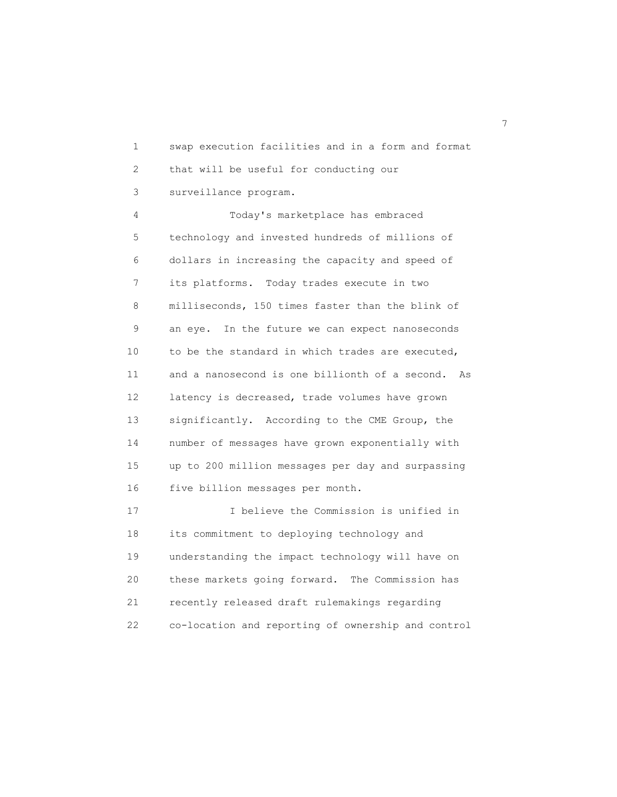1 swap execution facilities and in a form and format 2 that will be useful for conducting our 3 surveillance program.

 4 Today's marketplace has embraced 5 technology and invested hundreds of millions of 6 dollars in increasing the capacity and speed of 7 its platforms. Today trades execute in two 8 milliseconds, 150 times faster than the blink of 9 an eye. In the future we can expect nanoseconds 10 to be the standard in which trades are executed, 11 and a nanosecond is one billionth of a second. As 12 latency is decreased, trade volumes have grown 13 significantly. According to the CME Group, the 14 number of messages have grown exponentially with 15 up to 200 million messages per day and surpassing 16 five billion messages per month.

 17 I believe the Commission is unified in 18 its commitment to deploying technology and 19 understanding the impact technology will have on 20 these markets going forward. The Commission has 21 recently released draft rulemakings regarding 22 co-location and reporting of ownership and control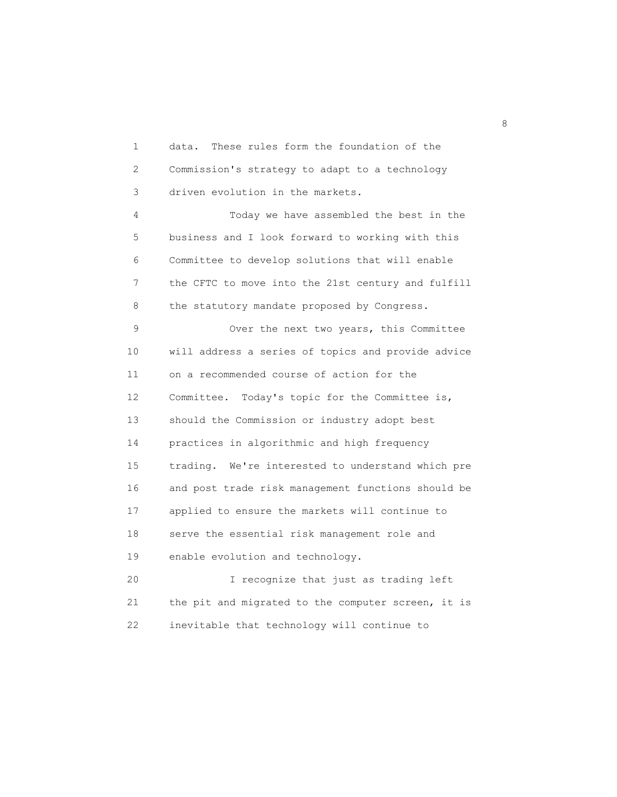1 data. These rules form the foundation of the 2 Commission's strategy to adapt to a technology 3 driven evolution in the markets.

 4 Today we have assembled the best in the 5 business and I look forward to working with this 6 Committee to develop solutions that will enable 7 the CFTC to move into the 21st century and fulfill 8 the statutory mandate proposed by Congress.

 9 Over the next two years, this Committee 10 will address a series of topics and provide advice 11 on a recommended course of action for the 12 Committee. Today's topic for the Committee is, 13 should the Commission or industry adopt best 14 practices in algorithmic and high frequency 15 trading. We're interested to understand which pre 16 and post trade risk management functions should be 17 applied to ensure the markets will continue to 18 serve the essential risk management role and 19 enable evolution and technology.

 20 I recognize that just as trading left 21 the pit and migrated to the computer screen, it is 22 inevitable that technology will continue to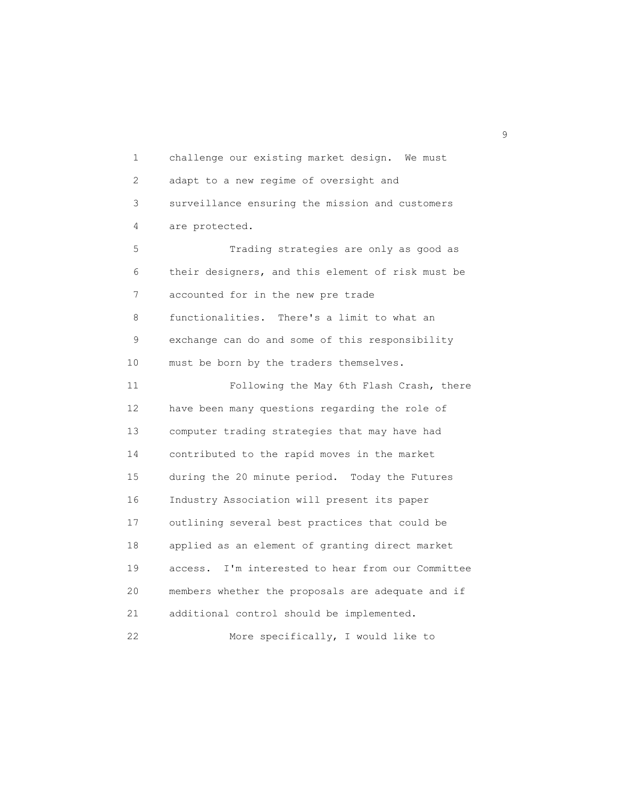1 challenge our existing market design. We must 2 adapt to a new regime of oversight and 3 surveillance ensuring the mission and customers 4 are protected. 5 Trading strategies are only as good as 6 their designers, and this element of risk must be 7 accounted for in the new pre trade 8 functionalities. There's a limit to what an 9 exchange can do and some of this responsibility 10 must be born by the traders themselves. 11 Following the May 6th Flash Crash, there 12 have been many questions regarding the role of 13 computer trading strategies that may have had 14 contributed to the rapid moves in the market 15 during the 20 minute period. Today the Futures 16 Industry Association will present its paper 17 outlining several best practices that could be 18 applied as an element of granting direct market 19 access. I'm interested to hear from our Committee 20 members whether the proposals are adequate and if 21 additional control should be implemented. 22 More specifically, I would like to

en de la construcción de la construcción de la construcción de la construcción de la construcción de la constr<br>1990 - En el construcción de la construcción de la construcción de la construcción de la construcción de la co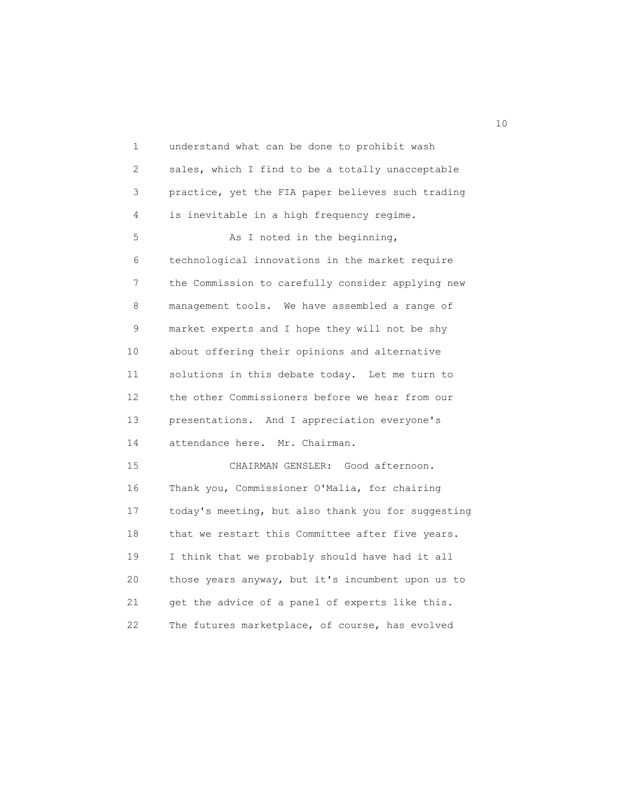1 understand what can be done to prohibit wash 2 sales, which I find to be a totally unacceptable 3 practice, yet the FIA paper believes such trading 4 is inevitable in a high frequency regime. 5 As I noted in the beginning, 6 technological innovations in the market require 7 the Commission to carefully consider applying new 8 management tools. We have assembled a range of 9 market experts and I hope they will not be shy 10 about offering their opinions and alternative 11 solutions in this debate today. Let me turn to 12 the other Commissioners before we hear from our 13 presentations. And I appreciation everyone's 14 attendance here. Mr. Chairman. 15 CHAIRMAN GENSLER: Good afternoon. 16 Thank you, Commissioner O'Malia, for chairing 17 today's meeting, but also thank you for suggesting 18 that we restart this Committee after five years. 19 I think that we probably should have had it all 20 those years anyway, but it's incumbent upon us to 21 get the advice of a panel of experts like this. 22 The futures marketplace, of course, has evolved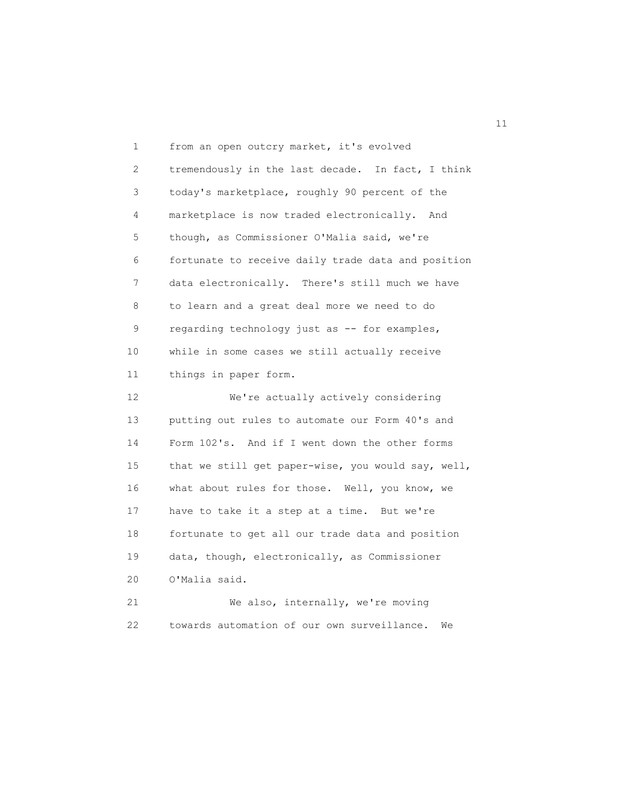1 from an open outcry market, it's evolved 2 tremendously in the last decade. In fact, I think 3 today's marketplace, roughly 90 percent of the 4 marketplace is now traded electronically. And 5 though, as Commissioner O'Malia said, we're 6 fortunate to receive daily trade data and position 7 data electronically. There's still much we have 8 to learn and a great deal more we need to do 9 regarding technology just as -- for examples, 10 while in some cases we still actually receive 11 things in paper form. 12 We're actually actively considering 13 putting out rules to automate our Form 40's and 14 Form 102's. And if I went down the other forms 15 that we still get paper-wise, you would say, well, 16 what about rules for those. Well, you know, we 17 have to take it a step at a time. But we're 18 fortunate to get all our trade data and position 19 data, though, electronically, as Commissioner 20 O'Malia said. 21 We also, internally, we're moving 22 towards automation of our own surveillance. We

11 and 12 and 13 and 14 and 15 and 16 and 17 and 17 and 17 and 17 and 17 and 17 and 17 and 17 and 17 and 17 an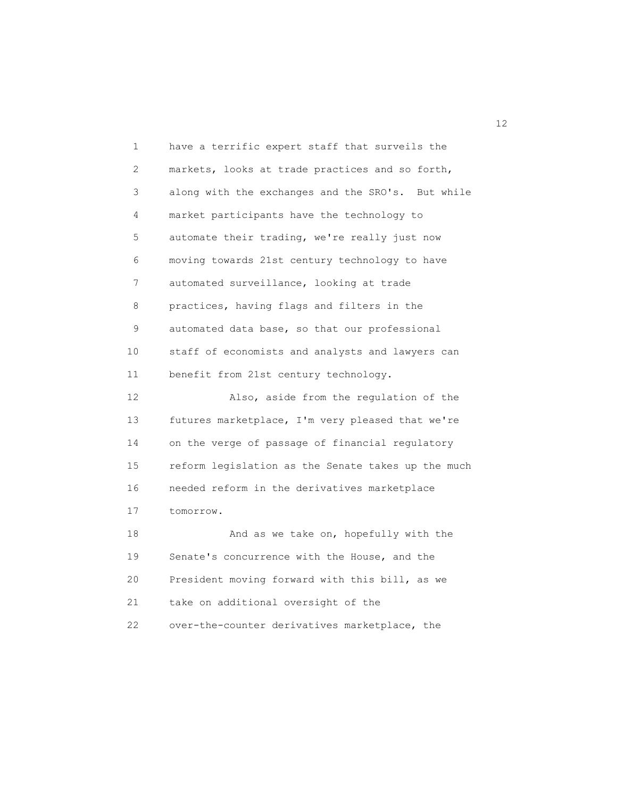| 1  | have a terrific expert staff that surveils the     |
|----|----------------------------------------------------|
| 2  | markets, looks at trade practices and so forth,    |
| 3  | along with the exchanges and the SRO's. But while  |
| 4  | market participants have the technology to         |
| 5  | automate their trading, we're really just now      |
| 6  | moving towards 21st century technology to have     |
| 7  | automated surveillance, looking at trade           |
| 8  | practices, having flags and filters in the         |
| 9  | automated data base, so that our professional      |
| 10 | staff of economists and analysts and lawyers can   |
| 11 | benefit from 21st century technology.              |
| 12 | Also, aside from the regulation of the             |
| 13 | futures marketplace, I'm very pleased that we're   |
| 14 | on the verge of passage of financial regulatory    |
| 15 | reform legislation as the Senate takes up the much |
| 16 | needed reform in the derivatives marketplace       |
| 17 | tomorrow.                                          |
| 18 | And as we take on, hopefully with the              |
| 19 | Senate's concurrence with the House, and the       |
| 20 | President moving forward with this bill, as we     |
| 21 | take on additional oversight of the                |
| 22 | over-the-counter derivatives marketplace, the      |

12<br>12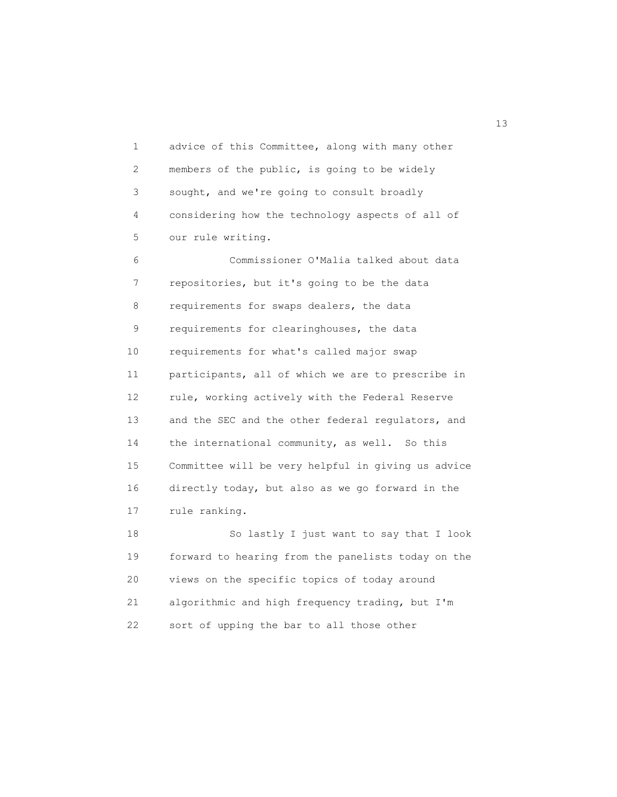1 advice of this Committee, along with many other 2 members of the public, is going to be widely 3 sought, and we're going to consult broadly 4 considering how the technology aspects of all of 5 our rule writing.

 6 Commissioner O'Malia talked about data 7 repositories, but it's going to be the data 8 requirements for swaps dealers, the data 9 requirements for clearinghouses, the data 10 requirements for what's called major swap 11 participants, all of which we are to prescribe in 12 rule, working actively with the Federal Reserve 13 and the SEC and the other federal regulators, and 14 the international community, as well. So this 15 Committee will be very helpful in giving us advice 16 directly today, but also as we go forward in the 17 rule ranking.

 18 So lastly I just want to say that I look 19 forward to hearing from the panelists today on the 20 views on the specific topics of today around 21 algorithmic and high frequency trading, but I'm 22 sort of upping the bar to all those other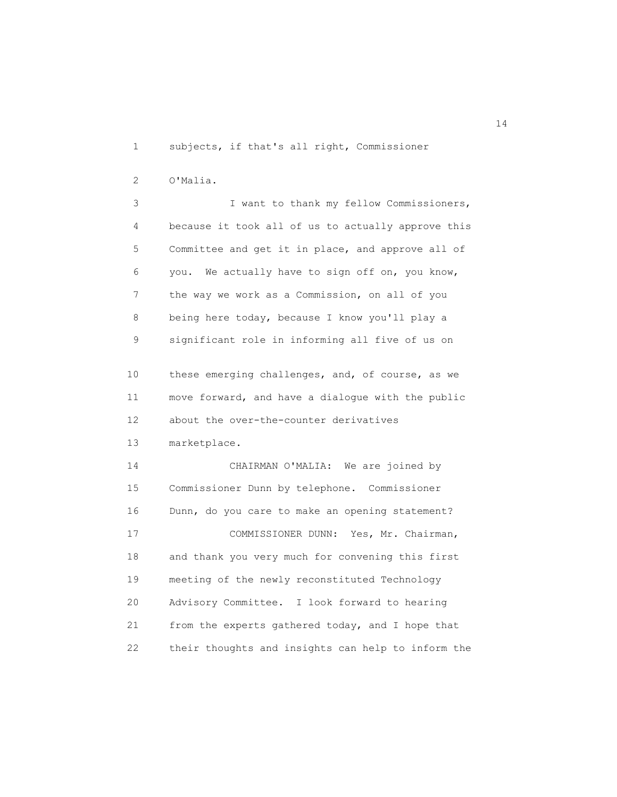1 subjects, if that's all right, Commissioner

2 O'Malia.

 3 I want to thank my fellow Commissioners, 4 because it took all of us to actually approve this 5 Committee and get it in place, and approve all of 6 you. We actually have to sign off on, you know, 7 the way we work as a Commission, on all of you 8 being here today, because I know you'll play a 9 significant role in informing all five of us on

 10 these emerging challenges, and, of course, as we 11 move forward, and have a dialogue with the public 12 about the over-the-counter derivatives

13 marketplace.

 14 CHAIRMAN O'MALIA: We are joined by 15 Commissioner Dunn by telephone. Commissioner 16 Dunn, do you care to make an opening statement? 17 COMMISSIONER DUNN: Yes, Mr. Chairman, 18 and thank you very much for convening this first 19 meeting of the newly reconstituted Technology 20 Advisory Committee. I look forward to hearing 21 from the experts gathered today, and I hope that 22 their thoughts and insights can help to inform the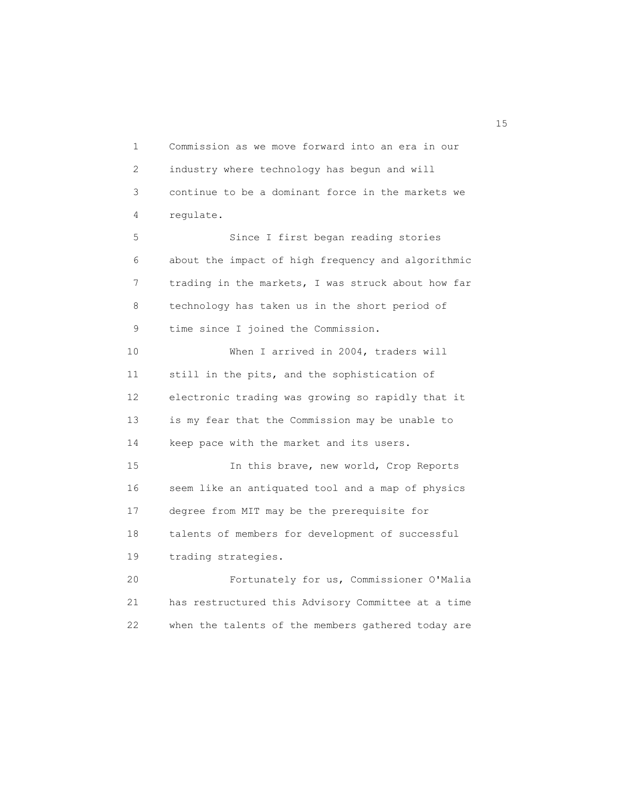1 Commission as we move forward into an era in our 2 industry where technology has begun and will 3 continue to be a dominant force in the markets we 4 regulate. 5 Since I first began reading stories 6 about the impact of high frequency and algorithmic 7 trading in the markets, I was struck about how far 8 technology has taken us in the short period of 9 time since I joined the Commission. 10 When I arrived in 2004, traders will 11 still in the pits, and the sophistication of 12 electronic trading was growing so rapidly that it 13 is my fear that the Commission may be unable to 14 keep pace with the market and its users. 15 In this brave, new world, Crop Reports 16 seem like an antiquated tool and a map of physics 17 degree from MIT may be the prerequisite for

 18 talents of members for development of successful 19 trading strategies.

 20 Fortunately for us, Commissioner O'Malia 21 has restructured this Advisory Committee at a time 22 when the talents of the members gathered today are

15 and 15 and 15 and 15 and 15 and 15 and 15 and 15 and 15 and 15 and 15 and 15 and 15 and 15 and 15 and 15 and 15 and 15 and 15 and 16 and 16 and 16 and 16 and 16 and 16 and 16 and 16 and 16 and 16 and 16 and 16 and 16 an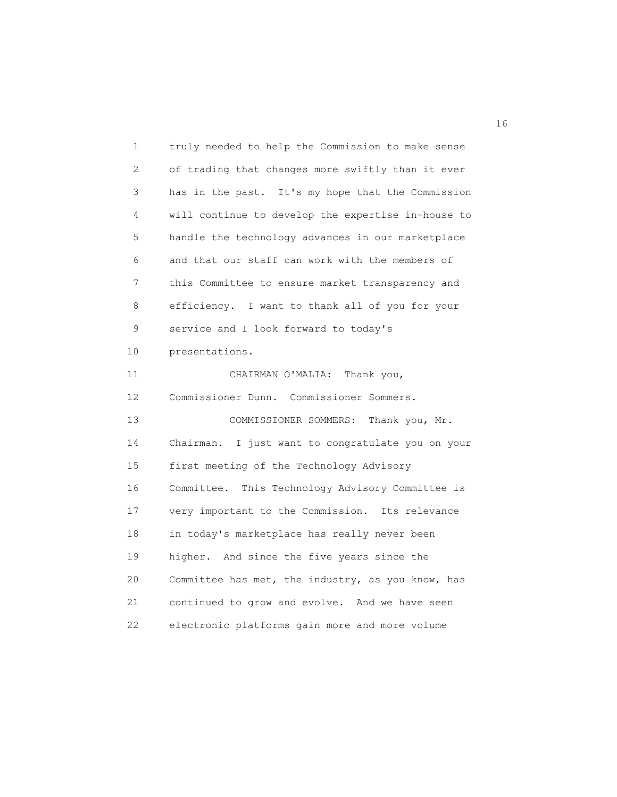1 truly needed to help the Commission to make sense 2 of trading that changes more swiftly than it ever 3 has in the past. It's my hope that the Commission 4 will continue to develop the expertise in-house to 5 handle the technology advances in our marketplace 6 and that our staff can work with the members of 7 this Committee to ensure market transparency and 8 efficiency. I want to thank all of you for your 9 service and I look forward to today's 10 presentations. 11 CHAIRMAN O'MALIA: Thank you, 12 Commissioner Dunn. Commissioner Sommers. 13 COMMISSIONER SOMMERS: Thank you, Mr. 14 Chairman. I just want to congratulate you on your 15 first meeting of the Technology Advisory 16 Committee. This Technology Advisory Committee is 17 very important to the Commission. Its relevance 18 in today's marketplace has really never been 19 higher. And since the five years since the 20 Committee has met, the industry, as you know, has 21 continued to grow and evolve. And we have seen 22 electronic platforms gain more and more volume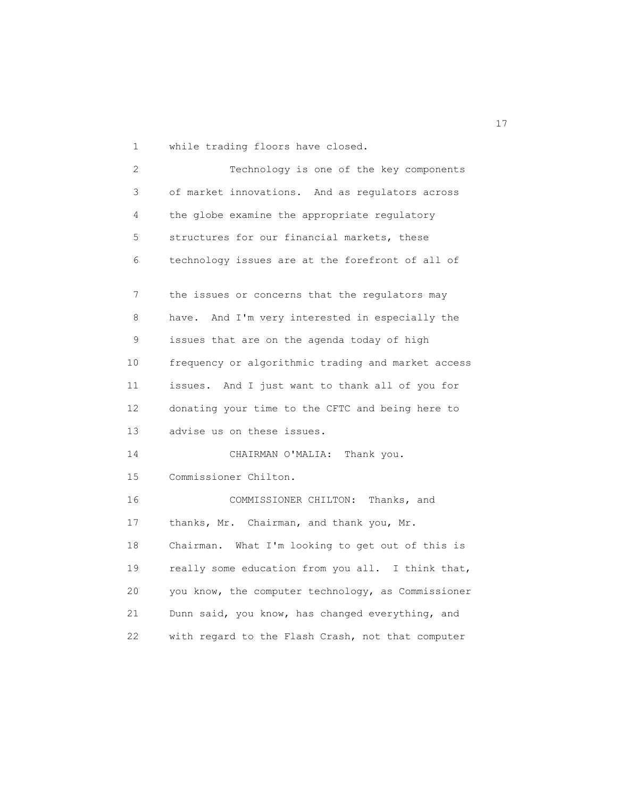1 while trading floors have closed.

 2 Technology is one of the key components 3 of market innovations. And as regulators across 4 the globe examine the appropriate regulatory 5 structures for our financial markets, these 6 technology issues are at the forefront of all of 7 the issues or concerns that the regulators may 8 have. And I'm very interested in especially the 9 issues that are on the agenda today of high 10 frequency or algorithmic trading and market access 11 issues. And I just want to thank all of you for 12 donating your time to the CFTC and being here to 13 advise us on these issues. 14 CHAIRMAN O'MALIA: Thank you. 15 Commissioner Chilton. 16 COMMISSIONER CHILTON: Thanks, and 17 thanks, Mr. Chairman, and thank you, Mr. 18 Chairman. What I'm looking to get out of this is 19 really some education from you all. I think that, 20 you know, the computer technology, as Commissioner 21 Dunn said, you know, has changed everything, and 22 with regard to the Flash Crash, not that computer

17<sup>1</sup>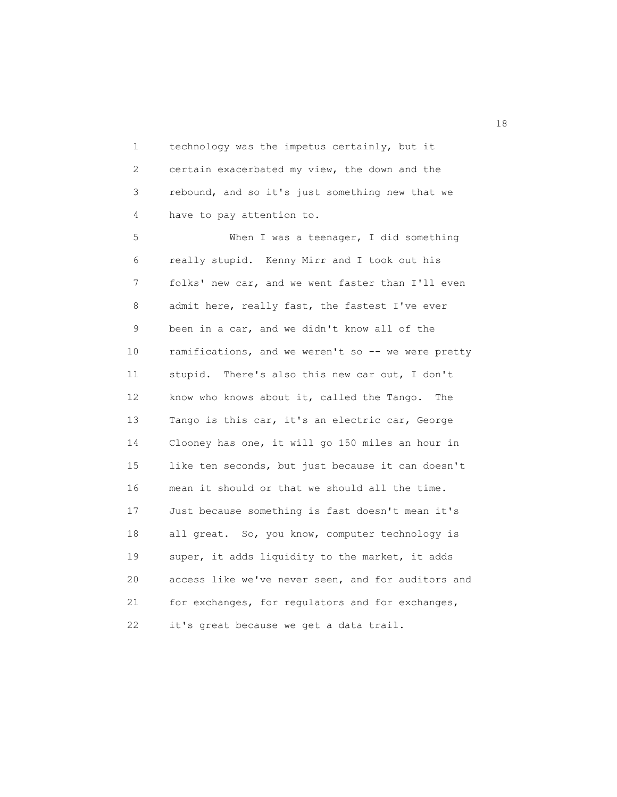1 technology was the impetus certainly, but it 2 certain exacerbated my view, the down and the 3 rebound, and so it's just something new that we 4 have to pay attention to.

 5 When I was a teenager, I did something 6 really stupid. Kenny Mirr and I took out his 7 folks' new car, and we went faster than I'll even 8 admit here, really fast, the fastest I've ever 9 been in a car, and we didn't know all of the 10 ramifications, and we weren't so -- we were pretty 11 stupid. There's also this new car out, I don't 12 know who knows about it, called the Tango. The 13 Tango is this car, it's an electric car, George 14 Clooney has one, it will go 150 miles an hour in 15 like ten seconds, but just because it can doesn't 16 mean it should or that we should all the time. 17 Just because something is fast doesn't mean it's 18 all great. So, you know, computer technology is 19 super, it adds liquidity to the market, it adds 20 access like we've never seen, and for auditors and 21 for exchanges, for regulators and for exchanges, 22 it's great because we get a data trail.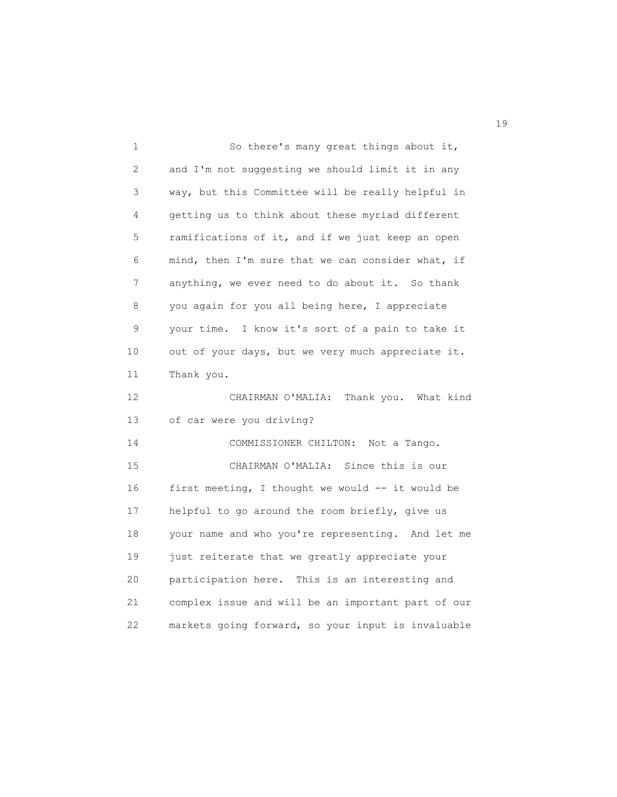1 So there's many great things about it, 2 and I'm not suggesting we should limit it in any 3 way, but this Committee will be really helpful in 4 getting us to think about these myriad different 5 ramifications of it, and if we just keep an open 6 mind, then I'm sure that we can consider what, if 7 anything, we ever need to do about it. So thank 8 you again for you all being here, I appreciate 9 your time. I know it's sort of a pain to take it 10 out of your days, but we very much appreciate it. 11 Thank you. 12 CHAIRMAN O'MALIA: Thank you. What kind 13 of car were you driving? 14 COMMISSIONER CHILTON: Not a Tango. 15 CHAIRMAN O'MALIA: Since this is our 16 first meeting, I thought we would -- it would be 17 helpful to go around the room briefly, give us 18 your name and who you're representing. And let me 19 just reiterate that we greatly appreciate your 20 participation here. This is an interesting and 21 complex issue and will be an important part of our 22 markets going forward, so your input is invaluable

19 and 19 and 19 and 19 and 19 and 19 and 19 and 19 and 19 and 19 and 19 and 19 and 19 and 19 and 19 and 19 an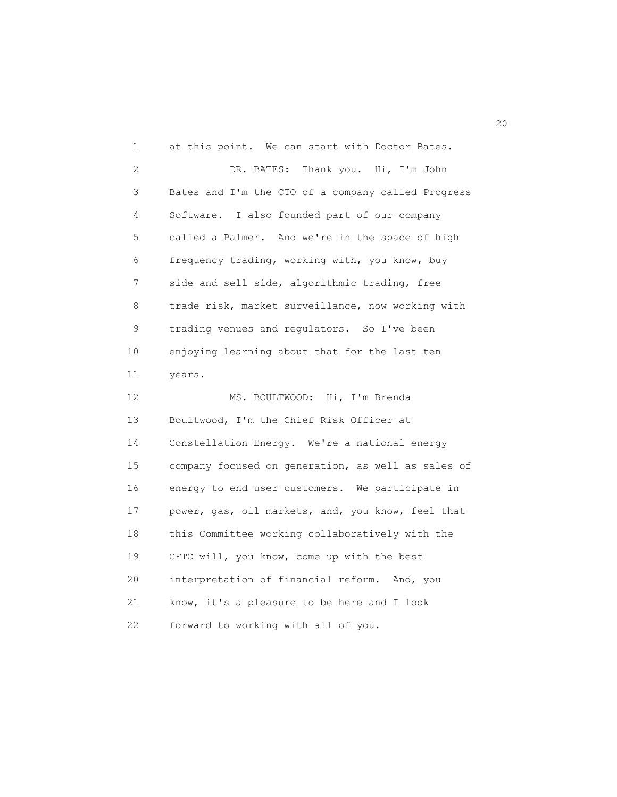1 at this point. We can start with Doctor Bates. 2 DR. BATES: Thank you. Hi, I'm John 3 Bates and I'm the CTO of a company called Progress 4 Software. I also founded part of our company 5 called a Palmer. And we're in the space of high 6 frequency trading, working with, you know, buy 7 side and sell side, algorithmic trading, free 8 trade risk, market surveillance, now working with 9 trading venues and regulators. So I've been 10 enjoying learning about that for the last ten 11 years. 12 MS. BOULTWOOD: Hi, I'm Brenda 13 Boultwood, I'm the Chief Risk Officer at 14 Constellation Energy. We're a national energy 15 company focused on generation, as well as sales of 16 energy to end user customers. We participate in 17 power, gas, oil markets, and, you know, feel that 18 this Committee working collaboratively with the 19 CFTC will, you know, come up with the best 20 interpretation of financial reform. And, you 21 know, it's a pleasure to be here and I look 22 forward to working with all of you.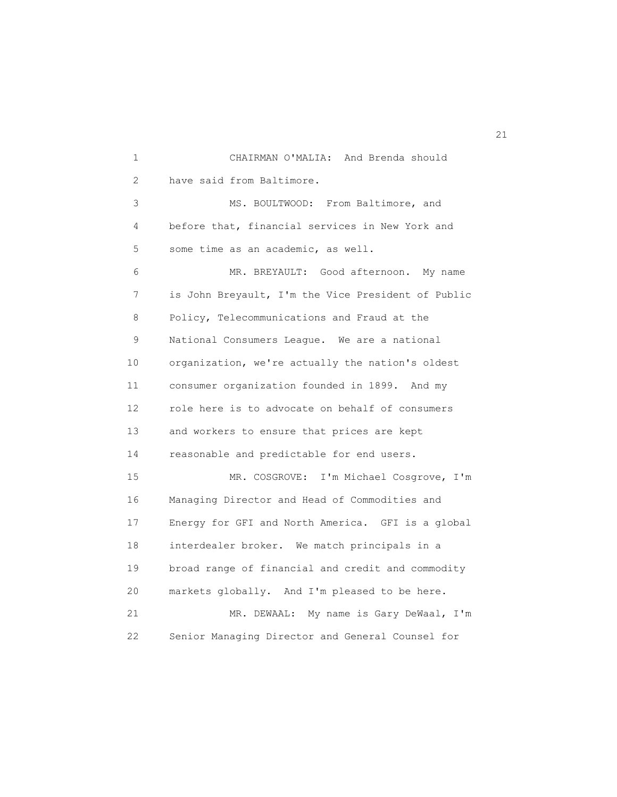1 CHAIRMAN O'MALIA: And Brenda should 2 have said from Baltimore. 3 MS. BOULTWOOD: From Baltimore, and 4 before that, financial services in New York and 5 some time as an academic, as well. 6 MR. BREYAULT: Good afternoon. My name 7 is John Breyault, I'm the Vice President of Public 8 Policy, Telecommunications and Fraud at the 9 National Consumers League. We are a national 10 organization, we're actually the nation's oldest 11 consumer organization founded in 1899. And my 12 role here is to advocate on behalf of consumers 13 and workers to ensure that prices are kept 14 reasonable and predictable for end users. 15 MR. COSGROVE: I'm Michael Cosgrove, I'm 16 Managing Director and Head of Commodities and 17 Energy for GFI and North America. GFI is a global 18 interdealer broker. We match principals in a 19 broad range of financial and credit and commodity 20 markets globally. And I'm pleased to be here. 21 MR. DEWAAL: My name is Gary DeWaal, I'm 22 Senior Managing Director and General Counsel for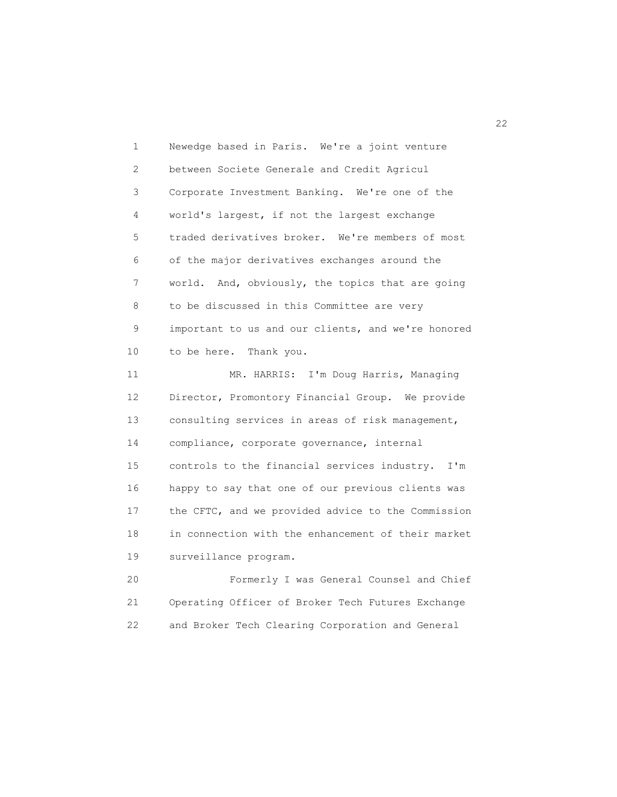1 Newedge based in Paris. We're a joint venture 2 between Societe Generale and Credit Agricul 3 Corporate Investment Banking. We're one of the 4 world's largest, if not the largest exchange 5 traded derivatives broker. We're members of most 6 of the major derivatives exchanges around the 7 world. And, obviously, the topics that are going 8 to be discussed in this Committee are very 9 important to us and our clients, and we're honored 10 to be here. Thank you. 11 MR. HARRIS: I'm Doug Harris, Managing 12 Director, Promontory Financial Group. We provide 13 consulting services in areas of risk management, 14 compliance, corporate governance, internal 15 controls to the financial services industry. I'm

 16 happy to say that one of our previous clients was 17 the CFTC, and we provided advice to the Commission 18 in connection with the enhancement of their market 19 surveillance program.

 20 Formerly I was General Counsel and Chief 21 Operating Officer of Broker Tech Futures Exchange 22 and Broker Tech Clearing Corporation and General

22<br>22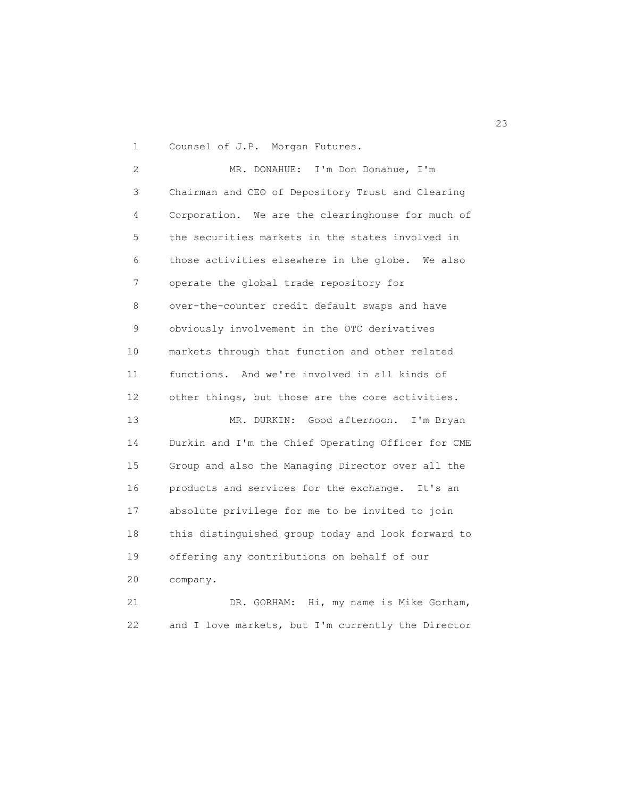1 Counsel of J.P. Morgan Futures.

 2 MR. DONAHUE: I'm Don Donahue, I'm 3 Chairman and CEO of Depository Trust and Clearing 4 Corporation. We are the clearinghouse for much of 5 the securities markets in the states involved in 6 those activities elsewhere in the globe. We also 7 operate the global trade repository for 8 over-the-counter credit default swaps and have 9 obviously involvement in the OTC derivatives 10 markets through that function and other related 11 functions. And we're involved in all kinds of 12 other things, but those are the core activities. 13 MR. DURKIN: Good afternoon. I'm Bryan 14 Durkin and I'm the Chief Operating Officer for CME 15 Group and also the Managing Director over all the 16 products and services for the exchange. It's an 17 absolute privilege for me to be invited to join 18 this distinguished group today and look forward to 19 offering any contributions on behalf of our 20 company. 21 DR. GORHAM: Hi, my name is Mike Gorham, 22 and I love markets, but I'm currently the Director

23 and 23 and 23 and 23 and 23 and 23 and 23 and 23 and 23 and 23 and 23 and 23 and 23 and 23 and 23 and 23 and 24 and 25 and 26 and 26 and 26 and 26 and 26 and 26 and 26 and 26 and 26 and 26 and 26 and 26 and 26 and 26 an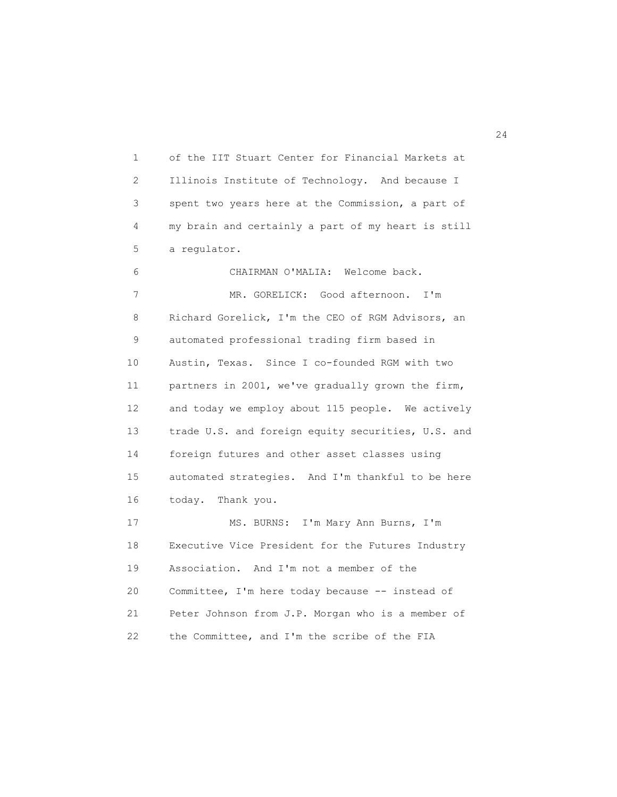1 of the IIT Stuart Center for Financial Markets at 2 Illinois Institute of Technology. And because I 3 spent two years here at the Commission, a part of 4 my brain and certainly a part of my heart is still 5 a regulator.

 6 CHAIRMAN O'MALIA: Welcome back. 7 MR. GORELICK: Good afternoon. I'm 8 Richard Gorelick, I'm the CEO of RGM Advisors, an 9 automated professional trading firm based in 10 Austin, Texas. Since I co-founded RGM with two 11 partners in 2001, we've gradually grown the firm, 12 and today we employ about 115 people. We actively 13 trade U.S. and foreign equity securities, U.S. and 14 foreign futures and other asset classes using 15 automated strategies. And I'm thankful to be here 16 today. Thank you. 17 MS. BURNS: I'm Mary Ann Burns, I'm 18 Executive Vice President for the Futures Industry 19 Association. And I'm not a member of the 20 Committee, I'm here today because -- instead of 21 Peter Johnson from J.P. Morgan who is a member of 22 the Committee, and I'm the scribe of the FIA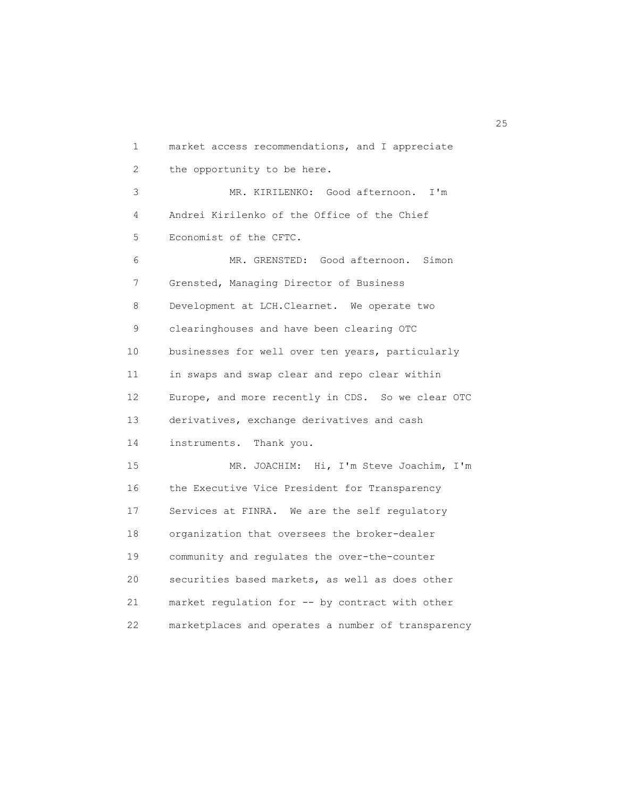1 market access recommendations, and I appreciate 2 the opportunity to be here. 3 MR. KIRILENKO: Good afternoon. I'm 4 Andrei Kirilenko of the Office of the Chief 5 Economist of the CFTC. 6 MR. GRENSTED: Good afternoon. Simon 7 Grensted, Managing Director of Business 8 Development at LCH.Clearnet. We operate two 9 clearinghouses and have been clearing OTC 10 businesses for well over ten years, particularly 11 in swaps and swap clear and repo clear within 12 Europe, and more recently in CDS. So we clear OTC 13 derivatives, exchange derivatives and cash 14 instruments. Thank you. 15 MR. JOACHIM: Hi, I'm Steve Joachim, I'm 16 the Executive Vice President for Transparency 17 Services at FINRA. We are the self regulatory 18 organization that oversees the broker-dealer 19 community and regulates the over-the-counter 20 securities based markets, as well as does other 21 market regulation for -- by contract with other 22 marketplaces and operates a number of transparency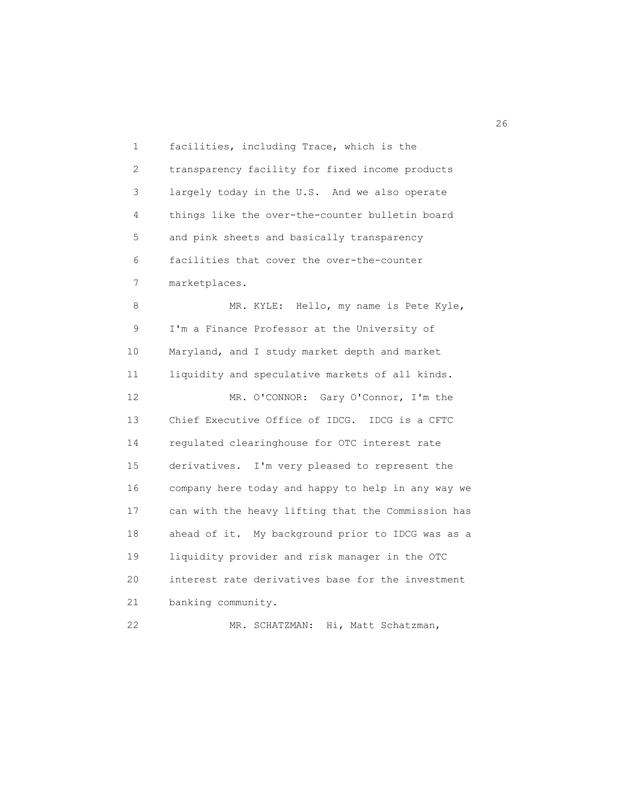1 facilities, including Trace, which is the 2 transparency facility for fixed income products 3 largely today in the U.S. And we also operate 4 things like the over-the-counter bulletin board 5 and pink sheets and basically transparency 6 facilities that cover the over-the-counter 7 marketplaces. 8 MR. KYLE: Hello, my name is Pete Kyle, 9 I'm a Finance Professor at the University of 10 Maryland, and I study market depth and market 11 liquidity and speculative markets of all kinds. 12 MR. O'CONNOR: Gary O'Connor, I'm the 13 Chief Executive Office of IDCG. IDCG is a CFTC 14 regulated clearinghouse for OTC interest rate 15 derivatives. I'm very pleased to represent the 16 company here today and happy to help in any way we 17 can with the heavy lifting that the Commission has 18 ahead of it. My background prior to IDCG was as a 19 liquidity provider and risk manager in the OTC 20 interest rate derivatives base for the investment 21 banking community. 22 MR. SCHATZMAN: Hi, Matt Schatzman,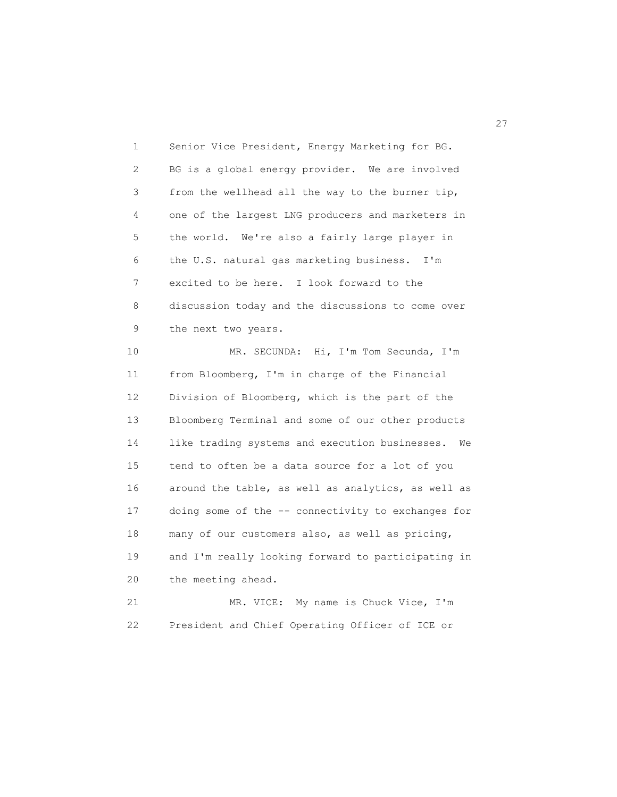1 Senior Vice President, Energy Marketing for BG. 2 BG is a global energy provider. We are involved 3 from the wellhead all the way to the burner tip, 4 one of the largest LNG producers and marketers in 5 the world. We're also a fairly large player in 6 the U.S. natural gas marketing business. I'm 7 excited to be here. I look forward to the 8 discussion today and the discussions to come over 9 the next two years. 10 MR. SECUNDA: Hi, I'm Tom Secunda, I'm 11 from Bloomberg, I'm in charge of the Financial 12 Division of Bloomberg, which is the part of the 13 Bloomberg Terminal and some of our other products 14 like trading systems and execution businesses. We 15 tend to often be a data source for a lot of you 16 around the table, as well as analytics, as well as 17 doing some of the -- connectivity to exchanges for 18 many of our customers also, as well as pricing, 19 and I'm really looking forward to participating in 20 the meeting ahead. 21 MR. VICE: My name is Chuck Vice, I'm 22 President and Chief Operating Officer of ICE or

27<sup>2</sup>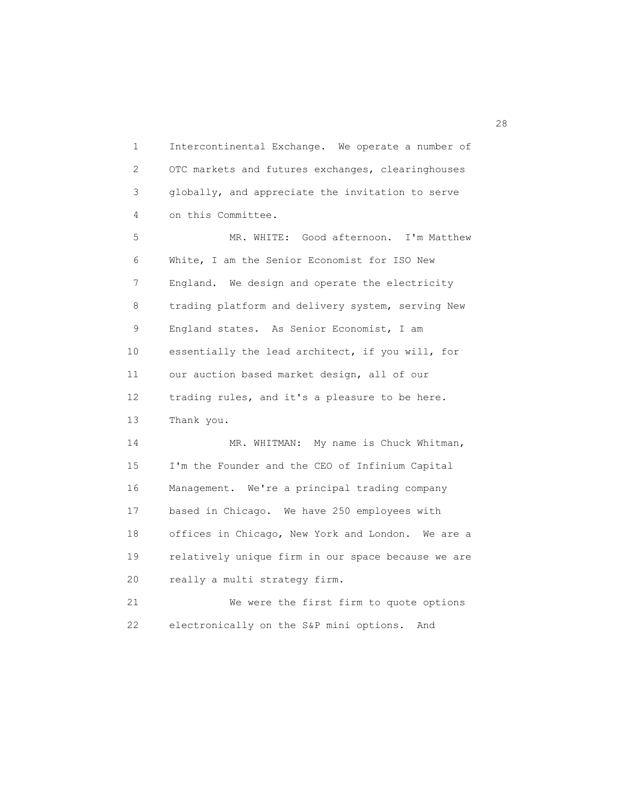1 Intercontinental Exchange. We operate a number of 2 OTC markets and futures exchanges, clearinghouses 3 globally, and appreciate the invitation to serve 4 on this Committee.

 5 MR. WHITE: Good afternoon. I'm Matthew 6 White, I am the Senior Economist for ISO New 7 England. We design and operate the electricity 8 trading platform and delivery system, serving New 9 England states. As Senior Economist, I am 10 essentially the lead architect, if you will, for 11 our auction based market design, all of our 12 trading rules, and it's a pleasure to be here. 13 Thank you.

14 MR. WHITMAN: My name is Chuck Whitman, 15 I'm the Founder and the CEO of Infinium Capital 16 Management. We're a principal trading company 17 based in Chicago. We have 250 employees with 18 offices in Chicago, New York and London. We are a 19 relatively unique firm in our space because we are 20 really a multi strategy firm.

 21 We were the first firm to quote options 22 electronically on the S&P mini options. And

28 and 28 and 28 and 28 and 28 and 28 and 28 and 28 and 28 and 28 and 28 and 28 and 28 and 28 and 28 and 28 an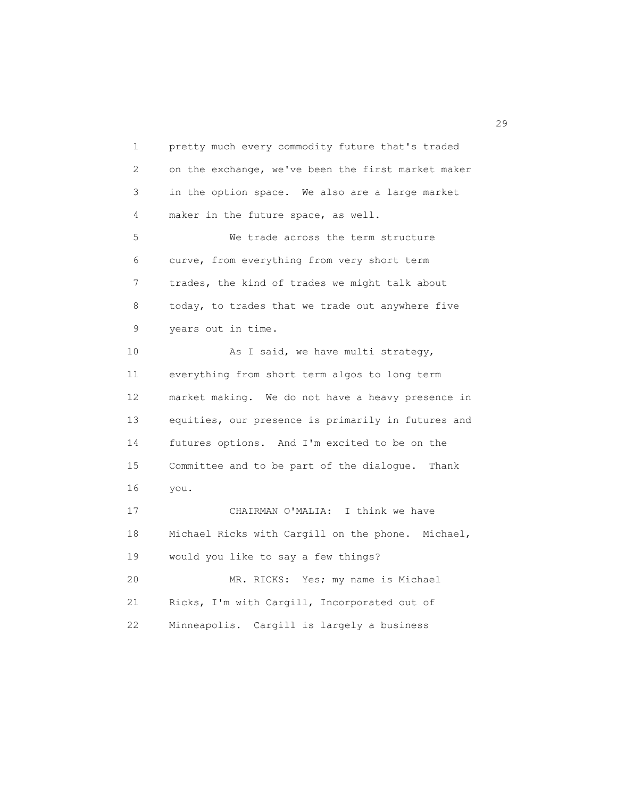1 pretty much every commodity future that's traded 2 on the exchange, we've been the first market maker 3 in the option space. We also are a large market 4 maker in the future space, as well. 5 We trade across the term structure 6 curve, from everything from very short term 7 trades, the kind of trades we might talk about 8 today, to trades that we trade out anywhere five 9 years out in time. 10 As I said, we have multi strategy, 11 everything from short term algos to long term 12 market making. We do not have a heavy presence in 13 equities, our presence is primarily in futures and 14 futures options. And I'm excited to be on the 15 Committee and to be part of the dialogue. Thank 16 you. 17 CHAIRMAN O'MALIA: I think we have 18 Michael Ricks with Cargill on the phone. Michael, 19 would you like to say a few things? 20 MR. RICKS: Yes; my name is Michael 21 Ricks, I'm with Cargill, Incorporated out of 22 Minneapolis. Cargill is largely a business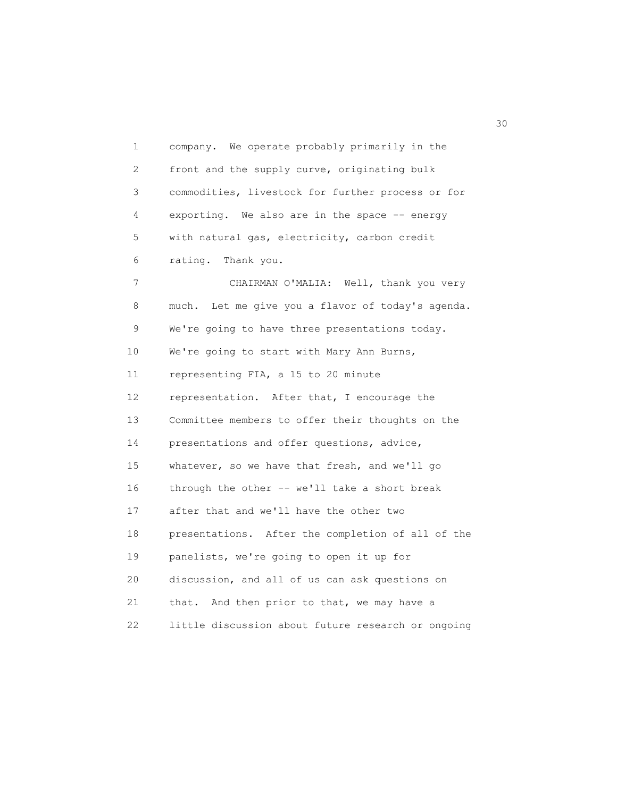1 company. We operate probably primarily in the 2 front and the supply curve, originating bulk 3 commodities, livestock for further process or for 4 exporting. We also are in the space -- energy 5 with natural gas, electricity, carbon credit 6 rating. Thank you. 7 CHAIRMAN O'MALIA: Well, thank you very 8 much. Let me give you a flavor of today's agenda. 9 We're going to have three presentations today. 10 We're going to start with Mary Ann Burns, 11 representing FIA, a 15 to 20 minute 12 representation. After that, I encourage the 13 Committee members to offer their thoughts on the 14 presentations and offer questions, advice, 15 whatever, so we have that fresh, and we'll go 16 through the other -- we'll take a short break 17 after that and we'll have the other two 18 presentations. After the completion of all of the 19 panelists, we're going to open it up for 20 discussion, and all of us can ask questions on 21 that. And then prior to that, we may have a 22 little discussion about future research or ongoing

 $30<sup>o</sup>$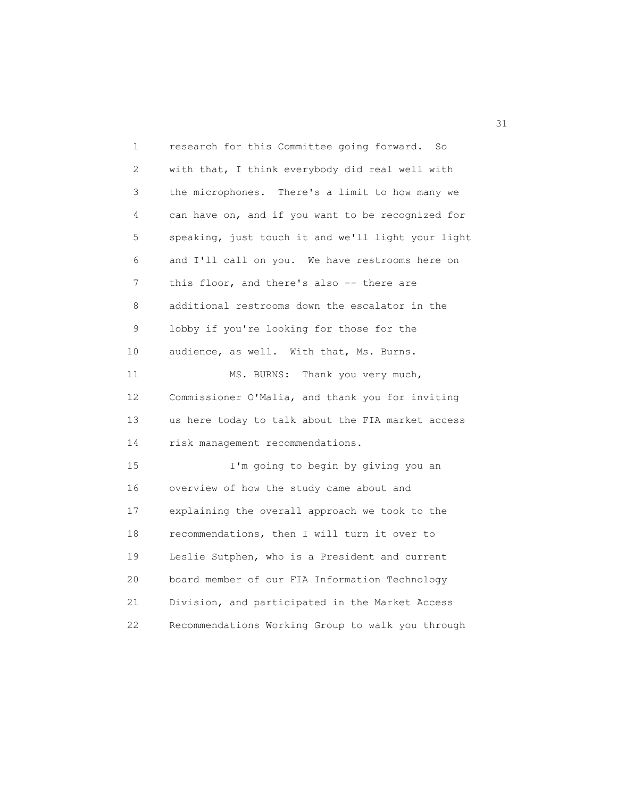| 1  | research for this Committee going forward.<br>So   |
|----|----------------------------------------------------|
| 2  | with that, I think everybody did real well with    |
| 3  | the microphones. There's a limit to how many we    |
| 4  | can have on, and if you want to be recognized for  |
| 5  | speaking, just touch it and we'll light your light |
| 6  | and I'll call on you. We have restrooms here on    |
| 7  | this floor, and there's also -- there are          |
| 8  | additional restrooms down the escalator in the     |
| 9  | lobby if you're looking for those for the          |
| 10 | audience, as well. With that, Ms. Burns.           |
| 11 | MS. BURNS:<br>Thank you very much,                 |
| 12 | Commissioner O'Malia, and thank you for inviting   |
| 13 | us here today to talk about the FIA market access  |
| 14 | risk management recommendations.                   |
| 15 | I'm going to begin by giving you an                |
| 16 | overview of how the study came about and           |
| 17 | explaining the overall approach we took to the     |
| 18 | recommendations, then I will turn it over to       |
| 19 | Leslie Sutphen, who is a President and current     |
| 20 | board member of our FIA Information Technology     |
| 21 | Division, and participated in the Market Access    |
| 22 | Recommendations Working Group to walk you through  |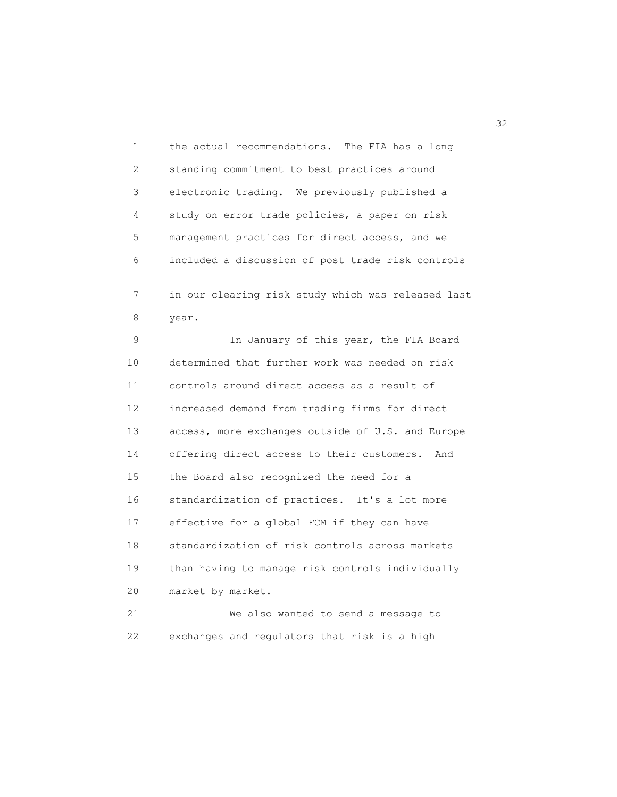1 the actual recommendations. The FIA has a long 2 standing commitment to best practices around 3 electronic trading. We previously published a 4 study on error trade policies, a paper on risk 5 management practices for direct access, and we 6 included a discussion of post trade risk controls 7 in our clearing risk study which was released last 8 year. 9 In January of this year, the FIA Board 10 determined that further work was needed on risk 11 controls around direct access as a result of 12 increased demand from trading firms for direct 13 access, more exchanges outside of U.S. and Europe 14 offering direct access to their customers. And 15 the Board also recognized the need for a 16 standardization of practices. It's a lot more 17 effective for a global FCM if they can have 18 standardization of risk controls across markets 19 than having to manage risk controls individually 20 market by market. 21 We also wanted to send a message to 22 exchanges and regulators that risk is a high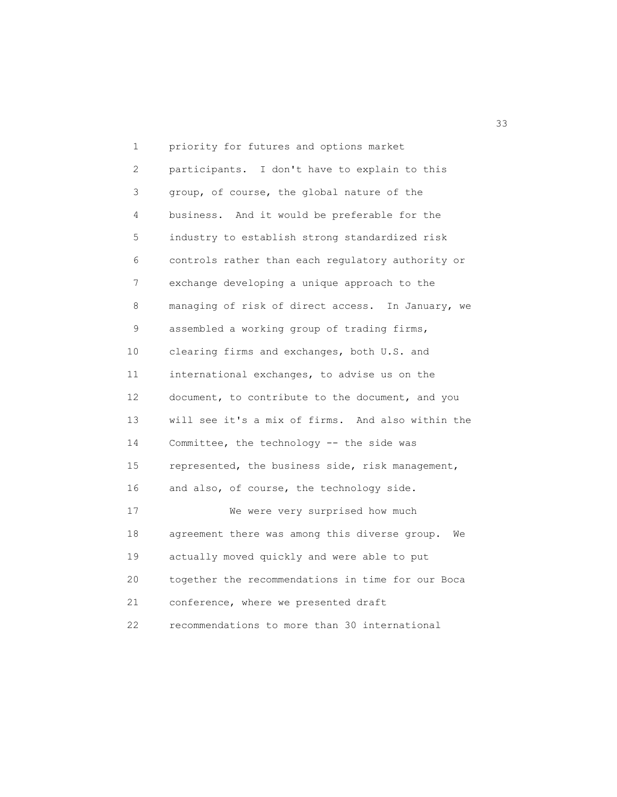1 priority for futures and options market 2 participants. I don't have to explain to this 3 group, of course, the global nature of the 4 business. And it would be preferable for the 5 industry to establish strong standardized risk 6 controls rather than each regulatory authority or 7 exchange developing a unique approach to the 8 managing of risk of direct access. In January, we 9 assembled a working group of trading firms, 10 clearing firms and exchanges, both U.S. and 11 international exchanges, to advise us on the 12 document, to contribute to the document, and you 13 will see it's a mix of firms. And also within the 14 Committee, the technology -- the side was 15 represented, the business side, risk management, 16 and also, of course, the technology side. 17 We were very surprised how much 18 agreement there was among this diverse group. We 19 actually moved quickly and were able to put 20 together the recommendations in time for our Boca 21 conference, where we presented draft 22 recommendations to more than 30 international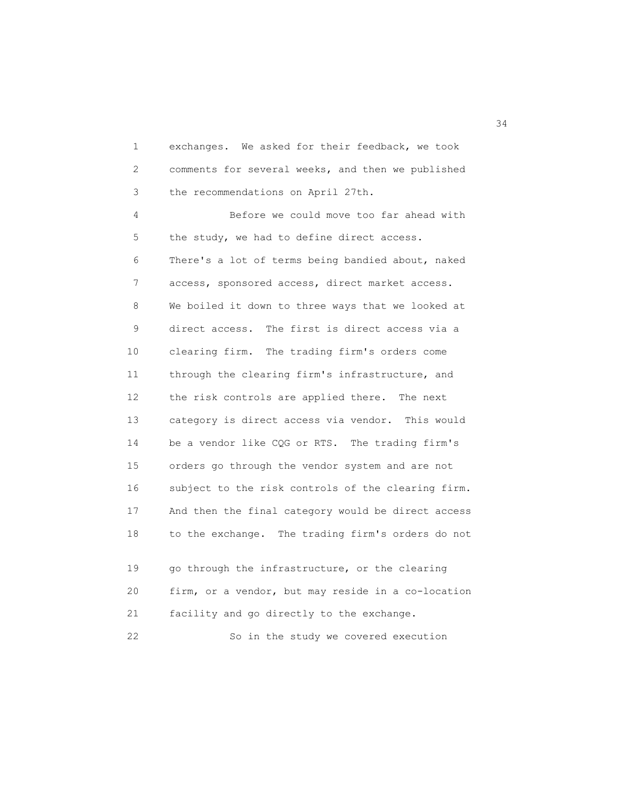1 exchanges. We asked for their feedback, we took 2 comments for several weeks, and then we published 3 the recommendations on April 27th.

 4 Before we could move too far ahead with 5 the study, we had to define direct access. 6 There's a lot of terms being bandied about, naked 7 access, sponsored access, direct market access. 8 We boiled it down to three ways that we looked at 9 direct access. The first is direct access via a 10 clearing firm. The trading firm's orders come 11 through the clearing firm's infrastructure, and 12 the risk controls are applied there. The next 13 category is direct access via vendor. This would 14 be a vendor like CQG or RTS. The trading firm's 15 orders go through the vendor system and are not 16 subject to the risk controls of the clearing firm. 17 And then the final category would be direct access 18 to the exchange. The trading firm's orders do not

 19 go through the infrastructure, or the clearing 20 firm, or a vendor, but may reside in a co-location 21 facility and go directly to the exchange. 22 So in the study we covered execution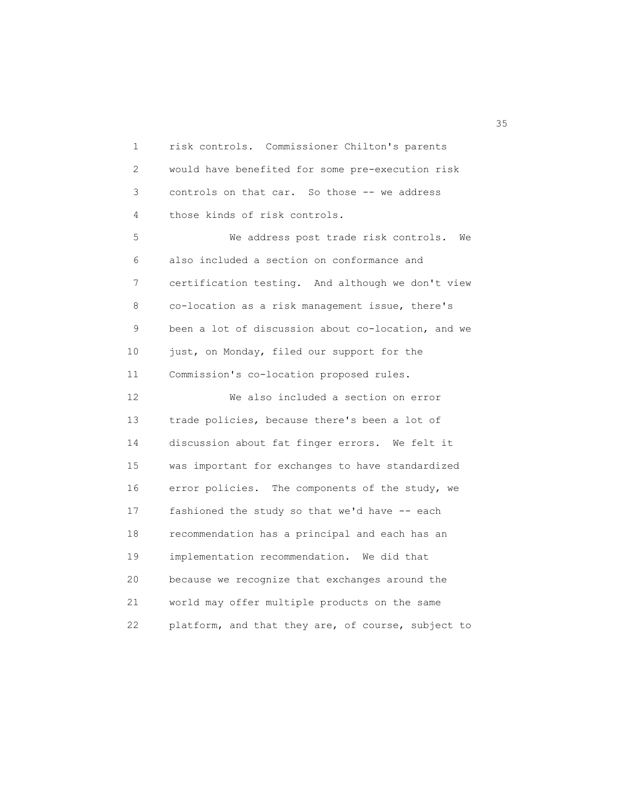1 risk controls. Commissioner Chilton's parents 2 would have benefited for some pre-execution risk 3 controls on that car. So those -- we address 4 those kinds of risk controls. 5 We address post trade risk controls. We 6 also included a section on conformance and 7 certification testing. And although we don't view 8 co-location as a risk management issue, there's 9 been a lot of discussion about co-location, and we 10 just, on Monday, filed our support for the 11 Commission's co-location proposed rules. 12 We also included a section on error 13 trade policies, because there's been a lot of 14 discussion about fat finger errors. We felt it 15 was important for exchanges to have standardized 16 error policies. The components of the study, we 17 fashioned the study so that we'd have -- each

 18 recommendation has a principal and each has an 19 implementation recommendation. We did that 20 because we recognize that exchanges around the 21 world may offer multiple products on the same 22 platform, and that they are, of course, subject to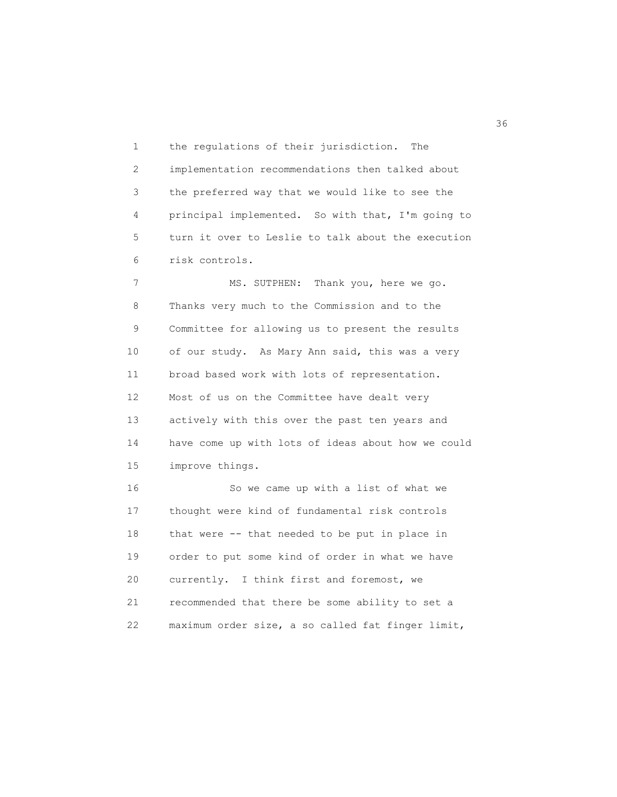1 the regulations of their jurisdiction. The 2 implementation recommendations then talked about 3 the preferred way that we would like to see the 4 principal implemented. So with that, I'm going to 5 turn it over to Leslie to talk about the execution 6 risk controls.

7 MS. SUTPHEN: Thank you, here we go. 8 Thanks very much to the Commission and to the 9 Committee for allowing us to present the results 10 of our study. As Mary Ann said, this was a very 11 broad based work with lots of representation. 12 Most of us on the Committee have dealt very 13 actively with this over the past ten years and 14 have come up with lots of ideas about how we could 15 improve things.

 16 So we came up with a list of what we 17 thought were kind of fundamental risk controls 18 that were -- that needed to be put in place in 19 order to put some kind of order in what we have 20 currently. I think first and foremost, we 21 recommended that there be some ability to set a 22 maximum order size, a so called fat finger limit,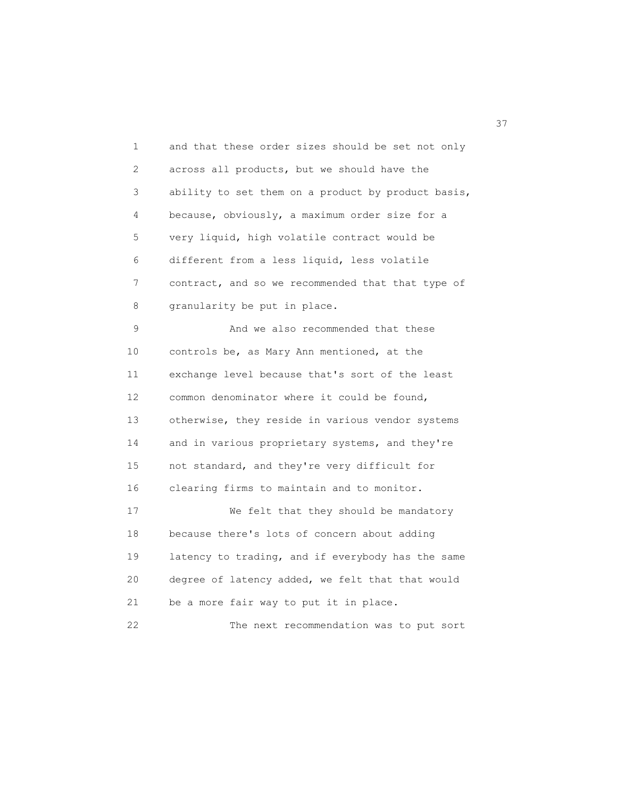1 and that these order sizes should be set not only 2 across all products, but we should have the 3 ability to set them on a product by product basis, 4 because, obviously, a maximum order size for a 5 very liquid, high volatile contract would be 6 different from a less liquid, less volatile 7 contract, and so we recommended that that type of 8 granularity be put in place. 9 And we also recommended that these 10 controls be, as Mary Ann mentioned, at the 11 exchange level because that's sort of the least 12 common denominator where it could be found, 13 otherwise, they reside in various vendor systems 14 and in various proprietary systems, and they're 15 not standard, and they're very difficult for 16 clearing firms to maintain and to monitor. 17 We felt that they should be mandatory 18 because there's lots of concern about adding 19 latency to trading, and if everybody has the same 20 degree of latency added, we felt that that would 21 be a more fair way to put it in place. 22 The next recommendation was to put sort

<u>37</u>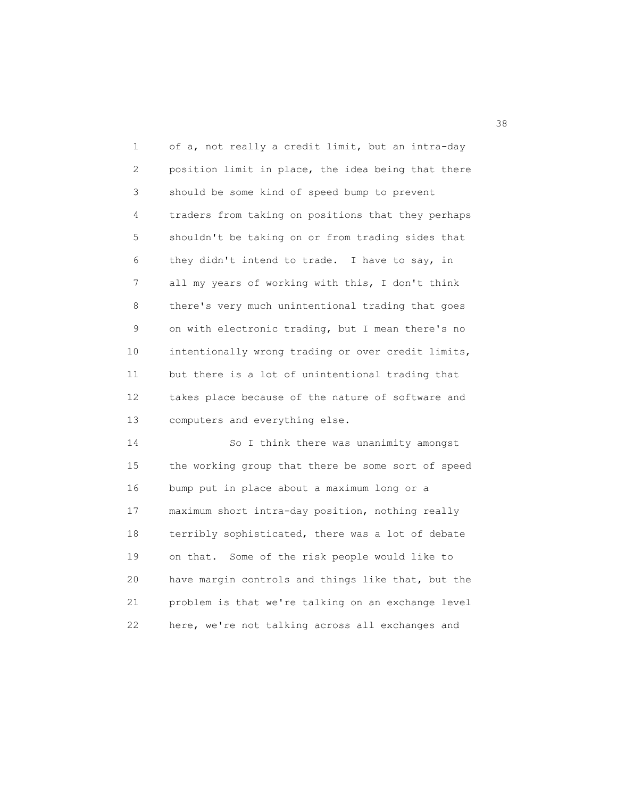1 of a, not really a credit limit, but an intra-day 2 position limit in place, the idea being that there 3 should be some kind of speed bump to prevent 4 traders from taking on positions that they perhaps 5 shouldn't be taking on or from trading sides that 6 they didn't intend to trade. I have to say, in 7 all my years of working with this, I don't think 8 there's very much unintentional trading that goes 9 on with electronic trading, but I mean there's no 10 intentionally wrong trading or over credit limits, 11 but there is a lot of unintentional trading that 12 takes place because of the nature of software and 13 computers and everything else.

 14 So I think there was unanimity amongst 15 the working group that there be some sort of speed 16 bump put in place about a maximum long or a 17 maximum short intra-day position, nothing really 18 terribly sophisticated, there was a lot of debate 19 on that. Some of the risk people would like to 20 have margin controls and things like that, but the 21 problem is that we're talking on an exchange level 22 here, we're not talking across all exchanges and

38 and 38 and 38 and 38 and 38 and 38 and 38 and 38 and 38 and 38 and 38 and 38 and 38 and 38 and 38 and 38 an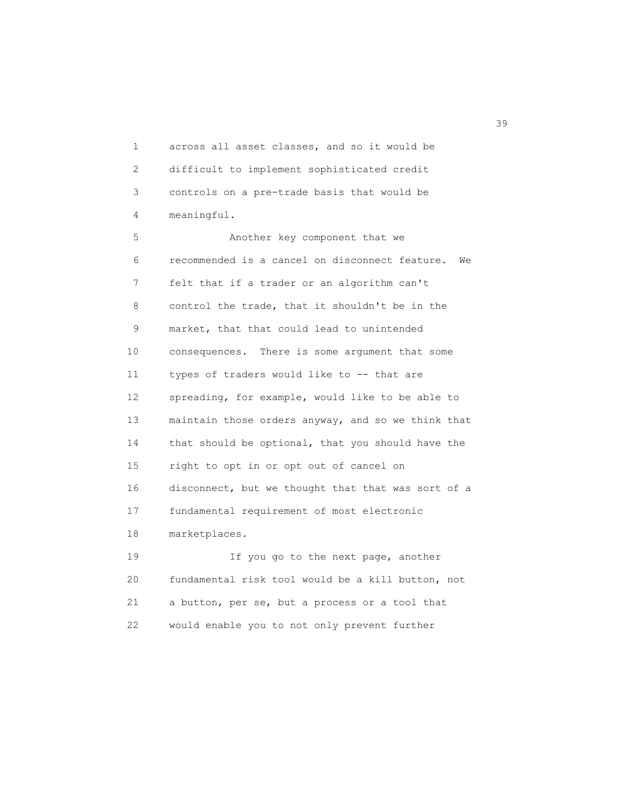1 across all asset classes, and so it would be 2 difficult to implement sophisticated credit 3 controls on a pre-trade basis that would be 4 meaningful.

 5 Another key component that we 6 recommended is a cancel on disconnect feature. We 7 felt that if a trader or an algorithm can't 8 control the trade, that it shouldn't be in the 9 market, that that could lead to unintended 10 consequences. There is some argument that some 11 types of traders would like to -- that are 12 spreading, for example, would like to be able to 13 maintain those orders anyway, and so we think that 14 that should be optional, that you should have the 15 right to opt in or opt out of cancel on 16 disconnect, but we thought that that was sort of a 17 fundamental requirement of most electronic 18 marketplaces.

19 **If you go to the next page, another**  20 fundamental risk tool would be a kill button, not 21 a button, per se, but a process or a tool that 22 would enable you to not only prevent further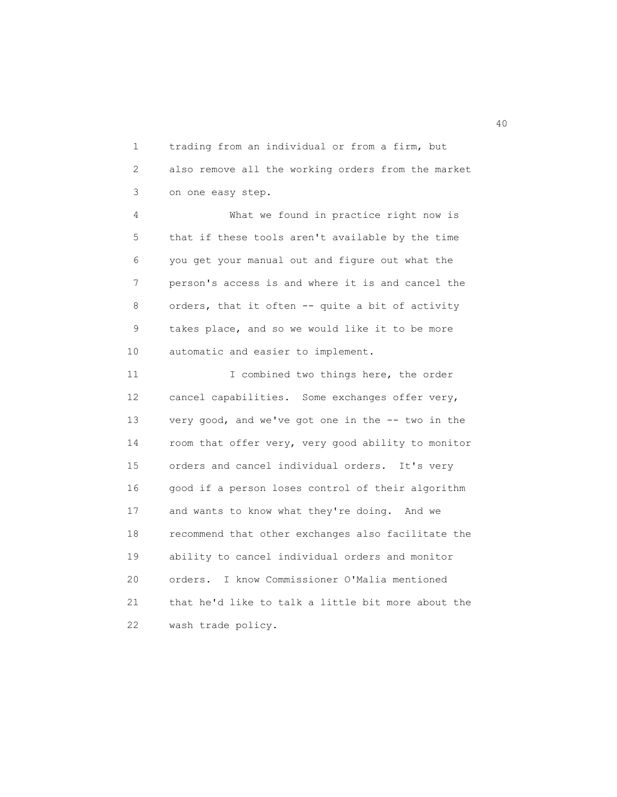1 trading from an individual or from a firm, but 2 also remove all the working orders from the market 3 on one easy step.

 4 What we found in practice right now is 5 that if these tools aren't available by the time 6 you get your manual out and figure out what the 7 person's access is and where it is and cancel the 8 orders, that it often -- quite a bit of activity 9 takes place, and so we would like it to be more 10 automatic and easier to implement.

11 I combined two things here, the order 12 cancel capabilities. Some exchanges offer very, 13 very good, and we've got one in the -- two in the 14 room that offer very, very good ability to monitor 15 orders and cancel individual orders. It's very 16 good if a person loses control of their algorithm 17 and wants to know what they're doing. And we 18 recommend that other exchanges also facilitate the 19 ability to cancel individual orders and monitor 20 orders. I know Commissioner O'Malia mentioned 21 that he'd like to talk a little bit more about the 22 wash trade policy.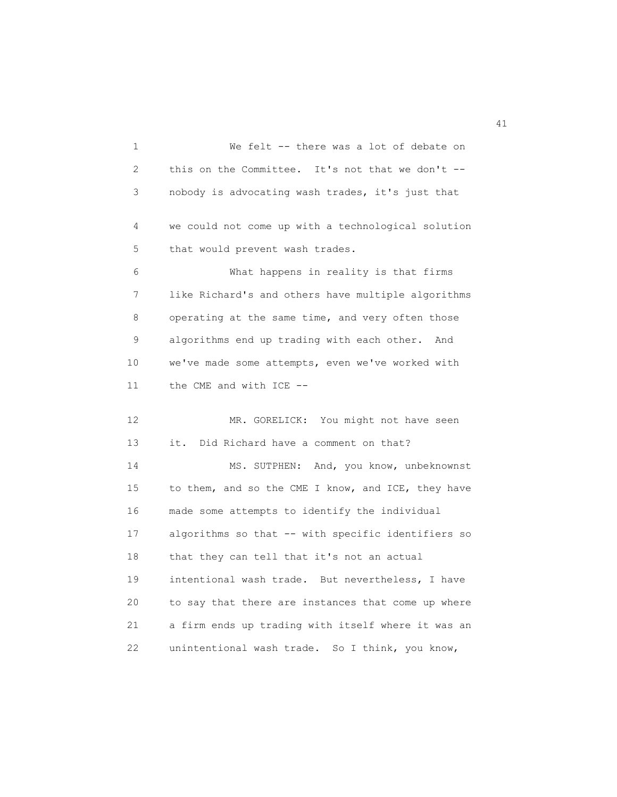1 We felt -- there was a lot of debate on 2 this on the Committee. It's not that we don't -- 3 nobody is advocating wash trades, it's just that 4 we could not come up with a technological solution 5 that would prevent wash trades. 6 What happens in reality is that firms 7 like Richard's and others have multiple algorithms 8 operating at the same time, and very often those 9 algorithms end up trading with each other. And 10 we've made some attempts, even we've worked with 11 the CME and with ICE -- 12 MR. GORELICK: You might not have seen 13 it. Did Richard have a comment on that? 14 MS. SUTPHEN: And, you know, unbeknownst 15 to them, and so the CME I know, and ICE, they have 16 made some attempts to identify the individual 17 algorithms so that -- with specific identifiers so 18 that they can tell that it's not an actual 19 intentional wash trade. But nevertheless, I have 20 to say that there are instances that come up where 21 a firm ends up trading with itself where it was an 22 unintentional wash trade. So I think, you know,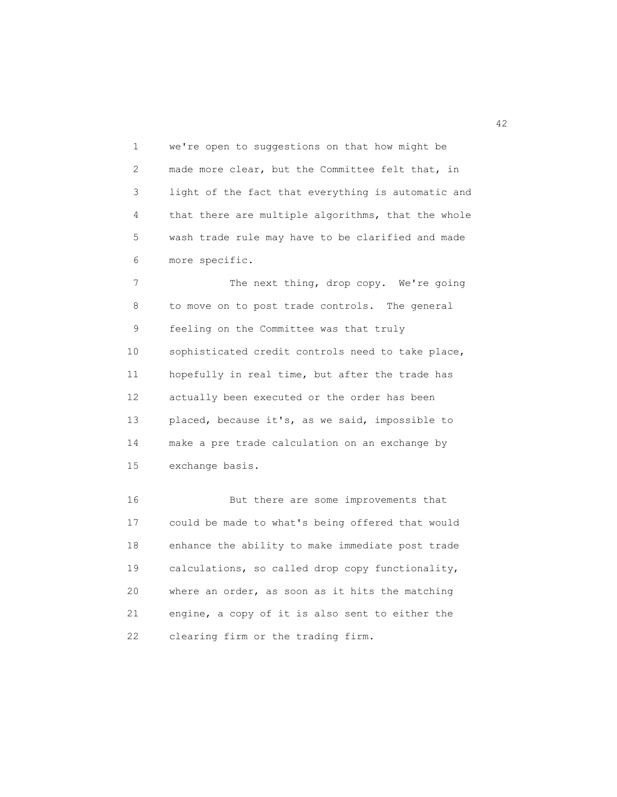1 we're open to suggestions on that how might be 2 made more clear, but the Committee felt that, in 3 light of the fact that everything is automatic and 4 that there are multiple algorithms, that the whole 5 wash trade rule may have to be clarified and made 6 more specific.

7 The next thing, drop copy. We're going 8 to move on to post trade controls. The general 9 feeling on the Committee was that truly 10 sophisticated credit controls need to take place, 11 hopefully in real time, but after the trade has 12 actually been executed or the order has been 13 placed, because it's, as we said, impossible to 14 make a pre trade calculation on an exchange by 15 exchange basis.

 16 But there are some improvements that 17 could be made to what's being offered that would 18 enhance the ability to make immediate post trade 19 calculations, so called drop copy functionality, 20 where an order, as soon as it hits the matching 21 engine, a copy of it is also sent to either the 22 clearing firm or the trading firm.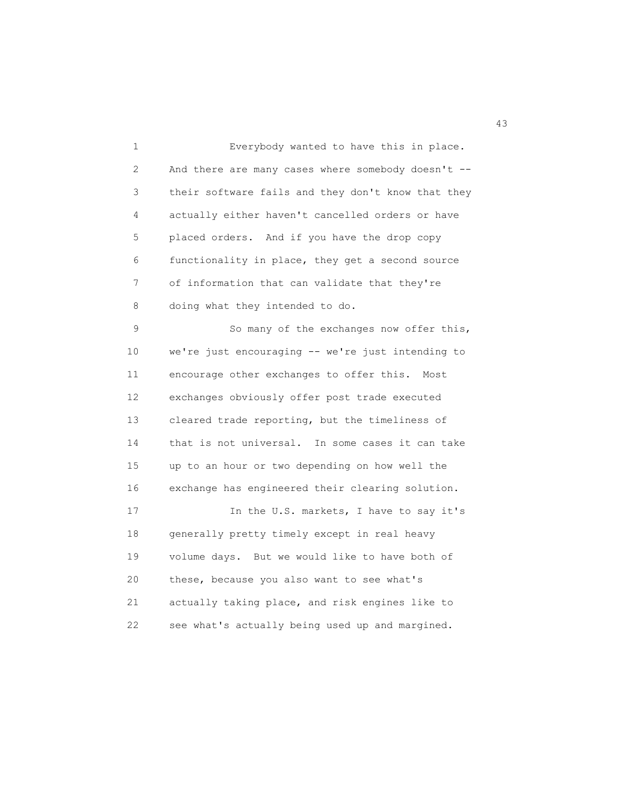1 Everybody wanted to have this in place. 2 And there are many cases where somebody doesn't -- 3 their software fails and they don't know that they 4 actually either haven't cancelled orders or have 5 placed orders. And if you have the drop copy 6 functionality in place, they get a second source 7 of information that can validate that they're 8 doing what they intended to do.

 9 So many of the exchanges now offer this, 10 we're just encouraging -- we're just intending to 11 encourage other exchanges to offer this. Most 12 exchanges obviously offer post trade executed 13 cleared trade reporting, but the timeliness of 14 that is not universal. In some cases it can take 15 up to an hour or two depending on how well the 16 exchange has engineered their clearing solution.

17 In the U.S. markets, I have to say it's 18 generally pretty timely except in real heavy 19 volume days. But we would like to have both of 20 these, because you also want to see what's 21 actually taking place, and risk engines like to 22 see what's actually being used up and margined.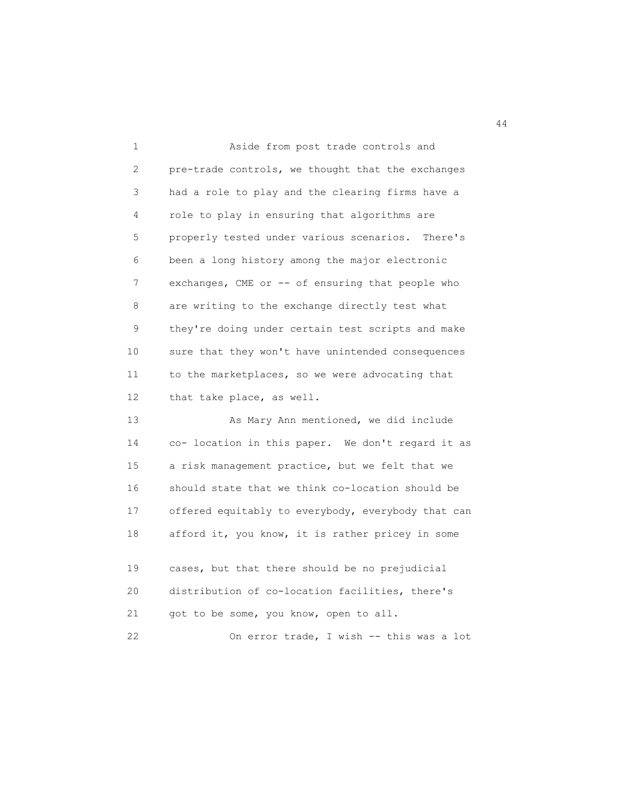| $\mathbf{1}$      | Aside from post trade controls and                  |
|-------------------|-----------------------------------------------------|
| $\mathbf{2}$      | pre-trade controls, we thought that the exchanges   |
| 3                 | had a role to play and the clearing firms have a    |
| 4                 | role to play in ensuring that algorithms are        |
| 5                 | properly tested under various scenarios.<br>There's |
| 6                 | been a long history among the major electronic      |
| 7                 | exchanges, CME or -- of ensuring that people who    |
| 8                 | are writing to the exchange directly test what      |
| 9                 | they're doing under certain test scripts and make   |
| 10                | sure that they won't have unintended consequences   |
| 11                | to the marketplaces, so we were advocating that     |
| $12 \overline{ }$ | that take place, as well.                           |
| 13                | As Mary Ann mentioned, we did include               |
| 14                | co- location in this paper. We don't regard it as   |
| 15                | a risk management practice, but we felt that we     |
| 16                | should state that we think co-location should be    |
| 17                | offered equitably to everybody, everybody that can  |
| 18                | afford it, you know, it is rather pricey in some    |
|                   |                                                     |

| 19 | cases, but that there should be no prejudicial  |
|----|-------------------------------------------------|
| 20 | distribution of co-location facilities, there's |
| 21 | got to be some, you know, open to all.          |
|    | On error trade, I wish -- this was a lot        |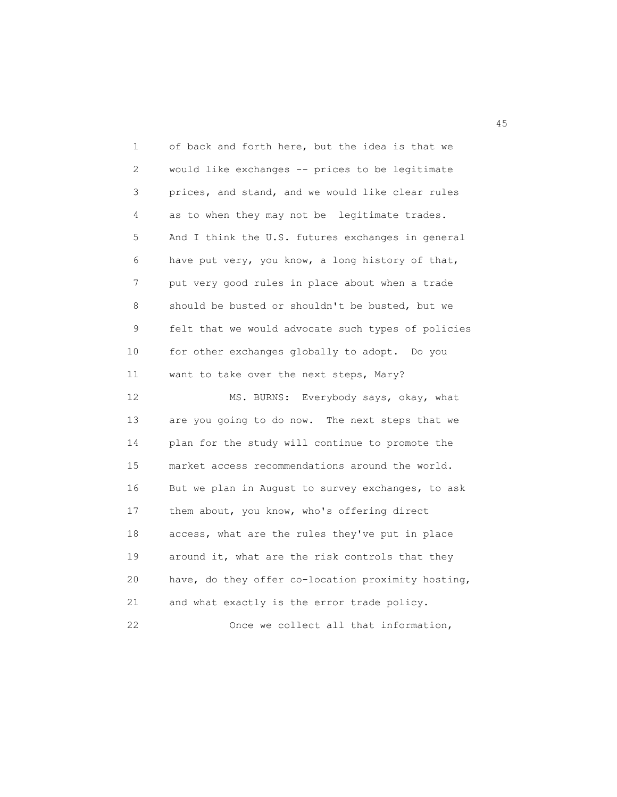| 1  | of back and forth here, but the idea is that we    |
|----|----------------------------------------------------|
| 2  | would like exchanges -- prices to be legitimate    |
| 3  | prices, and stand, and we would like clear rules   |
| 4  | as to when they may not be legitimate trades.      |
| 5  | And I think the U.S. futures exchanges in general  |
| 6  | have put very, you know, a long history of that,   |
| 7  | put very good rules in place about when a trade    |
| 8  | should be busted or shouldn't be busted, but we    |
| 9  | felt that we would advocate such types of policies |
| 10 | for other exchanges globally to adopt. Do you      |
| 11 | want to take over the next steps, Mary?            |
| 12 | Everybody says, okay, what<br>MS. BURNS:           |
| 13 | are you going to do now. The next steps that we    |
| 14 | plan for the study will continue to promote the    |
| 15 | market access recommendations around the world.    |
| 16 | But we plan in August to survey exchanges, to ask  |
| 17 | them about, you know, who's offering direct        |
| 18 | access, what are the rules they've put in place    |
| 19 | around it, what are the risk controls that they    |
| 20 | have, do they offer co-location proximity hosting, |
| 21 | and what exactly is the error trade policy.        |
| 22 | Once we collect all that information,              |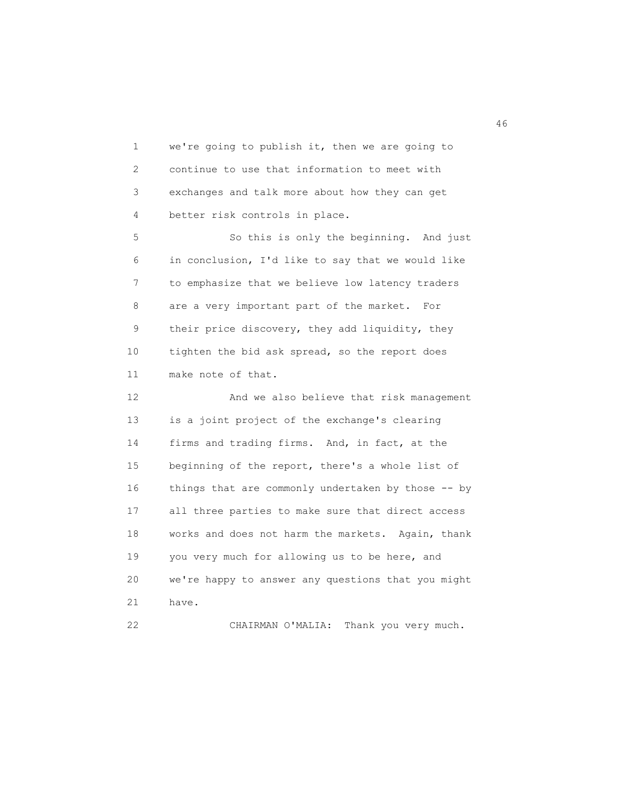1 we're going to publish it, then we are going to 2 continue to use that information to meet with 3 exchanges and talk more about how they can get 4 better risk controls in place. 5 So this is only the beginning. And just 6 in conclusion, I'd like to say that we would like 7 to emphasize that we believe low latency traders 8 are a very important part of the market. For 9 their price discovery, they add liquidity, they 10 tighten the bid ask spread, so the report does 11 make note of that. 12 And we also believe that risk management 13 is a joint project of the exchange's clearing 14 firms and trading firms. And, in fact, at the 15 beginning of the report, there's a whole list of 16 things that are commonly undertaken by those -- by 17 all three parties to make sure that direct access

 18 works and does not harm the markets. Again, thank 19 you very much for allowing us to be here, and 20 we're happy to answer any questions that you might 21 have.

22 CHAIRMAN O'MALIA: Thank you very much.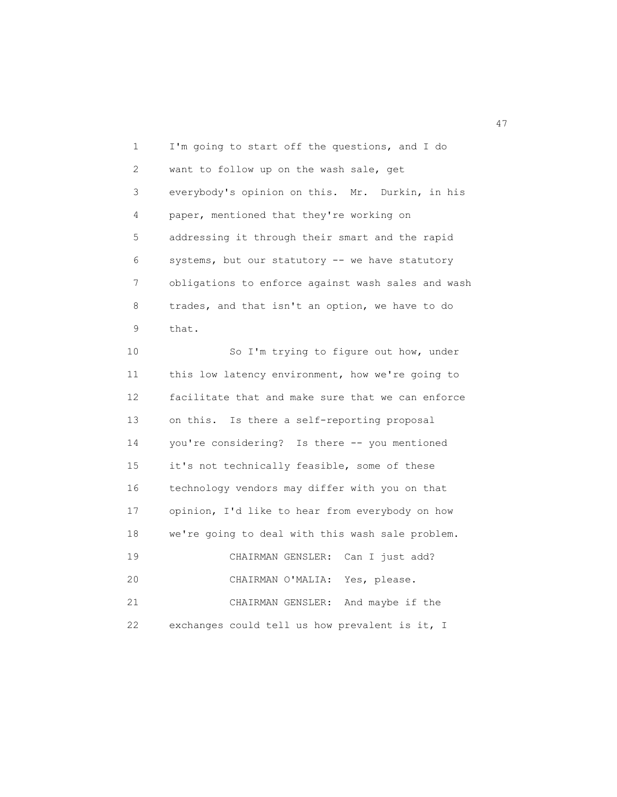1 I'm going to start off the questions, and I do 2 want to follow up on the wash sale, get 3 everybody's opinion on this. Mr. Durkin, in his 4 paper, mentioned that they're working on 5 addressing it through their smart and the rapid 6 systems, but our statutory -- we have statutory 7 obligations to enforce against wash sales and wash 8 trades, and that isn't an option, we have to do 9 that.

 10 So I'm trying to figure out how, under 11 this low latency environment, how we're going to 12 facilitate that and make sure that we can enforce 13 on this. Is there a self-reporting proposal 14 you're considering? Is there -- you mentioned 15 it's not technically feasible, some of these 16 technology vendors may differ with you on that 17 opinion, I'd like to hear from everybody on how 18 we're going to deal with this wash sale problem. 19 CHAIRMAN GENSLER: Can I just add? 20 CHAIRMAN O'MALIA: Yes, please. 21 CHAIRMAN GENSLER: And maybe if the 22 exchanges could tell us how prevalent is it, I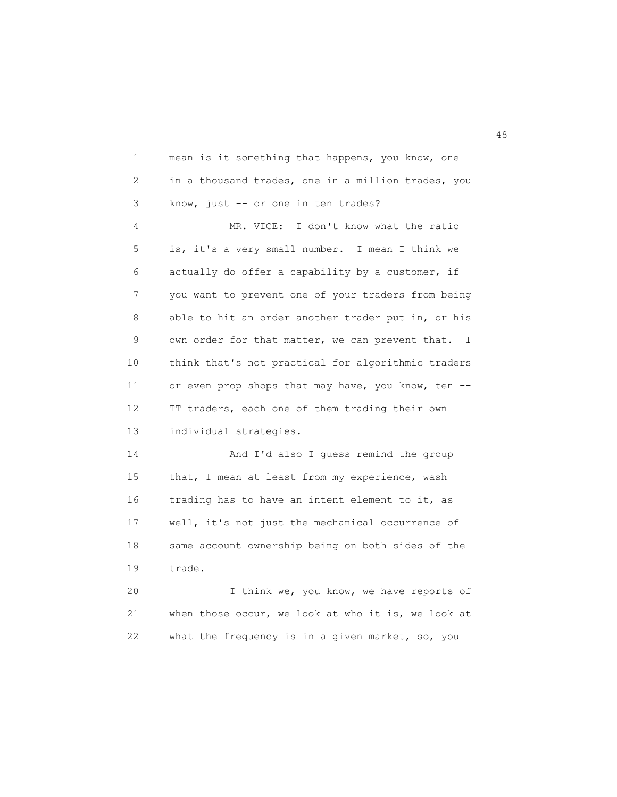1 mean is it something that happens, you know, one 2 in a thousand trades, one in a million trades, you 3 know, just -- or one in ten trades? 4 MR. VICE: I don't know what the ratio 5 is, it's a very small number. I mean I think we 6 actually do offer a capability by a customer, if 7 you want to prevent one of your traders from being 8 able to hit an order another trader put in, or his 9 own order for that matter, we can prevent that. I 10 think that's not practical for algorithmic traders 11 or even prop shops that may have, you know, ten -- 12 TT traders, each one of them trading their own 13 individual strategies. 14 And I'd also I guess remind the group 15 that, I mean at least from my experience, wash 16 trading has to have an intent element to it, as 17 well, it's not just the mechanical occurrence of 18 same account ownership being on both sides of the 19 trade. 20 I think we, you know, we have reports of

 21 when those occur, we look at who it is, we look at 22 what the frequency is in a given market, so, you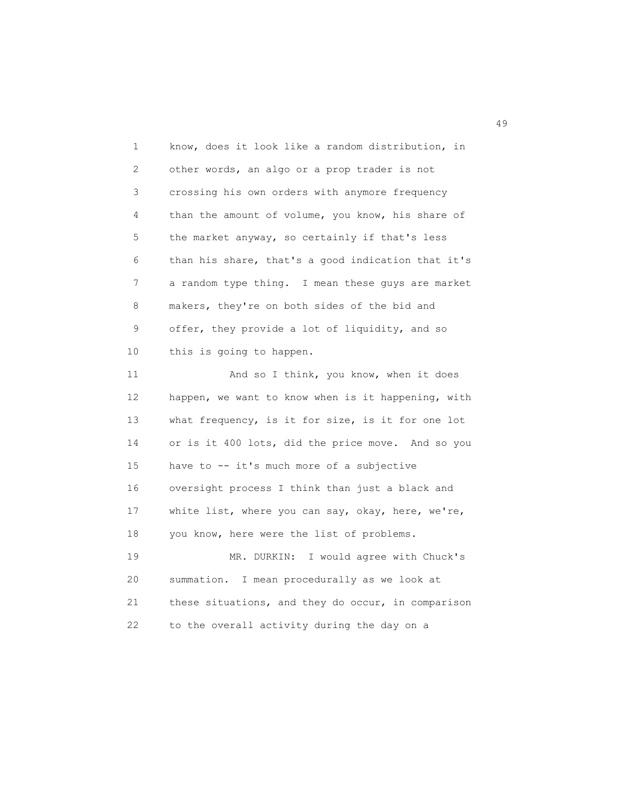1 know, does it look like a random distribution, in 2 other words, an algo or a prop trader is not 3 crossing his own orders with anymore frequency 4 than the amount of volume, you know, his share of 5 the market anyway, so certainly if that's less 6 than his share, that's a good indication that it's 7 a random type thing. I mean these guys are market 8 makers, they're on both sides of the bid and 9 offer, they provide a lot of liquidity, and so 10 this is going to happen. 11 And so I think, you know, when it does 12 happen, we want to know when is it happening, with 13 what frequency, is it for size, is it for one lot 14 or is it 400 lots, did the price move. And so you 15 have to -- it's much more of a subjective 16 oversight process I think than just a black and 17 white list, where you can say, okay, here, we're, 18 you know, here were the list of problems. 19 MR. DURKIN: I would agree with Chuck's 20 summation. I mean procedurally as we look at 21 these situations, and they do occur, in comparison 22 to the overall activity during the day on a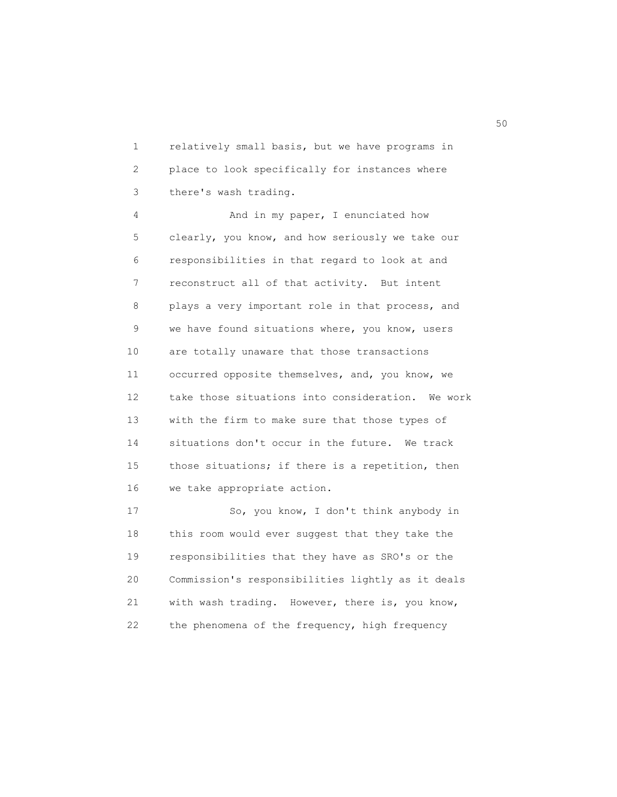1 relatively small basis, but we have programs in 2 place to look specifically for instances where 3 there's wash trading.

 4 And in my paper, I enunciated how 5 clearly, you know, and how seriously we take our 6 responsibilities in that regard to look at and 7 reconstruct all of that activity. But intent 8 plays a very important role in that process, and 9 we have found situations where, you know, users 10 are totally unaware that those transactions 11 occurred opposite themselves, and, you know, we 12 take those situations into consideration. We work 13 with the firm to make sure that those types of 14 situations don't occur in the future. We track 15 those situations; if there is a repetition, then 16 we take appropriate action.

 17 So, you know, I don't think anybody in 18 this room would ever suggest that they take the 19 responsibilities that they have as SRO's or the 20 Commission's responsibilities lightly as it deals 21 with wash trading. However, there is, you know, 22 the phenomena of the frequency, high frequency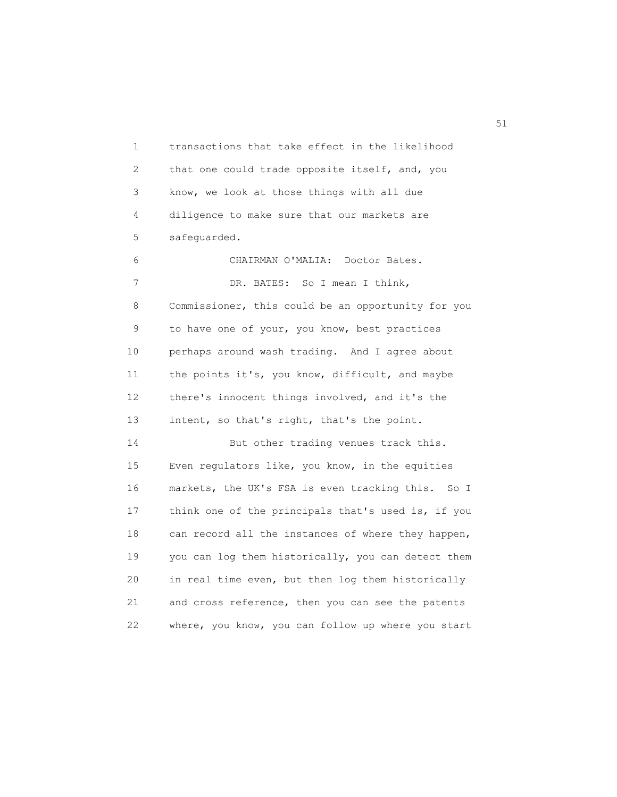1 transactions that take effect in the likelihood 2 that one could trade opposite itself, and, you 3 know, we look at those things with all due 4 diligence to make sure that our markets are 5 safeguarded.

 6 CHAIRMAN O'MALIA: Doctor Bates. 7 DR. BATES: So I mean I think, 8 Commissioner, this could be an opportunity for you 9 to have one of your, you know, best practices 10 perhaps around wash trading. And I agree about 11 the points it's, you know, difficult, and maybe 12 there's innocent things involved, and it's the 13 intent, so that's right, that's the point.

14 But other trading venues track this. 15 Even regulators like, you know, in the equities 16 markets, the UK's FSA is even tracking this. So I 17 think one of the principals that's used is, if you 18 can record all the instances of where they happen, 19 you can log them historically, you can detect them 20 in real time even, but then log them historically 21 and cross reference, then you can see the patents 22 where, you know, you can follow up where you start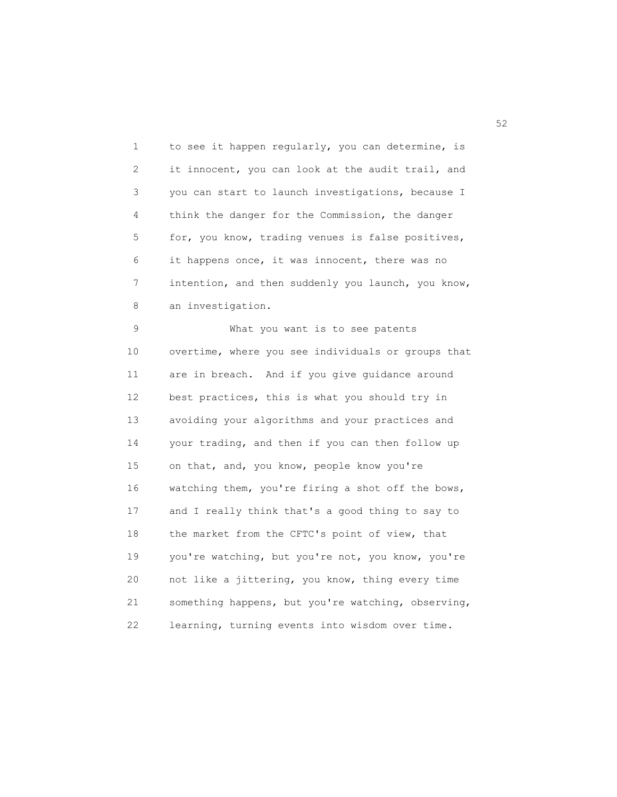1 to see it happen regularly, you can determine, is 2 it innocent, you can look at the audit trail, and 3 you can start to launch investigations, because I 4 think the danger for the Commission, the danger 5 for, you know, trading venues is false positives, 6 it happens once, it was innocent, there was no 7 intention, and then suddenly you launch, you know, 8 an investigation.

 9 What you want is to see patents 10 overtime, where you see individuals or groups that 11 are in breach. And if you give guidance around 12 best practices, this is what you should try in 13 avoiding your algorithms and your practices and 14 your trading, and then if you can then follow up 15 on that, and, you know, people know you're 16 watching them, you're firing a shot off the bows, 17 and I really think that's a good thing to say to 18 the market from the CFTC's point of view, that 19 you're watching, but you're not, you know, you're 20 not like a jittering, you know, thing every time 21 something happens, but you're watching, observing, 22 learning, turning events into wisdom over time.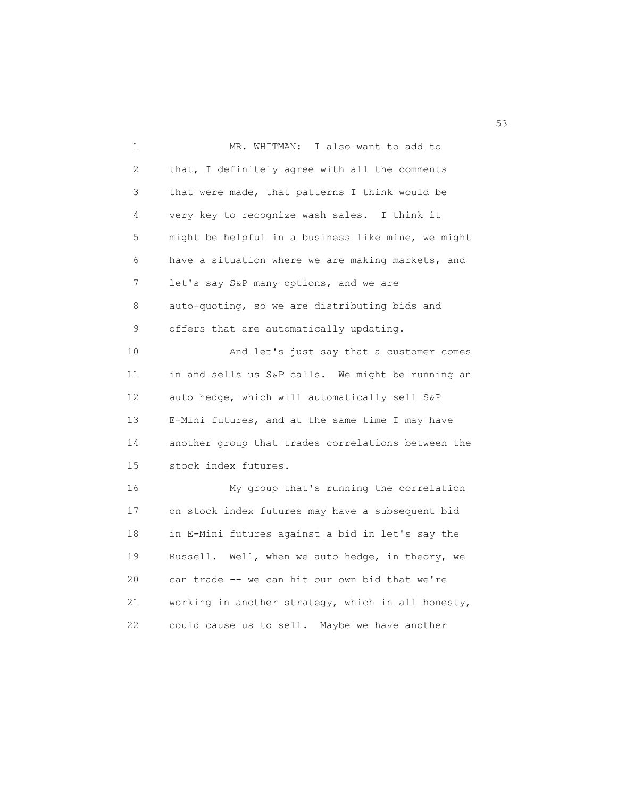1 MR. WHITMAN: I also want to add to 2 that, I definitely agree with all the comments 3 that were made, that patterns I think would be 4 very key to recognize wash sales. I think it 5 might be helpful in a business like mine, we might 6 have a situation where we are making markets, and 7 let's say S&P many options, and we are 8 auto-quoting, so we are distributing bids and 9 offers that are automatically updating. 10 And let's just say that a customer comes 11 in and sells us S&P calls. We might be running an 12 auto hedge, which will automatically sell S&P 13 E-Mini futures, and at the same time I may have 14 another group that trades correlations between the 15 stock index futures. 16 My group that's running the correlation 17 on stock index futures may have a subsequent bid 18 in E-Mini futures against a bid in let's say the 19 Russell. Well, when we auto hedge, in theory, we 20 can trade -- we can hit our own bid that we're 21 working in another strategy, which in all honesty, 22 could cause us to sell. Maybe we have another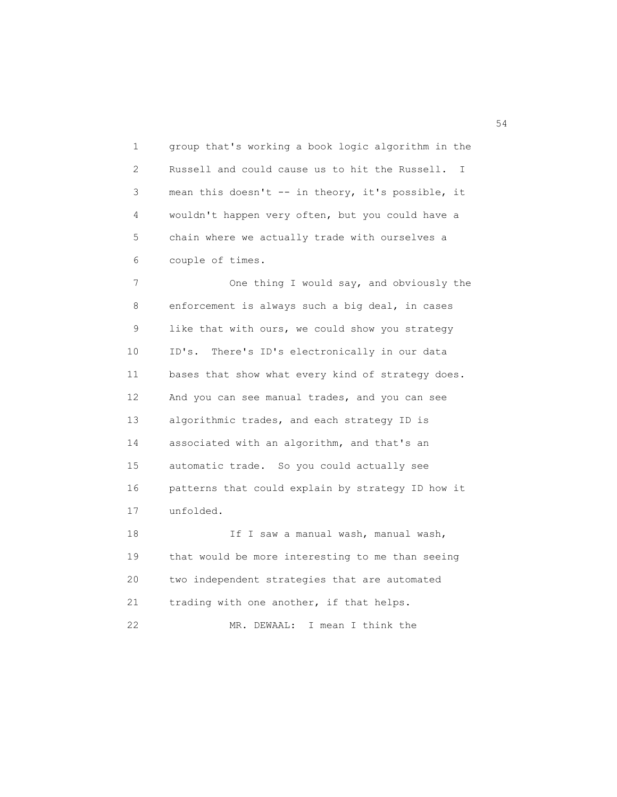1 group that's working a book logic algorithm in the 2 Russell and could cause us to hit the Russell. I 3 mean this doesn't -- in theory, it's possible, it 4 wouldn't happen very often, but you could have a 5 chain where we actually trade with ourselves a 6 couple of times.

7 One thing I would say, and obviously the 8 enforcement is always such a big deal, in cases 9 like that with ours, we could show you strategy 10 ID's. There's ID's electronically in our data 11 bases that show what every kind of strategy does. 12 And you can see manual trades, and you can see 13 algorithmic trades, and each strategy ID is 14 associated with an algorithm, and that's an 15 automatic trade. So you could actually see 16 patterns that could explain by strategy ID how it 17 unfolded.

18 **If I saw a manual wash, manual wash,**  19 that would be more interesting to me than seeing 20 two independent strategies that are automated 21 trading with one another, if that helps. 22 MR. DEWAAL: I mean I think the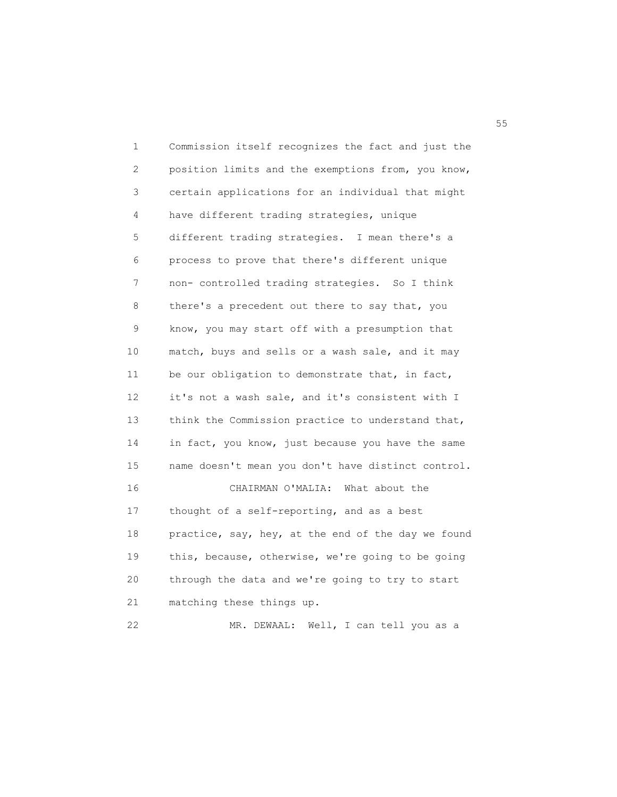1 Commission itself recognizes the fact and just the 2 position limits and the exemptions from, you know, 3 certain applications for an individual that might 4 have different trading strategies, unique 5 different trading strategies. I mean there's a 6 process to prove that there's different unique 7 non- controlled trading strategies. So I think 8 there's a precedent out there to say that, you 9 know, you may start off with a presumption that 10 match, buys and sells or a wash sale, and it may 11 be our obligation to demonstrate that, in fact, 12 it's not a wash sale, and it's consistent with I 13 think the Commission practice to understand that, 14 in fact, you know, just because you have the same 15 name doesn't mean you don't have distinct control. 16 CHAIRMAN O'MALIA: What about the 17 thought of a self-reporting, and as a best 18 practice, say, hey, at the end of the day we found 19 this, because, otherwise, we're going to be going 20 through the data and we're going to try to start 21 matching these things up. 22 MR. DEWAAL: Well, I can tell you as a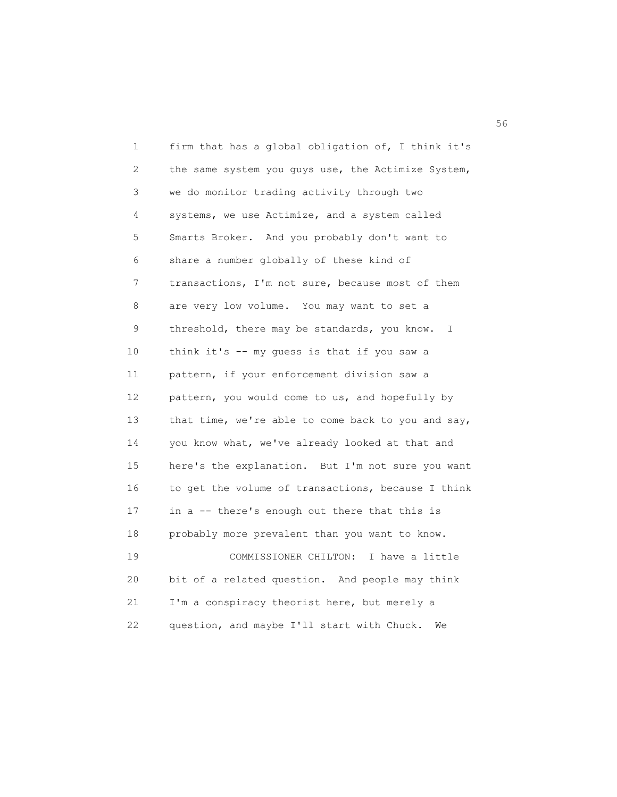| 1  | firm that has a global obligation of, I think it's           |
|----|--------------------------------------------------------------|
| 2  | the same system you guys use, the Actimize System,           |
| 3  | we do monitor trading activity through two                   |
| 4  | systems, we use Actimize, and a system called                |
| 5  | Smarts Broker. And you probably don't want to                |
| 6  | share a number globally of these kind of                     |
| 7  | transactions, I'm not sure, because most of them             |
| 8  | are very low volume. You may want to set a                   |
| 9  | threshold, there may be standards, you know.<br>$\mathbb{I}$ |
| 10 | think it's -- my guess is that if you saw a                  |
| 11 | pattern, if your enforcement division saw a                  |
| 12 | pattern, you would come to us, and hopefully by              |
| 13 | that time, we're able to come back to you and say,           |
| 14 | you know what, we've already looked at that and              |
| 15 | here's the explanation. But I'm not sure you want            |
| 16 | to get the volume of transactions, because I think           |
| 17 | in a -- there's enough out there that this is                |
| 18 | probably more prevalent than you want to know.               |
| 19 | COMMISSIONER CHILTON:<br>I have a little                     |
| 20 | bit of a related question. And people may think              |
| 21 | I'm a conspiracy theorist here, but merely a                 |
| 22 | question, and maybe I'll start with Chuck.<br>We             |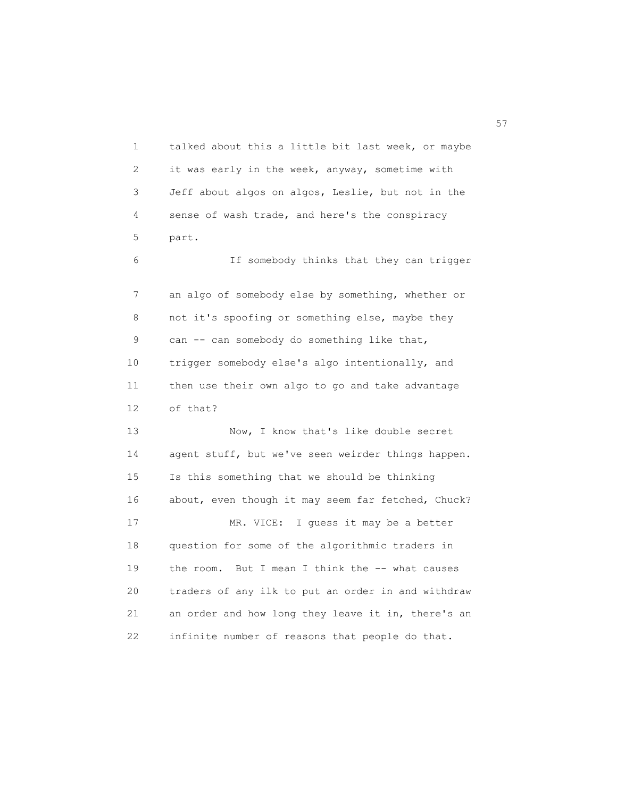1 talked about this a little bit last week, or maybe 2 it was early in the week, anyway, sometime with 3 Jeff about algos on algos, Leslie, but not in the 4 sense of wash trade, and here's the conspiracy 5 part. 6 If somebody thinks that they can trigger 7 an algo of somebody else by something, whether or 8 not it's spoofing or something else, maybe they 9 can -- can somebody do something like that, 10 trigger somebody else's algo intentionally, and 11 then use their own algo to go and take advantage 12 of that? 13 Now, I know that's like double secret 14 agent stuff, but we've seen weirder things happen. 15 Is this something that we should be thinking 16 about, even though it may seem far fetched, Chuck? 17 MR. VICE: I guess it may be a better 18 question for some of the algorithmic traders in 19 the room. But I mean I think the -- what causes 20 traders of any ilk to put an order in and withdraw 21 an order and how long they leave it in, there's an 22 infinite number of reasons that people do that.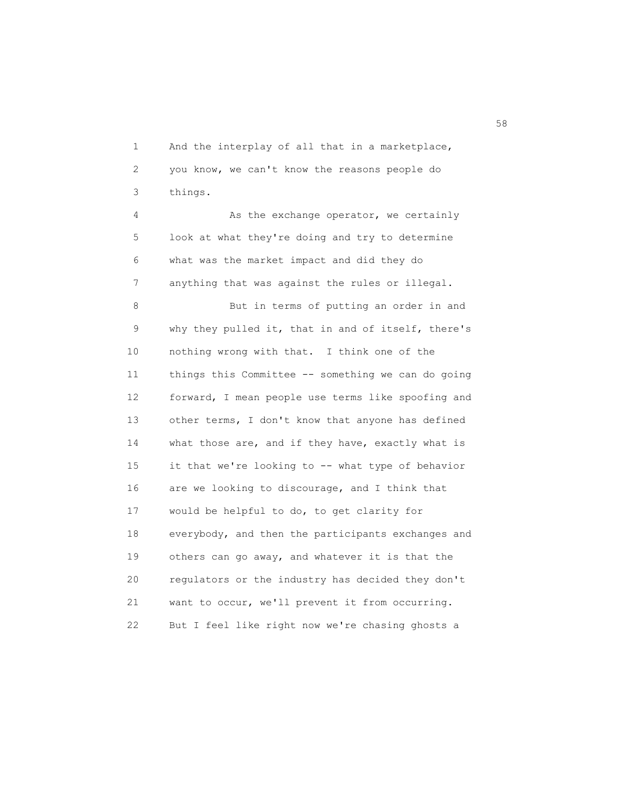1 And the interplay of all that in a marketplace, 2 you know, we can't know the reasons people do 3 things.

4 As the exchange operator, we certainly 5 look at what they're doing and try to determine 6 what was the market impact and did they do 7 anything that was against the rules or illegal.

 8 But in terms of putting an order in and 9 why they pulled it, that in and of itself, there's 10 nothing wrong with that. I think one of the 11 things this Committee -- something we can do going 12 forward, I mean people use terms like spoofing and 13 other terms, I don't know that anyone has defined 14 what those are, and if they have, exactly what is 15 it that we're looking to -- what type of behavior 16 are we looking to discourage, and I think that 17 would be helpful to do, to get clarity for 18 everybody, and then the participants exchanges and 19 others can go away, and whatever it is that the 20 regulators or the industry has decided they don't 21 want to occur, we'll prevent it from occurring. 22 But I feel like right now we're chasing ghosts a

 $58<sup>8</sup>$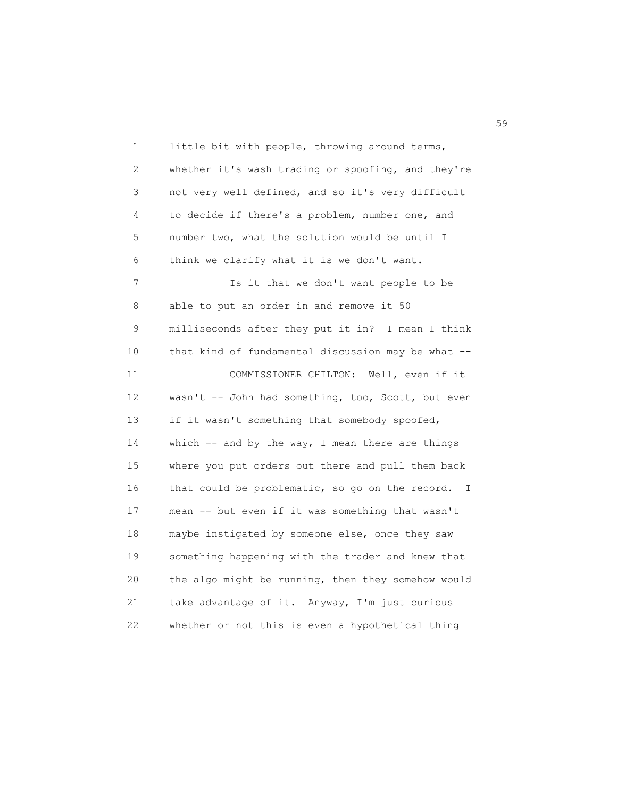1 little bit with people, throwing around terms, 2 whether it's wash trading or spoofing, and they're 3 not very well defined, and so it's very difficult 4 to decide if there's a problem, number one, and 5 number two, what the solution would be until I 6 think we clarify what it is we don't want. 7 Is it that we don't want people to be 8 able to put an order in and remove it 50 9 milliseconds after they put it in? I mean I think 10 that kind of fundamental discussion may be what -- 11 COMMISSIONER CHILTON: Well, even if it 12 wasn't -- John had something, too, Scott, but even 13 if it wasn't something that somebody spoofed, 14 which -- and by the way, I mean there are things 15 where you put orders out there and pull them back 16 that could be problematic, so go on the record. I 17 mean -- but even if it was something that wasn't 18 maybe instigated by someone else, once they saw 19 something happening with the trader and knew that 20 the algo might be running, then they somehow would 21 take advantage of it. Anyway, I'm just curious 22 whether or not this is even a hypothetical thing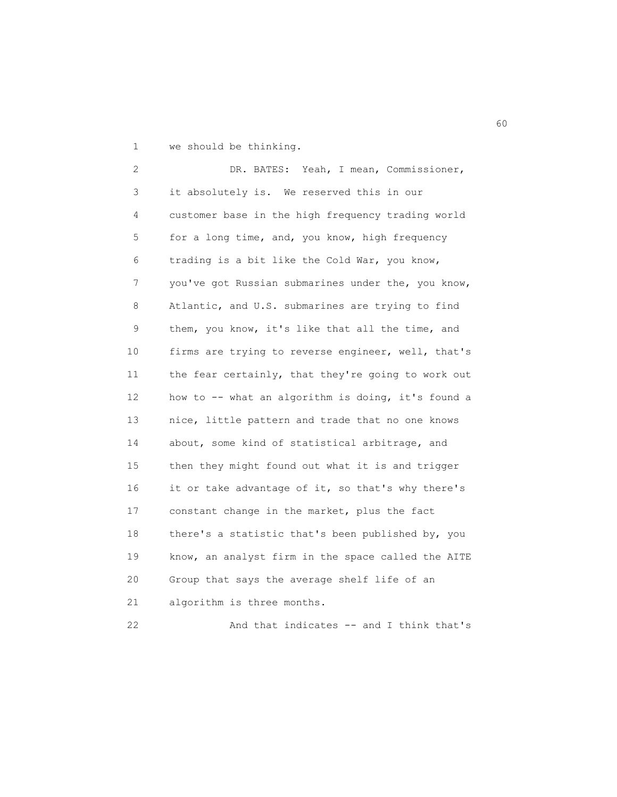1 we should be thinking.

 2 DR. BATES: Yeah, I mean, Commissioner, 3 it absolutely is. We reserved this in our 4 customer base in the high frequency trading world 5 for a long time, and, you know, high frequency 6 trading is a bit like the Cold War, you know, 7 you've got Russian submarines under the, you know, 8 Atlantic, and U.S. submarines are trying to find 9 them, you know, it's like that all the time, and 10 firms are trying to reverse engineer, well, that's 11 the fear certainly, that they're going to work out 12 how to -- what an algorithm is doing, it's found a 13 nice, little pattern and trade that no one knows 14 about, some kind of statistical arbitrage, and 15 then they might found out what it is and trigger 16 it or take advantage of it, so that's why there's 17 constant change in the market, plus the fact 18 there's a statistic that's been published by, you 19 know, an analyst firm in the space called the AITE 20 Group that says the average shelf life of an 21 algorithm is three months.

22 And that indicates -- and I think that's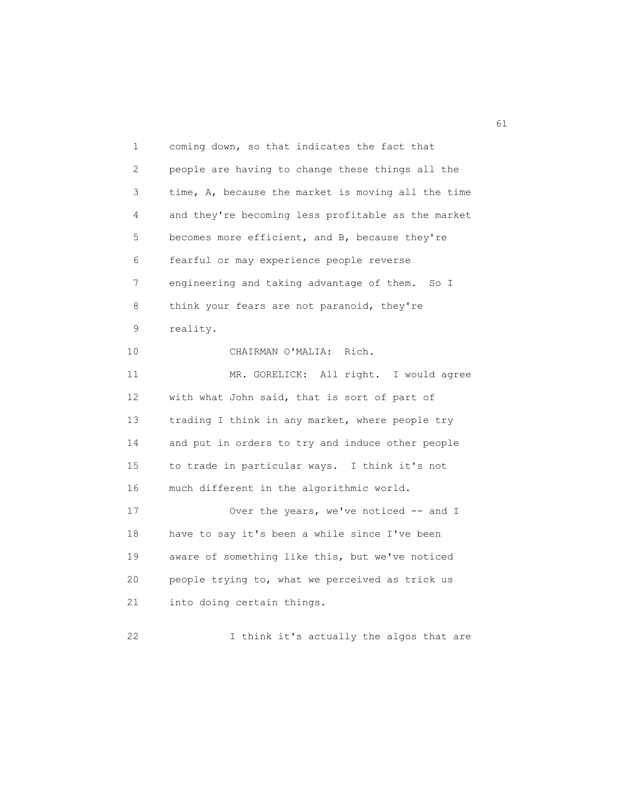1 coming down, so that indicates the fact that 2 people are having to change these things all the 3 time, A, because the market is moving all the time 4 and they're becoming less profitable as the market 5 becomes more efficient, and B, because they're 6 fearful or may experience people reverse 7 engineering and taking advantage of them. So I 8 think your fears are not paranoid, they're 9 reality. 10 CHAIRMAN O'MALIA: Rich. 11 MR. GORELICK: All right. I would agree 12 with what John said, that is sort of part of 13 trading I think in any market, where people try 14 and put in orders to try and induce other people 15 to trade in particular ways. I think it's not 16 much different in the algorithmic world. 17 Over the years, we've noticed -- and I 18 have to say it's been a while since I've been 19 aware of something like this, but we've noticed 20 people trying to, what we perceived as trick us 21 into doing certain things. 22 I think it's actually the algos that are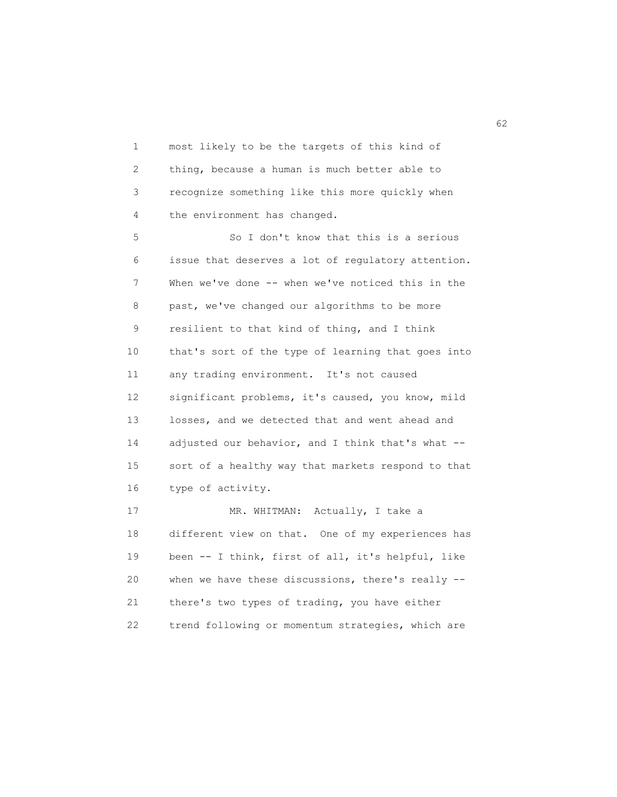1 most likely to be the targets of this kind of 2 thing, because a human is much better able to 3 recognize something like this more quickly when 4 the environment has changed.

 5 So I don't know that this is a serious 6 issue that deserves a lot of regulatory attention. 7 When we've done -- when we've noticed this in the 8 past, we've changed our algorithms to be more 9 resilient to that kind of thing, and I think 10 that's sort of the type of learning that goes into 11 any trading environment. It's not caused 12 significant problems, it's caused, you know, mild 13 losses, and we detected that and went ahead and 14 adjusted our behavior, and I think that's what -- 15 sort of a healthy way that markets respond to that 16 type of activity.

17 MR. WHITMAN: Actually, I take a 18 different view on that. One of my experiences has 19 been -- I think, first of all, it's helpful, like 20 when we have these discussions, there's really -- 21 there's two types of trading, you have either 22 trend following or momentum strategies, which are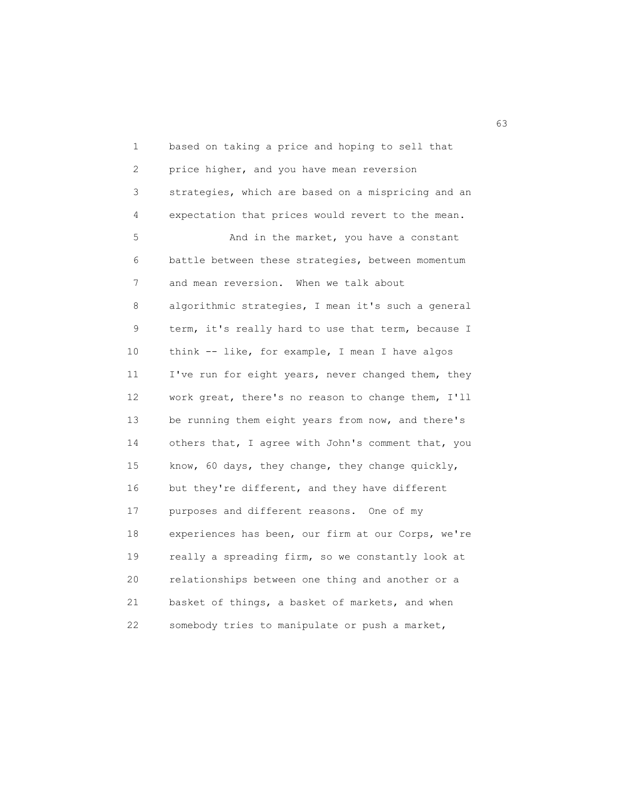1 based on taking a price and hoping to sell that 2 price higher, and you have mean reversion 3 strategies, which are based on a mispricing and an 4 expectation that prices would revert to the mean. 5 And in the market, you have a constant 6 battle between these strategies, between momentum 7 and mean reversion. When we talk about 8 algorithmic strategies, I mean it's such a general 9 term, it's really hard to use that term, because I 10 think -- like, for example, I mean I have algos 11 I've run for eight years, never changed them, they 12 work great, there's no reason to change them, I'll 13 be running them eight years from now, and there's 14 others that, I agree with John's comment that, you 15 know, 60 days, they change, they change quickly, 16 but they're different, and they have different 17 purposes and different reasons. One of my 18 experiences has been, our firm at our Corps, we're 19 really a spreading firm, so we constantly look at 20 relationships between one thing and another or a 21 basket of things, a basket of markets, and when 22 somebody tries to manipulate or push a market,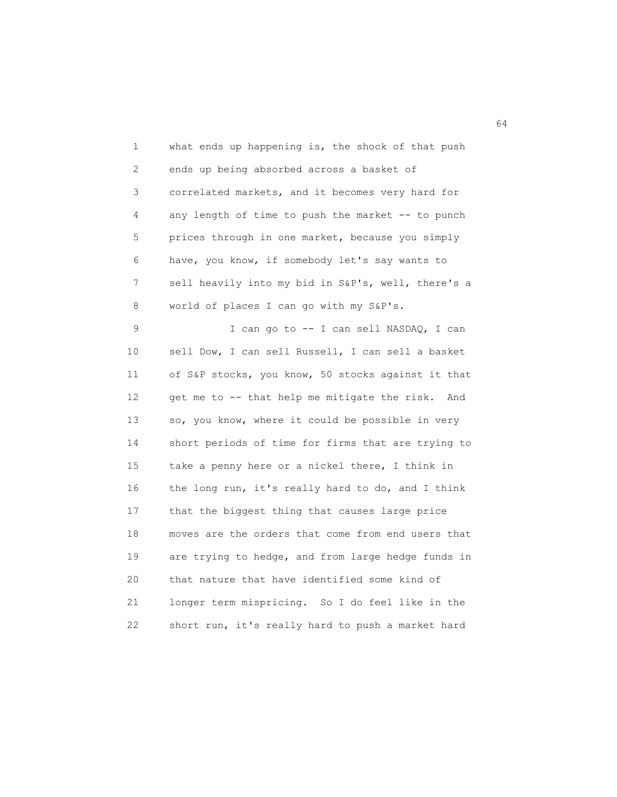1 what ends up happening is, the shock of that push 2 ends up being absorbed across a basket of 3 correlated markets, and it becomes very hard for 4 any length of time to push the market -- to punch 5 prices through in one market, because you simply 6 have, you know, if somebody let's say wants to 7 sell heavily into my bid in S&P's, well, there's a 8 world of places I can go with my S&P's.

9 I can go to -- I can sell NASDAQ, I can 10 sell Dow, I can sell Russell, I can sell a basket 11 of S&P stocks, you know, 50 stocks against it that 12 get me to -- that help me mitigate the risk. And 13 so, you know, where it could be possible in very 14 short periods of time for firms that are trying to 15 take a penny here or a nickel there, I think in 16 the long run, it's really hard to do, and I think 17 that the biggest thing that causes large price 18 moves are the orders that come from end users that 19 are trying to hedge, and from large hedge funds in 20 that nature that have identified some kind of 21 longer term mispricing. So I do feel like in the 22 short run, it's really hard to push a market hard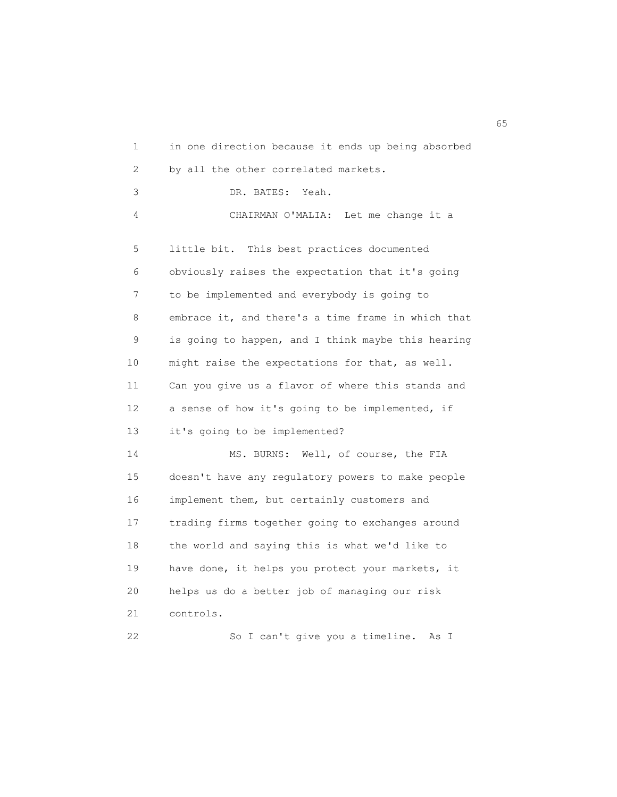1 in one direction because it ends up being absorbed 2 by all the other correlated markets. 3 DR. BATES: Yeah. 4 CHAIRMAN O'MALIA: Let me change it a 5 little bit. This best practices documented 6 obviously raises the expectation that it's going 7 to be implemented and everybody is going to 8 embrace it, and there's a time frame in which that 9 is going to happen, and I think maybe this hearing 10 might raise the expectations for that, as well. 11 Can you give us a flavor of where this stands and 12 a sense of how it's going to be implemented, if 13 it's going to be implemented? 14 MS. BURNS: Well, of course, the FIA 15 doesn't have any regulatory powers to make people 16 implement them, but certainly customers and 17 trading firms together going to exchanges around 18 the world and saying this is what we'd like to 19 have done, it helps you protect your markets, it 20 helps us do a better job of managing our risk 21 controls. 22 So I can't give you a timeline. As I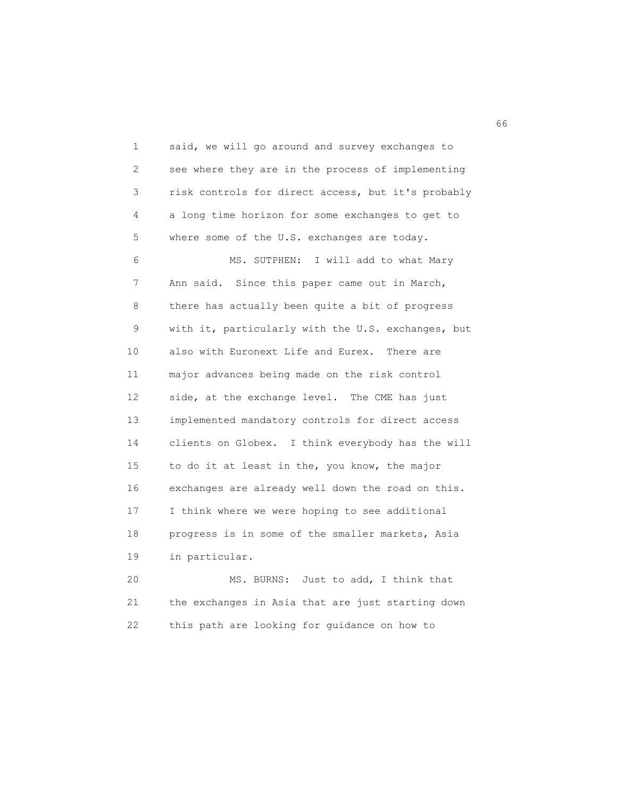1 said, we will go around and survey exchanges to 2 see where they are in the process of implementing 3 risk controls for direct access, but it's probably 4 a long time horizon for some exchanges to get to 5 where some of the U.S. exchanges are today. 6 MS. SUTPHEN: I will add to what Mary 7 Ann said. Since this paper came out in March, 8 there has actually been quite a bit of progress 9 with it, particularly with the U.S. exchanges, but 10 also with Euronext Life and Eurex. There are 11 major advances being made on the risk control 12 side, at the exchange level. The CME has just 13 implemented mandatory controls for direct access 14 clients on Globex. I think everybody has the will 15 to do it at least in the, you know, the major 16 exchanges are already well down the road on this. 17 I think where we were hoping to see additional 18 progress is in some of the smaller markets, Asia 19 in particular.

 20 MS. BURNS: Just to add, I think that 21 the exchanges in Asia that are just starting down 22 this path are looking for guidance on how to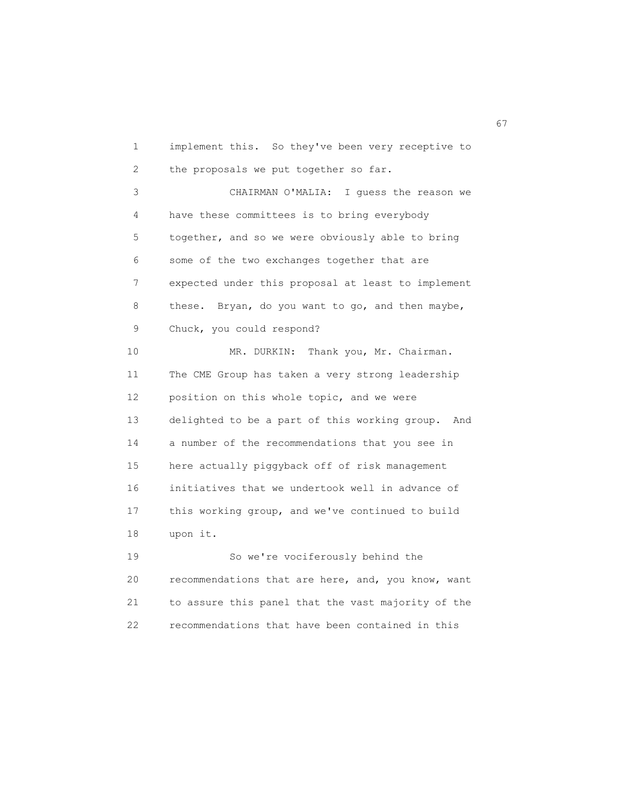1 implement this. So they've been very receptive to 2 the proposals we put together so far. 3 CHAIRMAN O'MALIA: I guess the reason we 4 have these committees is to bring everybody 5 together, and so we were obviously able to bring 6 some of the two exchanges together that are 7 expected under this proposal at least to implement 8 these. Bryan, do you want to go, and then maybe, 9 Chuck, you could respond? 10 MR. DURKIN: Thank you, Mr. Chairman. 11 The CME Group has taken a very strong leadership 12 position on this whole topic, and we were 13 delighted to be a part of this working group. And 14 a number of the recommendations that you see in 15 here actually piggyback off of risk management 16 initiatives that we undertook well in advance of 17 this working group, and we've continued to build 18 upon it. 19 So we're vociferously behind the 20 recommendations that are here, and, you know, want

 21 to assure this panel that the vast majority of the 22 recommendations that have been contained in this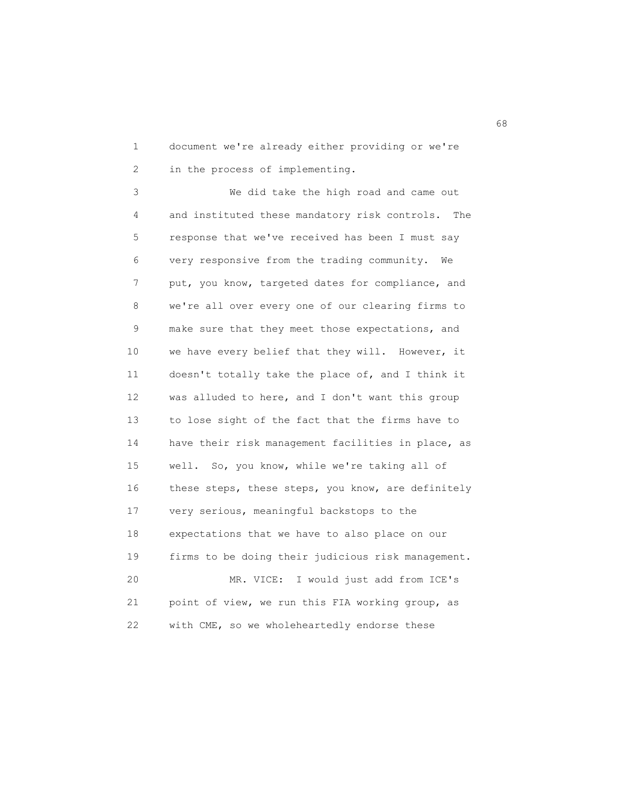1 document we're already either providing or we're 2 in the process of implementing.

 3 We did take the high road and came out 4 and instituted these mandatory risk controls. The 5 response that we've received has been I must say 6 very responsive from the trading community. We 7 put, you know, targeted dates for compliance, and 8 we're all over every one of our clearing firms to 9 make sure that they meet those expectations, and 10 we have every belief that they will. However, it 11 doesn't totally take the place of, and I think it 12 was alluded to here, and I don't want this group 13 to lose sight of the fact that the firms have to 14 have their risk management facilities in place, as 15 well. So, you know, while we're taking all of 16 these steps, these steps, you know, are definitely 17 very serious, meaningful backstops to the 18 expectations that we have to also place on our 19 firms to be doing their judicious risk management. 20 MR. VICE: I would just add from ICE's 21 point of view, we run this FIA working group, as 22 with CME, so we wholeheartedly endorse these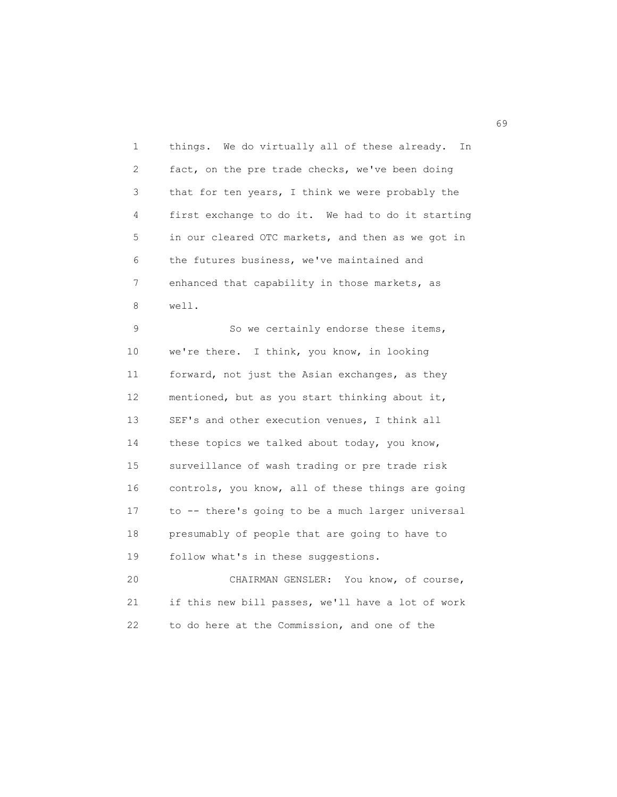1 things. We do virtually all of these already. In 2 fact, on the pre trade checks, we've been doing 3 that for ten years, I think we were probably the 4 first exchange to do it. We had to do it starting 5 in our cleared OTC markets, and then as we got in 6 the futures business, we've maintained and 7 enhanced that capability in those markets, as 8 well.

9 So we certainly endorse these items, 10 we're there. I think, you know, in looking 11 forward, not just the Asian exchanges, as they 12 mentioned, but as you start thinking about it, 13 SEF's and other execution venues, I think all 14 these topics we talked about today, you know, 15 surveillance of wash trading or pre trade risk 16 controls, you know, all of these things are going 17 to -- there's going to be a much larger universal 18 presumably of people that are going to have to 19 follow what's in these suggestions.

 20 CHAIRMAN GENSLER: You know, of course, 21 if this new bill passes, we'll have a lot of work 22 to do here at the Commission, and one of the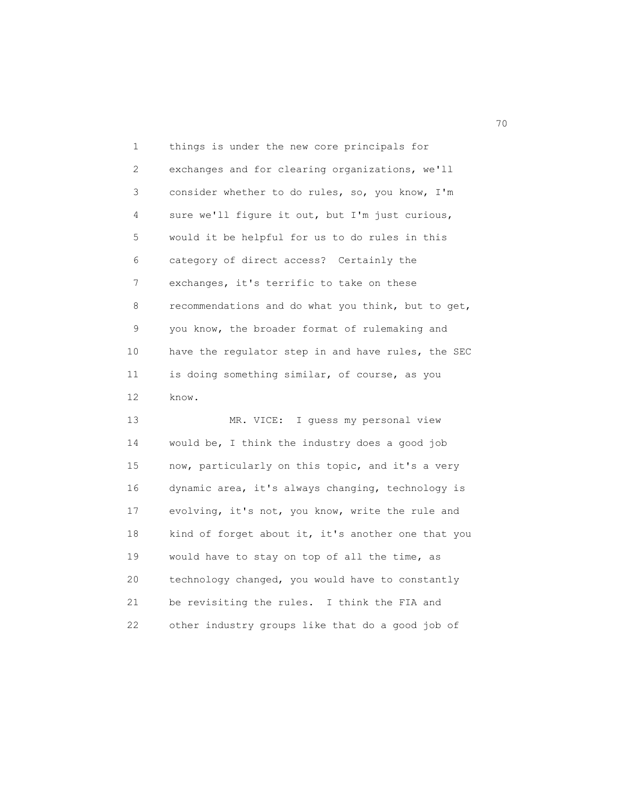1 things is under the new core principals for 2 exchanges and for clearing organizations, we'll 3 consider whether to do rules, so, you know, I'm 4 sure we'll figure it out, but I'm just curious, 5 would it be helpful for us to do rules in this 6 category of direct access? Certainly the 7 exchanges, it's terrific to take on these 8 recommendations and do what you think, but to get, 9 you know, the broader format of rulemaking and 10 have the regulator step in and have rules, the SEC 11 is doing something similar, of course, as you 12 know.

 13 MR. VICE: I guess my personal view 14 would be, I think the industry does a good job 15 now, particularly on this topic, and it's a very 16 dynamic area, it's always changing, technology is 17 evolving, it's not, you know, write the rule and 18 kind of forget about it, it's another one that you 19 would have to stay on top of all the time, as 20 technology changed, you would have to constantly 21 be revisiting the rules. I think the FIA and 22 other industry groups like that do a good job of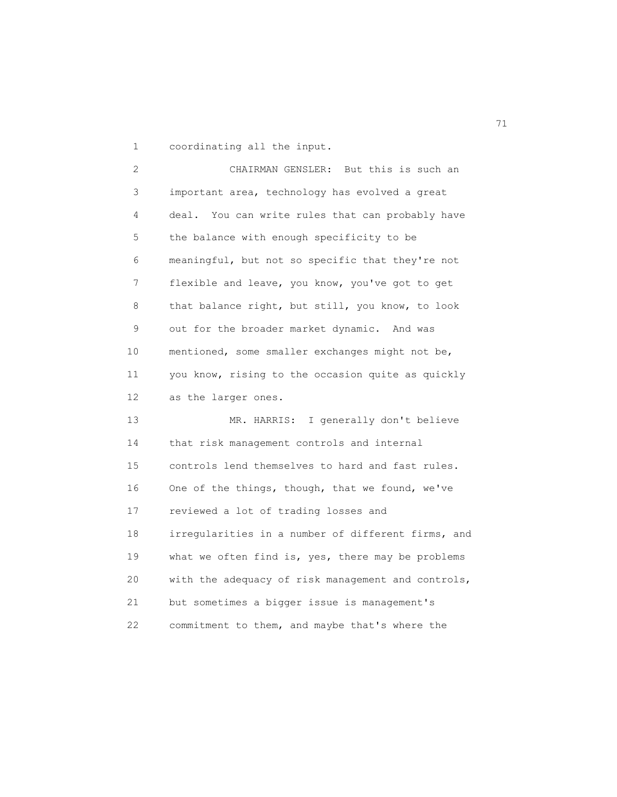1 coordinating all the input.

 2 CHAIRMAN GENSLER: But this is such an 3 important area, technology has evolved a great 4 deal. You can write rules that can probably have 5 the balance with enough specificity to be 6 meaningful, but not so specific that they're not 7 flexible and leave, you know, you've got to get 8 that balance right, but still, you know, to look 9 out for the broader market dynamic. And was 10 mentioned, some smaller exchanges might not be, 11 you know, rising to the occasion quite as quickly 12 as the larger ones. 13 MR. HARRIS: I generally don't believe 14 that risk management controls and internal

 15 controls lend themselves to hard and fast rules. 16 One of the things, though, that we found, we've 17 reviewed a lot of trading losses and 18 irregularities in a number of different firms, and 19 what we often find is, yes, there may be problems 20 with the adequacy of risk management and controls, 21 but sometimes a bigger issue is management's 22 commitment to them, and maybe that's where the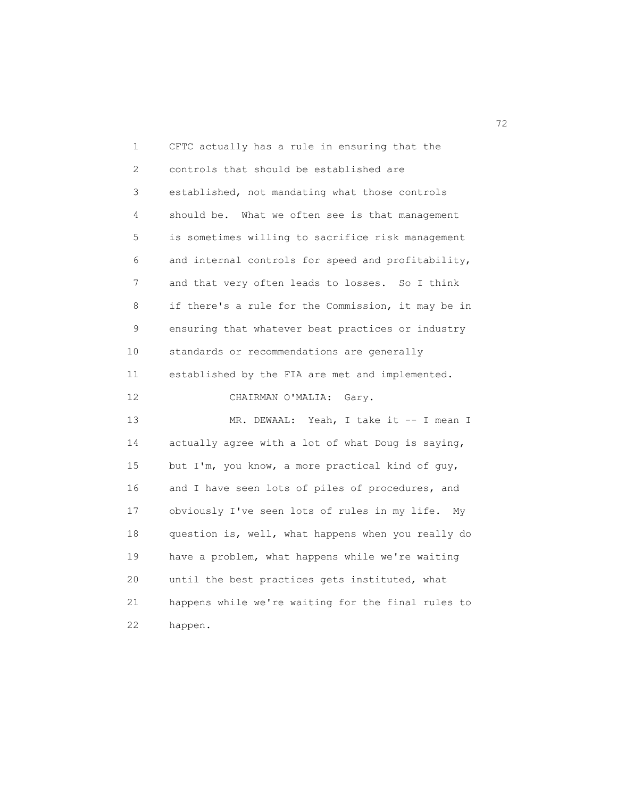| 1                 | CFTC actually has a rule in ensuring that the       |
|-------------------|-----------------------------------------------------|
| 2                 | controls that should be established are             |
| 3                 | established, not mandating what those controls      |
| 4                 | should be. What we often see is that management     |
| 5                 | is sometimes willing to sacrifice risk management   |
| 6                 | and internal controls for speed and profitability,  |
| 7                 | and that very often leads to losses. So I think     |
| 8                 | if there's a rule for the Commission, it may be in  |
| 9                 | ensuring that whatever best practices or industry   |
| 10                | standards or recommendations are generally          |
| 11                | established by the FIA are met and implemented.     |
| $12 \overline{ }$ | CHAIRMAN O'MALIA:<br>Gary.                          |
| 13                | Yeah, I take it -- I mean I<br>MR. DEWAAL:          |
| 14                | actually agree with a lot of what Doug is saying,   |
| 15                | but I'm, you know, a more practical kind of guy,    |
| 16                | and I have seen lots of piles of procedures, and    |
| 17                | obviously I've seen lots of rules in my life.<br>My |
| 18                | question is, well, what happens when you really do  |
| 19                | have a problem, what happens while we're waiting    |
| 20                | until the best practices gets instituted, what      |
| 21                | happens while we're waiting for the final rules to  |
| 22                | happen.                                             |

<u>72</u>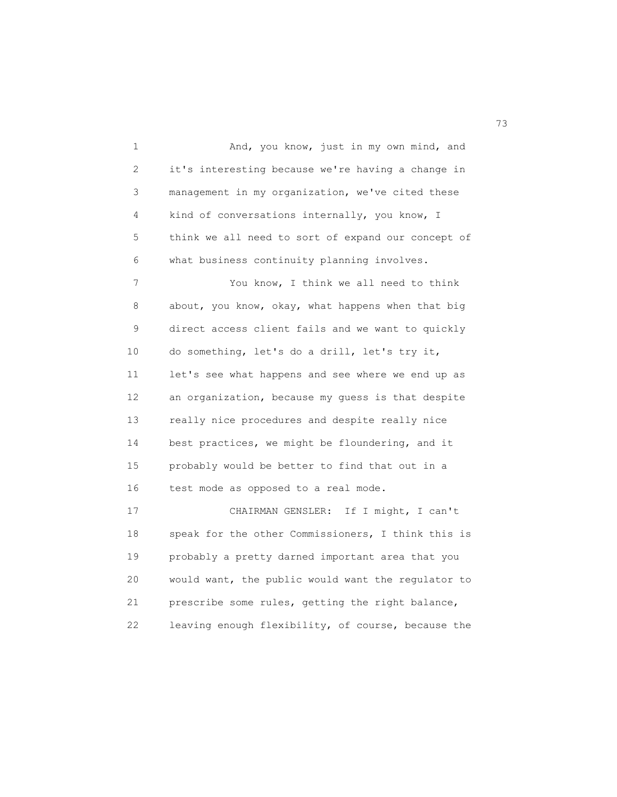1 And, you know, just in my own mind, and 2 it's interesting because we're having a change in 3 management in my organization, we've cited these 4 kind of conversations internally, you know, I 5 think we all need to sort of expand our concept of 6 what business continuity planning involves. 7 You know, I think we all need to think 8 about, you know, okay, what happens when that big 9 direct access client fails and we want to quickly 10 do something, let's do a drill, let's try it, 11 let's see what happens and see where we end up as 12 an organization, because my guess is that despite 13 really nice procedures and despite really nice 14 best practices, we might be floundering, and it 15 probably would be better to find that out in a 16 test mode as opposed to a real mode. 17 CHAIRMAN GENSLER: If I might, I can't 18 speak for the other Commissioners, I think this is 19 probably a pretty darned important area that you 20 would want, the public would want the regulator to 21 prescribe some rules, getting the right balance,

22 leaving enough flexibility, of course, because the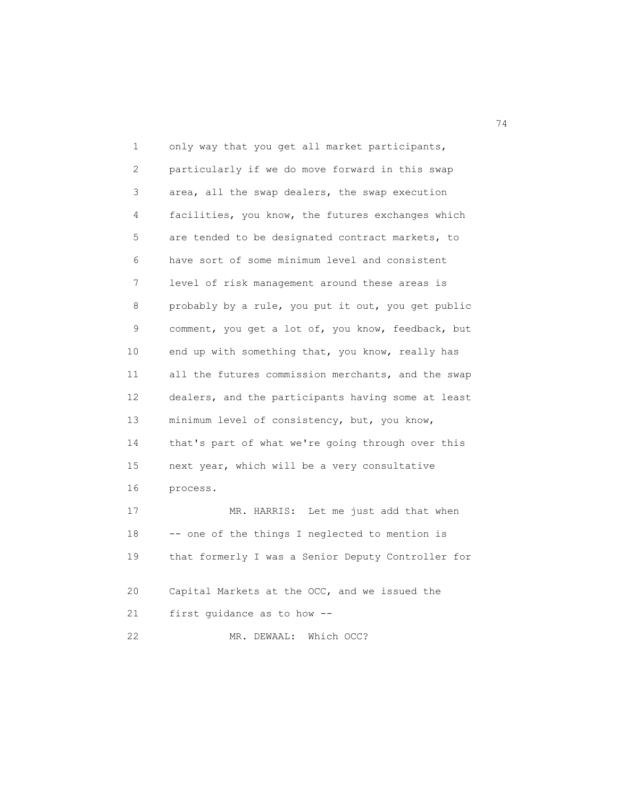1 only way that you get all market participants, 2 particularly if we do move forward in this swap 3 area, all the swap dealers, the swap execution 4 facilities, you know, the futures exchanges which 5 are tended to be designated contract markets, to 6 have sort of some minimum level and consistent 7 level of risk management around these areas is 8 probably by a rule, you put it out, you get public 9 comment, you get a lot of, you know, feedback, but 10 end up with something that, you know, really has 11 all the futures commission merchants, and the swap 12 dealers, and the participants having some at least 13 minimum level of consistency, but, you know, 14 that's part of what we're going through over this 15 next year, which will be a very consultative 16 process. 17 MR. HARRIS: Let me just add that when 18 -- one of the things I neglected to mention is 19 that formerly I was a Senior Deputy Controller for 20 Capital Markets at the OCC, and we issued the 21 first guidance as to how -- 22 MR. DEWAAL: Which OCC?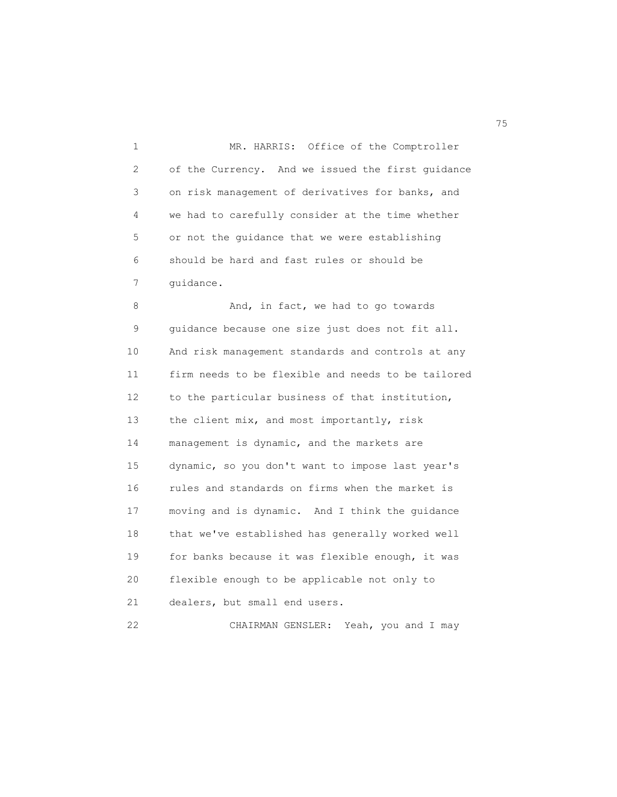1 MR. HARRIS: Office of the Comptroller 2 of the Currency. And we issued the first guidance 3 on risk management of derivatives for banks, and 4 we had to carefully consider at the time whether 5 or not the guidance that we were establishing 6 should be hard and fast rules or should be 7 guidance. 8 And, in fact, we had to go towards 9 guidance because one size just does not fit all. 10 And risk management standards and controls at any 11 firm needs to be flexible and needs to be tailored 12 to the particular business of that institution, 13 the client mix, and most importantly, risk 14 management is dynamic, and the markets are 15 dynamic, so you don't want to impose last year's 16 rules and standards on firms when the market is 17 moving and is dynamic. And I think the guidance 18 that we've established has generally worked well 19 for banks because it was flexible enough, it was 20 flexible enough to be applicable not only to 21 dealers, but small end users.

22 CHAIRMAN GENSLER: Yeah, you and I may

na matsay na matsay na katalog as na mga 1950 na mga 1950 na mga 1960 na mga 1960 na mga 1960 na mga 1960 na m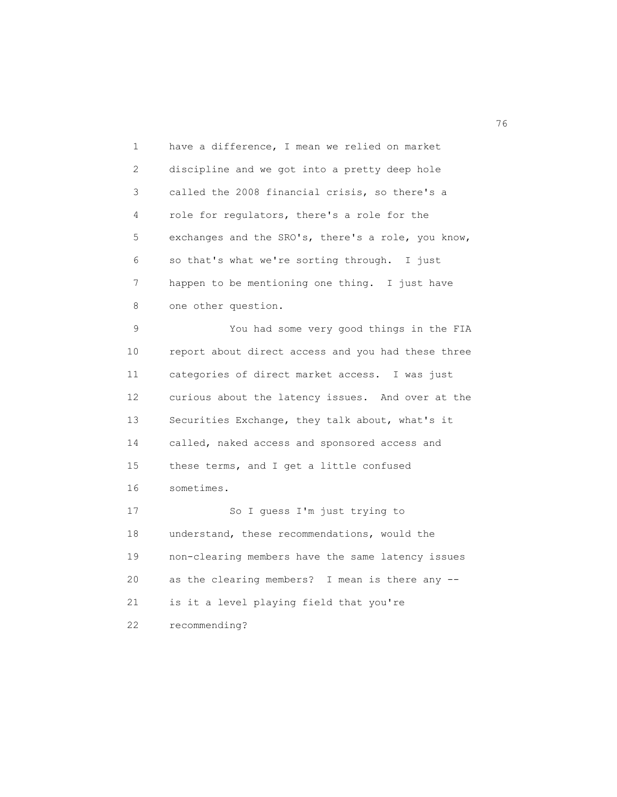1 have a difference, I mean we relied on market 2 discipline and we got into a pretty deep hole 3 called the 2008 financial crisis, so there's a 4 role for regulators, there's a role for the 5 exchanges and the SRO's, there's a role, you know, 6 so that's what we're sorting through. I just 7 happen to be mentioning one thing. I just have 8 one other question.

 9 You had some very good things in the FIA 10 report about direct access and you had these three 11 categories of direct market access. I was just 12 curious about the latency issues. And over at the 13 Securities Exchange, they talk about, what's it 14 called, naked access and sponsored access and 15 these terms, and I get a little confused 16 sometimes. 17 So I guess I'm just trying to 18 understand, these recommendations, would the 19 non-clearing members have the same latency issues 20 as the clearing members? I mean is there any -- 21 is it a level playing field that you're

22 recommending?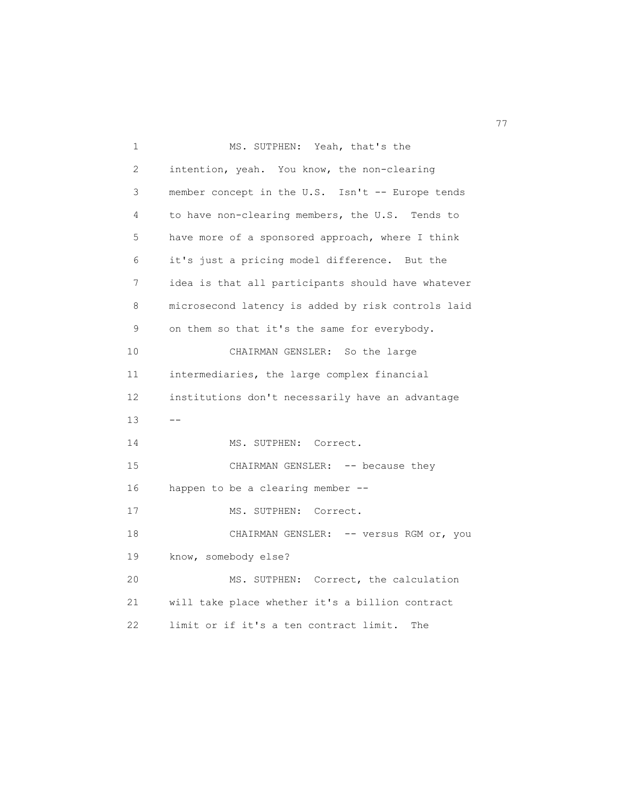| $\mathbf 1$  | MS. SUTPHEN: Yeah, that's the                      |
|--------------|----------------------------------------------------|
| $\mathbf{2}$ | intention, yeah. You know, the non-clearing        |
| 3            | member concept in the U.S. Isn't -- Europe tends   |
| 4            | to have non-clearing members, the U.S. Tends to    |
| 5            | have more of a sponsored approach, where I think   |
| 6            | it's just a pricing model difference. But the      |
| 7            | idea is that all participants should have whatever |
| 8            | microsecond latency is added by risk controls laid |
| 9            | on them so that it's the same for everybody.       |
| 10           | CHAIRMAN GENSLER: So the large                     |
| 11           | intermediaries, the large complex financial        |
| 12           | institutions don't necessarily have an advantage   |
| 13           | $- -$                                              |
| 14           | MS. SUTPHEN: Correct.                              |
| 15           | CHAIRMAN GENSLER: -- because they                  |
| 16           | happen to be a clearing member --                  |
| 17           | MS. SUTPHEN: Correct.                              |
| 18           | CHAIRMAN GENSLER: -- versus RGM or, you            |
| 19           | know, somebody else?                               |
| 20           | MS. SUTPHEN: Correct, the calculation              |
| 21           | will take place whether it's a billion contract    |
| 22           | limit or if it's a ten contract limit.<br>The      |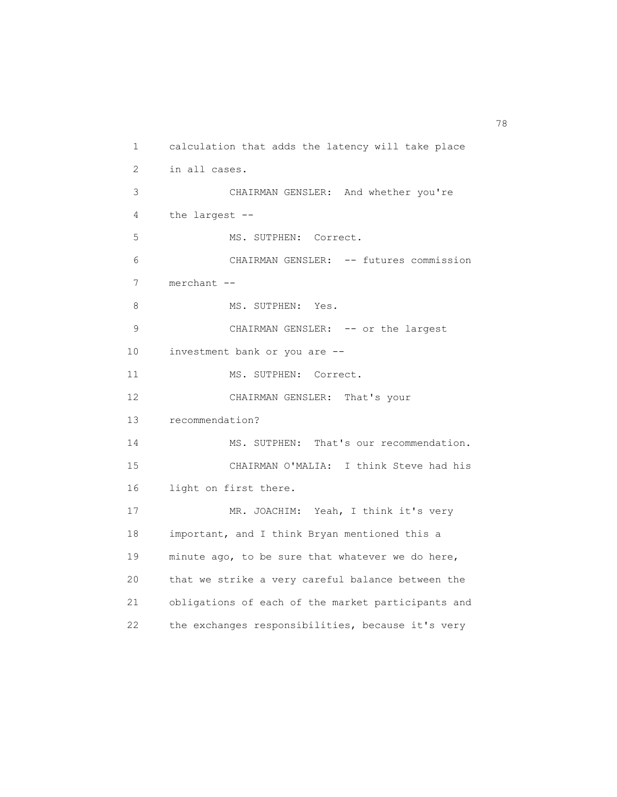```
 1 calculation that adds the latency will take place
 2 in all cases.
  3 CHAIRMAN GENSLER: And whether you're
 4 the largest --
 5 MS. SUTPHEN: Correct.
  6 CHAIRMAN GENSLER: -- futures commission
 7 merchant --
8 MS. SUTPHEN: Yes.
9 CHAIRMAN GENSLER: -- or the largest
 10 investment bank or you are --
11 MS. SUTPHEN: Correct.
 12 CHAIRMAN GENSLER: That's your
 13 recommendation?
14 MS. SUTPHEN: That's our recommendation.
 15 CHAIRMAN O'MALIA: I think Steve had his
 16 light on first there.
 17 MR. JOACHIM: Yeah, I think it's very
 18 important, and I think Bryan mentioned this a
 19 minute ago, to be sure that whatever we do here,
 20 that we strike a very careful balance between the
 21 obligations of each of the market participants and
 22 the exchanges responsibilities, because it's very
```
ли в село в село в село в село в село в село в село в село в село в село в село в село в село в село в село в<br>278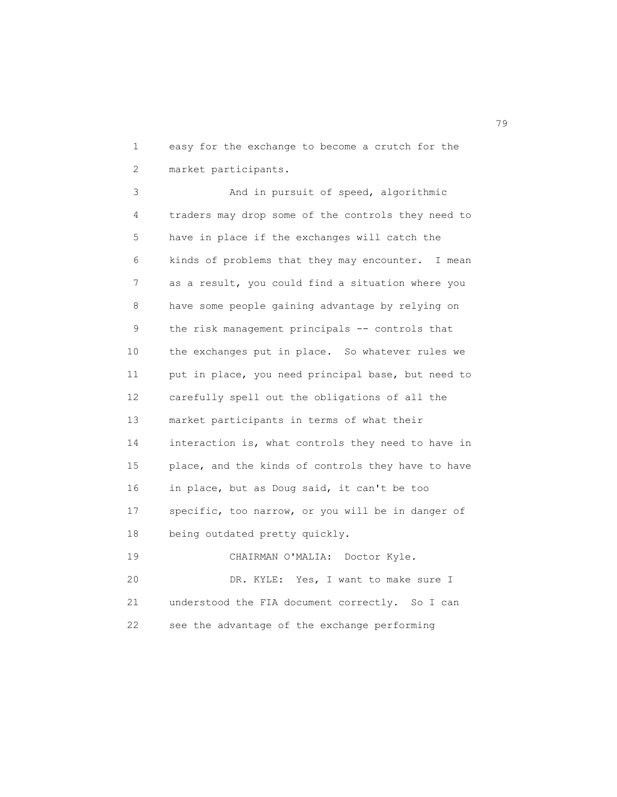1 easy for the exchange to become a crutch for the 2 market participants.

3 And in pursuit of speed, algorithmic 4 traders may drop some of the controls they need to 5 have in place if the exchanges will catch the 6 kinds of problems that they may encounter. I mean 7 as a result, you could find a situation where you 8 have some people gaining advantage by relying on 9 the risk management principals -- controls that 10 the exchanges put in place. So whatever rules we 11 put in place, you need principal base, but need to 12 carefully spell out the obligations of all the 13 market participants in terms of what their 14 interaction is, what controls they need to have in 15 place, and the kinds of controls they have to have 16 in place, but as Doug said, it can't be too 17 specific, too narrow, or you will be in danger of 18 being outdated pretty quickly. 19 CHAIRMAN O'MALIA: Doctor Kyle.

 20 DR. KYLE: Yes, I want to make sure I 21 understood the FIA document correctly. So I can 22 see the advantage of the exchange performing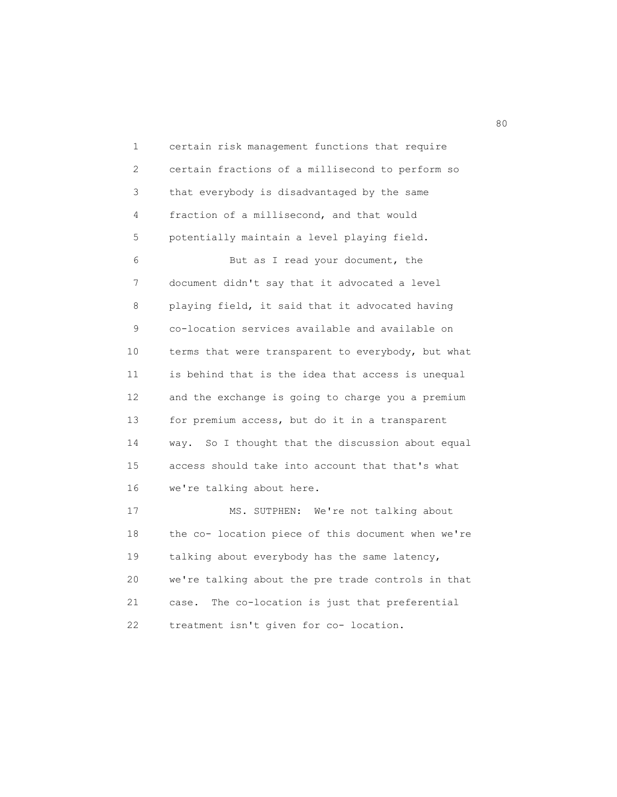1 certain risk management functions that require 2 certain fractions of a millisecond to perform so 3 that everybody is disadvantaged by the same 4 fraction of a millisecond, and that would 5 potentially maintain a level playing field. 6 But as I read your document, the 7 document didn't say that it advocated a level 8 playing field, it said that it advocated having 9 co-location services available and available on 10 terms that were transparent to everybody, but what 11 is behind that is the idea that access is unequal 12 and the exchange is going to charge you a premium 13 for premium access, but do it in a transparent 14 way. So I thought that the discussion about equal 15 access should take into account that that's what 16 we're talking about here. 17 MS. SUTPHEN: We're not talking about 18 the co- location piece of this document when we're 19 talking about everybody has the same latency, 20 we're talking about the pre trade controls in that 21 case. The co-location is just that preferential 22 treatment isn't given for co- location.

en de la construction de la construction de la construction de la construction de la construction de la constr<br>1980 : le construction de la construction de la construction de la construction de la construction de la const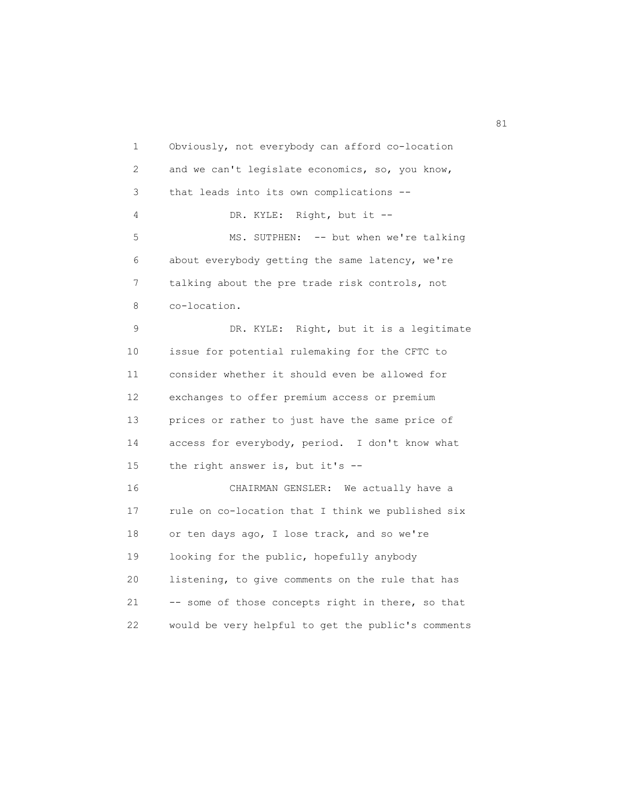1 Obviously, not everybody can afford co-location 2 and we can't legislate economics, so, you know, 3 that leads into its own complications -- 4 DR. KYLE: Right, but it -- 5 MS. SUTPHEN: -- but when we're talking 6 about everybody getting the same latency, we're 7 talking about the pre trade risk controls, not 8 co-location. 9 DR. KYLE: Right, but it is a legitimate 10 issue for potential rulemaking for the CFTC to 11 consider whether it should even be allowed for 12 exchanges to offer premium access or premium 13 prices or rather to just have the same price of 14 access for everybody, period. I don't know what 15 the right answer is, but it's -- 16 CHAIRMAN GENSLER: We actually have a 17 rule on co-location that I think we published six 18 or ten days ago, I lose track, and so we're 19 looking for the public, hopefully anybody 20 listening, to give comments on the rule that has 21 -- some of those concepts right in there, so that 22 would be very helpful to get the public's comments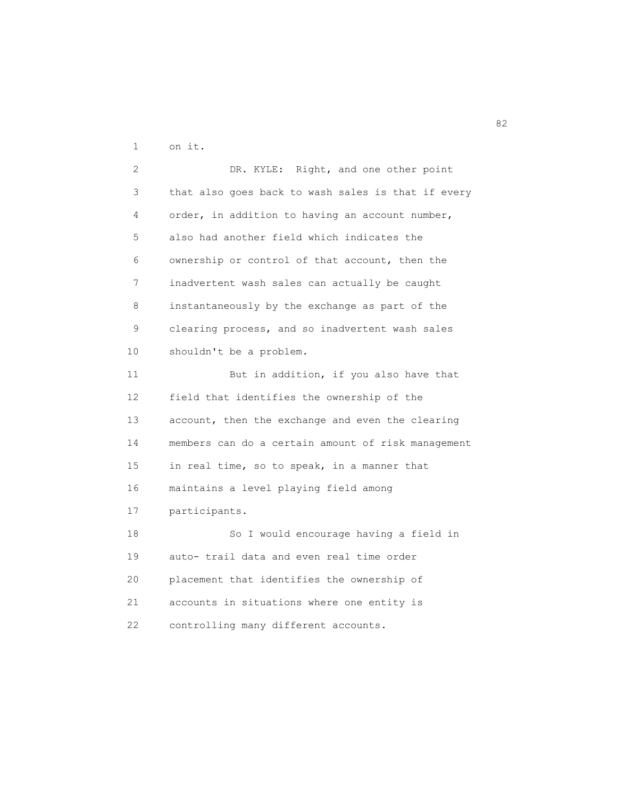1 on it.

 2 DR. KYLE: Right, and one other point 3 that also goes back to wash sales is that if every 4 order, in addition to having an account number, 5 also had another field which indicates the 6 ownership or control of that account, then the 7 inadvertent wash sales can actually be caught 8 instantaneously by the exchange as part of the 9 clearing process, and so inadvertent wash sales 10 shouldn't be a problem. 11 But in addition, if you also have that 12 field that identifies the ownership of the 13 account, then the exchange and even the clearing 14 members can do a certain amount of risk management 15 in real time, so to speak, in a manner that 16 maintains a level playing field among 17 participants. 18 So I would encourage having a field in 19 auto- trail data and even real time order 20 placement that identifies the ownership of 21 accounts in situations where one entity is 22 controlling many different accounts.

82 and 2012 and 2012 and 2012 and 2012 and 2012 and 2012 and 2012 and 2012 and 2012 and 2012 and 201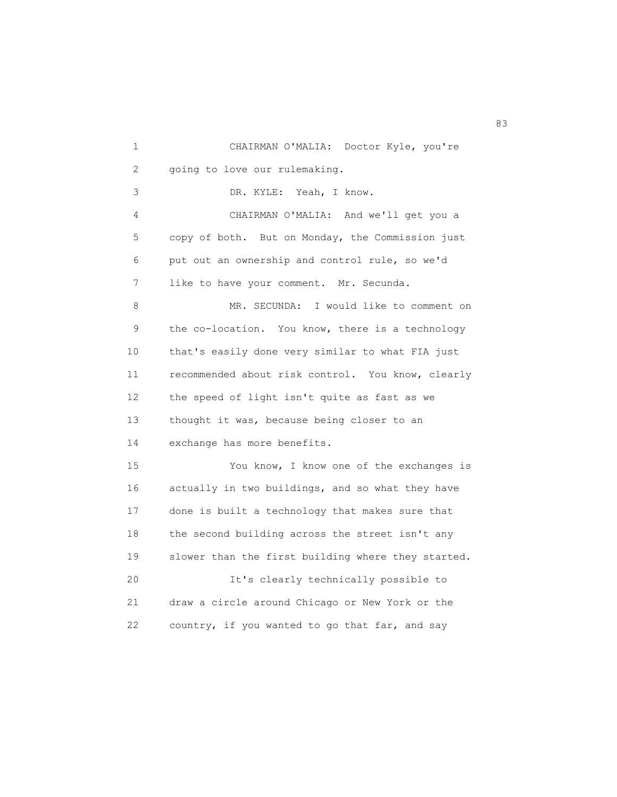1 CHAIRMAN O'MALIA: Doctor Kyle, you're 2 going to love our rulemaking. 3 DR. KYLE: Yeah, I know. 4 CHAIRMAN O'MALIA: And we'll get you a 5 copy of both. But on Monday, the Commission just 6 put out an ownership and control rule, so we'd 7 like to have your comment. Mr. Secunda. 8 MR. SECUNDA: I would like to comment on 9 the co-location. You know, there is a technology 10 that's easily done very similar to what FIA just 11 recommended about risk control. You know, clearly 12 the speed of light isn't quite as fast as we 13 thought it was, because being closer to an 14 exchange has more benefits. 15 You know, I know one of the exchanges is 16 actually in two buildings, and so what they have 17 done is built a technology that makes sure that 18 the second building across the street isn't any 19 slower than the first building where they started. 20 It's clearly technically possible to 21 draw a circle around Chicago or New York or the 22 country, if you wanted to go that far, and say

83 and 2012 and 2012 and 2012 and 2012 and 2012 and 2012 and 2012 and 2012 and 2012 and 2013 and 2013 and 2013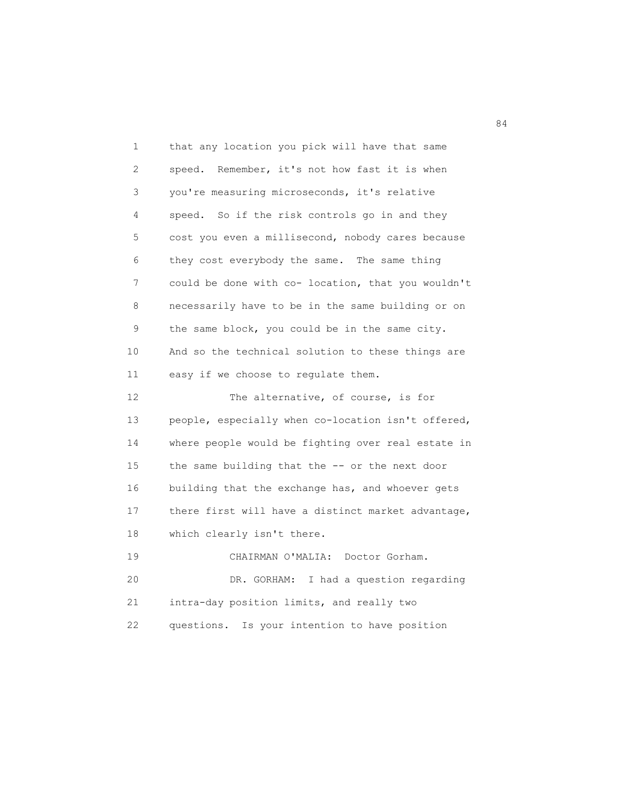| 1                 | that any location you pick will have that same     |
|-------------------|----------------------------------------------------|
| 2                 | speed. Remember, it's not how fast it is when      |
| 3                 | you're measuring microseconds, it's relative       |
| 4                 | speed. So if the risk controls go in and they      |
| 5                 | cost you even a millisecond, nobody cares because  |
| 6                 | they cost everybody the same. The same thing       |
| 7                 | could be done with co- location, that you wouldn't |
| 8                 | necessarily have to be in the same building or on  |
| 9                 | the same block, you could be in the same city.     |
| 10                | And so the technical solution to these things are  |
| 11                | easy if we choose to regulate them.                |
| $12 \overline{ }$ | The alternative, of course, is for                 |
| 13                | people, especially when co-location isn't offered, |
| 14                | where people would be fighting over real estate in |
| 15                | the same building that the -- or the next door     |
| 16                | building that the exchange has, and whoever gets   |
| 17                | there first will have a distinct market advantage, |
| 18                | which clearly isn't there.                         |
| 19                | CHAIRMAN O'MALIA:<br>Doctor Gorham.                |
| 20                | I had a question regarding<br>DR. GORHAM:          |
| 21                | intra-day position limits, and really two          |
| 22                | questions.<br>Is your intention to have position   |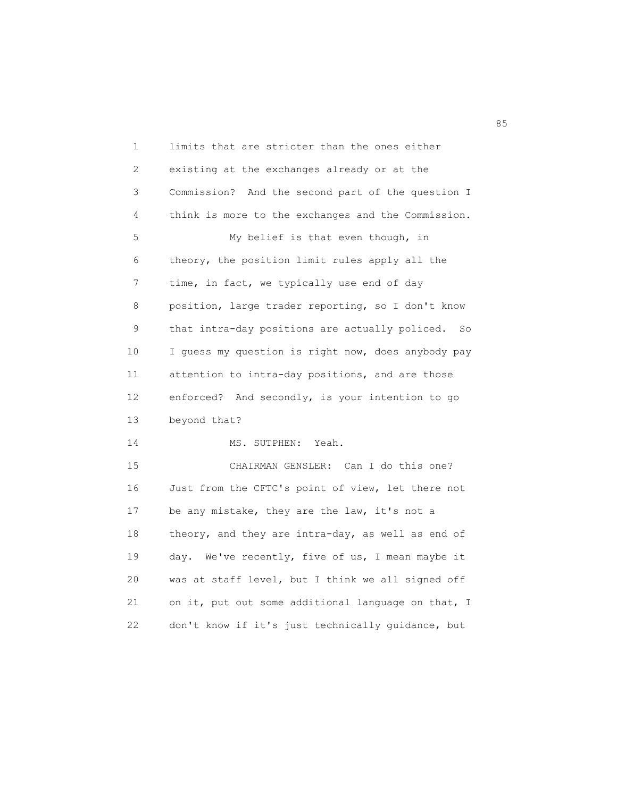| 1  | limits that are stricter than the ones either      |
|----|----------------------------------------------------|
| 2  | existing at the exchanges already or at the        |
| 3  | Commission? And the second part of the question I  |
| 4  | think is more to the exchanges and the Commission. |
| 5  | My belief is that even though, in                  |
| 6  | theory, the position limit rules apply all the     |
| 7  | time, in fact, we typically use end of day         |
| 8  | position, large trader reporting, so I don't know  |
| 9  | that intra-day positions are actually policed. So  |
| 10 | I guess my question is right now, does anybody pay |
| 11 | attention to intra-day positions, and are those    |
| 12 | enforced? And secondly, is your intention to go    |
| 13 | beyond that?                                       |
| 14 | Yeah.<br>MS. SUTPHEN:                              |
| 15 | CHAIRMAN GENSLER: Can I do this one?               |
| 16 | Just from the CFTC's point of view, let there not  |
| 17 | be any mistake, they are the law, it's not a       |
| 18 | theory, and they are intra-day, as well as end of  |
| 19 | day. We've recently, five of us, I mean maybe it   |
| 20 | was at staff level, but I think we all signed off  |
| 21 | on it, put out some additional language on that, I |
| 22 | don't know if it's just technically guidance, but  |

<u>85 September 2005 September 2005 September 2005 September 2005 September 2005 September 2005 September 2005 S</u>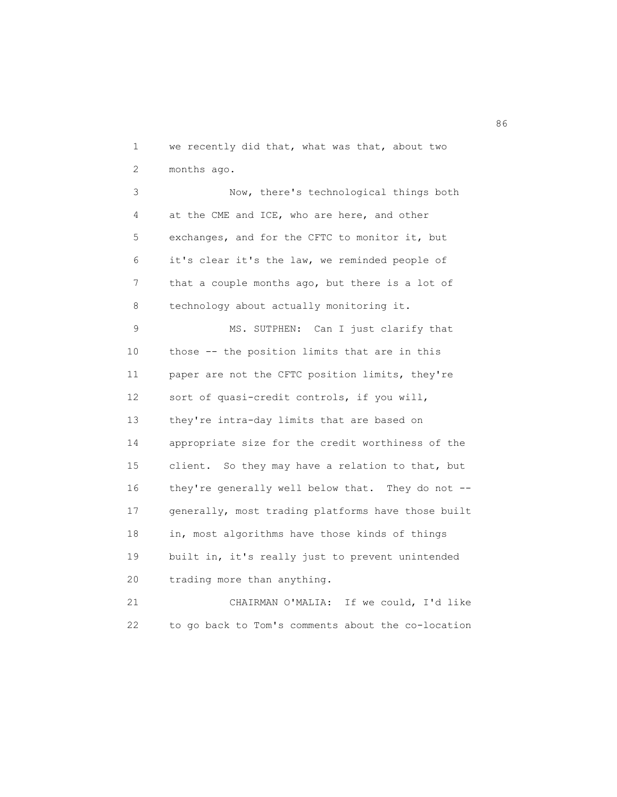1 we recently did that, what was that, about two 2 months ago.

 3 Now, there's technological things both 4 at the CME and ICE, who are here, and other 5 exchanges, and for the CFTC to monitor it, but 6 it's clear it's the law, we reminded people of 7 that a couple months ago, but there is a lot of 8 technology about actually monitoring it.

 9 MS. SUTPHEN: Can I just clarify that 10 those -- the position limits that are in this 11 paper are not the CFTC position limits, they're 12 sort of quasi-credit controls, if you will, 13 they're intra-day limits that are based on 14 appropriate size for the credit worthiness of the 15 client. So they may have a relation to that, but 16 they're generally well below that. They do not -- 17 generally, most trading platforms have those built 18 in, most algorithms have those kinds of things 19 built in, it's really just to prevent unintended 20 trading more than anything. 21 CHAIRMAN O'MALIA: If we could, I'd like

22 to go back to Tom's comments about the co-location

en de la construction de la construction de la construction de la construction de la construction de la constr<br>1960 : la construction de la construction de la construction de la construction de la construction de la const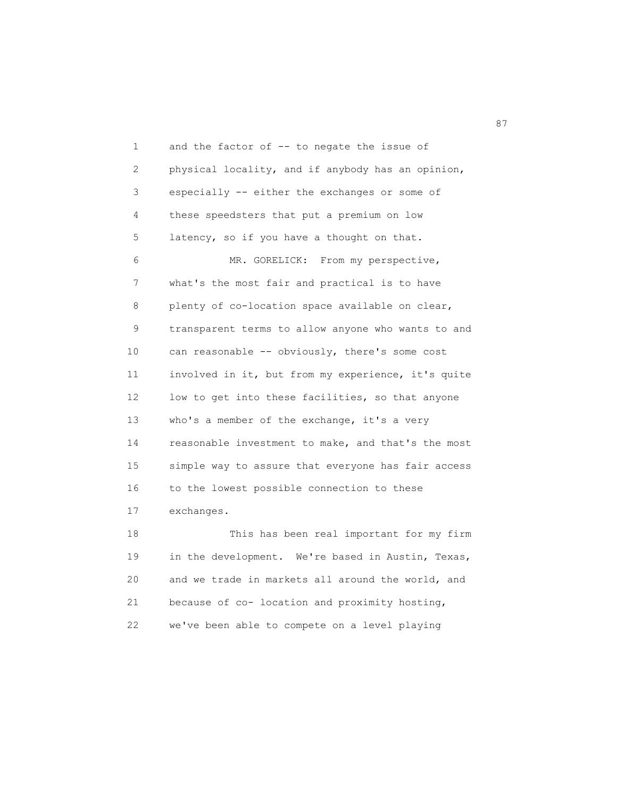1 and the factor of -- to negate the issue of 2 physical locality, and if anybody has an opinion, 3 especially -- either the exchanges or some of 4 these speedsters that put a premium on low 5 latency, so if you have a thought on that. 6 MR. GORELICK: From my perspective, 7 what's the most fair and practical is to have 8 plenty of co-location space available on clear, 9 transparent terms to allow anyone who wants to and 10 can reasonable -- obviously, there's some cost 11 involved in it, but from my experience, it's quite 12 low to get into these facilities, so that anyone 13 who's a member of the exchange, it's a very 14 reasonable investment to make, and that's the most 15 simple way to assure that everyone has fair access 16 to the lowest possible connection to these 17 exchanges.

 18 This has been real important for my firm 19 in the development. We're based in Austin, Texas, 20 and we trade in markets all around the world, and 21 because of co- location and proximity hosting, 22 we've been able to compete on a level playing

87 and 2012 and 2012 and 2012 and 2012 and 2012 and 2012 and 2012 and 2012 and 2012 and 2012 and 201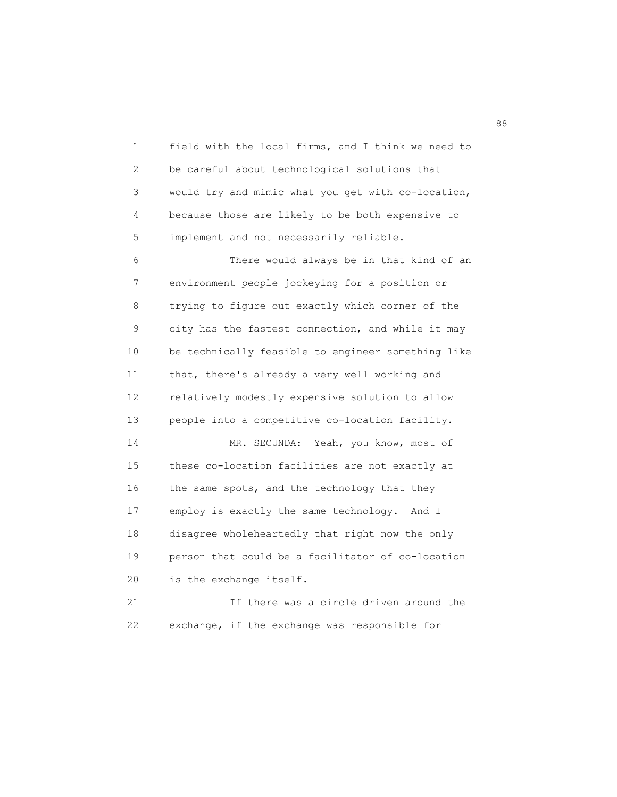1 field with the local firms, and I think we need to 2 be careful about technological solutions that 3 would try and mimic what you get with co-location, 4 because those are likely to be both expensive to 5 implement and not necessarily reliable.

 6 There would always be in that kind of an 7 environment people jockeying for a position or 8 trying to figure out exactly which corner of the 9 city has the fastest connection, and while it may 10 be technically feasible to engineer something like 11 that, there's already a very well working and 12 relatively modestly expensive solution to allow 13 people into a competitive co-location facility. 14 MR. SECUNDA: Yeah, you know, most of 15 these co-location facilities are not exactly at 16 the same spots, and the technology that they 17 employ is exactly the same technology. And I 18 disagree wholeheartedly that right now the only 19 person that could be a facilitator of co-location 20 is the exchange itself. 21 If there was a circle driven around the

22 exchange, if the exchange was responsible for

experience and the contract of the contract of the contract of the contract of the contract of the contract of<br>Seconds and the contract of the contract of the contract of the contract of the contract of the contract of th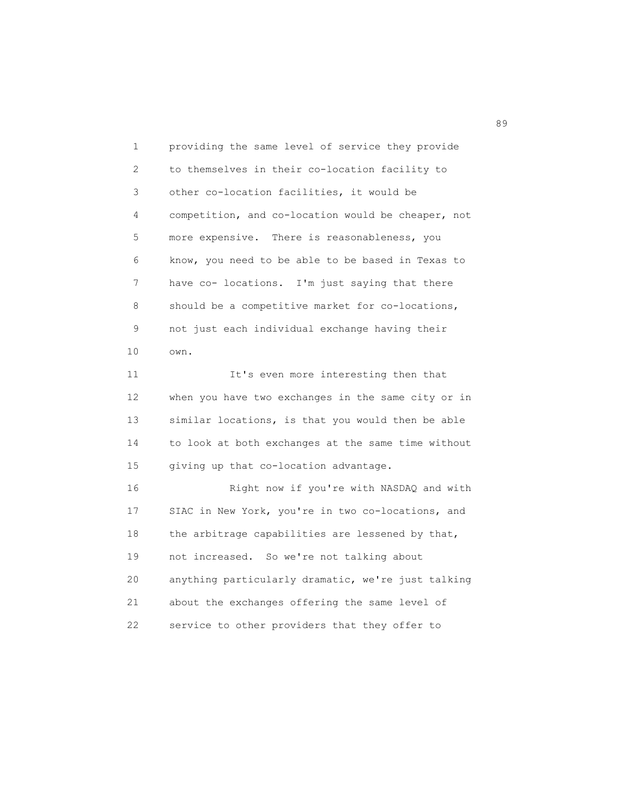1 providing the same level of service they provide 2 to themselves in their co-location facility to 3 other co-location facilities, it would be 4 competition, and co-location would be cheaper, not 5 more expensive. There is reasonableness, you 6 know, you need to be able to be based in Texas to 7 have co- locations. I'm just saying that there 8 should be a competitive market for co-locations, 9 not just each individual exchange having their 10 own.

11 It's even more interesting then that 12 when you have two exchanges in the same city or in 13 similar locations, is that you would then be able 14 to look at both exchanges at the same time without 15 giving up that co-location advantage.

 16 Right now if you're with NASDAQ and with 17 SIAC in New York, you're in two co-locations, and 18 the arbitrage capabilities are lessened by that, 19 not increased. So we're not talking about 20 anything particularly dramatic, we're just talking 21 about the exchanges offering the same level of 22 service to other providers that they offer to

89 and 2012 and 2012 and 2012 and 2012 and 2012 and 2012 and 2012 and 2012 and 2012 and 2012 and 201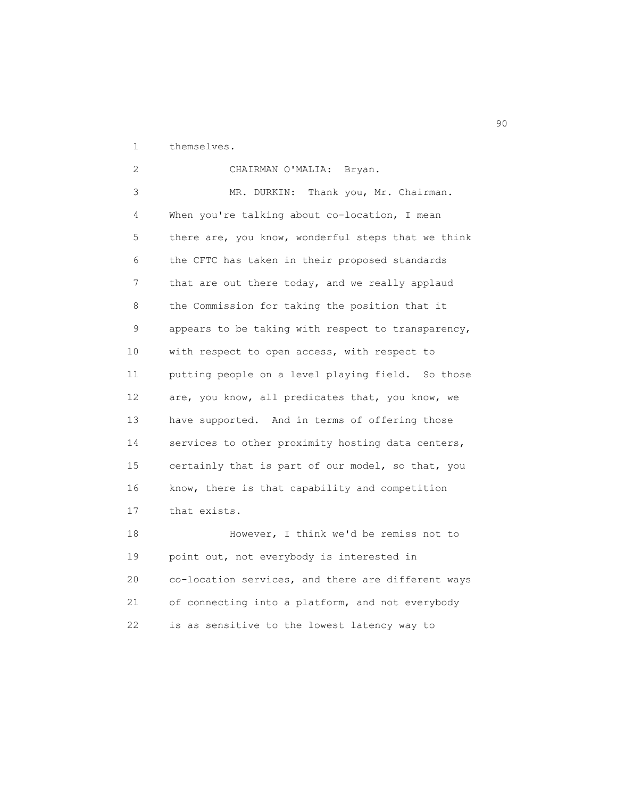1 themselves.

 2 CHAIRMAN O'MALIA: Bryan. 3 MR. DURKIN: Thank you, Mr. Chairman. 4 When you're talking about co-location, I mean 5 there are, you know, wonderful steps that we think 6 the CFTC has taken in their proposed standards 7 that are out there today, and we really applaud 8 the Commission for taking the position that it 9 appears to be taking with respect to transparency, 10 with respect to open access, with respect to 11 putting people on a level playing field. So those 12 are, you know, all predicates that, you know, we 13 have supported. And in terms of offering those 14 services to other proximity hosting data centers, 15 certainly that is part of our model, so that, you 16 know, there is that capability and competition 17 that exists. 18 However, I think we'd be remiss not to

 19 point out, not everybody is interested in 20 co-location services, and there are different ways 21 of connecting into a platform, and not everybody 22 is as sensitive to the lowest latency way to

en 1990 en 1990 en 1990 en 1990 en 1990 en 1990 en 1990 en 1990 en 1990 en 1990 en 1990 en 1990 en 1990 en 19<br>De grote en 1990 en 1990 en 1990 en 1990 en 1990 en 1990 en 1990 en 1990 en 1990 en 1990 en 1990 en 1990 en 19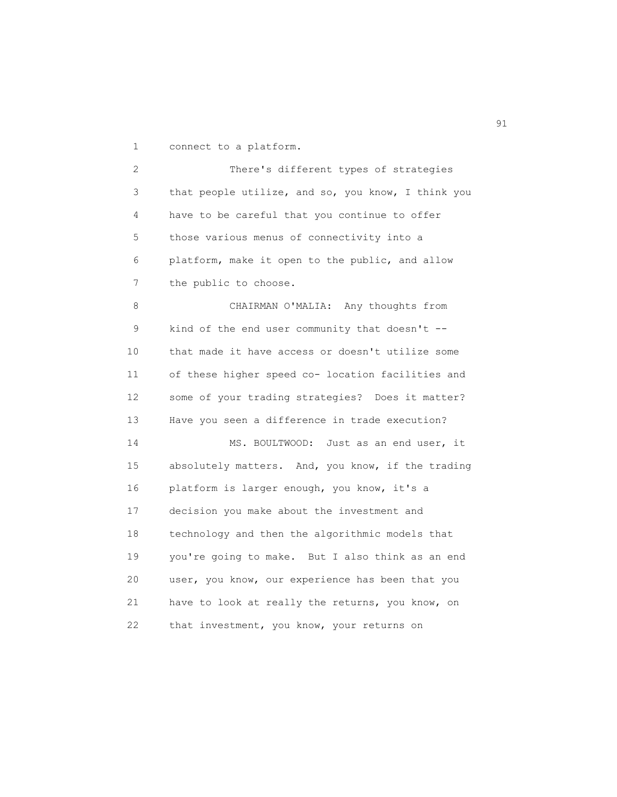1 connect to a platform.

 2 There's different types of strategies 3 that people utilize, and so, you know, I think you 4 have to be careful that you continue to offer 5 those various menus of connectivity into a 6 platform, make it open to the public, and allow 7 the public to choose. 8 CHAIRMAN O'MALIA: Any thoughts from 9 kind of the end user community that doesn't -- 10 that made it have access or doesn't utilize some

 11 of these higher speed co- location facilities and 12 some of your trading strategies? Does it matter? 13 Have you seen a difference in trade execution?

 14 MS. BOULTWOOD: Just as an end user, it 15 absolutely matters. And, you know, if the trading 16 platform is larger enough, you know, it's a 17 decision you make about the investment and 18 technology and then the algorithmic models that 19 you're going to make. But I also think as an end 20 user, you know, our experience has been that you 21 have to look at really the returns, you know, on 22 that investment, you know, your returns on

extended to the contract of the contract of the contract of the contract of the contract of the contract of the contract of the contract of the contract of the contract of the contract of the contract of the contract of th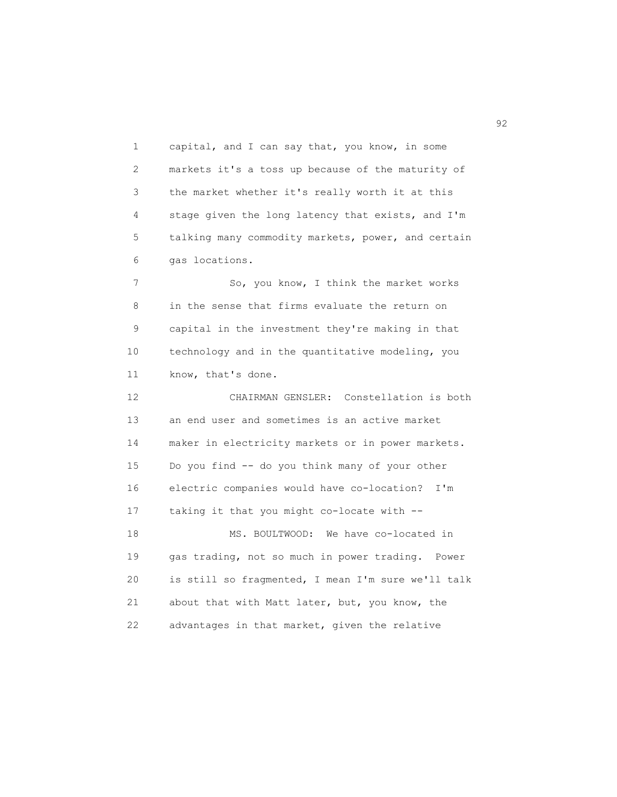1 capital, and I can say that, you know, in some 2 markets it's a toss up because of the maturity of 3 the market whether it's really worth it at this 4 stage given the long latency that exists, and I'm 5 talking many commodity markets, power, and certain 6 gas locations.

7 So, you know, I think the market works 8 in the sense that firms evaluate the return on 9 capital in the investment they're making in that 10 technology and in the quantitative modeling, you 11 know, that's done.

 12 CHAIRMAN GENSLER: Constellation is both 13 an end user and sometimes is an active market 14 maker in electricity markets or in power markets. 15 Do you find -- do you think many of your other 16 electric companies would have co-location? I'm 17 taking it that you might co-locate with -- 18 MS. BOULTWOOD: We have co-located in 19 gas trading, not so much in power trading. Power 20 is still so fragmented, I mean I'm sure we'll talk 21 about that with Matt later, but, you know, the 22 advantages in that market, given the relative

 $\sim$  92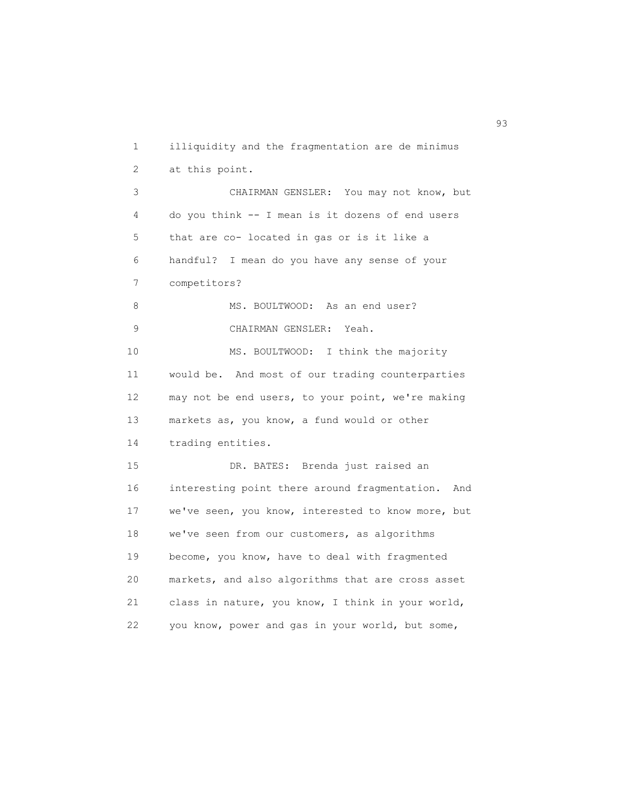1 illiquidity and the fragmentation are de minimus 2 at this point. 3 CHAIRMAN GENSLER: You may not know, but 4 do you think -- I mean is it dozens of end users 5 that are co- located in gas or is it like a 6 handful? I mean do you have any sense of your 7 competitors? 8 MS. BOULTWOOD: As an end user? 9 CHAIRMAN GENSLER: Yeah. 10 MS. BOULTWOOD: I think the majority 11 would be. And most of our trading counterparties 12 may not be end users, to your point, we're making 13 markets as, you know, a fund would or other 14 trading entities. 15 DR. BATES: Brenda just raised an 16 interesting point there around fragmentation. And 17 we've seen, you know, interested to know more, but 18 we've seen from our customers, as algorithms 19 become, you know, have to deal with fragmented 20 markets, and also algorithms that are cross asset 21 class in nature, you know, I think in your world, 22 you know, power and gas in your world, but some,

93 and 2012 and 2013 and 2013 and 2013 and 2013 and 2013 and 2013 and 2013 and 2013 and 2013 and 2013 and 2013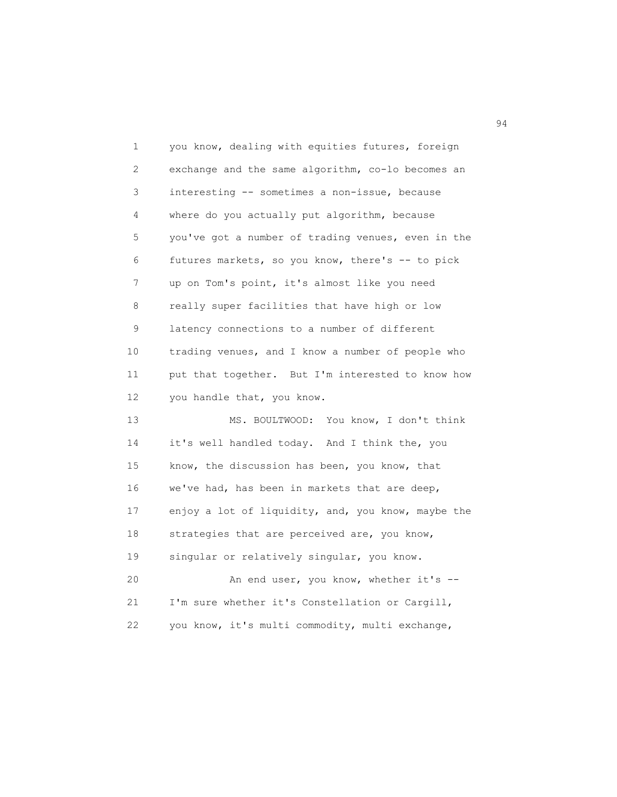| $\mathbf 1$ | you know, dealing with equities futures, foreign   |
|-------------|----------------------------------------------------|
| 2           | exchange and the same algorithm, co-lo becomes an  |
| 3           | interesting -- sometimes a non-issue, because      |
| 4           | where do you actually put algorithm, because       |
| 5           | you've got a number of trading venues, even in the |
| 6           | futures markets, so you know, there's -- to pick   |
| 7           | up on Tom's point, it's almost like you need       |
| 8           | really super facilities that have high or low      |
| 9           | latency connections to a number of different       |
| 10          | trading venues, and I know a number of people who  |
| 11          | put that together. But I'm interested to know how  |
| 12          | you handle that, you know.                         |
| 13          | MS. BOULTWOOD: You know, I don't think             |
| 14          | it's well handled today. And I think the, you      |
| 15          | know, the discussion has been, you know, that      |
| 16          | we've had, has been in markets that are deep,      |
| 17          | enjoy a lot of liquidity, and, you know, maybe the |
| 18          | strategies that are perceived are, you know,       |
| 19          | singular or relatively singular, you know.         |
| 20          | An end user, you know, whether it's --             |
| 21          | I'm sure whether it's Constellation or Cargill,    |
| 22          | you know, it's multi commodity, multi exchange,    |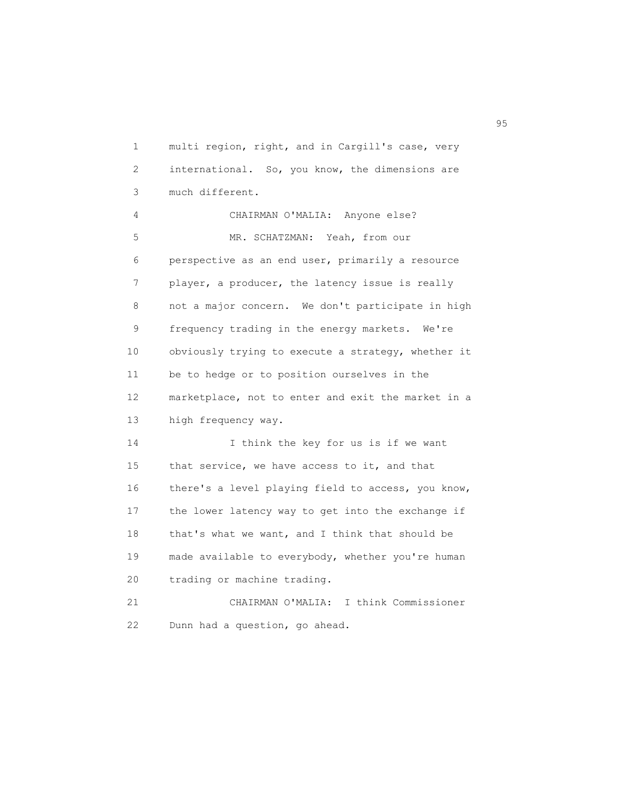1 multi region, right, and in Cargill's case, very 2 international. So, you know, the dimensions are 3 much different.

 4 CHAIRMAN O'MALIA: Anyone else? 5 MR. SCHATZMAN: Yeah, from our 6 perspective as an end user, primarily a resource 7 player, a producer, the latency issue is really 8 not a major concern. We don't participate in high 9 frequency trading in the energy markets. We're 10 obviously trying to execute a strategy, whether it 11 be to hedge or to position ourselves in the 12 marketplace, not to enter and exit the market in a 13 high frequency way.

14 I think the key for us is if we want 15 that service, we have access to it, and that 16 there's a level playing field to access, you know, 17 the lower latency way to get into the exchange if 18 that's what we want, and I think that should be 19 made available to everybody, whether you're human 20 trading or machine trading. 21 CHAIRMAN O'MALIA: I think Commissioner

22 Dunn had a question, go ahead.

experience of the contract of the contract of the contract of the contract of the contract of the contract of the contract of the contract of the contract of the contract of the contract of the contract of the contract of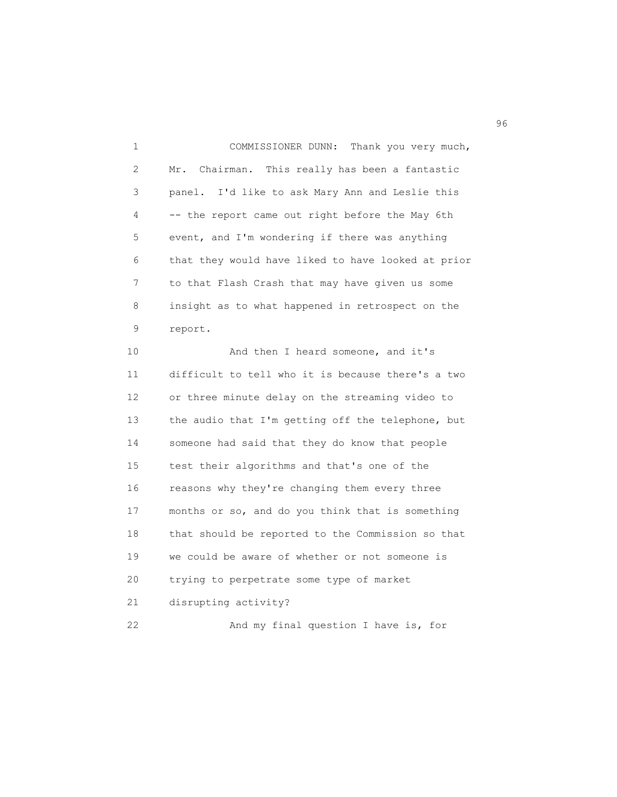1 COMMISSIONER DUNN: Thank you very much, 2 Mr. Chairman. This really has been a fantastic 3 panel. I'd like to ask Mary Ann and Leslie this 4 -- the report came out right before the May 6th 5 event, and I'm wondering if there was anything 6 that they would have liked to have looked at prior 7 to that Flash Crash that may have given us some 8 insight as to what happened in retrospect on the 9 report.

10 And then I heard someone, and it's 11 difficult to tell who it is because there's a two 12 or three minute delay on the streaming video to 13 the audio that I'm getting off the telephone, but 14 someone had said that they do know that people 15 test their algorithms and that's one of the 16 reasons why they're changing them every three 17 months or so, and do you think that is something 18 that should be reported to the Commission so that 19 we could be aware of whether or not someone is 20 trying to perpetrate some type of market 21 disrupting activity? 22 And my final question I have is, for

 $\sim$  96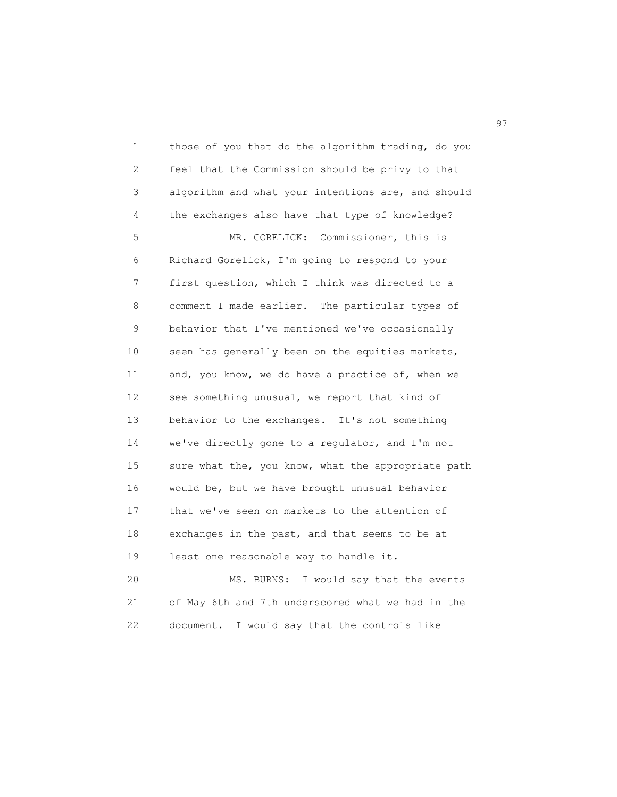1 those of you that do the algorithm trading, do you 2 feel that the Commission should be privy to that 3 algorithm and what your intentions are, and should 4 the exchanges also have that type of knowledge? 5 MR. GORELICK: Commissioner, this is 6 Richard Gorelick, I'm going to respond to your 7 first question, which I think was directed to a 8 comment I made earlier. The particular types of 9 behavior that I've mentioned we've occasionally 10 seen has generally been on the equities markets, 11 and, you know, we do have a practice of, when we 12 see something unusual, we report that kind of 13 behavior to the exchanges. It's not something 14 we've directly gone to a regulator, and I'm not 15 sure what the, you know, what the appropriate path 16 would be, but we have brought unusual behavior 17 that we've seen on markets to the attention of 18 exchanges in the past, and that seems to be at 19 least one reasonable way to handle it. 20 MS. BURNS: I would say that the events

 21 of May 6th and 7th underscored what we had in the 22 document. I would say that the controls like

97 and 2012 and 2012 and 2012 and 2012 and 2012 and 2012 and 2012 and 2012 and 2012 and 2012 and 201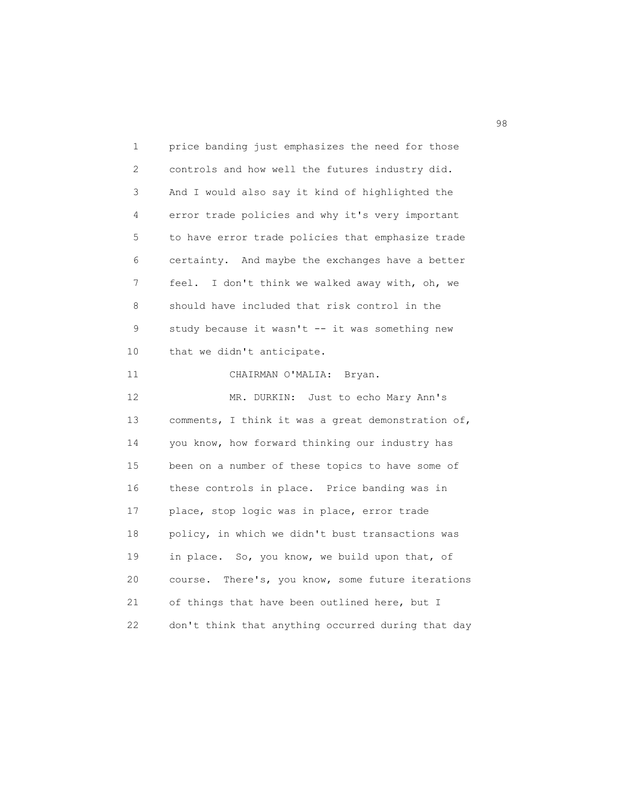1 price banding just emphasizes the need for those 2 controls and how well the futures industry did. 3 And I would also say it kind of highlighted the 4 error trade policies and why it's very important 5 to have error trade policies that emphasize trade 6 certainty. And maybe the exchanges have a better 7 feel. I don't think we walked away with, oh, we 8 should have included that risk control in the 9 study because it wasn't -- it was something new 10 that we didn't anticipate. 11 CHAIRMAN O'MALIA: Bryan. 12 MR. DURKIN: Just to echo Mary Ann's 13 comments, I think it was a great demonstration of, 14 you know, how forward thinking our industry has 15 been on a number of these topics to have some of 16 these controls in place. Price banding was in 17 place, stop logic was in place, error trade 18 policy, in which we didn't bust transactions was 19 in place. So, you know, we build upon that, of 20 course. There's, you know, some future iterations 21 of things that have been outlined here, but I 22 don't think that anything occurred during that day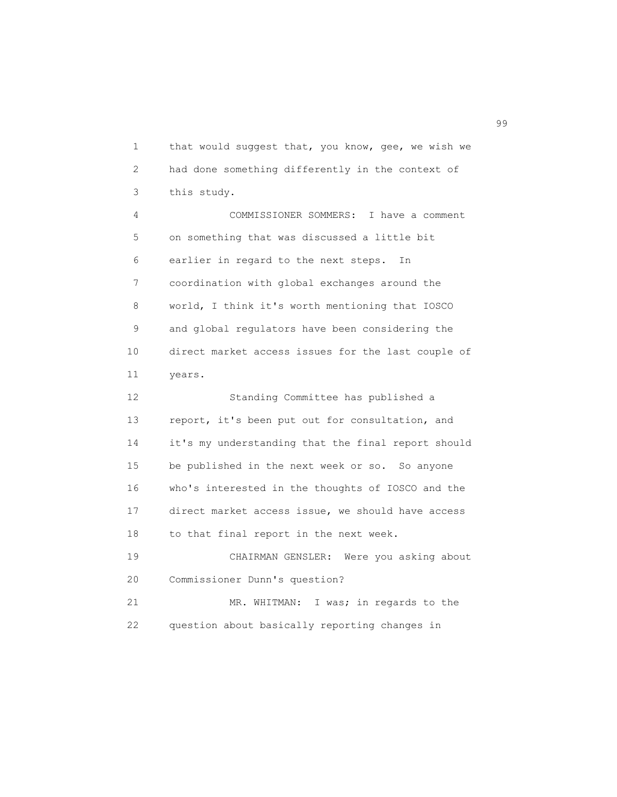1 that would suggest that, you know, gee, we wish we 2 had done something differently in the context of 3 this study.

 4 COMMISSIONER SOMMERS: I have a comment 5 on something that was discussed a little bit 6 earlier in regard to the next steps. In 7 coordination with global exchanges around the 8 world, I think it's worth mentioning that IOSCO 9 and global regulators have been considering the 10 direct market access issues for the last couple of 11 years.

 12 Standing Committee has published a 13 report, it's been put out for consultation, and 14 it's my understanding that the final report should 15 be published in the next week or so. So anyone 16 who's interested in the thoughts of IOSCO and the 17 direct market access issue, we should have access 18 to that final report in the next week. 19 CHAIRMAN GENSLER: Were you asking about 20 Commissioner Dunn's question?

 21 MR. WHITMAN: I was; in regards to the 22 question about basically reporting changes in

en 1999 en 1999 en 1999 en 1999 en 1999 en 1999 en 1999 en 1999 en 1999 en 1999 en 1999 en 1999 en 1999 en 19<br>De grote en 1999 en 1999 en 1999 en 1999 en 1999 en 1999 en 1999 en 1999 en 1999 en 1999 en 1999 en 1999 en 19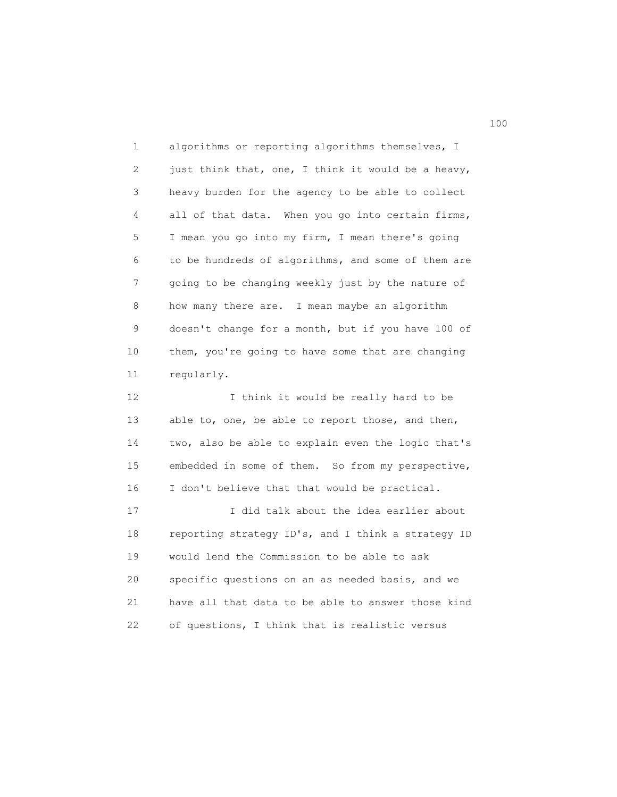1 algorithms or reporting algorithms themselves, I 2 just think that, one, I think it would be a heavy, 3 heavy burden for the agency to be able to collect 4 all of that data. When you go into certain firms, 5 I mean you go into my firm, I mean there's going 6 to be hundreds of algorithms, and some of them are 7 going to be changing weekly just by the nature of 8 how many there are. I mean maybe an algorithm 9 doesn't change for a month, but if you have 100 of 10 them, you're going to have some that are changing 11 regularly. 12 I think it would be really hard to be 13 able to, one, be able to report those, and then,

 14 two, also be able to explain even the logic that's 15 embedded in some of them. So from my perspective, 16 I don't believe that that would be practical.

17 10 I did talk about the idea earlier about 18 reporting strategy ID's, and I think a strategy ID 19 would lend the Commission to be able to ask 20 specific questions on an as needed basis, and we 21 have all that data to be able to answer those kind 22 of questions, I think that is realistic versus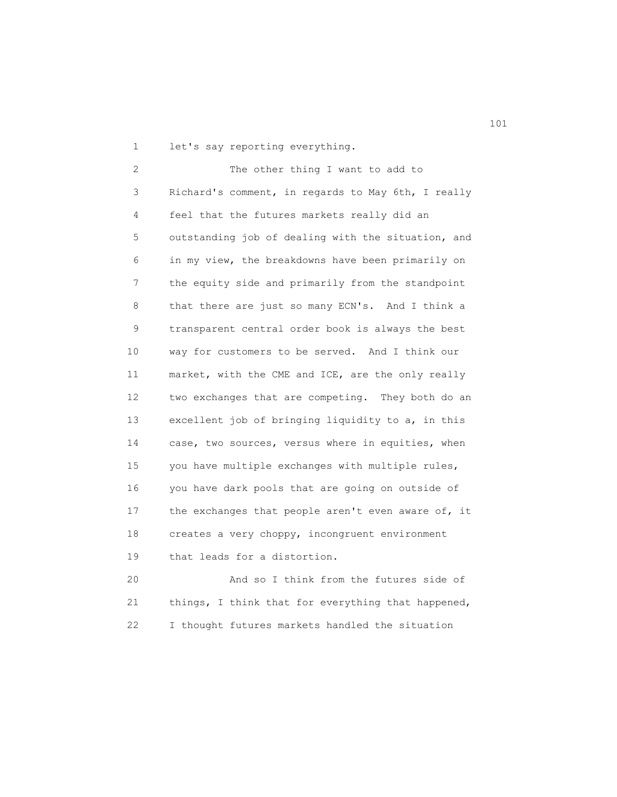1 let's say reporting everything.

 2 The other thing I want to add to 3 Richard's comment, in regards to May 6th, I really 4 feel that the futures markets really did an 5 outstanding job of dealing with the situation, and 6 in my view, the breakdowns have been primarily on 7 the equity side and primarily from the standpoint 8 that there are just so many ECN's. And I think a 9 transparent central order book is always the best 10 way for customers to be served. And I think our 11 market, with the CME and ICE, are the only really 12 two exchanges that are competing. They both do an 13 excellent job of bringing liquidity to a, in this 14 case, two sources, versus where in equities, when 15 you have multiple exchanges with multiple rules, 16 you have dark pools that are going on outside of 17 the exchanges that people aren't even aware of, it 18 creates a very choppy, incongruent environment 19 that leads for a distortion.

 20 And so I think from the futures side of 21 things, I think that for everything that happened, 22 I thought futures markets handled the situation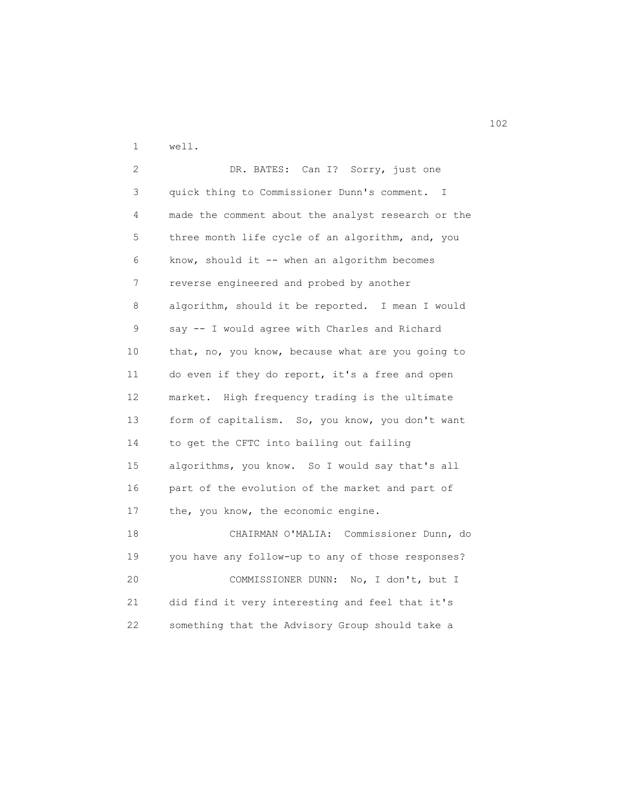1 well.

 2 DR. BATES: Can I? Sorry, just one 3 quick thing to Commissioner Dunn's comment. I 4 made the comment about the analyst research or the 5 three month life cycle of an algorithm, and, you 6 know, should it -- when an algorithm becomes 7 reverse engineered and probed by another 8 algorithm, should it be reported. I mean I would 9 say -- I would agree with Charles and Richard 10 that, no, you know, because what are you going to 11 do even if they do report, it's a free and open 12 market. High frequency trading is the ultimate 13 form of capitalism. So, you know, you don't want 14 to get the CFTC into bailing out failing 15 algorithms, you know. So I would say that's all 16 part of the evolution of the market and part of 17 the, you know, the economic engine. 18 CHAIRMAN O'MALIA: Commissioner Dunn, do 19 you have any follow-up to any of those responses? 20 COMMISSIONER DUNN: No, I don't, but I 21 did find it very interesting and feel that it's 22 something that the Advisory Group should take a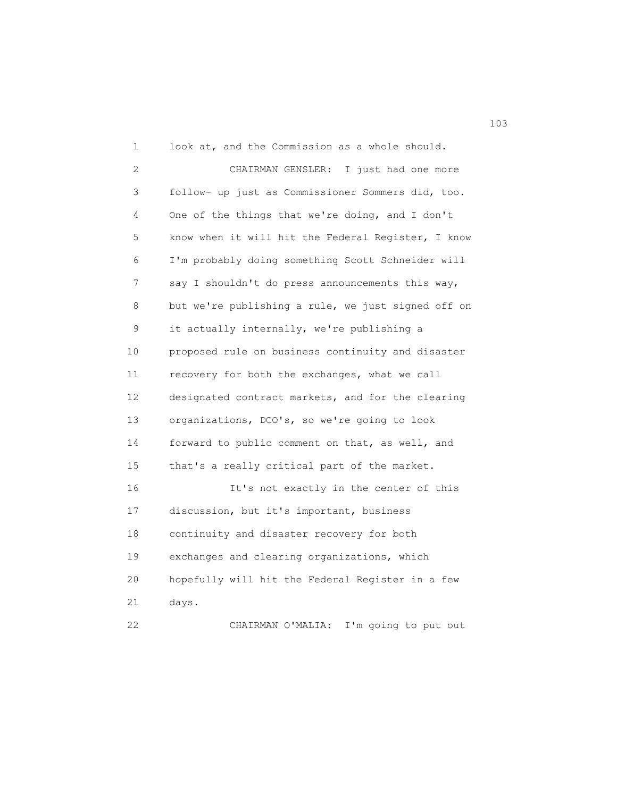1 look at, and the Commission as a whole should. 2 CHAIRMAN GENSLER: I just had one more 3 follow- up just as Commissioner Sommers did, too. 4 One of the things that we're doing, and I don't 5 know when it will hit the Federal Register, I know 6 I'm probably doing something Scott Schneider will 7 say I shouldn't do press announcements this way, 8 but we're publishing a rule, we just signed off on 9 it actually internally, we're publishing a 10 proposed rule on business continuity and disaster 11 recovery for both the exchanges, what we call 12 designated contract markets, and for the clearing 13 organizations, DCO's, so we're going to look 14 forward to public comment on that, as well, and 15 that's a really critical part of the market. 16 It's not exactly in the center of this 17 discussion, but it's important, business 18 continuity and disaster recovery for both 19 exchanges and clearing organizations, which 20 hopefully will hit the Federal Register in a few 21 days. 22 CHAIRMAN O'MALIA: I'm going to put out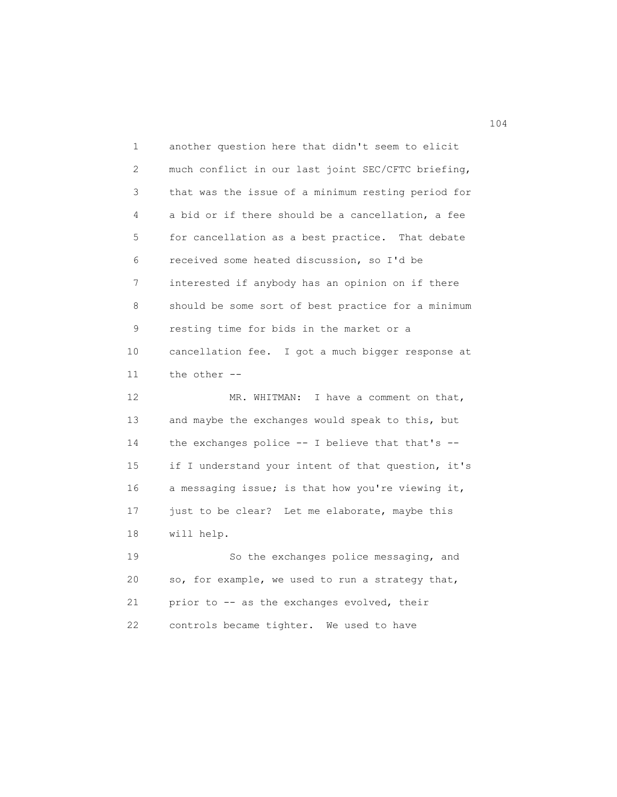1 another question here that didn't seem to elicit 2 much conflict in our last joint SEC/CFTC briefing, 3 that was the issue of a minimum resting period for 4 a bid or if there should be a cancellation, a fee 5 for cancellation as a best practice. That debate 6 received some heated discussion, so I'd be 7 interested if anybody has an opinion on if there 8 should be some sort of best practice for a minimum 9 resting time for bids in the market or a 10 cancellation fee. I got a much bigger response at 11 the other -- 12 MR. WHITMAN: I have a comment on that, 13 and maybe the exchanges would speak to this, but 14 the exchanges police -- I believe that that's -- 15 if I understand your intent of that question, it's 16 a messaging issue; is that how you're viewing it, 17 just to be clear? Let me elaborate, maybe this 18 will help. 19 So the exchanges police messaging, and 20 so, for example, we used to run a strategy that, 21 prior to -- as the exchanges evolved, their

22 controls became tighter. We used to have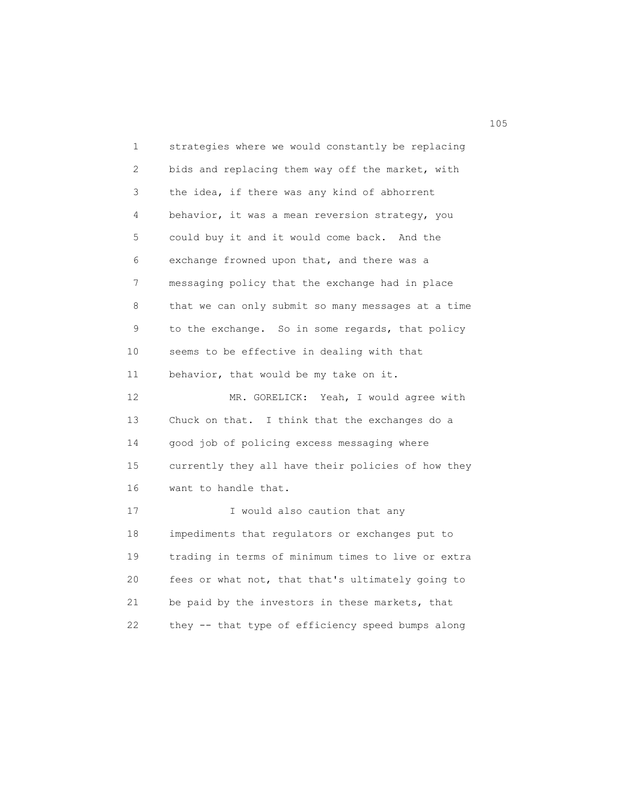1 strategies where we would constantly be replacing 2 bids and replacing them way off the market, with 3 the idea, if there was any kind of abhorrent 4 behavior, it was a mean reversion strategy, you 5 could buy it and it would come back. And the 6 exchange frowned upon that, and there was a 7 messaging policy that the exchange had in place 8 that we can only submit so many messages at a time 9 to the exchange. So in some regards, that policy 10 seems to be effective in dealing with that 11 behavior, that would be my take on it. 12 MR. GORELICK: Yeah, I would agree with 13 Chuck on that. I think that the exchanges do a 14 good job of policing excess messaging where 15 currently they all have their policies of how they 16 want to handle that. 17 I would also caution that any 18 impediments that regulators or exchanges put to 19 trading in terms of minimum times to live or extra 20 fees or what not, that that's ultimately going to 21 be paid by the investors in these markets, that 22 they -- that type of efficiency speed bumps along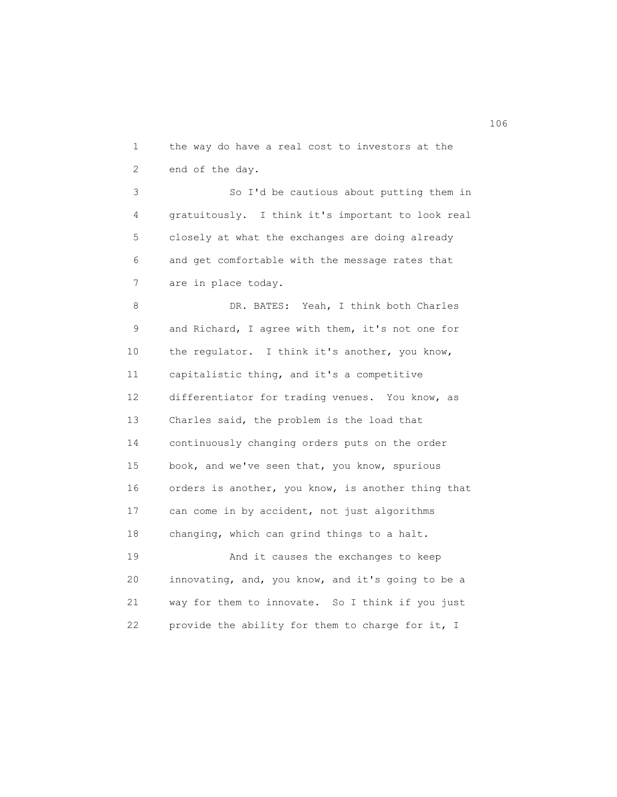1 the way do have a real cost to investors at the 2 end of the day.

 3 So I'd be cautious about putting them in 4 gratuitously. I think it's important to look real 5 closely at what the exchanges are doing already 6 and get comfortable with the message rates that 7 are in place today.

 8 DR. BATES: Yeah, I think both Charles 9 and Richard, I agree with them, it's not one for 10 the regulator. I think it's another, you know, 11 capitalistic thing, and it's a competitive 12 differentiator for trading venues. You know, as 13 Charles said, the problem is the load that 14 continuously changing orders puts on the order 15 book, and we've seen that, you know, spurious 16 orders is another, you know, is another thing that 17 can come in by accident, not just algorithms 18 changing, which can grind things to a halt. 19 And it causes the exchanges to keep

 20 innovating, and, you know, and it's going to be a 21 way for them to innovate. So I think if you just 22 provide the ability for them to charge for it, I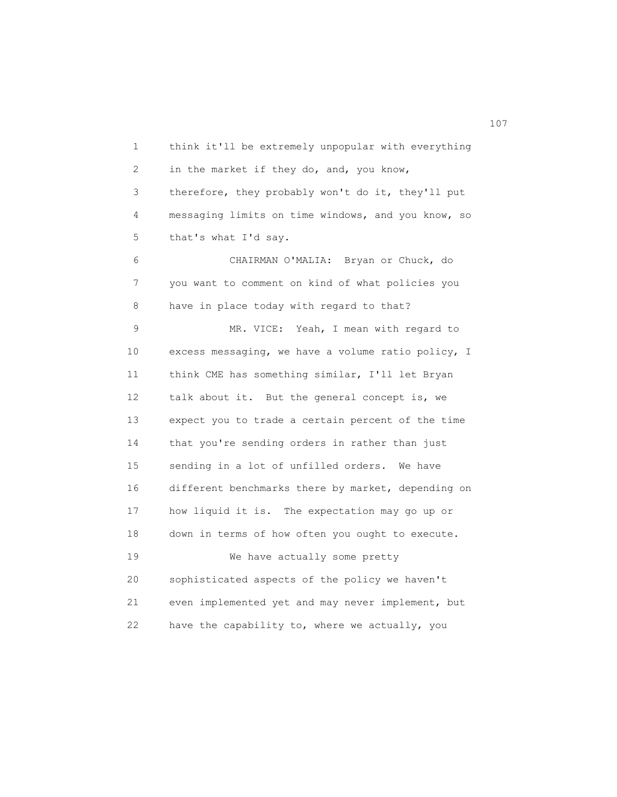1 think it'll be extremely unpopular with everything 2 in the market if they do, and, you know, 3 therefore, they probably won't do it, they'll put 4 messaging limits on time windows, and you know, so 5 that's what I'd say. 6 CHAIRMAN O'MALIA: Bryan or Chuck, do 7 you want to comment on kind of what policies you 8 have in place today with regard to that? 9 MR. VICE: Yeah, I mean with regard to 10 excess messaging, we have a volume ratio policy, I 11 think CME has something similar, I'll let Bryan 12 talk about it. But the general concept is, we 13 expect you to trade a certain percent of the time 14 that you're sending orders in rather than just 15 sending in a lot of unfilled orders. We have 16 different benchmarks there by market, depending on 17 how liquid it is. The expectation may go up or 18 down in terms of how often you ought to execute. 19 We have actually some pretty 20 sophisticated aspects of the policy we haven't 21 even implemented yet and may never implement, but 22 have the capability to, where we actually, you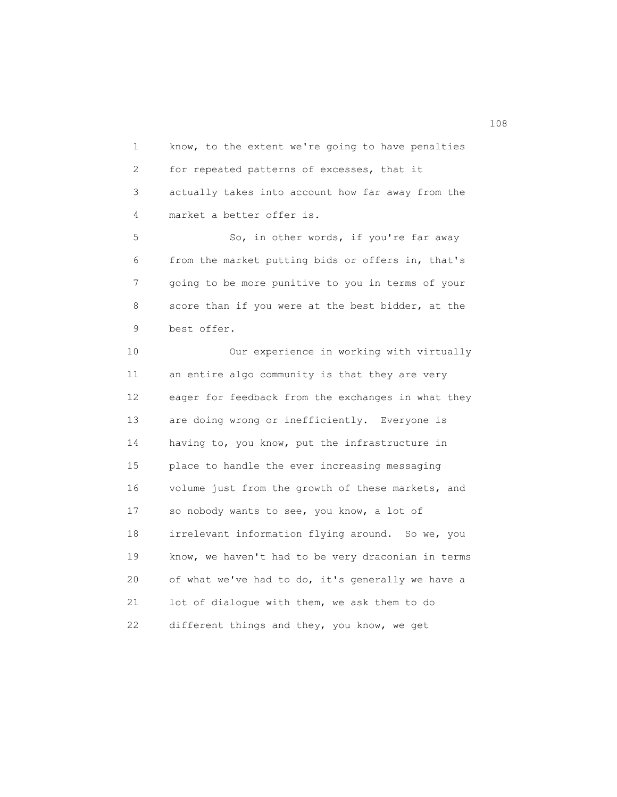1 know, to the extent we're going to have penalties 2 for repeated patterns of excesses, that it 3 actually takes into account how far away from the 4 market a better offer is.

5 So, in other words, if you're far away 6 from the market putting bids or offers in, that's 7 going to be more punitive to you in terms of your 8 score than if you were at the best bidder, at the 9 best offer.

 10 Our experience in working with virtually 11 an entire algo community is that they are very 12 eager for feedback from the exchanges in what they 13 are doing wrong or inefficiently. Everyone is 14 having to, you know, put the infrastructure in 15 place to handle the ever increasing messaging 16 volume just from the growth of these markets, and 17 so nobody wants to see, you know, a lot of 18 irrelevant information flying around. So we, you 19 know, we haven't had to be very draconian in terms 20 of what we've had to do, it's generally we have a 21 lot of dialogue with them, we ask them to do 22 different things and they, you know, we get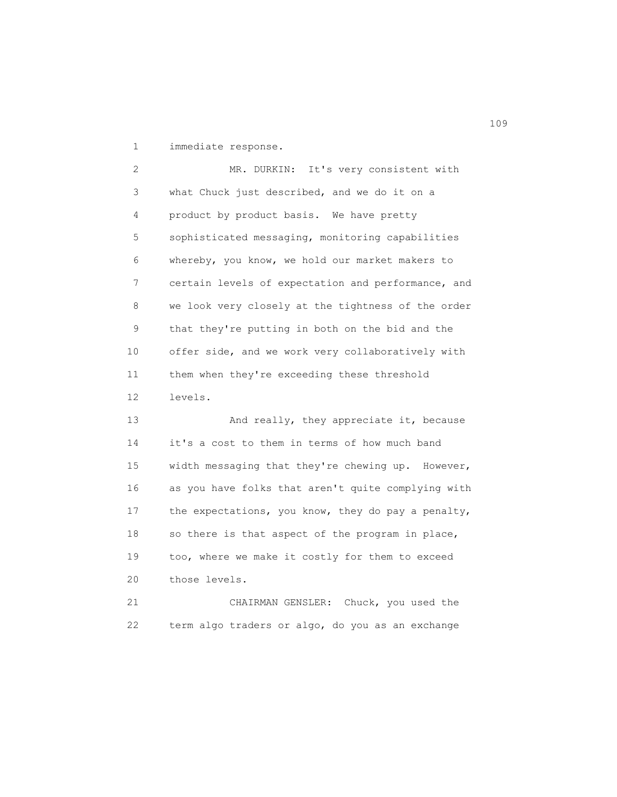1 immediate response.

 2 MR. DURKIN: It's very consistent with 3 what Chuck just described, and we do it on a 4 product by product basis. We have pretty 5 sophisticated messaging, monitoring capabilities 6 whereby, you know, we hold our market makers to 7 certain levels of expectation and performance, and 8 we look very closely at the tightness of the order 9 that they're putting in both on the bid and the 10 offer side, and we work very collaboratively with 11 them when they're exceeding these threshold 12 levels.

13 And really, they appreciate it, because 14 it's a cost to them in terms of how much band 15 width messaging that they're chewing up. However, 16 as you have folks that aren't quite complying with 17 the expectations, you know, they do pay a penalty, 18 so there is that aspect of the program in place, 19 too, where we make it costly for them to exceed 20 those levels.

 21 CHAIRMAN GENSLER: Chuck, you used the 22 term algo traders or algo, do you as an exchange

109<br>109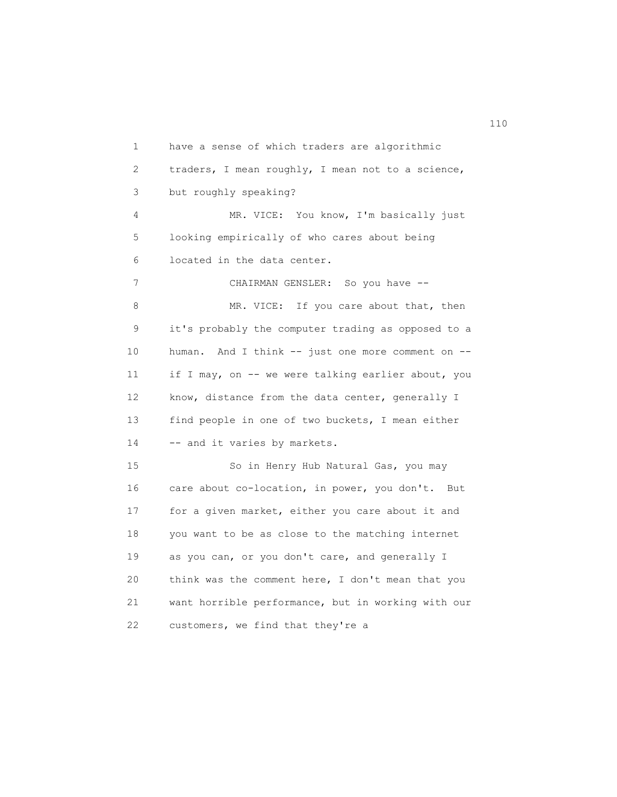1 have a sense of which traders are algorithmic 2 traders, I mean roughly, I mean not to a science, 3 but roughly speaking? 4 MR. VICE: You know, I'm basically just 5 looking empirically of who cares about being 6 located in the data center. 7 CHAIRMAN GENSLER: So you have --8 MR. VICE: If you care about that, then 9 it's probably the computer trading as opposed to a 10 human. And I think -- just one more comment on -- 11 if I may, on -- we were talking earlier about, you 12 know, distance from the data center, generally I 13 find people in one of two buckets, I mean either 14 -- and it varies by markets. 15 So in Henry Hub Natural Gas, you may 16 care about co-location, in power, you don't. But 17 for a given market, either you care about it and 18 you want to be as close to the matching internet 19 as you can, or you don't care, and generally I 20 think was the comment here, I don't mean that you 21 want horrible performance, but in working with our 22 customers, we find that they're a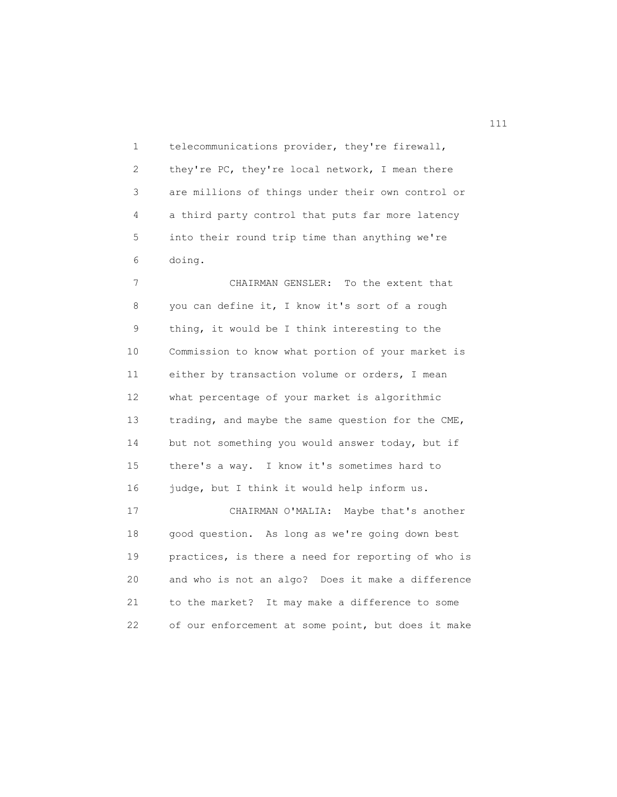1 telecommunications provider, they're firewall, 2 they're PC, they're local network, I mean there 3 are millions of things under their own control or 4 a third party control that puts far more latency 5 into their round trip time than anything we're 6 doing.

 7 CHAIRMAN GENSLER: To the extent that 8 you can define it, I know it's sort of a rough 9 thing, it would be I think interesting to the 10 Commission to know what portion of your market is 11 either by transaction volume or orders, I mean 12 what percentage of your market is algorithmic 13 trading, and maybe the same question for the CME, 14 but not something you would answer today, but if 15 there's a way. I know it's sometimes hard to 16 judge, but I think it would help inform us. 17 CHAIRMAN O'MALIA: Maybe that's another 18 good question. As long as we're going down best 19 practices, is there a need for reporting of who is 20 and who is not an algo? Does it make a difference

 21 to the market? It may make a difference to some 22 of our enforcement at some point, but does it make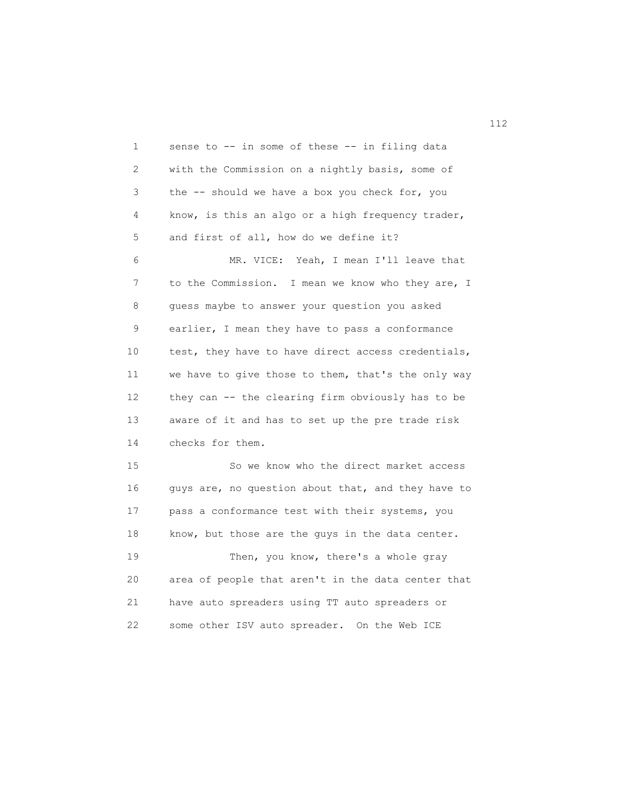1 sense to -- in some of these -- in filing data 2 with the Commission on a nightly basis, some of 3 the -- should we have a box you check for, you 4 know, is this an algo or a high frequency trader, 5 and first of all, how do we define it? 6 MR. VICE: Yeah, I mean I'll leave that 7 to the Commission. I mean we know who they are, I 8 guess maybe to answer your question you asked 9 earlier, I mean they have to pass a conformance 10 test, they have to have direct access credentials, 11 we have to give those to them, that's the only way 12 they can -- the clearing firm obviously has to be 13 aware of it and has to set up the pre trade risk 14 checks for them. 15 So we know who the direct market access 16 guys are, no question about that, and they have to 17 pass a conformance test with their systems, you 18 know, but those are the guys in the data center. 19 Then, you know, there's a whole gray 20 area of people that aren't in the data center that 21 have auto spreaders using TT auto spreaders or 22 some other ISV auto spreader. On the Web ICE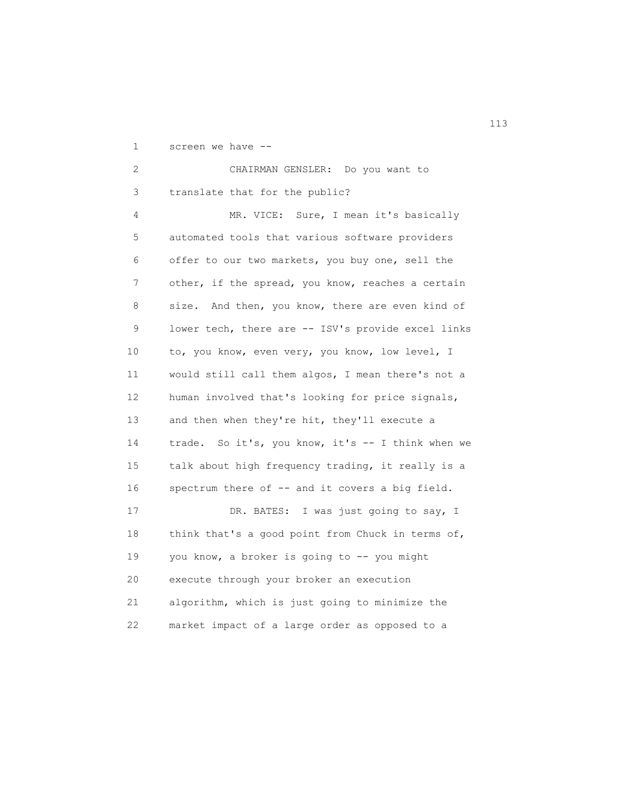1 screen we have --

| $\overline{2}$  | CHAIRMAN GENSLER: Do you want to                   |
|-----------------|----------------------------------------------------|
| 3               | translate that for the public?                     |
| 4               | MR. VICE: Sure, I mean it's basically              |
| 5               | automated tools that various software providers    |
| 6               | offer to our two markets, you buy one, sell the    |
| 7               | other, if the spread, you know, reaches a certain  |
| 8               | size. And then, you know, there are even kind of   |
| 9               | lower tech, there are -- ISV's provide excel links |
| 10              | to, you know, even very, you know, low level, I    |
| 11              | would still call them algos, I mean there's not a  |
| 12 <sup>°</sup> | human involved that's looking for price signals,   |
| 13              | and then when they're hit, they'll execute a       |
| 14              | trade. So it's, you know, it's -- I think when we  |
| 15              | talk about high frequency trading, it really is a  |
| 16              | spectrum there of -- and it covers a big field.    |
| 17              | DR. BATES: I was just going to say, I              |
| 18              | think that's a good point from Chuck in terms of,  |
| 19              | you know, a broker is going to -- you might        |
| 20              | execute through your broker an execution           |
| 21              | algorithm, which is just going to minimize the     |
| 22              | market impact of a large order as opposed to a     |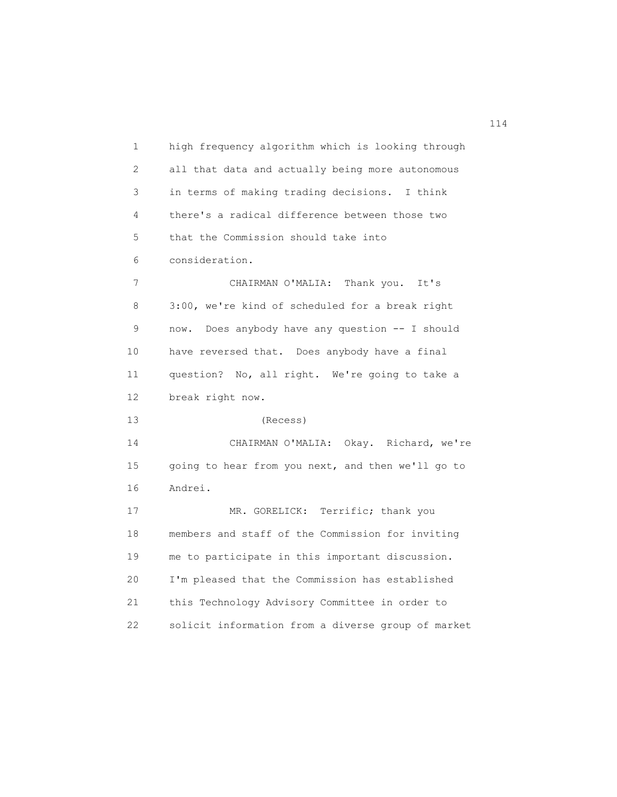1 high frequency algorithm which is looking through 2 all that data and actually being more autonomous 3 in terms of making trading decisions. I think 4 there's a radical difference between those two 5 that the Commission should take into 6 consideration. 7 CHAIRMAN O'MALIA: Thank you. It's 8 3:00, we're kind of scheduled for a break right 9 now. Does anybody have any question -- I should 10 have reversed that. Does anybody have a final 11 question? No, all right. We're going to take a 12 break right now. 13 (Recess) 14 CHAIRMAN O'MALIA: Okay. Richard, we're 15 going to hear from you next, and then we'll go to 16 Andrei. 17 MR. GORELICK: Terrific; thank you 18 members and staff of the Commission for inviting 19 me to participate in this important discussion. 20 I'm pleased that the Commission has established 21 this Technology Advisory Committee in order to 22 solicit information from a diverse group of market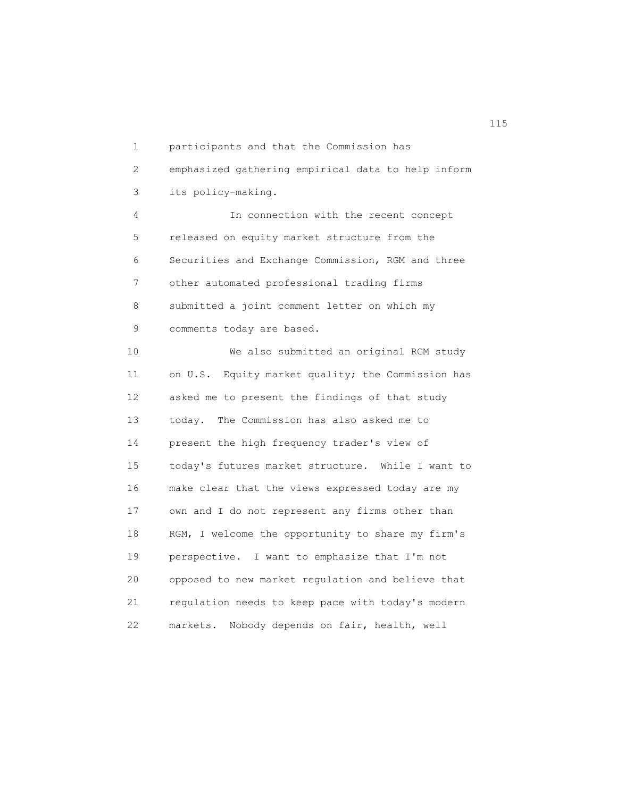1 participants and that the Commission has 2 emphasized gathering empirical data to help inform 3 its policy-making. 4 In connection with the recent concept 5 released on equity market structure from the 6 Securities and Exchange Commission, RGM and three 7 other automated professional trading firms 8 submitted a joint comment letter on which my 9 comments today are based. 10 We also submitted an original RGM study 11 on U.S. Equity market quality; the Commission has 12 asked me to present the findings of that study 13 today. The Commission has also asked me to 14 present the high frequency trader's view of 15 today's futures market structure. While I want to 16 make clear that the views expressed today are my 17 own and I do not represent any firms other than 18 RGM, I welcome the opportunity to share my firm's 19 perspective. I want to emphasize that I'm not 20 opposed to new market regulation and believe that 21 regulation needs to keep pace with today's modern 22 markets. Nobody depends on fair, health, well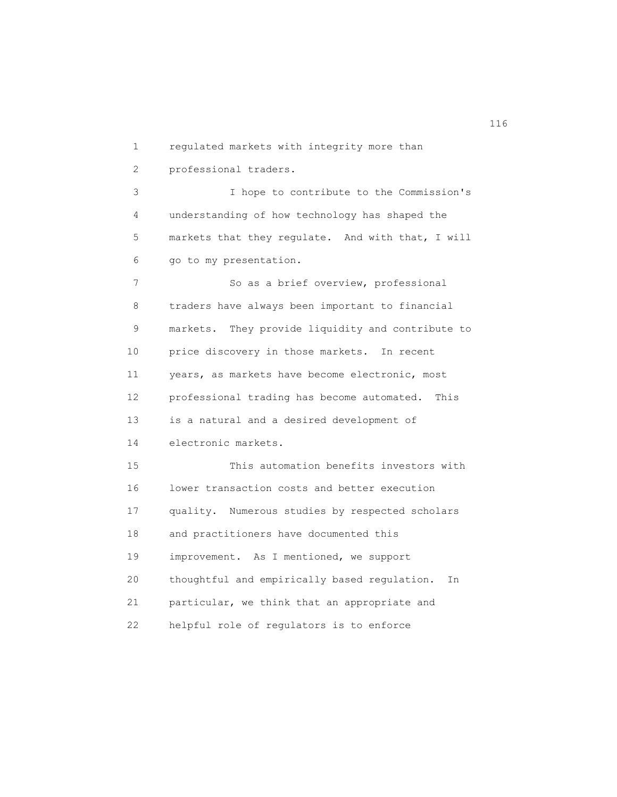1 regulated markets with integrity more than 2 professional traders. 3 I hope to contribute to the Commission's 4 understanding of how technology has shaped the 5 markets that they regulate. And with that, I will 6 go to my presentation. 7 So as a brief overview, professional 8 traders have always been important to financial 9 markets. They provide liquidity and contribute to 10 price discovery in those markets. In recent 11 years, as markets have become electronic, most 12 professional trading has become automated. This 13 is a natural and a desired development of 14 electronic markets. 15 This automation benefits investors with 16 lower transaction costs and better execution 17 quality. Numerous studies by respected scholars 18 and practitioners have documented this 19 improvement. As I mentioned, we support 20 thoughtful and empirically based regulation. In 21 particular, we think that an appropriate and 22 helpful role of regulators is to enforce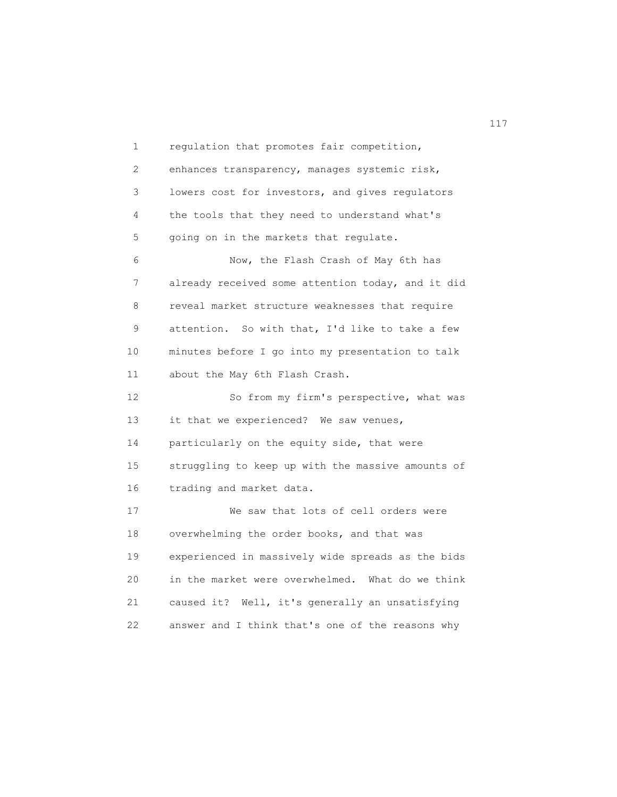1 regulation that promotes fair competition, 2 enhances transparency, manages systemic risk, 3 lowers cost for investors, and gives regulators 4 the tools that they need to understand what's 5 going on in the markets that regulate. 6 Now, the Flash Crash of May 6th has 7 already received some attention today, and it did 8 reveal market structure weaknesses that require 9 attention. So with that, I'd like to take a few 10 minutes before I go into my presentation to talk 11 about the May 6th Flash Crash. 12 So from my firm's perspective, what was 13 it that we experienced? We saw venues, 14 particularly on the equity side, that were 15 struggling to keep up with the massive amounts of 16 trading and market data. 17 We saw that lots of cell orders were 18 overwhelming the order books, and that was 19 experienced in massively wide spreads as the bids 20 in the market were overwhelmed. What do we think 21 caused it? Well, it's generally an unsatisfying 22 answer and I think that's one of the reasons why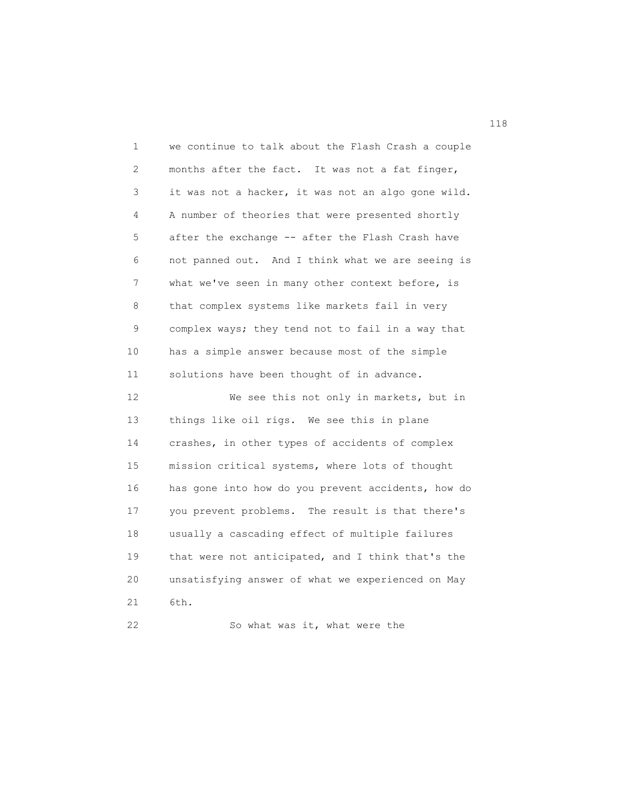| 1  | we continue to talk about the Flash Crash a couple |
|----|----------------------------------------------------|
| 2  | months after the fact. It was not a fat finger,    |
| 3  | it was not a hacker, it was not an algo gone wild. |
| 4  | A number of theories that were presented shortly   |
| 5  | after the exchange -- after the Flash Crash have   |
| 6  | not panned out. And I think what we are seeing is  |
| 7  | what we've seen in many other context before, is   |
| 8  | that complex systems like markets fail in very     |
| 9  | complex ways; they tend not to fail in a way that  |
| 10 | has a simple answer because most of the simple     |
| 11 | solutions have been thought of in advance.         |
| 12 | We see this not only in markets, but in            |
| 13 | things like oil rigs. We see this in plane         |
| 14 | crashes, in other types of accidents of complex    |
| 15 | mission critical systems, where lots of thought    |
| 16 | has gone into how do you prevent accidents, how do |
| 17 | you prevent problems. The result is that there's   |
| 18 | usually a cascading effect of multiple failures    |
| 19 | that were not anticipated, and I think that's the  |
| 20 | unsatisfying answer of what we experienced on May  |
| 21 | 6th.                                               |
| 22 | So what was it, what were the                      |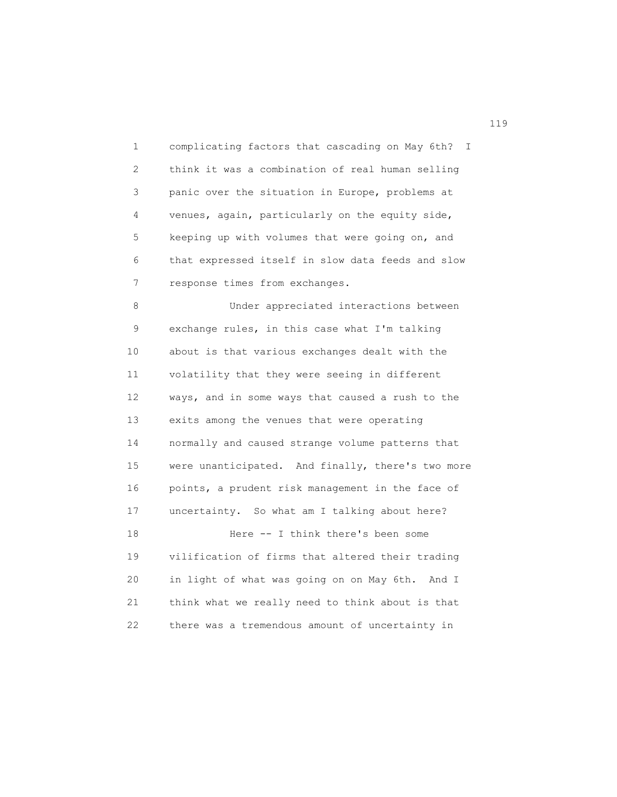1 complicating factors that cascading on May 6th? I 2 think it was a combination of real human selling 3 panic over the situation in Europe, problems at 4 venues, again, particularly on the equity side, 5 keeping up with volumes that were going on, and 6 that expressed itself in slow data feeds and slow 7 response times from exchanges.

 8 Under appreciated interactions between 9 exchange rules, in this case what I'm talking 10 about is that various exchanges dealt with the 11 volatility that they were seeing in different 12 ways, and in some ways that caused a rush to the 13 exits among the venues that were operating 14 normally and caused strange volume patterns that 15 were unanticipated. And finally, there's two more 16 points, a prudent risk management in the face of 17 uncertainty. So what am I talking about here? 18 Here -- I think there's been some 19 vilification of firms that altered their trading 20 in light of what was going on on May 6th. And I 21 think what we really need to think about is that

22 there was a tremendous amount of uncertainty in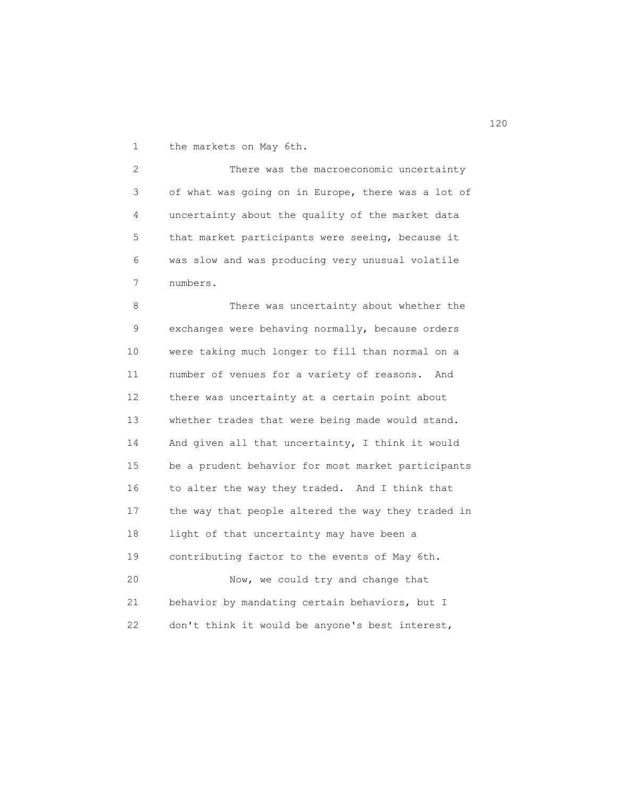1 the markets on May 6th.

 2 There was the macroeconomic uncertainty 3 of what was going on in Europe, there was a lot of 4 uncertainty about the quality of the market data 5 that market participants were seeing, because it 6 was slow and was producing very unusual volatile 7 numbers.

8 There was uncertainty about whether the 9 exchanges were behaving normally, because orders 10 were taking much longer to fill than normal on a 11 number of venues for a variety of reasons. And 12 there was uncertainty at a certain point about 13 whether trades that were being made would stand. 14 And given all that uncertainty, I think it would 15 be a prudent behavior for most market participants 16 to alter the way they traded. And I think that 17 the way that people altered the way they traded in 18 light of that uncertainty may have been a 19 contributing factor to the events of May 6th. 20 Now, we could try and change that 21 behavior by mandating certain behaviors, but I 22 don't think it would be anyone's best interest,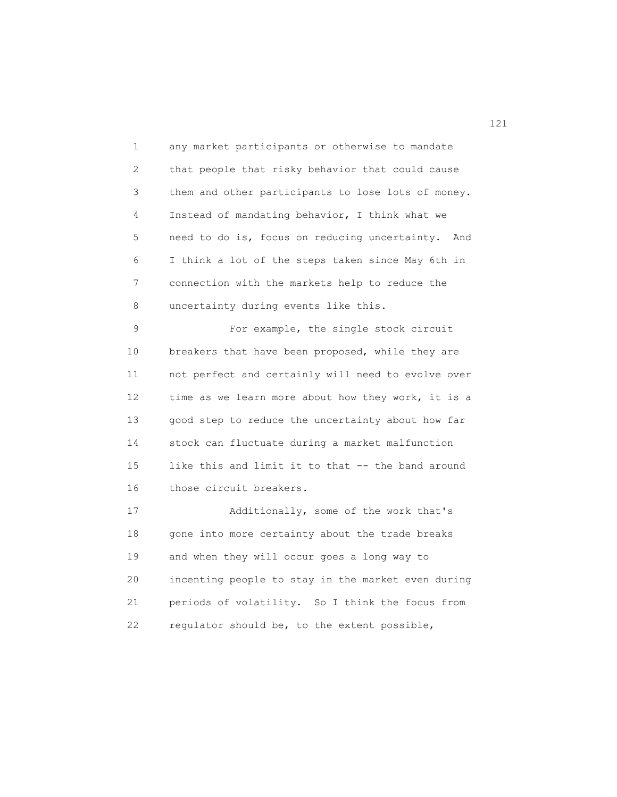1 any market participants or otherwise to mandate 2 that people that risky behavior that could cause 3 them and other participants to lose lots of money. 4 Instead of mandating behavior, I think what we 5 need to do is, focus on reducing uncertainty. And 6 I think a lot of the steps taken since May 6th in 7 connection with the markets help to reduce the 8 uncertainty during events like this.

 9 For example, the single stock circuit 10 breakers that have been proposed, while they are 11 not perfect and certainly will need to evolve over 12 time as we learn more about how they work, it is a 13 good step to reduce the uncertainty about how far 14 stock can fluctuate during a market malfunction 15 like this and limit it to that -- the band around 16 those circuit breakers.

 17 Additionally, some of the work that's 18 gone into more certainty about the trade breaks 19 and when they will occur goes a long way to 20 incenting people to stay in the market even during 21 periods of volatility. So I think the focus from 22 regulator should be, to the extent possible,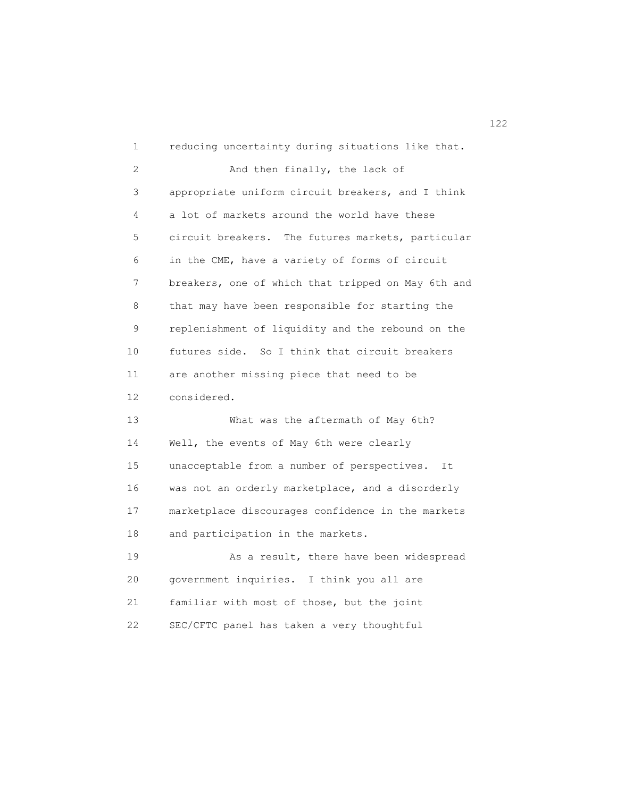| 1                 | reducing uncertainty during situations like that.    |
|-------------------|------------------------------------------------------|
| 2                 | And then finally, the lack of                        |
| 3                 | appropriate uniform circuit breakers, and I think    |
| 4                 | a lot of markets around the world have these         |
| 5                 | circuit breakers.<br>The futures markets, particular |
| 6                 | in the CME, have a variety of forms of circuit       |
| 7                 | breakers, one of which that tripped on May 6th and   |
| 8                 | that may have been responsible for starting the      |
| 9                 | replenishment of liquidity and the rebound on the    |
| 10                | futures side. So I think that circuit breakers       |
| 11                | are another missing piece that need to be            |
| $12 \overline{ }$ | considered.                                          |
| 13                | What was the aftermath of May 6th?                   |
| 14                | Well, the events of May 6th were clearly             |
| 15                | unacceptable from a number of perspectives.<br>It    |
| 16                | was not an orderly marketplace, and a disorderly     |
| 17                | marketplace discourages confidence in the markets    |
| 18                | and participation in the markets.                    |
| 19                | As a result, there have been widespread              |
| 20                | government inquiries. I think you all are            |
| 21                | familiar with most of those, but the joint           |
| 22                | SEC/CFTC panel has taken a very thoughtful           |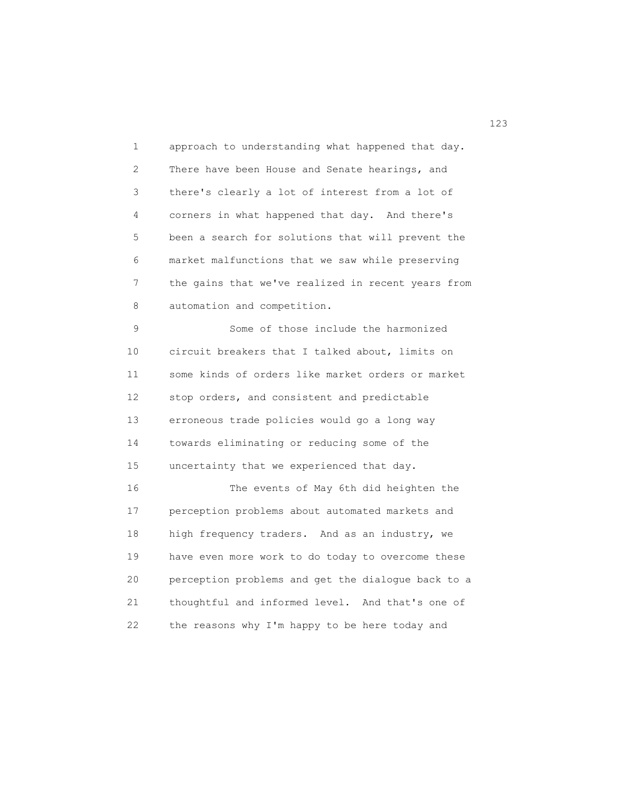1 approach to understanding what happened that day. 2 There have been House and Senate hearings, and 3 there's clearly a lot of interest from a lot of 4 corners in what happened that day. And there's 5 been a search for solutions that will prevent the 6 market malfunctions that we saw while preserving 7 the gains that we've realized in recent years from 8 automation and competition.

 9 Some of those include the harmonized 10 circuit breakers that I talked about, limits on 11 some kinds of orders like market orders or market 12 stop orders, and consistent and predictable 13 erroneous trade policies would go a long way 14 towards eliminating or reducing some of the 15 uncertainty that we experienced that day.

 16 The events of May 6th did heighten the 17 perception problems about automated markets and 18 high frequency traders. And as an industry, we 19 have even more work to do today to overcome these 20 perception problems and get the dialogue back to a 21 thoughtful and informed level. And that's one of 22 the reasons why I'm happy to be here today and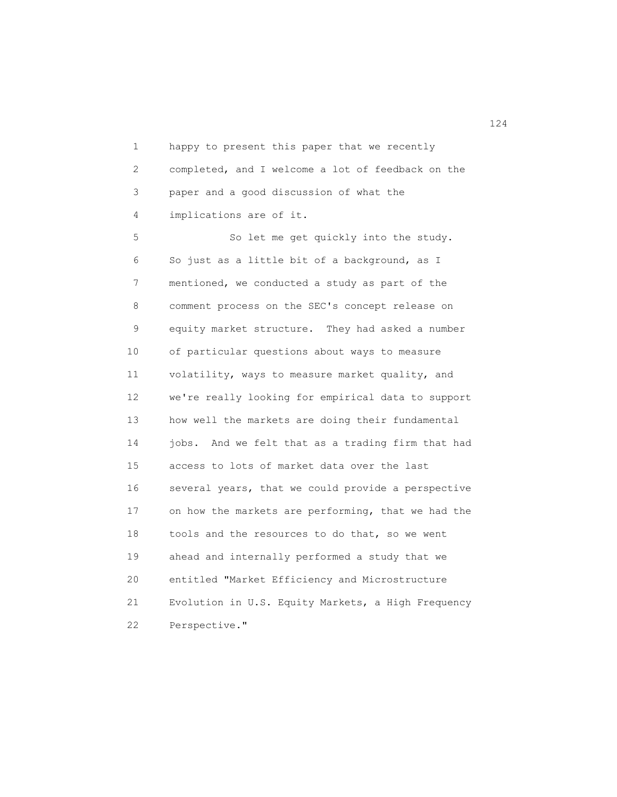1 happy to present this paper that we recently 2 completed, and I welcome a lot of feedback on the 3 paper and a good discussion of what the 4 implications are of it. 5 So let me get quickly into the study. 6 So just as a little bit of a background, as I 7 mentioned, we conducted a study as part of the 8 comment process on the SEC's concept release on 9 equity market structure. They had asked a number 10 of particular questions about ways to measure 11 volatility, ways to measure market quality, and 12 we're really looking for empirical data to support 13 how well the markets are doing their fundamental

 14 jobs. And we felt that as a trading firm that had 15 access to lots of market data over the last 16 several years, that we could provide a perspective 17 on how the markets are performing, that we had the 18 tools and the resources to do that, so we went 19 ahead and internally performed a study that we 20 entitled "Market Efficiency and Microstructure 21 Evolution in U.S. Equity Markets, a High Frequency 22 Perspective."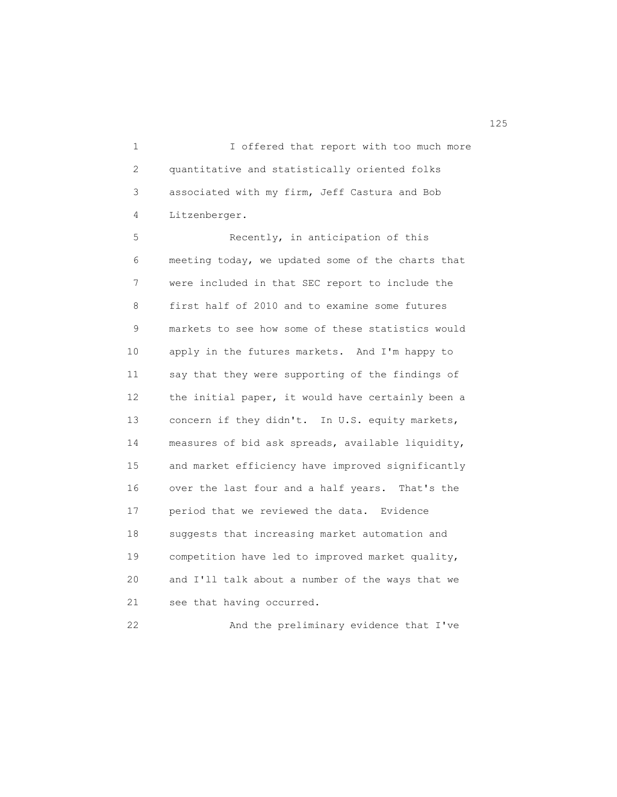1 I offered that report with too much more 2 quantitative and statistically oriented folks 3 associated with my firm, Jeff Castura and Bob 4 Litzenberger.

 5 Recently, in anticipation of this 6 meeting today, we updated some of the charts that 7 were included in that SEC report to include the 8 first half of 2010 and to examine some futures 9 markets to see how some of these statistics would 10 apply in the futures markets. And I'm happy to 11 say that they were supporting of the findings of 12 the initial paper, it would have certainly been a 13 concern if they didn't. In U.S. equity markets, 14 measures of bid ask spreads, available liquidity, 15 and market efficiency have improved significantly 16 over the last four and a half years. That's the 17 period that we reviewed the data. Evidence 18 suggests that increasing market automation and 19 competition have led to improved market quality, 20 and I'll talk about a number of the ways that we 21 see that having occurred.

22 And the preliminary evidence that I've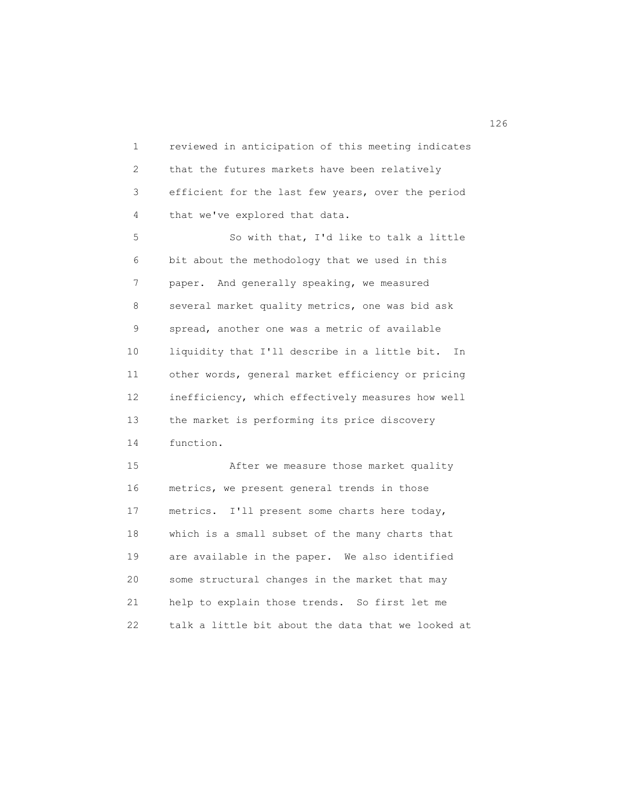1 reviewed in anticipation of this meeting indicates 2 that the futures markets have been relatively 3 efficient for the last few years, over the period 4 that we've explored that data. 5 So with that, I'd like to talk a little 6 bit about the methodology that we used in this 7 paper. And generally speaking, we measured 8 several market quality metrics, one was bid ask 9 spread, another one was a metric of available 10 liquidity that I'll describe in a little bit. In 11 other words, general market efficiency or pricing 12 inefficiency, which effectively measures how well 13 the market is performing its price discovery 14 function. 15 After we measure those market quality 16 metrics, we present general trends in those 17 metrics. I'll present some charts here today, 18 which is a small subset of the many charts that 19 are available in the paper. We also identified 20 some structural changes in the market that may 21 help to explain those trends. So first let me

22 talk a little bit about the data that we looked at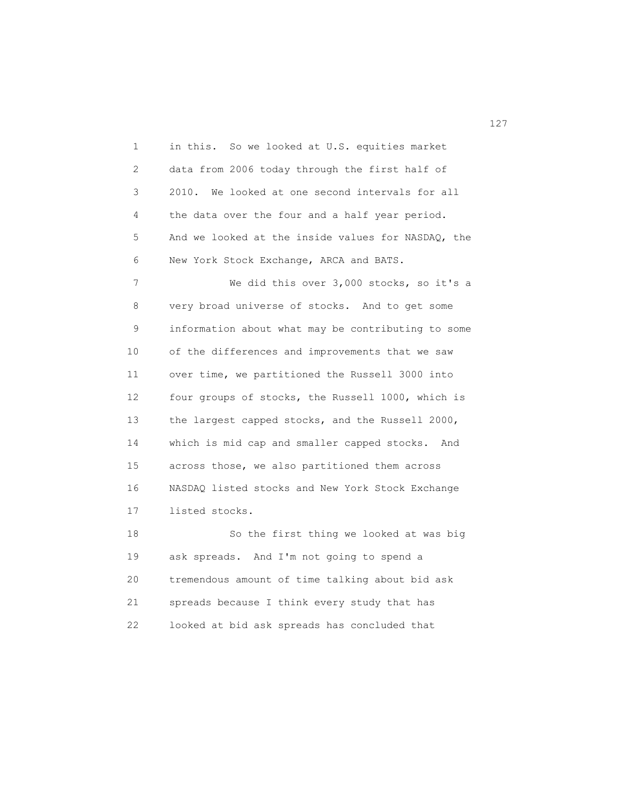1 in this. So we looked at U.S. equities market 2 data from 2006 today through the first half of 3 2010. We looked at one second intervals for all 4 the data over the four and a half year period. 5 And we looked at the inside values for NASDAQ, the 6 New York Stock Exchange, ARCA and BATS. 7 We did this over 3,000 stocks, so it's a 8 very broad universe of stocks. And to get some 9 information about what may be contributing to some 10 of the differences and improvements that we saw 11 over time, we partitioned the Russell 3000 into

 12 four groups of stocks, the Russell 1000, which is 13 the largest capped stocks, and the Russell 2000, 14 which is mid cap and smaller capped stocks. And 15 across those, we also partitioned them across 16 NASDAQ listed stocks and New York Stock Exchange 17 listed stocks.

 18 So the first thing we looked at was big 19 ask spreads. And I'm not going to spend a 20 tremendous amount of time talking about bid ask 21 spreads because I think every study that has 22 looked at bid ask spreads has concluded that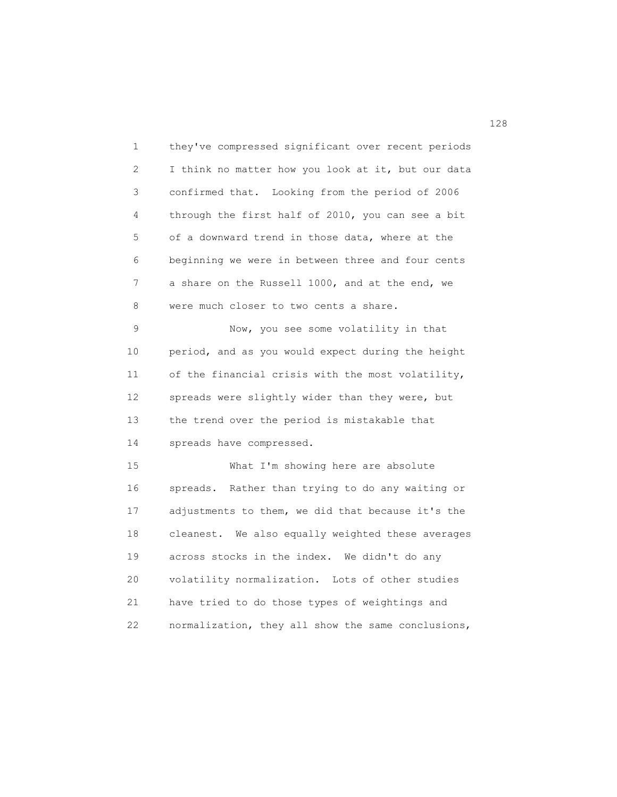1 they've compressed significant over recent periods 2 I think no matter how you look at it, but our data 3 confirmed that. Looking from the period of 2006 4 through the first half of 2010, you can see a bit 5 of a downward trend in those data, where at the 6 beginning we were in between three and four cents 7 a share on the Russell 1000, and at the end, we 8 were much closer to two cents a share. 9 Now, you see some volatility in that 10 period, and as you would expect during the height 11 of the financial crisis with the most volatility, 12 spreads were slightly wider than they were, but 13 the trend over the period is mistakable that 14 spreads have compressed. 15 What I'm showing here are absolute 16 spreads. Rather than trying to do any waiting or 17 adjustments to them, we did that because it's the 18 cleanest. We also equally weighted these averages 19 across stocks in the index. We didn't do any 20 volatility normalization. Lots of other studies 21 have tried to do those types of weightings and 22 normalization, they all show the same conclusions,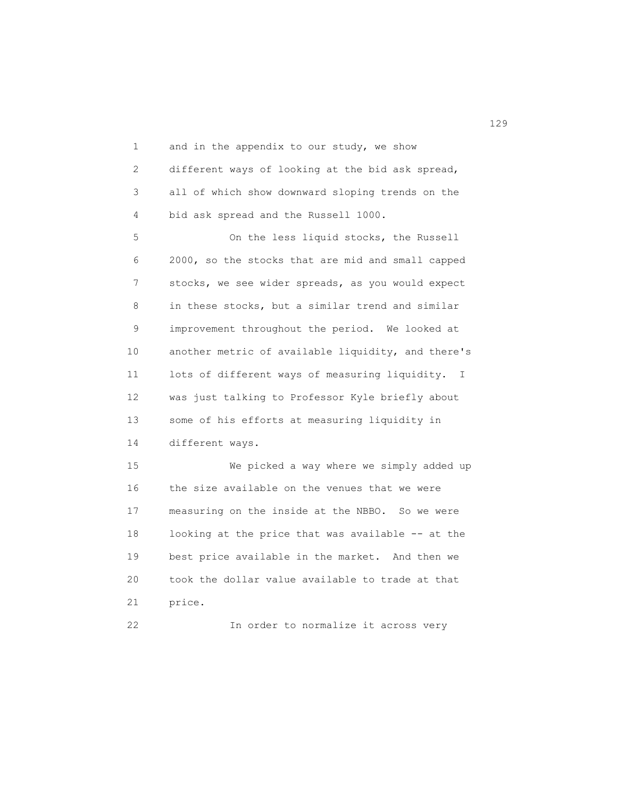1 and in the appendix to our study, we show 2 different ways of looking at the bid ask spread, 3 all of which show downward sloping trends on the 4 bid ask spread and the Russell 1000. 5 On the less liquid stocks, the Russell 6 2000, so the stocks that are mid and small capped 7 stocks, we see wider spreads, as you would expect 8 in these stocks, but a similar trend and similar 9 improvement throughout the period. We looked at 10 another metric of available liquidity, and there's 11 lots of different ways of measuring liquidity. I 12 was just talking to Professor Kyle briefly about 13 some of his efforts at measuring liquidity in 14 different ways. 15 We picked a way where we simply added up

 16 the size available on the venues that we were 17 measuring on the inside at the NBBO. So we were 18 looking at the price that was available -- at the 19 best price available in the market. And then we 20 took the dollar value available to trade at that 21 price.

22 In order to normalize it across very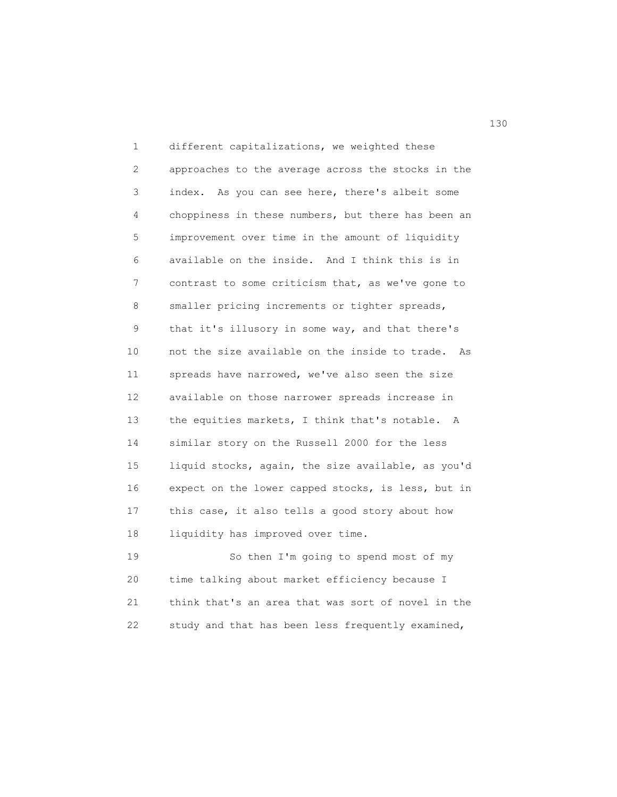1 different capitalizations, we weighted these 2 approaches to the average across the stocks in the 3 index. As you can see here, there's albeit some 4 choppiness in these numbers, but there has been an 5 improvement over time in the amount of liquidity 6 available on the inside. And I think this is in 7 contrast to some criticism that, as we've gone to 8 smaller pricing increments or tighter spreads, 9 that it's illusory in some way, and that there's 10 not the size available on the inside to trade. As 11 spreads have narrowed, we've also seen the size 12 available on those narrower spreads increase in 13 the equities markets, I think that's notable. A 14 similar story on the Russell 2000 for the less 15 liquid stocks, again, the size available, as you'd 16 expect on the lower capped stocks, is less, but in 17 this case, it also tells a good story about how 18 liquidity has improved over time. 19 So then I'm going to spend most of my

 20 time talking about market efficiency because I 21 think that's an area that was sort of novel in the 22 study and that has been less frequently examined,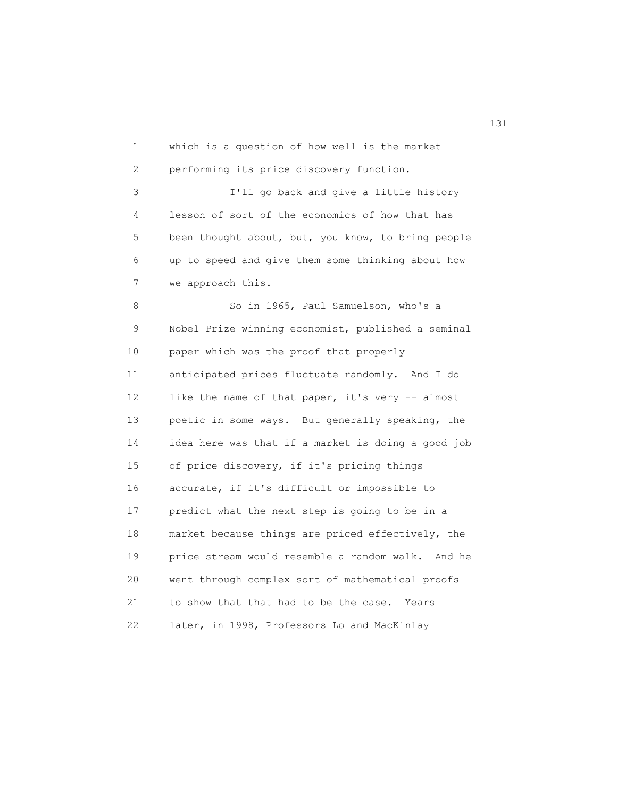1 which is a question of how well is the market 2 performing its price discovery function. 3 I'll go back and give a little history 4 lesson of sort of the economics of how that has 5 been thought about, but, you know, to bring people 6 up to speed and give them some thinking about how 7 we approach this. 8 So in 1965, Paul Samuelson, who's a 9 Nobel Prize winning economist, published a seminal 10 paper which was the proof that properly 11 anticipated prices fluctuate randomly. And I do 12 like the name of that paper, it's very -- almost 13 poetic in some ways. But generally speaking, the 14 idea here was that if a market is doing a good job 15 of price discovery, if it's pricing things 16 accurate, if it's difficult or impossible to 17 predict what the next step is going to be in a 18 market because things are priced effectively, the 19 price stream would resemble a random walk. And he 20 went through complex sort of mathematical proofs 21 to show that that had to be the case. Years 22 later, in 1998, Professors Lo and MacKinlay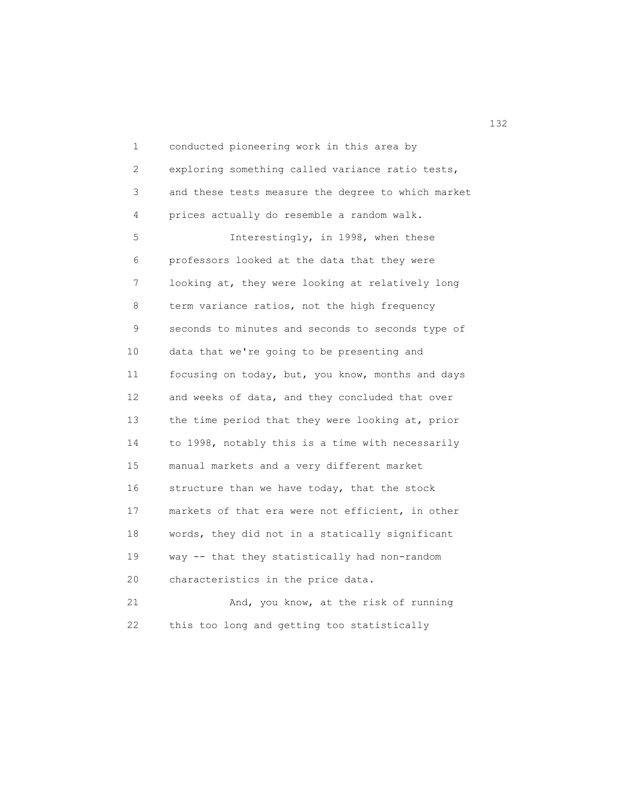1 conducted pioneering work in this area by 2 exploring something called variance ratio tests, 3 and these tests measure the degree to which market 4 prices actually do resemble a random walk. 5 Interestingly, in 1998, when these 6 professors looked at the data that they were 7 looking at, they were looking at relatively long 8 term variance ratios, not the high frequency 9 seconds to minutes and seconds to seconds type of 10 data that we're going to be presenting and 11 focusing on today, but, you know, months and days 12 and weeks of data, and they concluded that over 13 the time period that they were looking at, prior 14 to 1998, notably this is a time with necessarily 15 manual markets and a very different market 16 structure than we have today, that the stock 17 markets of that era were not efficient, in other 18 words, they did not in a statically significant 19 way -- that they statistically had non-random 20 characteristics in the price data. 21 And, you know, at the risk of running 22 this too long and getting too statistically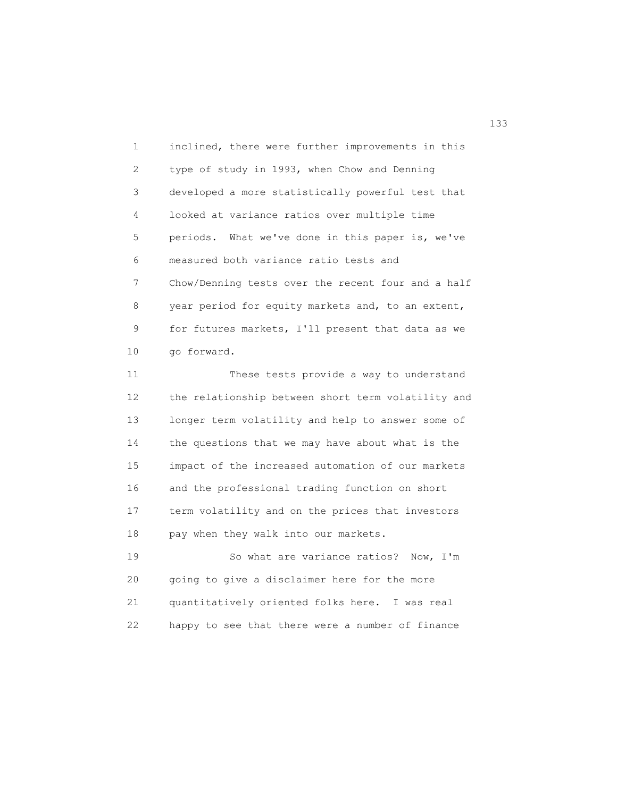1 inclined, there were further improvements in this 2 type of study in 1993, when Chow and Denning 3 developed a more statistically powerful test that 4 looked at variance ratios over multiple time 5 periods. What we've done in this paper is, we've 6 measured both variance ratio tests and 7 Chow/Denning tests over the recent four and a half 8 year period for equity markets and, to an extent, 9 for futures markets, I'll present that data as we 10 go forward.

 11 These tests provide a way to understand 12 the relationship between short term volatility and 13 longer term volatility and help to answer some of 14 the questions that we may have about what is the 15 impact of the increased automation of our markets 16 and the professional trading function on short 17 term volatility and on the prices that investors 18 pay when they walk into our markets.

 19 So what are variance ratios? Now, I'm 20 going to give a disclaimer here for the more 21 quantitatively oriented folks here. I was real 22 happy to see that there were a number of finance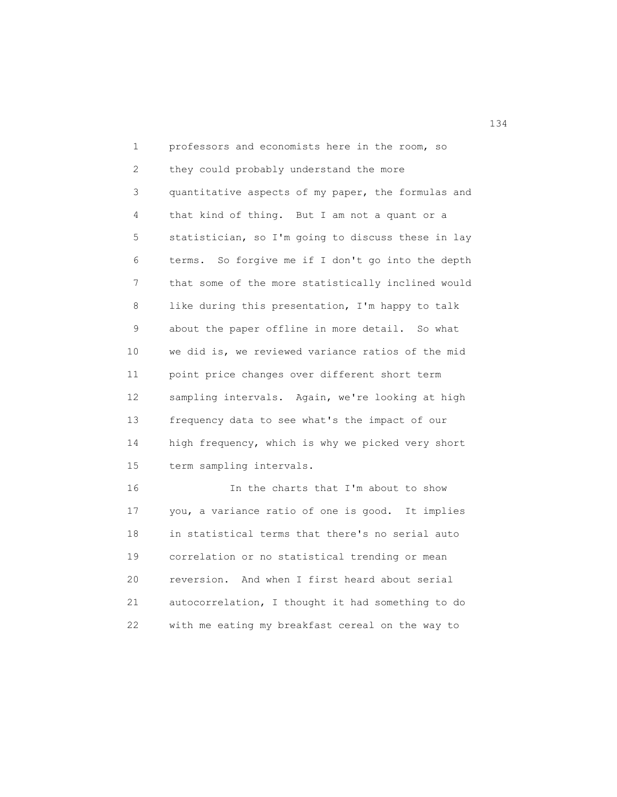1 professors and economists here in the room, so 2 they could probably understand the more 3 quantitative aspects of my paper, the formulas and 4 that kind of thing. But I am not a quant or a 5 statistician, so I'm going to discuss these in lay 6 terms. So forgive me if I don't go into the depth 7 that some of the more statistically inclined would 8 like during this presentation, I'm happy to talk 9 about the paper offline in more detail. So what 10 we did is, we reviewed variance ratios of the mid 11 point price changes over different short term 12 sampling intervals. Again, we're looking at high 13 frequency data to see what's the impact of our 14 high frequency, which is why we picked very short 15 term sampling intervals. 16 In the charts that I'm about to show

 17 you, a variance ratio of one is good. It implies 18 in statistical terms that there's no serial auto 19 correlation or no statistical trending or mean 20 reversion. And when I first heard about serial 21 autocorrelation, I thought it had something to do 22 with me eating my breakfast cereal on the way to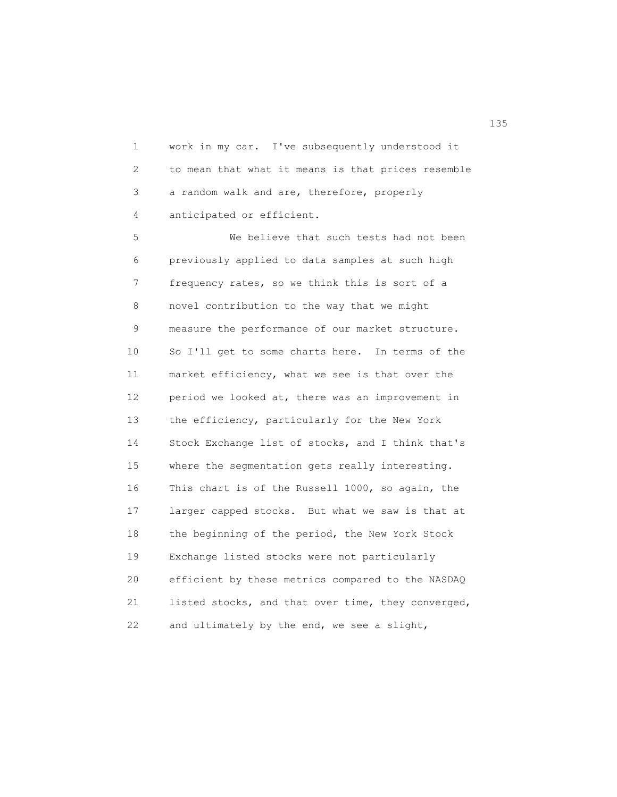1 work in my car. I've subsequently understood it 2 to mean that what it means is that prices resemble 3 a random walk and are, therefore, properly 4 anticipated or efficient.

 5 We believe that such tests had not been 6 previously applied to data samples at such high 7 frequency rates, so we think this is sort of a 8 novel contribution to the way that we might 9 measure the performance of our market structure. 10 So I'll get to some charts here. In terms of the 11 market efficiency, what we see is that over the 12 period we looked at, there was an improvement in 13 the efficiency, particularly for the New York 14 Stock Exchange list of stocks, and I think that's 15 where the segmentation gets really interesting. 16 This chart is of the Russell 1000, so again, the 17 larger capped stocks. But what we saw is that at 18 the beginning of the period, the New York Stock 19 Exchange listed stocks were not particularly 20 efficient by these metrics compared to the NASDAQ 21 listed stocks, and that over time, they converged, 22 and ultimately by the end, we see a slight,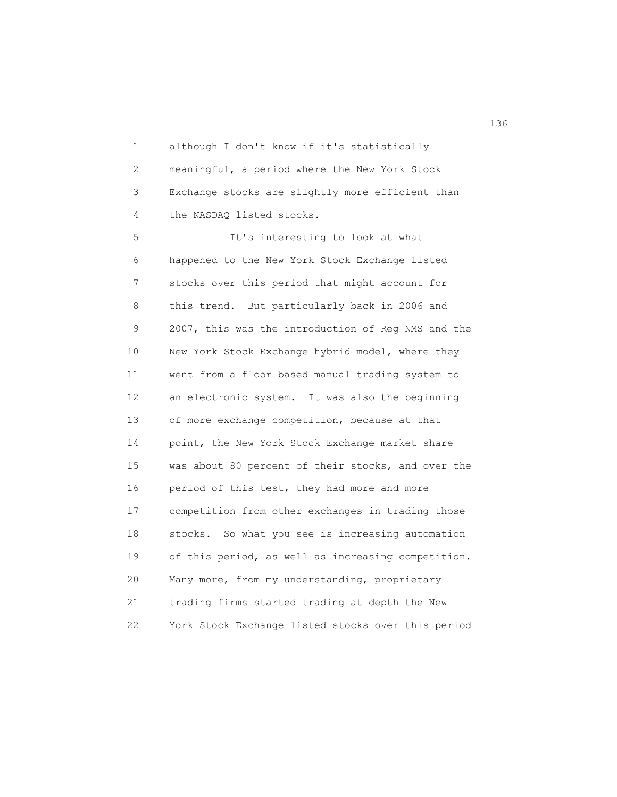1 although I don't know if it's statistically 2 meaningful, a period where the New York Stock 3 Exchange stocks are slightly more efficient than 4 the NASDAQ listed stocks.

 5 It's interesting to look at what 6 happened to the New York Stock Exchange listed 7 stocks over this period that might account for 8 this trend. But particularly back in 2006 and 9 2007, this was the introduction of Reg NMS and the 10 New York Stock Exchange hybrid model, where they 11 went from a floor based manual trading system to 12 an electronic system. It was also the beginning 13 of more exchange competition, because at that 14 point, the New York Stock Exchange market share 15 was about 80 percent of their stocks, and over the 16 period of this test, they had more and more 17 competition from other exchanges in trading those 18 stocks. So what you see is increasing automation 19 of this period, as well as increasing competition. 20 Many more, from my understanding, proprietary 21 trading firms started trading at depth the New 22 York Stock Exchange listed stocks over this period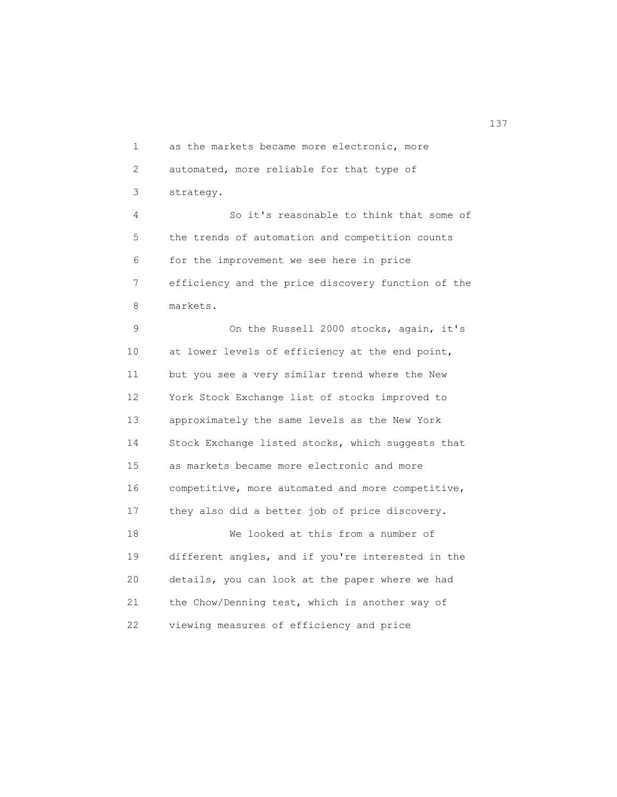1 as the markets became more electronic, more 2 automated, more reliable for that type of 3 strategy. 4 So it's reasonable to think that some of

 5 the trends of automation and competition counts 6 for the improvement we see here in price 7 efficiency and the price discovery function of the 8 markets.

 9 On the Russell 2000 stocks, again, it's 10 at lower levels of efficiency at the end point, 11 but you see a very similar trend where the New 12 York Stock Exchange list of stocks improved to 13 approximately the same levels as the New York 14 Stock Exchange listed stocks, which suggests that 15 as markets became more electronic and more 16 competitive, more automated and more competitive, 17 they also did a better job of price discovery. 18 We looked at this from a number of 19 different angles, and if you're interested in the 20 details, you can look at the paper where we had 21 the Chow/Denning test, which is another way of 22 viewing measures of efficiency and price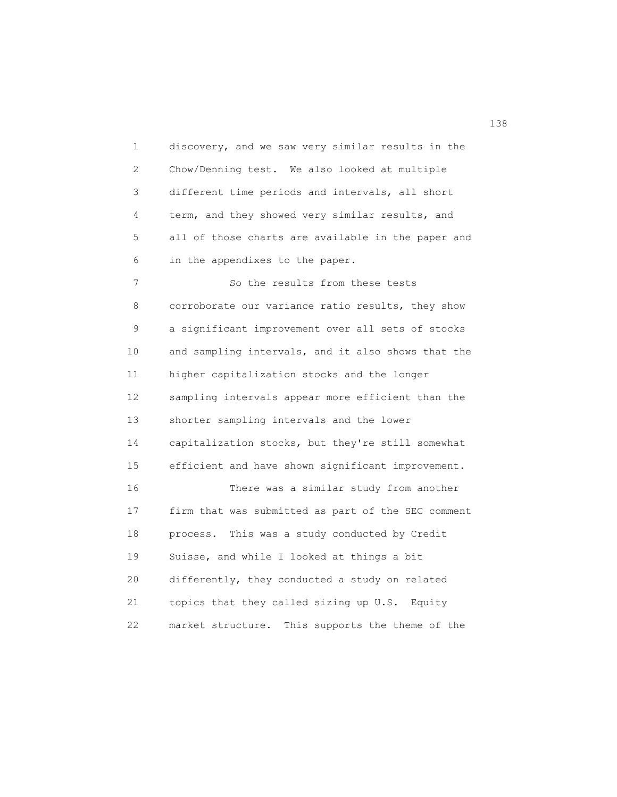1 discovery, and we saw very similar results in the 2 Chow/Denning test. We also looked at multiple 3 different time periods and intervals, all short 4 term, and they showed very similar results, and 5 all of those charts are available in the paper and 6 in the appendixes to the paper. 7 So the results from these tests 8 corroborate our variance ratio results, they show 9 a significant improvement over all sets of stocks 10 and sampling intervals, and it also shows that the 11 higher capitalization stocks and the longer 12 sampling intervals appear more efficient than the 13 shorter sampling intervals and the lower 14 capitalization stocks, but they're still somewhat 15 efficient and have shown significant improvement. 16 There was a similar study from another 17 firm that was submitted as part of the SEC comment 18 process. This was a study conducted by Credit 19 Suisse, and while I looked at things a bit 20 differently, they conducted a study on related 21 topics that they called sizing up U.S. Equity 22 market structure. This supports the theme of the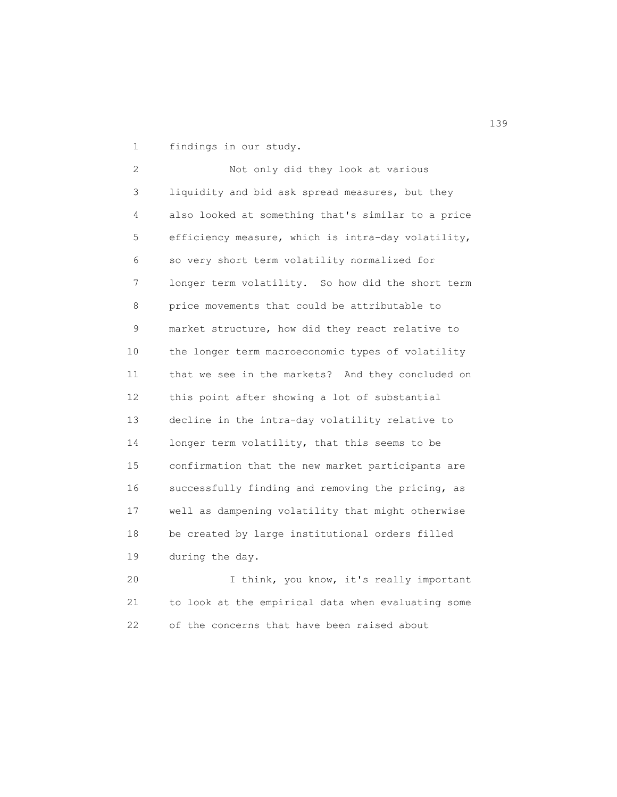1 findings in our study.

 2 Not only did they look at various 3 liquidity and bid ask spread measures, but they 4 also looked at something that's similar to a price 5 efficiency measure, which is intra-day volatility, 6 so very short term volatility normalized for 7 longer term volatility. So how did the short term 8 price movements that could be attributable to 9 market structure, how did they react relative to 10 the longer term macroeconomic types of volatility 11 that we see in the markets? And they concluded on 12 this point after showing a lot of substantial 13 decline in the intra-day volatility relative to 14 longer term volatility, that this seems to be 15 confirmation that the new market participants are 16 successfully finding and removing the pricing, as 17 well as dampening volatility that might otherwise 18 be created by large institutional orders filled 19 during the day.

 20 I think, you know, it's really important 21 to look at the empirical data when evaluating some 22 of the concerns that have been raised about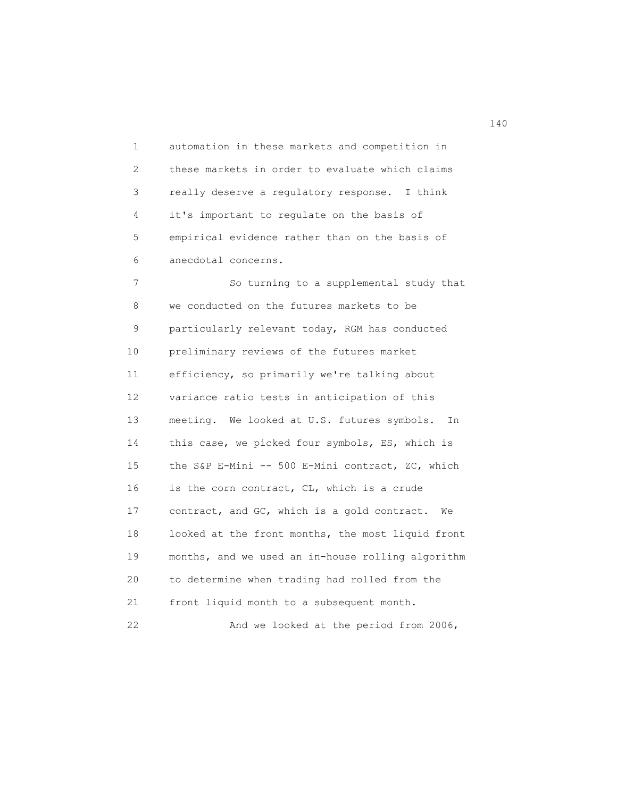1 automation in these markets and competition in 2 these markets in order to evaluate which claims 3 really deserve a regulatory response. I think 4 it's important to regulate on the basis of 5 empirical evidence rather than on the basis of 6 anecdotal concerns.

 7 So turning to a supplemental study that 8 we conducted on the futures markets to be 9 particularly relevant today, RGM has conducted 10 preliminary reviews of the futures market 11 efficiency, so primarily we're talking about 12 variance ratio tests in anticipation of this 13 meeting. We looked at U.S. futures symbols. In 14 this case, we picked four symbols, ES, which is 15 the S&P E-Mini -- 500 E-Mini contract, ZC, which 16 is the corn contract, CL, which is a crude 17 contract, and GC, which is a gold contract. We 18 looked at the front months, the most liquid front 19 months, and we used an in-house rolling algorithm 20 to determine when trading had rolled from the 21 front liquid month to a subsequent month. 22 And we looked at the period from 2006,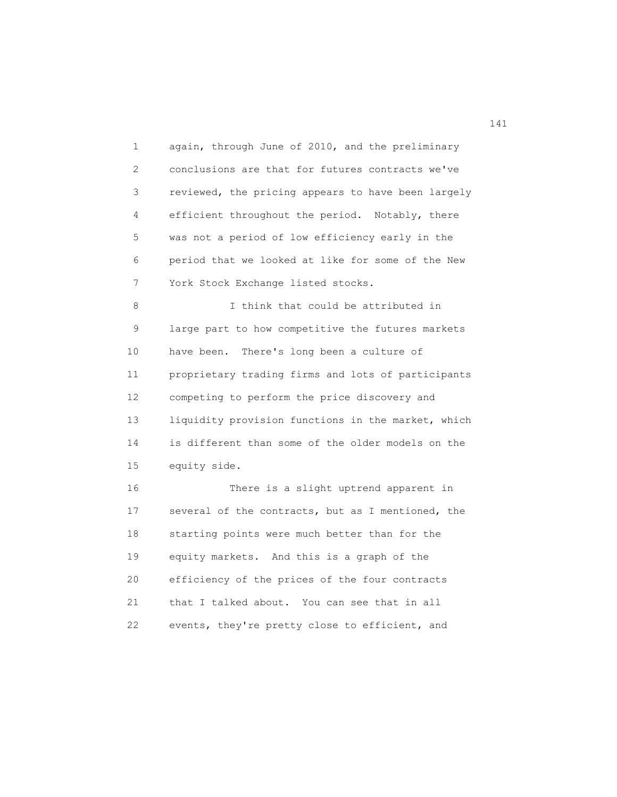1 again, through June of 2010, and the preliminary 2 conclusions are that for futures contracts we've 3 reviewed, the pricing appears to have been largely 4 efficient throughout the period. Notably, there 5 was not a period of low efficiency early in the 6 period that we looked at like for some of the New 7 York Stock Exchange listed stocks. 8 I think that could be attributed in 9 large part to how competitive the futures markets 10 have been. There's long been a culture of 11 proprietary trading firms and lots of participants 12 competing to perform the price discovery and 13 liquidity provision functions in the market, which 14 is different than some of the older models on the 15 equity side. 16 There is a slight uptrend apparent in 17 several of the contracts, but as I mentioned, the 18 starting points were much better than for the 19 equity markets. And this is a graph of the 20 efficiency of the prices of the four contracts 21 that I talked about. You can see that in all 22 events, they're pretty close to efficient, and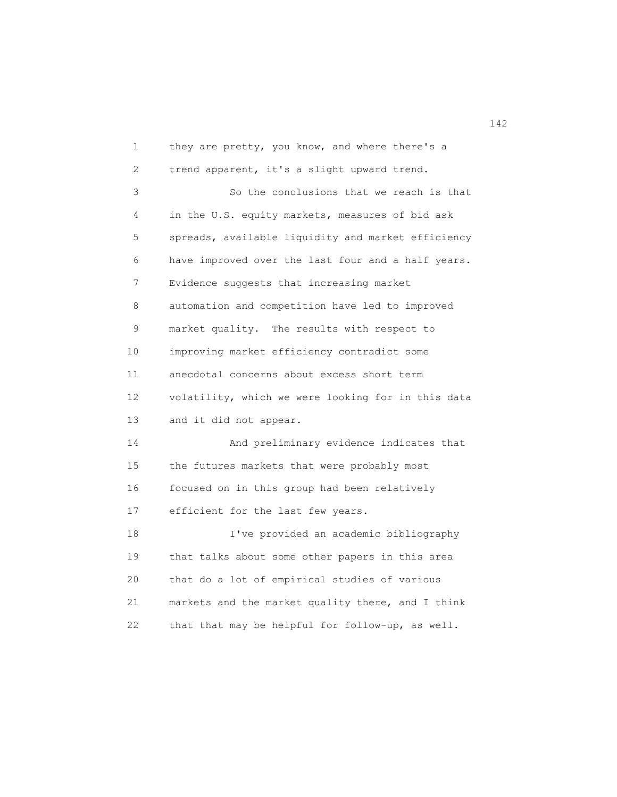1 they are pretty, you know, and where there's a 2 trend apparent, it's a slight upward trend. 3 So the conclusions that we reach is that 4 in the U.S. equity markets, measures of bid ask 5 spreads, available liquidity and market efficiency 6 have improved over the last four and a half years. 7 Evidence suggests that increasing market 8 automation and competition have led to improved 9 market quality. The results with respect to 10 improving market efficiency contradict some 11 anecdotal concerns about excess short term 12 volatility, which we were looking for in this data 13 and it did not appear. 14 And preliminary evidence indicates that 15 the futures markets that were probably most 16 focused on in this group had been relatively 17 efficient for the last few years. 18 I've provided an academic bibliography 19 that talks about some other papers in this area 20 that do a lot of empirical studies of various 21 markets and the market quality there, and I think 22 that that may be helpful for follow-up, as well.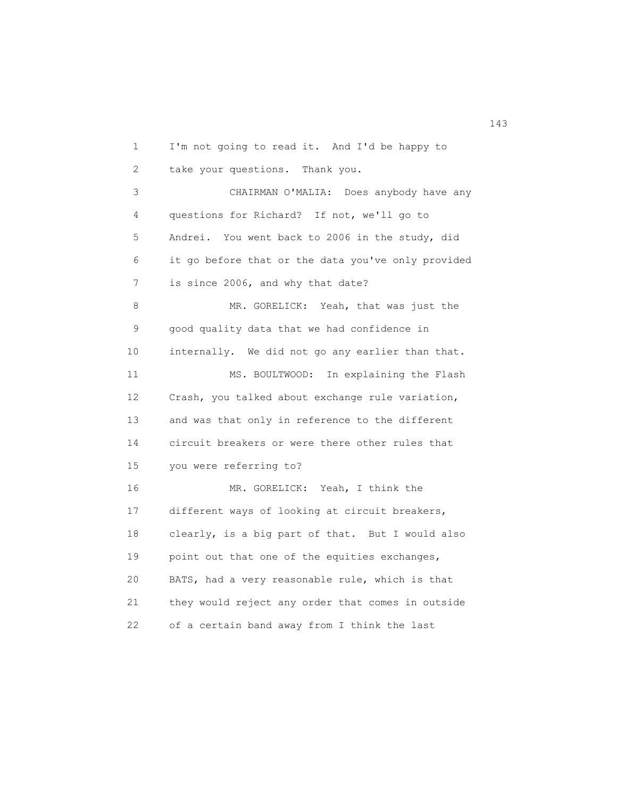1 I'm not going to read it. And I'd be happy to 2 take your questions. Thank you. 3 CHAIRMAN O'MALIA: Does anybody have any 4 questions for Richard? If not, we'll go to 5 Andrei. You went back to 2006 in the study, did 6 it go before that or the data you've only provided 7 is since 2006, and why that date? 8 MR. GORELICK: Yeah, that was just the 9 good quality data that we had confidence in 10 internally. We did not go any earlier than that. 11 MS. BOULTWOOD: In explaining the Flash 12 Crash, you talked about exchange rule variation, 13 and was that only in reference to the different 14 circuit breakers or were there other rules that 15 you were referring to? 16 MR. GORELICK: Yeah, I think the 17 different ways of looking at circuit breakers, 18 clearly, is a big part of that. But I would also 19 point out that one of the equities exchanges, 20 BATS, had a very reasonable rule, which is that 21 they would reject any order that comes in outside 22 of a certain band away from I think the last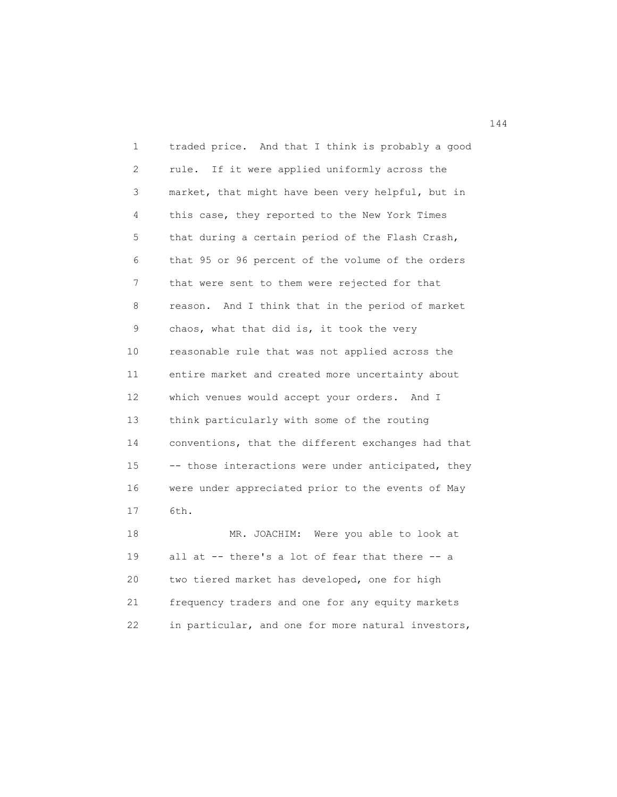1 traded price. And that I think is probably a good 2 rule. If it were applied uniformly across the 3 market, that might have been very helpful, but in 4 this case, they reported to the New York Times 5 that during a certain period of the Flash Crash, 6 that 95 or 96 percent of the volume of the orders 7 that were sent to them were rejected for that 8 reason. And I think that in the period of market 9 chaos, what that did is, it took the very 10 reasonable rule that was not applied across the 11 entire market and created more uncertainty about 12 which venues would accept your orders. And I 13 think particularly with some of the routing 14 conventions, that the different exchanges had that 15 -- those interactions were under anticipated, they 16 were under appreciated prior to the events of May 17 6th. 18 MR. JOACHIM: Were you able to look at

 19 all at -- there's a lot of fear that there -- a 20 two tiered market has developed, one for high 21 frequency traders and one for any equity markets 22 in particular, and one for more natural investors,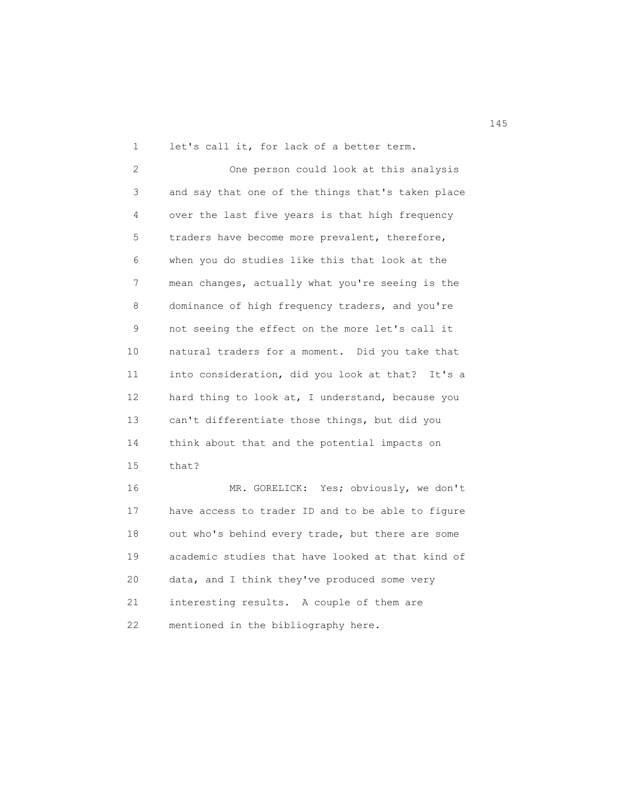1 let's call it, for lack of a better term.

 2 One person could look at this analysis 3 and say that one of the things that's taken place 4 over the last five years is that high frequency 5 traders have become more prevalent, therefore, 6 when you do studies like this that look at the 7 mean changes, actually what you're seeing is the 8 dominance of high frequency traders, and you're 9 not seeing the effect on the more let's call it 10 natural traders for a moment. Did you take that 11 into consideration, did you look at that? It's a 12 hard thing to look at, I understand, because you 13 can't differentiate those things, but did you 14 think about that and the potential impacts on 15 that?

 16 MR. GORELICK: Yes; obviously, we don't 17 have access to trader ID and to be able to figure 18 out who's behind every trade, but there are some 19 academic studies that have looked at that kind of 20 data, and I think they've produced some very 21 interesting results. A couple of them are 22 mentioned in the bibliography here.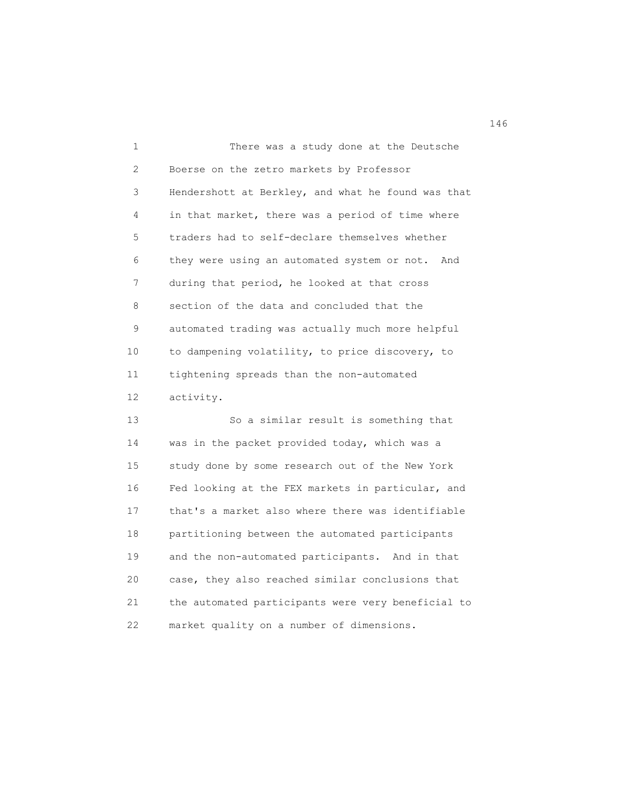1 There was a study done at the Deutsche 2 Boerse on the zetro markets by Professor 3 Hendershott at Berkley, and what he found was that 4 in that market, there was a period of time where 5 traders had to self-declare themselves whether 6 they were using an automated system or not. And 7 during that period, he looked at that cross 8 section of the data and concluded that the 9 automated trading was actually much more helpful 10 to dampening volatility, to price discovery, to 11 tightening spreads than the non-automated 12 activity.

 13 So a similar result is something that 14 was in the packet provided today, which was a 15 study done by some research out of the New York 16 Fed looking at the FEX markets in particular, and 17 that's a market also where there was identifiable 18 partitioning between the automated participants 19 and the non-automated participants. And in that 20 case, they also reached similar conclusions that 21 the automated participants were very beneficial to 22 market quality on a number of dimensions.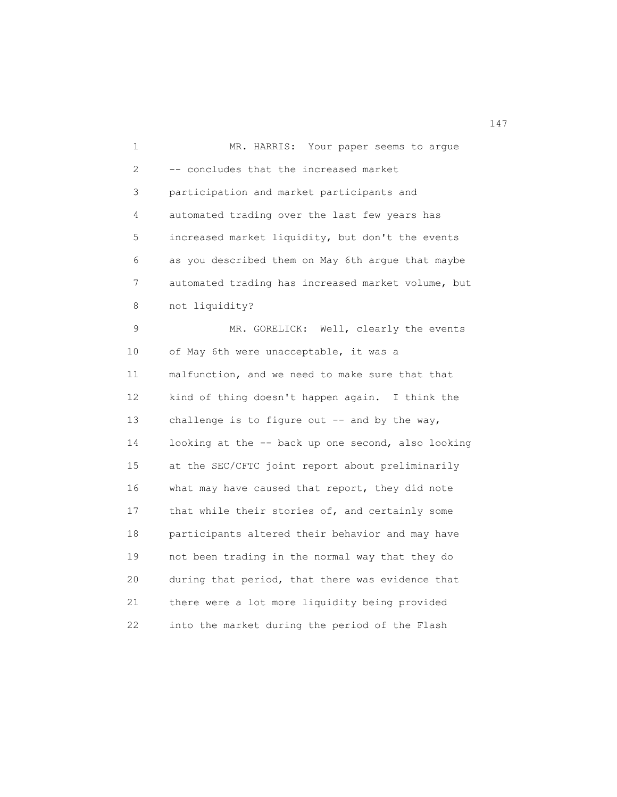1 MR. HARRIS: Your paper seems to argue 2 -- concludes that the increased market 3 participation and market participants and 4 automated trading over the last few years has 5 increased market liquidity, but don't the events 6 as you described them on May 6th argue that maybe 7 automated trading has increased market volume, but 8 not liquidity? 9 MR. GORELICK: Well, clearly the events 10 of May 6th were unacceptable, it was a 11 malfunction, and we need to make sure that that 12 kind of thing doesn't happen again. I think the 13 challenge is to figure out -- and by the way, 14 looking at the -- back up one second, also looking 15 at the SEC/CFTC joint report about preliminarily 16 what may have caused that report, they did note 17 that while their stories of, and certainly some 18 participants altered their behavior and may have 19 not been trading in the normal way that they do 20 during that period, that there was evidence that 21 there were a lot more liquidity being provided 22 into the market during the period of the Flash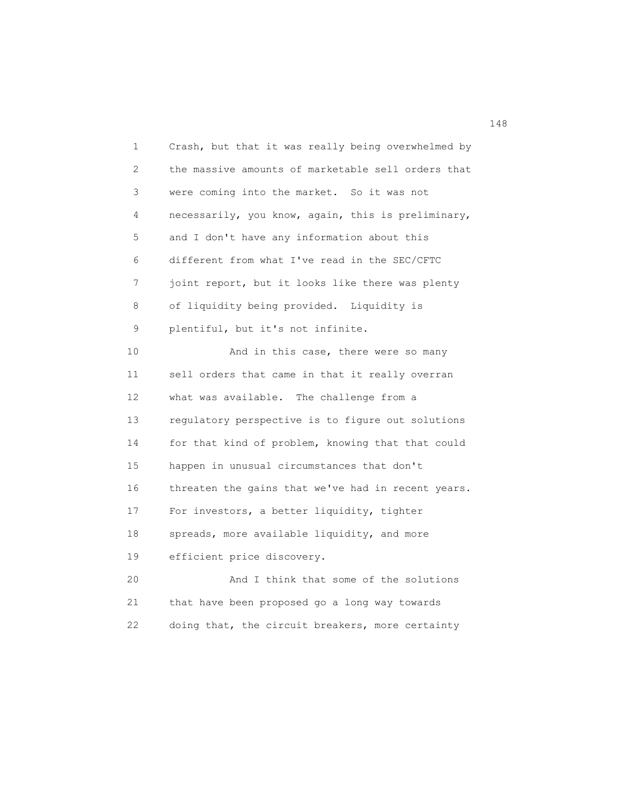1 Crash, but that it was really being overwhelmed by 2 the massive amounts of marketable sell orders that 3 were coming into the market. So it was not 4 necessarily, you know, again, this is preliminary, 5 and I don't have any information about this 6 different from what I've read in the SEC/CFTC 7 joint report, but it looks like there was plenty 8 of liquidity being provided. Liquidity is 9 plentiful, but it's not infinite. 10 And in this case, there were so many 11 sell orders that came in that it really overran 12 what was available. The challenge from a 13 regulatory perspective is to figure out solutions 14 for that kind of problem, knowing that that could 15 happen in unusual circumstances that don't 16 threaten the gains that we've had in recent years. 17 For investors, a better liquidity, tighter 18 spreads, more available liquidity, and more 19 efficient price discovery. 20 And I think that some of the solutions 21 that have been proposed go a long way towards 22 doing that, the circuit breakers, more certainty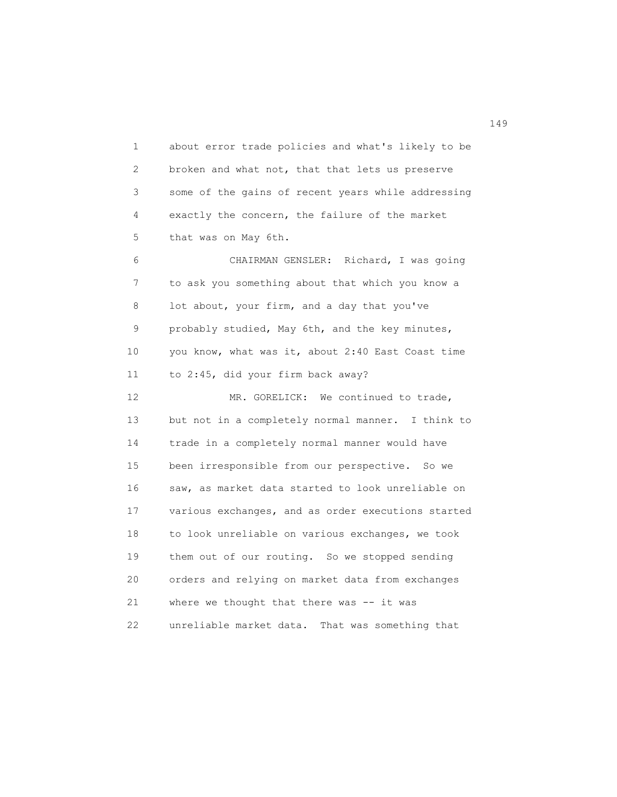1 about error trade policies and what's likely to be 2 broken and what not, that that lets us preserve 3 some of the gains of recent years while addressing 4 exactly the concern, the failure of the market 5 that was on May 6th.

 6 CHAIRMAN GENSLER: Richard, I was going 7 to ask you something about that which you know a 8 lot about, your firm, and a day that you've 9 probably studied, May 6th, and the key minutes, 10 you know, what was it, about 2:40 East Coast time 11 to 2:45, did your firm back away?

12 MR. GORELICK: We continued to trade, 13 but not in a completely normal manner. I think to 14 trade in a completely normal manner would have 15 been irresponsible from our perspective. So we 16 saw, as market data started to look unreliable on 17 various exchanges, and as order executions started 18 to look unreliable on various exchanges, we took 19 them out of our routing. So we stopped sending 20 orders and relying on market data from exchanges 21 where we thought that there was -- it was 22 unreliable market data. That was something that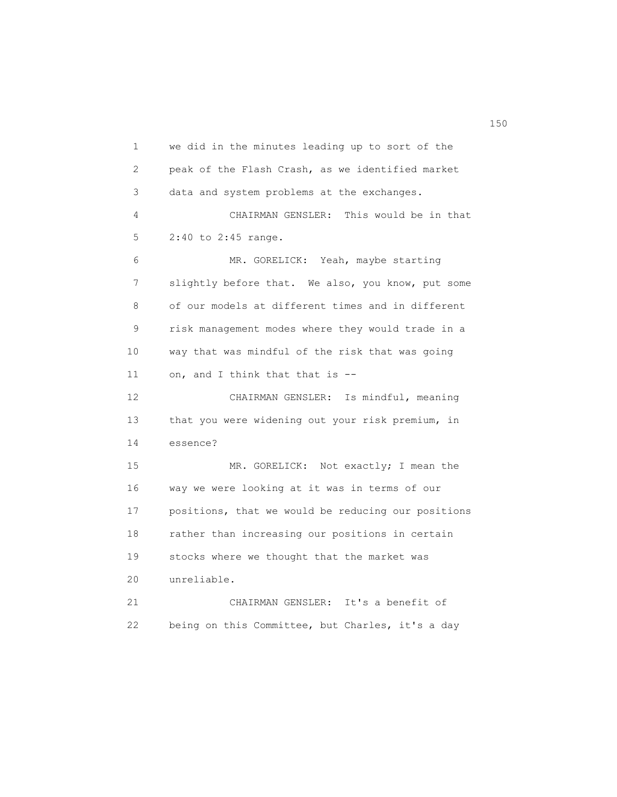1 we did in the minutes leading up to sort of the 2 peak of the Flash Crash, as we identified market 3 data and system problems at the exchanges. 4 CHAIRMAN GENSLER: This would be in that 5 2:40 to 2:45 range. 6 MR. GORELICK: Yeah, maybe starting 7 slightly before that. We also, you know, put some 8 of our models at different times and in different 9 risk management modes where they would trade in a 10 way that was mindful of the risk that was going 11 on, and I think that that is -- 12 CHAIRMAN GENSLER: Is mindful, meaning 13 that you were widening out your risk premium, in 14 essence? 15 MR. GORELICK: Not exactly; I mean the 16 way we were looking at it was in terms of our 17 positions, that we would be reducing our positions 18 rather than increasing our positions in certain 19 stocks where we thought that the market was 20 unreliable. 21 CHAIRMAN GENSLER: It's a benefit of 22 being on this Committee, but Charles, it's a day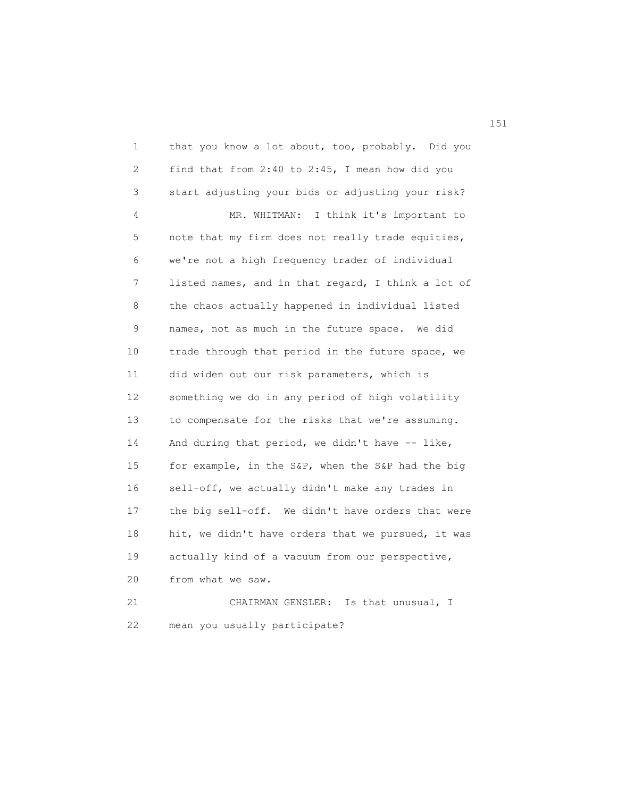1 that you know a lot about, too, probably. Did you 2 find that from 2:40 to 2:45, I mean how did you 3 start adjusting your bids or adjusting your risk? 4 MR. WHITMAN: I think it's important to 5 note that my firm does not really trade equities, 6 we're not a high frequency trader of individual 7 listed names, and in that regard, I think a lot of 8 the chaos actually happened in individual listed 9 names, not as much in the future space. We did 10 trade through that period in the future space, we 11 did widen out our risk parameters, which is 12 something we do in any period of high volatility 13 to compensate for the risks that we're assuming. 14 And during that period, we didn't have -- like, 15 for example, in the S&P, when the S&P had the big 16 sell-off, we actually didn't make any trades in 17 the big sell-off. We didn't have orders that were 18 hit, we didn't have orders that we pursued, it was 19 actually kind of a vacuum from our perspective, 20 from what we saw. 21 CHAIRMAN GENSLER: Is that unusual, I 22 mean you usually participate?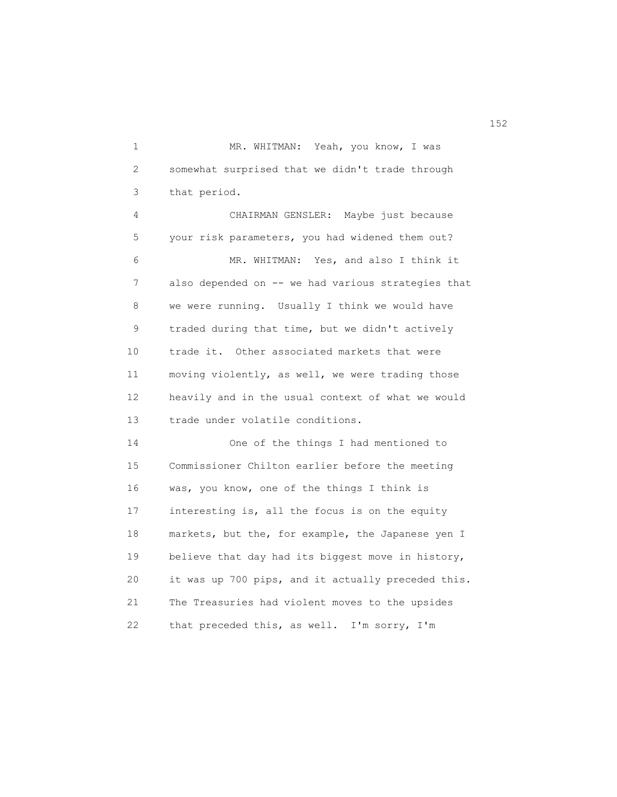1 MR. WHITMAN: Yeah, you know, I was 2 somewhat surprised that we didn't trade through 3 that period.

 4 CHAIRMAN GENSLER: Maybe just because 5 your risk parameters, you had widened them out? 6 MR. WHITMAN: Yes, and also I think it 7 also depended on -- we had various strategies that 8 we were running. Usually I think we would have 9 traded during that time, but we didn't actively 10 trade it. Other associated markets that were 11 moving violently, as well, we were trading those 12 heavily and in the usual context of what we would 13 trade under volatile conditions.

 14 One of the things I had mentioned to 15 Commissioner Chilton earlier before the meeting 16 was, you know, one of the things I think is 17 interesting is, all the focus is on the equity 18 markets, but the, for example, the Japanese yen I 19 believe that day had its biggest move in history, 20 it was up 700 pips, and it actually preceded this. 21 The Treasuries had violent moves to the upsides 22 that preceded this, as well. I'm sorry, I'm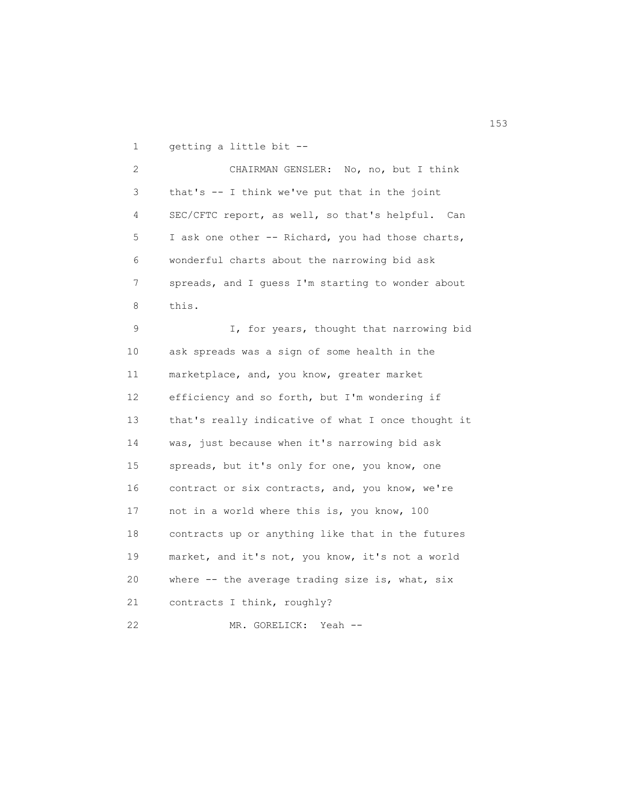1 getting a little bit --

 2 CHAIRMAN GENSLER: No, no, but I think 3 that's -- I think we've put that in the joint 4 SEC/CFTC report, as well, so that's helpful. Can 5 I ask one other -- Richard, you had those charts, 6 wonderful charts about the narrowing bid ask 7 spreads, and I guess I'm starting to wonder about 8 this.

9 **I**, for years, thought that narrowing bid 10 ask spreads was a sign of some health in the 11 marketplace, and, you know, greater market 12 efficiency and so forth, but I'm wondering if 13 that's really indicative of what I once thought it 14 was, just because when it's narrowing bid ask 15 spreads, but it's only for one, you know, one 16 contract or six contracts, and, you know, we're 17 not in a world where this is, you know, 100 18 contracts up or anything like that in the futures 19 market, and it's not, you know, it's not a world 20 where -- the average trading size is, what, six 21 contracts I think, roughly? 22 MR. GORELICK: Yeah --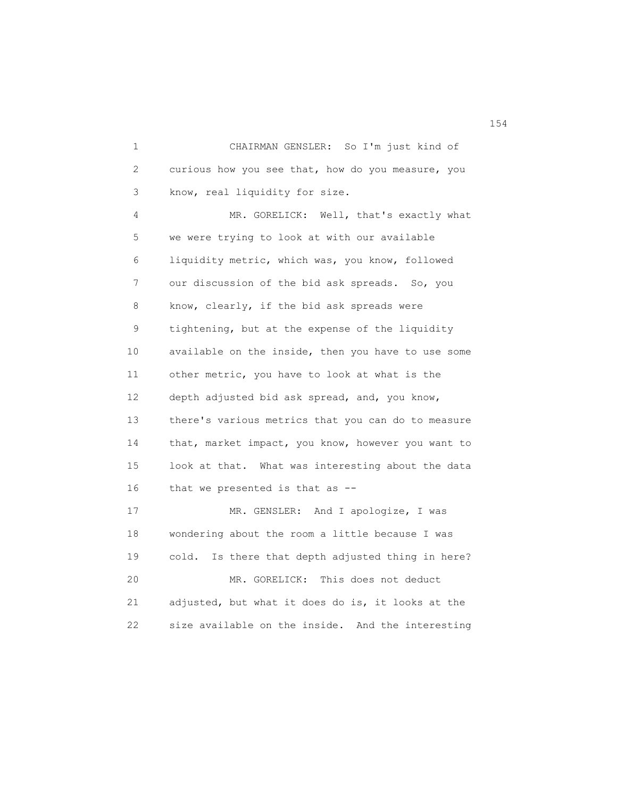1 CHAIRMAN GENSLER: So I'm just kind of 2 curious how you see that, how do you measure, you 3 know, real liquidity for size.

 4 MR. GORELICK: Well, that's exactly what 5 we were trying to look at with our available 6 liquidity metric, which was, you know, followed 7 our discussion of the bid ask spreads. So, you 8 know, clearly, if the bid ask spreads were 9 tightening, but at the expense of the liquidity 10 available on the inside, then you have to use some 11 other metric, you have to look at what is the 12 depth adjusted bid ask spread, and, you know, 13 there's various metrics that you can do to measure 14 that, market impact, you know, however you want to 15 look at that. What was interesting about the data 16 that we presented is that as -- 17 MR. GENSLER: And I apologize, I was 18 wondering about the room a little because I was

 19 cold. Is there that depth adjusted thing in here? 20 MR. GORELICK: This does not deduct 21 adjusted, but what it does do is, it looks at the 22 size available on the inside. And the interesting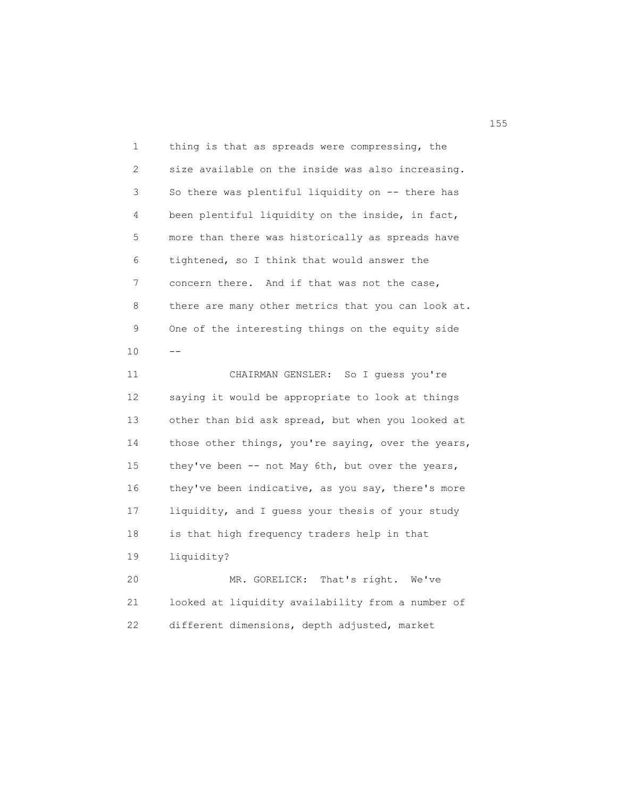1 thing is that as spreads were compressing, the 2 size available on the inside was also increasing. 3 So there was plentiful liquidity on -- there has 4 been plentiful liquidity on the inside, in fact, 5 more than there was historically as spreads have 6 tightened, so I think that would answer the 7 concern there. And if that was not the case, 8 there are many other metrics that you can look at. 9 One of the interesting things on the equity side  $10$  --

> 11 CHAIRMAN GENSLER: So I guess you're 12 saying it would be appropriate to look at things 13 other than bid ask spread, but when you looked at 14 those other things, you're saying, over the years, 15 they've been -- not May 6th, but over the years, 16 they've been indicative, as you say, there's more 17 liquidity, and I guess your thesis of your study 18 is that high frequency traders help in that 19 liquidity? 20 MR. GORELICK: That's right. We've

 21 looked at liquidity availability from a number of 22 different dimensions, depth adjusted, market

n 155 and 155 and 155 and 155 and 155 and 155 and 155 and 155 and 155 and 155 and 155 and 155 and 155 and 155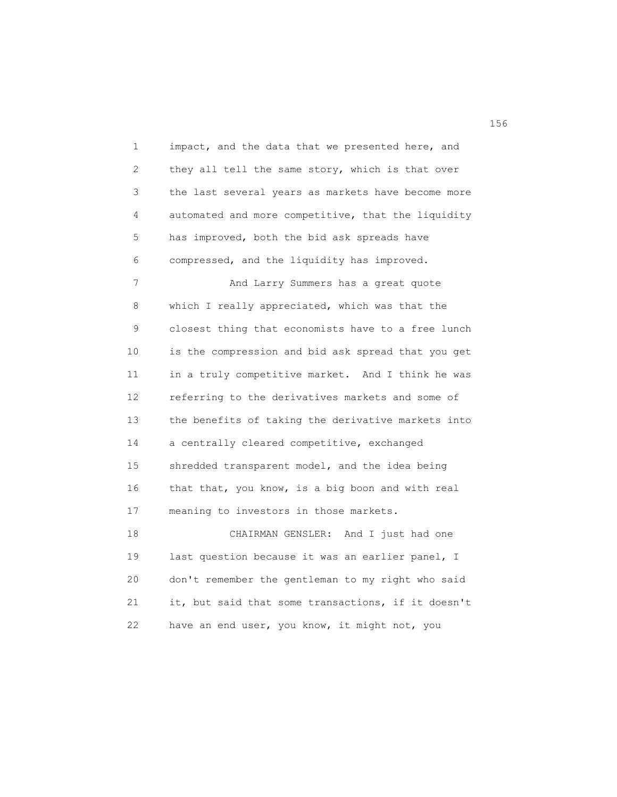1 impact, and the data that we presented here, and 2 they all tell the same story, which is that over 3 the last several years as markets have become more 4 automated and more competitive, that the liquidity 5 has improved, both the bid ask spreads have 6 compressed, and the liquidity has improved. 7 And Larry Summers has a great quote 8 which I really appreciated, which was that the 9 closest thing that economists have to a free lunch 10 is the compression and bid ask spread that you get 11 in a truly competitive market. And I think he was 12 referring to the derivatives markets and some of 13 the benefits of taking the derivative markets into 14 a centrally cleared competitive, exchanged 15 shredded transparent model, and the idea being 16 that that, you know, is a big boon and with real 17 meaning to investors in those markets. 18 CHAIRMAN GENSLER: And I just had one 19 last question because it was an earlier panel, I 20 don't remember the gentleman to my right who said 21 it, but said that some transactions, if it doesn't

22 have an end user, you know, it might not, you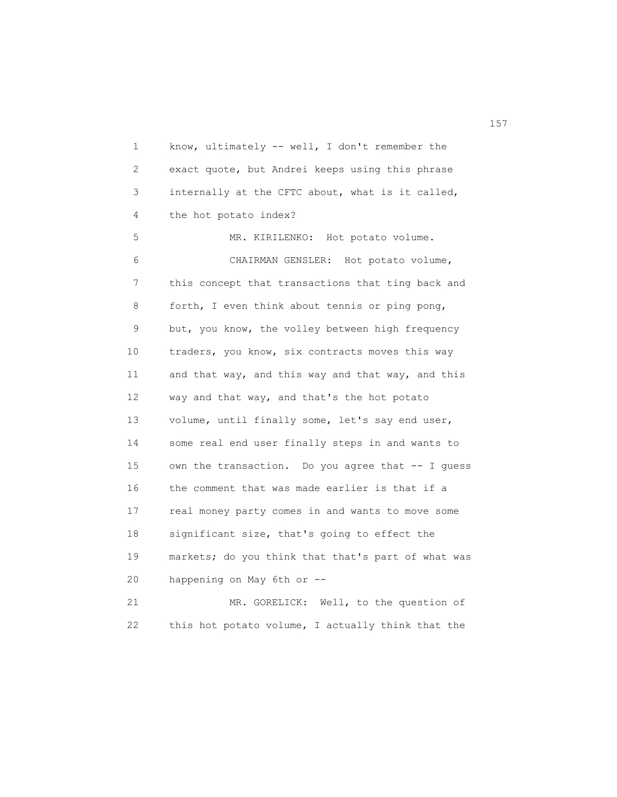1 know, ultimately -- well, I don't remember the 2 exact quote, but Andrei keeps using this phrase 3 internally at the CFTC about, what is it called, 4 the hot potato index? 5 MR. KIRILENKO: Hot potato volume. 6 CHAIRMAN GENSLER: Hot potato volume, 7 this concept that transactions that ting back and 8 forth, I even think about tennis or ping pong, 9 but, you know, the volley between high frequency 10 traders, you know, six contracts moves this way 11 and that way, and this way and that way, and this 12 way and that way, and that's the hot potato 13 volume, until finally some, let's say end user, 14 some real end user finally steps in and wants to 15 own the transaction. Do you agree that -- I guess 16 the comment that was made earlier is that if a 17 real money party comes in and wants to move some 18 significant size, that's going to effect the 19 markets; do you think that that's part of what was 20 happening on May 6th or -- 21 MR. GORELICK: Well, to the question of 22 this hot potato volume, I actually think that the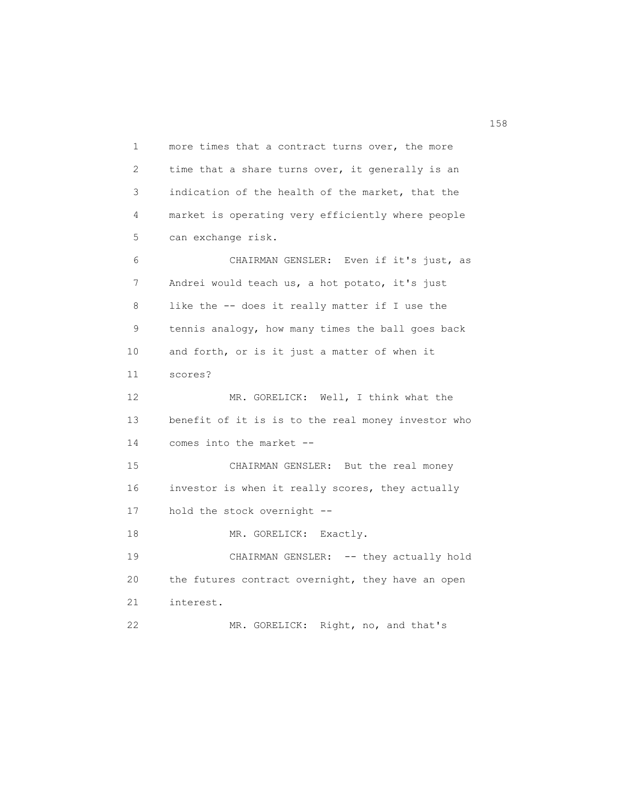1 more times that a contract turns over, the more 2 time that a share turns over, it generally is an 3 indication of the health of the market, that the 4 market is operating very efficiently where people 5 can exchange risk. 6 CHAIRMAN GENSLER: Even if it's just, as 7 Andrei would teach us, a hot potato, it's just 8 like the -- does it really matter if I use the 9 tennis analogy, how many times the ball goes back 10 and forth, or is it just a matter of when it 11 scores? 12 MR. GORELICK: Well, I think what the 13 benefit of it is is to the real money investor who 14 comes into the market -- 15 CHAIRMAN GENSLER: But the real money 16 investor is when it really scores, they actually 17 hold the stock overnight -- 18 MR. GORELICK: Exactly. 19 CHAIRMAN GENSLER: -- they actually hold 20 the futures contract overnight, they have an open 21 interest. 22 MR. GORELICK: Right, no, and that's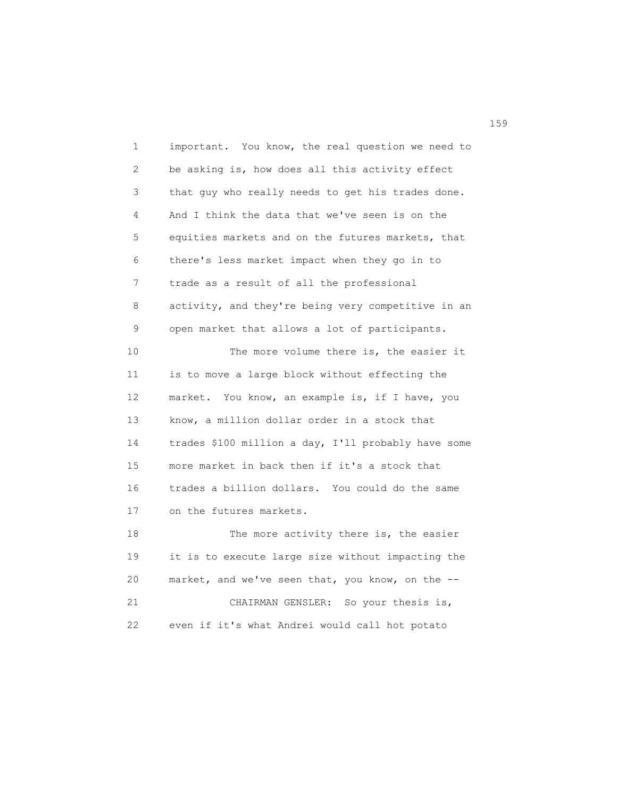1 important. You know, the real question we need to 2 be asking is, how does all this activity effect 3 that guy who really needs to get his trades done. 4 And I think the data that we've seen is on the 5 equities markets and on the futures markets, that 6 there's less market impact when they go in to 7 trade as a result of all the professional 8 activity, and they're being very competitive in an 9 open market that allows a lot of participants. 10 The more volume there is, the easier it 11 is to move a large block without effecting the 12 market. You know, an example is, if I have, you 13 know, a million dollar order in a stock that 14 trades \$100 million a day, I'll probably have some 15 more market in back then if it's a stock that 16 trades a billion dollars. You could do the same 17 on the futures markets. 18 The more activity there is, the easier 19 it is to execute large size without impacting the 20 market, and we've seen that, you know, on the -- 21 CHAIRMAN GENSLER: So your thesis is, 22 even if it's what Andrei would call hot potato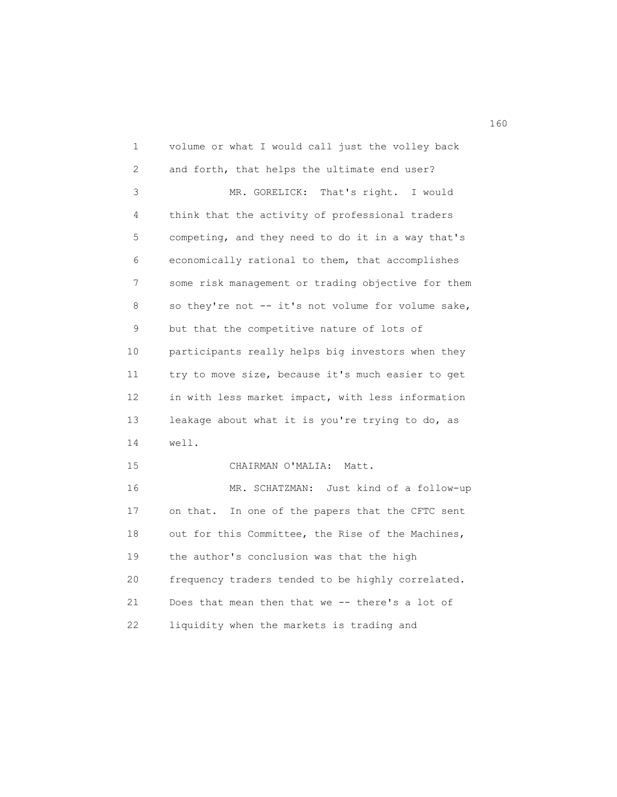1 volume or what I would call just the volley back 2 and forth, that helps the ultimate end user? 3 MR. GORELICK: That's right. I would 4 think that the activity of professional traders 5 competing, and they need to do it in a way that's 6 economically rational to them, that accomplishes 7 some risk management or trading objective for them 8 so they're not -- it's not volume for volume sake, 9 but that the competitive nature of lots of 10 participants really helps big investors when they 11 try to move size, because it's much easier to get 12 in with less market impact, with less information 13 leakage about what it is you're trying to do, as 14 well. 15 CHAIRMAN O'MALIA: Matt. 16 MR. SCHATZMAN: Just kind of a follow-up 17 on that. In one of the papers that the CFTC sent 18 out for this Committee, the Rise of the Machines, 19 the author's conclusion was that the high 20 frequency traders tended to be highly correlated. 21 Does that mean then that we -- there's a lot of 22 liquidity when the markets is trading and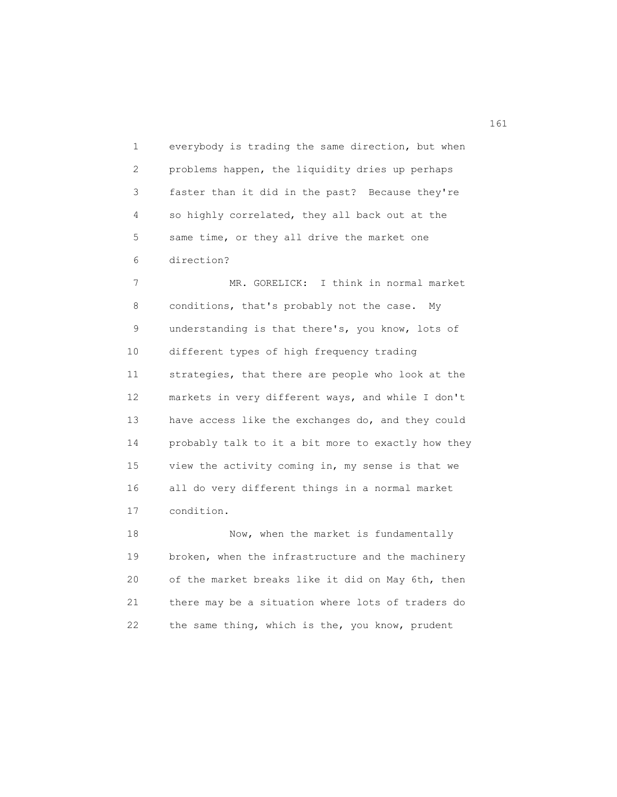1 everybody is trading the same direction, but when 2 problems happen, the liquidity dries up perhaps 3 faster than it did in the past? Because they're 4 so highly correlated, they all back out at the 5 same time, or they all drive the market one 6 direction?

 7 MR. GORELICK: I think in normal market 8 conditions, that's probably not the case. My 9 understanding is that there's, you know, lots of 10 different types of high frequency trading 11 strategies, that there are people who look at the 12 markets in very different ways, and while I don't 13 have access like the exchanges do, and they could 14 probably talk to it a bit more to exactly how they 15 view the activity coming in, my sense is that we 16 all do very different things in a normal market 17 condition.

18 Now, when the market is fundamentally 19 broken, when the infrastructure and the machinery 20 of the market breaks like it did on May 6th, then 21 there may be a situation where lots of traders do 22 the same thing, which is the, you know, prudent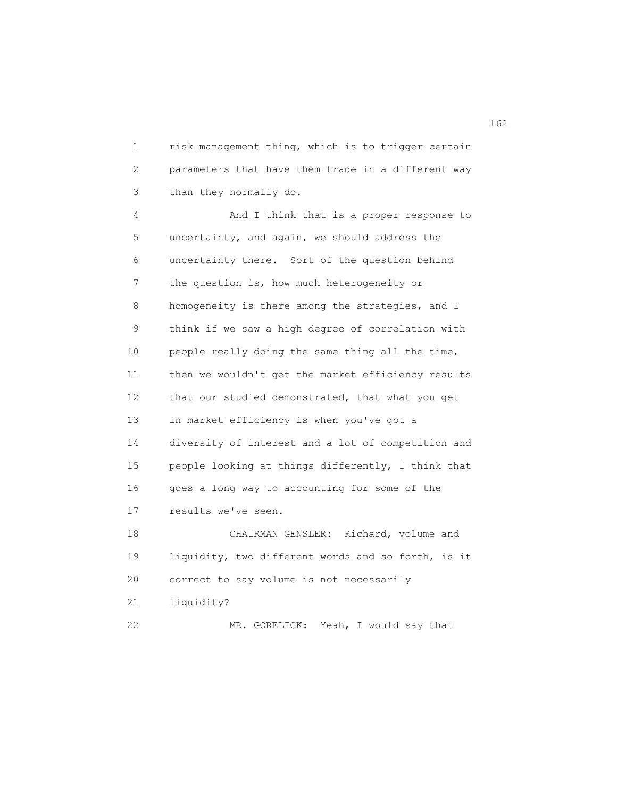1 risk management thing, which is to trigger certain 2 parameters that have them trade in a different way 3 than they normally do.

 4 And I think that is a proper response to 5 uncertainty, and again, we should address the 6 uncertainty there. Sort of the question behind 7 the question is, how much heterogeneity or 8 homogeneity is there among the strategies, and I 9 think if we saw a high degree of correlation with 10 people really doing the same thing all the time, 11 then we wouldn't get the market efficiency results 12 that our studied demonstrated, that what you get 13 in market efficiency is when you've got a 14 diversity of interest and a lot of competition and 15 people looking at things differently, I think that 16 goes a long way to accounting for some of the 17 results we've seen. 18 CHAIRMAN GENSLER: Richard, volume and

 19 liquidity, two different words and so forth, is it 20 correct to say volume is not necessarily 21 liquidity? 22 MR. GORELICK: Yeah, I would say that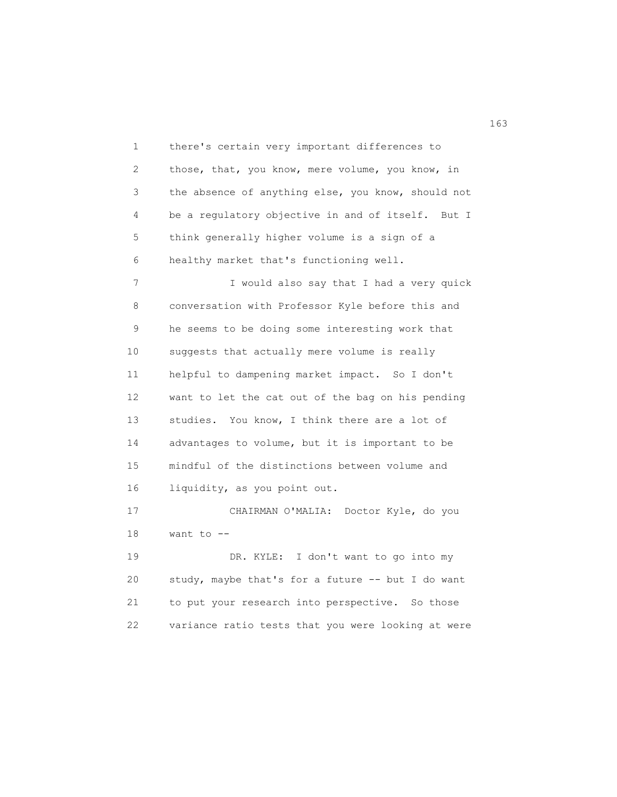1 there's certain very important differences to 2 those, that, you know, mere volume, you know, in 3 the absence of anything else, you know, should not 4 be a regulatory objective in and of itself. But I 5 think generally higher volume is a sign of a 6 healthy market that's functioning well. 7 I would also say that I had a very quick 8 conversation with Professor Kyle before this and 9 he seems to be doing some interesting work that 10 suggests that actually mere volume is really 11 helpful to dampening market impact. So I don't 12 want to let the cat out of the bag on his pending 13 studies. You know, I think there are a lot of 14 advantages to volume, but it is important to be 15 mindful of the distinctions between volume and 16 liquidity, as you point out. 17 CHAIRMAN O'MALIA: Doctor Kyle, do you 18 want to -- 19 DR. KYLE: I don't want to go into my 20 study, maybe that's for a future -- but I do want 21 to put your research into perspective. So those 22 variance ratio tests that you were looking at were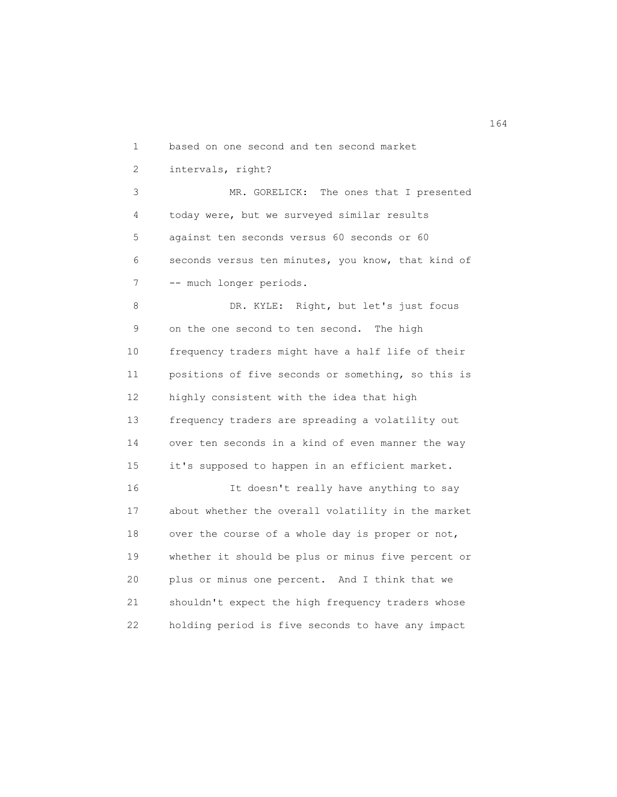1 based on one second and ten second market

2 intervals, right?

 3 MR. GORELICK: The ones that I presented 4 today were, but we surveyed similar results 5 against ten seconds versus 60 seconds or 60 6 seconds versus ten minutes, you know, that kind of 7 -- much longer periods.

8 DR. KYLE: Right, but let's just focus 9 on the one second to ten second. The high 10 frequency traders might have a half life of their 11 positions of five seconds or something, so this is 12 highly consistent with the idea that high 13 frequency traders are spreading a volatility out 14 over ten seconds in a kind of even manner the way 15 it's supposed to happen in an efficient market. 16 It doesn't really have anything to say 17 about whether the overall volatility in the market 18 over the course of a whole day is proper or not, 19 whether it should be plus or minus five percent or 20 plus or minus one percent. And I think that we 21 shouldn't expect the high frequency traders whose 22 holding period is five seconds to have any impact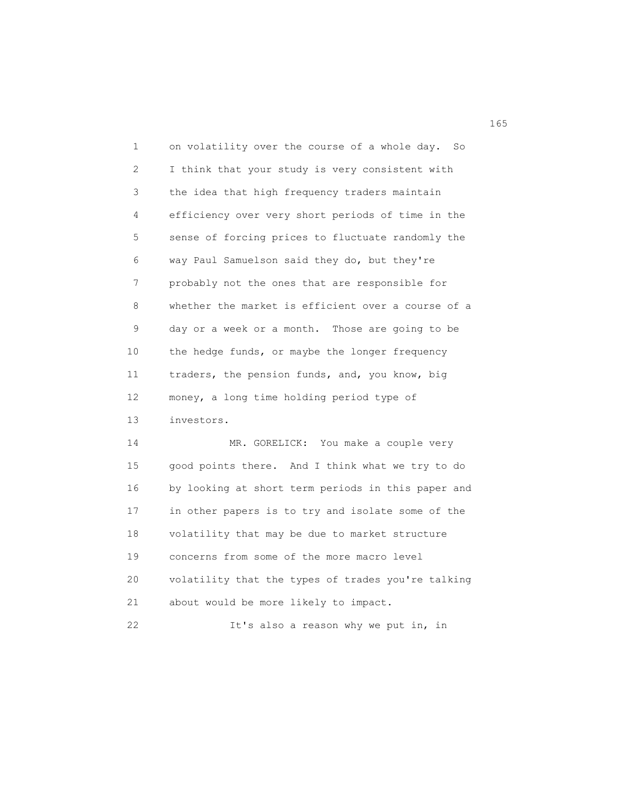1 on volatility over the course of a whole day. So 2 I think that your study is very consistent with 3 the idea that high frequency traders maintain 4 efficiency over very short periods of time in the 5 sense of forcing prices to fluctuate randomly the 6 way Paul Samuelson said they do, but they're 7 probably not the ones that are responsible for 8 whether the market is efficient over a course of a 9 day or a week or a month. Those are going to be 10 the hedge funds, or maybe the longer frequency 11 traders, the pension funds, and, you know, big 12 money, a long time holding period type of 13 investors. 14 MR. GORELICK: You make a couple very 15 good points there. And I think what we try to do 16 by looking at short term periods in this paper and 17 in other papers is to try and isolate some of the

 18 volatility that may be due to market structure 19 concerns from some of the more macro level 20 volatility that the types of trades you're talking 21 about would be more likely to impact.

22 It's also a reason why we put in, in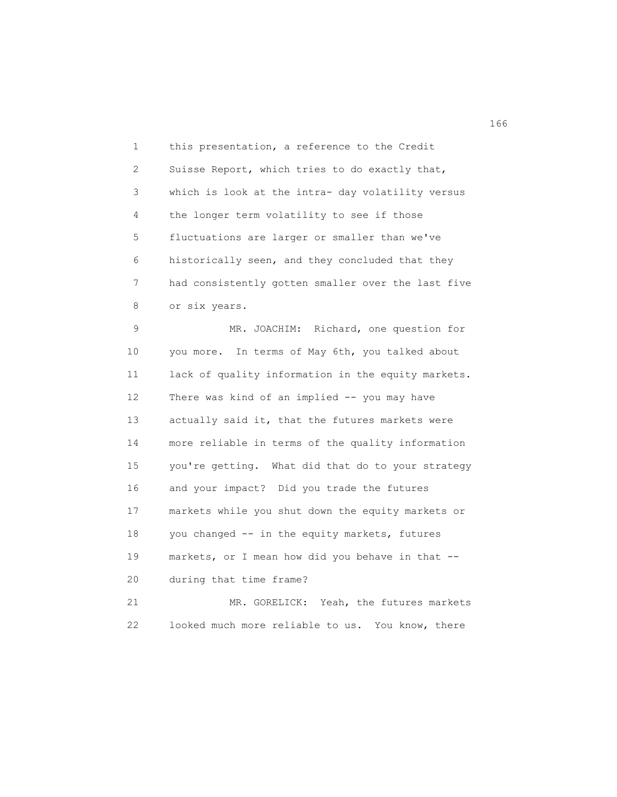1 this presentation, a reference to the Credit 2 Suisse Report, which tries to do exactly that, 3 which is look at the intra- day volatility versus 4 the longer term volatility to see if those 5 fluctuations are larger or smaller than we've 6 historically seen, and they concluded that they 7 had consistently gotten smaller over the last five 8 or six years.

 9 MR. JOACHIM: Richard, one question for 10 you more. In terms of May 6th, you talked about 11 lack of quality information in the equity markets. 12 There was kind of an implied -- you may have 13 actually said it, that the futures markets were 14 more reliable in terms of the quality information 15 you're getting. What did that do to your strategy 16 and your impact? Did you trade the futures 17 markets while you shut down the equity markets or 18 you changed -- in the equity markets, futures 19 markets, or I mean how did you behave in that -- 20 during that time frame? 21 MR. GORELICK: Yeah, the futures markets

22 looked much more reliable to us. You know, there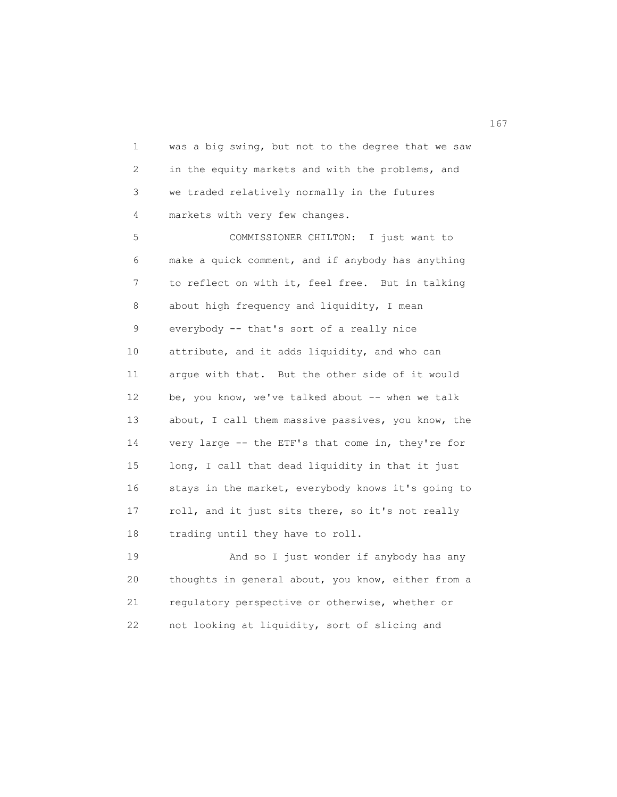1 was a big swing, but not to the degree that we saw 2 in the equity markets and with the problems, and 3 we traded relatively normally in the futures 4 markets with very few changes.

 5 COMMISSIONER CHILTON: I just want to 6 make a quick comment, and if anybody has anything 7 to reflect on with it, feel free. But in talking 8 about high frequency and liquidity, I mean 9 everybody -- that's sort of a really nice 10 attribute, and it adds liquidity, and who can 11 argue with that. But the other side of it would 12 be, you know, we've talked about -- when we talk 13 about, I call them massive passives, you know, the 14 very large -- the ETF's that come in, they're for 15 long, I call that dead liquidity in that it just 16 stays in the market, everybody knows it's going to 17 roll, and it just sits there, so it's not really 18 trading until they have to roll.

 19 And so I just wonder if anybody has any 20 thoughts in general about, you know, either from a 21 regulatory perspective or otherwise, whether or 22 not looking at liquidity, sort of slicing and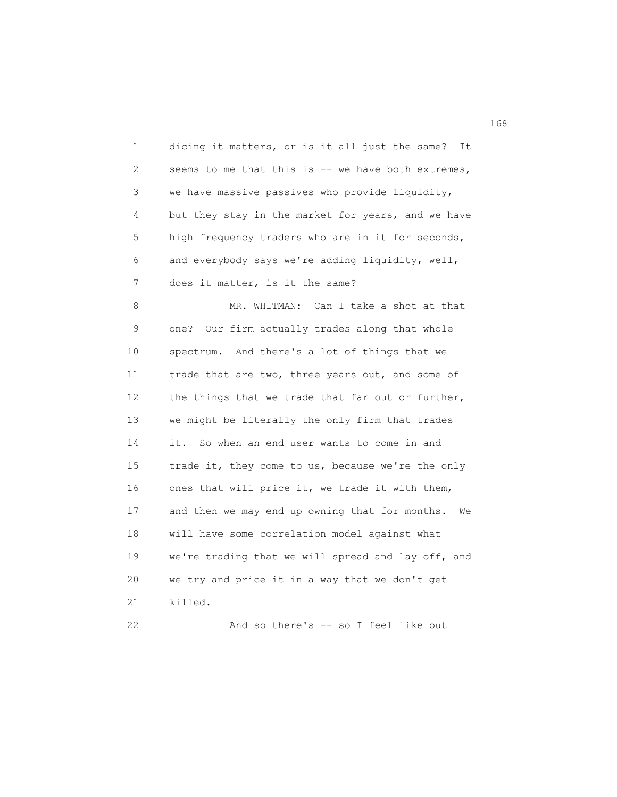| 1  | dicing it matters, or is it all just the same?<br>It |
|----|------------------------------------------------------|
| 2  | seems to me that this is -- we have both extremes,   |
| 3  | we have massive passives who provide liquidity,      |
| 4  | but they stay in the market for years, and we have   |
| 5  | high frequency traders who are in it for seconds,    |
| 6  | and everybody says we're adding liquidity, well,     |
| 7  | does it matter, is it the same?                      |
| 8  | Can I take a shot at that<br>MR. WHITMAN:            |
| 9  | Our firm actually trades along that whole<br>one?    |
| 10 | spectrum. And there's a lot of things that we        |
| 11 | trade that are two, three years out, and some of     |
| 12 | the things that we trade that far out or further,    |
| 13 | we might be literally the only firm that trades      |
| 14 | it. So when an end user wants to come in and         |
| 15 | trade it, they come to us, because we're the only    |
| 16 | ones that will price it, we trade it with them,      |
| 17 | and then we may end up owning that for months.<br>We |
| 18 | will have some correlation model against what        |
| 19 | we're trading that we will spread and lay off, and   |
| 20 | we try and price it in a way that we don't get       |
| 21 | killed.                                              |
| 22 | And so there's -- so I feel like out                 |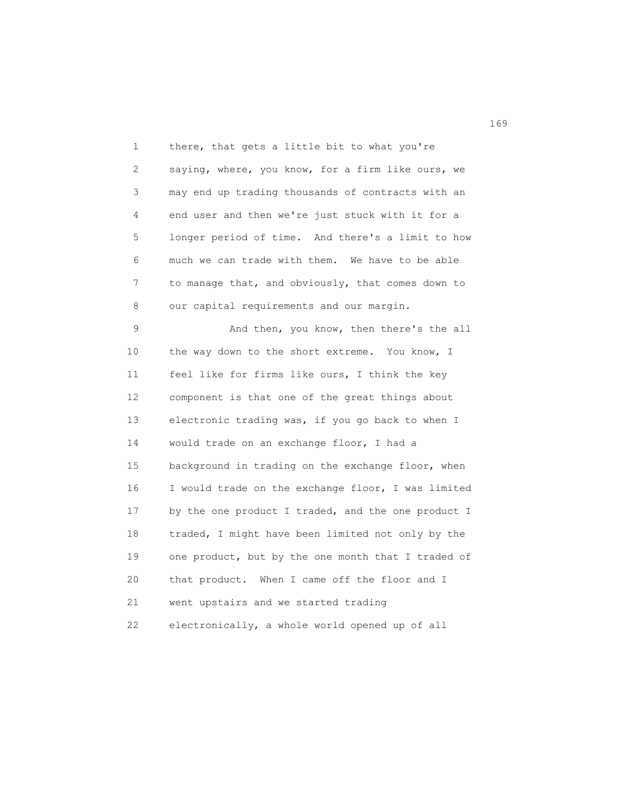1 there, that gets a little bit to what you're 2 saying, where, you know, for a firm like ours, we 3 may end up trading thousands of contracts with an 4 end user and then we're just stuck with it for a 5 longer period of time. And there's a limit to how 6 much we can trade with them. We have to be able 7 to manage that, and obviously, that comes down to 8 our capital requirements and our margin.

9 And then, you know, then there's the all 10 the way down to the short extreme. You know, I 11 feel like for firms like ours, I think the key 12 component is that one of the great things about 13 electronic trading was, if you go back to when I 14 would trade on an exchange floor, I had a 15 background in trading on the exchange floor, when 16 I would trade on the exchange floor, I was limited 17 by the one product I traded, and the one product I 18 traded, I might have been limited not only by the 19 one product, but by the one month that I traded of 20 that product. When I came off the floor and I 21 went upstairs and we started trading 22 electronically, a whole world opened up of all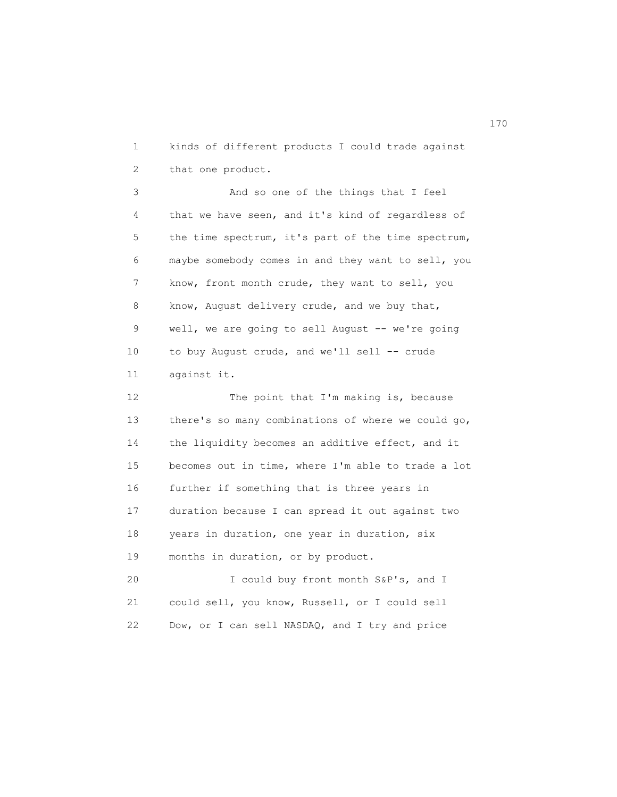1 kinds of different products I could trade against 2 that one product.

 3 And so one of the things that I feel 4 that we have seen, and it's kind of regardless of 5 the time spectrum, it's part of the time spectrum, 6 maybe somebody comes in and they want to sell, you 7 know, front month crude, they want to sell, you 8 know, August delivery crude, and we buy that, 9 well, we are going to sell August -- we're going 10 to buy August crude, and we'll sell -- crude 11 against it.

12 The point that I'm making is, because 13 there's so many combinations of where we could go, 14 the liquidity becomes an additive effect, and it 15 becomes out in time, where I'm able to trade a lot 16 further if something that is three years in 17 duration because I can spread it out against two 18 years in duration, one year in duration, six 19 months in duration, or by product.

 20 I could buy front month S&P's, and I 21 could sell, you know, Russell, or I could sell 22 Dow, or I can sell NASDAQ, and I try and price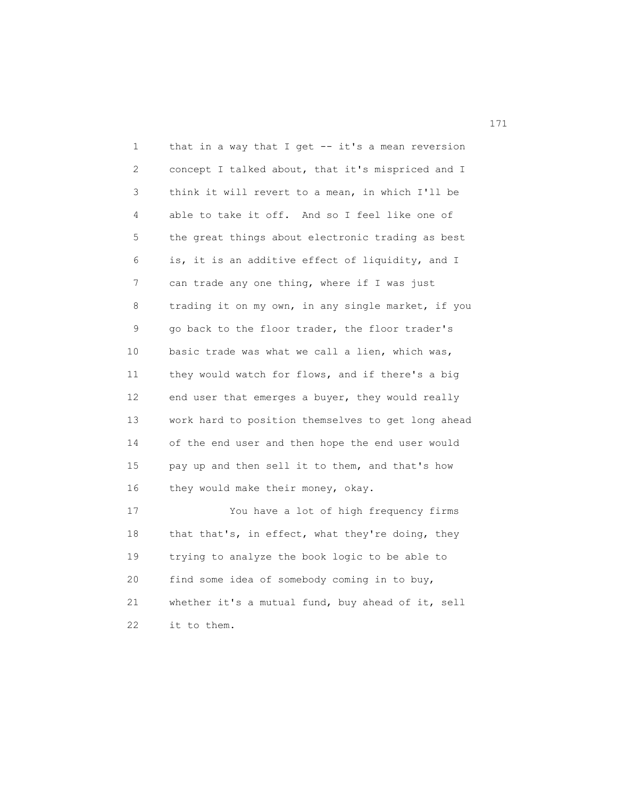1 that in a way that I get -- it's a mean reversion 2 concept I talked about, that it's mispriced and I 3 think it will revert to a mean, in which I'll be 4 able to take it off. And so I feel like one of 5 the great things about electronic trading as best 6 is, it is an additive effect of liquidity, and I 7 can trade any one thing, where if I was just 8 trading it on my own, in any single market, if you 9 go back to the floor trader, the floor trader's 10 basic trade was what we call a lien, which was, 11 they would watch for flows, and if there's a big 12 end user that emerges a buyer, they would really 13 work hard to position themselves to get long ahead 14 of the end user and then hope the end user would 15 pay up and then sell it to them, and that's how 16 they would make their money, okay. 17 You have a lot of high frequency firms 18 that that's, in effect, what they're doing, they 19 trying to analyze the book logic to be able to 20 find some idea of somebody coming in to buy, 21 whether it's a mutual fund, buy ahead of it, sell 22 it to them.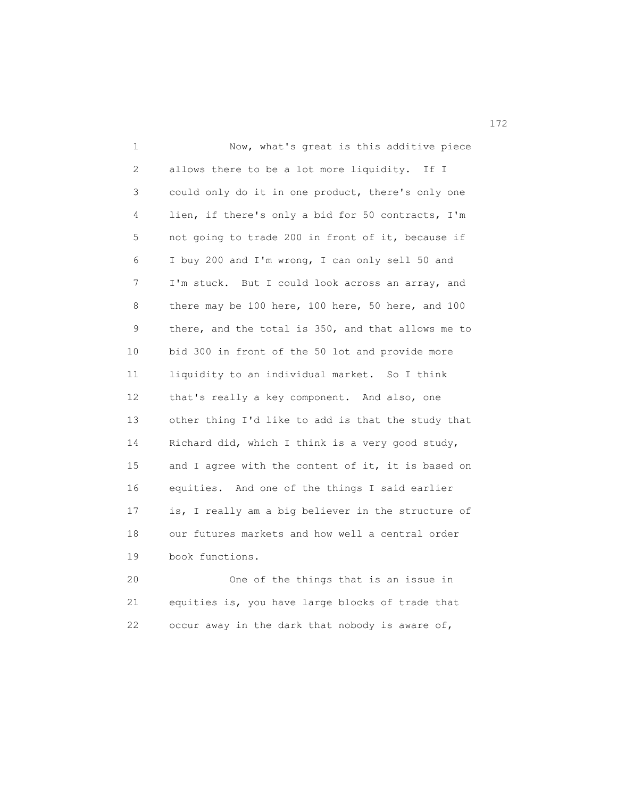1 Now, what's great is this additive piece 2 allows there to be a lot more liquidity. If I 3 could only do it in one product, there's only one 4 lien, if there's only a bid for 50 contracts, I'm 5 not going to trade 200 in front of it, because if 6 I buy 200 and I'm wrong, I can only sell 50 and 7 I'm stuck. But I could look across an array, and 8 there may be 100 here, 100 here, 50 here, and 100 9 there, and the total is 350, and that allows me to 10 bid 300 in front of the 50 lot and provide more 11 liquidity to an individual market. So I think 12 that's really a key component. And also, one 13 other thing I'd like to add is that the study that 14 Richard did, which I think is a very good study, 15 and I agree with the content of it, it is based on 16 equities. And one of the things I said earlier 17 is, I really am a big believer in the structure of 18 our futures markets and how well a central order 19 book functions.

 20 One of the things that is an issue in 21 equities is, you have large blocks of trade that 22 occur away in the dark that nobody is aware of,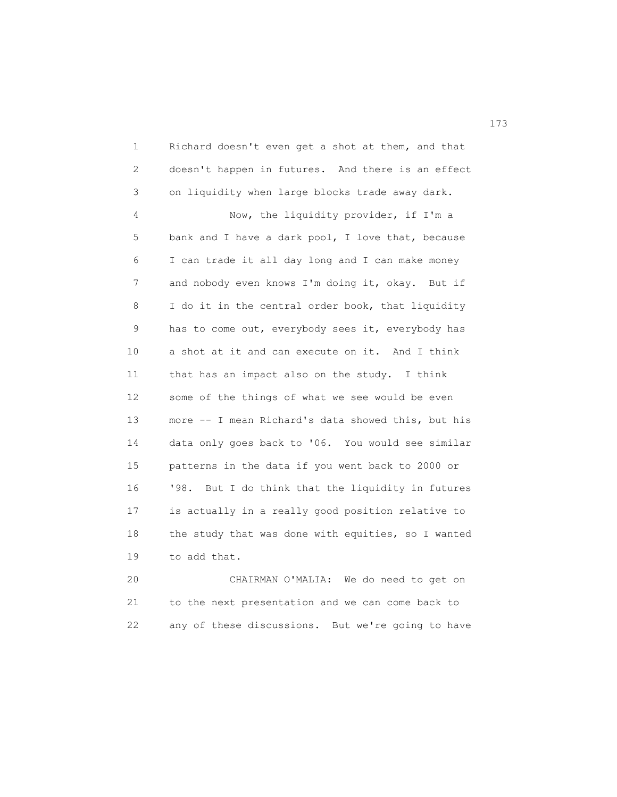1 Richard doesn't even get a shot at them, and that 2 doesn't happen in futures. And there is an effect 3 on liquidity when large blocks trade away dark. 4 Now, the liquidity provider, if I'm a 5 bank and I have a dark pool, I love that, because 6 I can trade it all day long and I can make money 7 and nobody even knows I'm doing it, okay. But if 8 I do it in the central order book, that liquidity 9 has to come out, everybody sees it, everybody has 10 a shot at it and can execute on it. And I think 11 that has an impact also on the study. I think 12 some of the things of what we see would be even 13 more -- I mean Richard's data showed this, but his 14 data only goes back to '06. You would see similar 15 patterns in the data if you went back to 2000 or 16 '98. But I do think that the liquidity in futures 17 is actually in a really good position relative to 18 the study that was done with equities, so I wanted 19 to add that.

 20 CHAIRMAN O'MALIA: We do need to get on 21 to the next presentation and we can come back to 22 any of these discussions. But we're going to have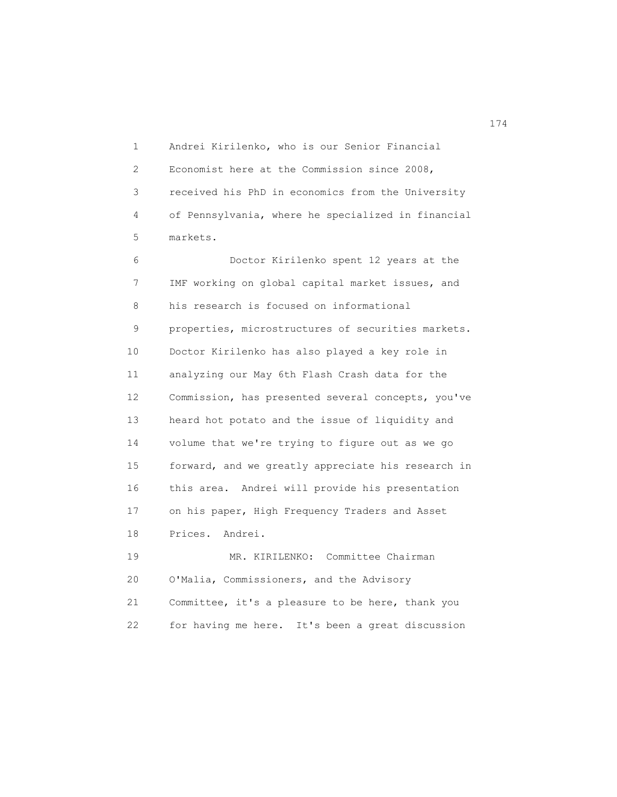1 Andrei Kirilenko, who is our Senior Financial 2 Economist here at the Commission since 2008, 3 received his PhD in economics from the University 4 of Pennsylvania, where he specialized in financial 5 markets.

 6 Doctor Kirilenko spent 12 years at the 7 IMF working on global capital market issues, and 8 his research is focused on informational 9 properties, microstructures of securities markets. 10 Doctor Kirilenko has also played a key role in 11 analyzing our May 6th Flash Crash data for the 12 Commission, has presented several concepts, you've 13 heard hot potato and the issue of liquidity and 14 volume that we're trying to figure out as we go 15 forward, and we greatly appreciate his research in 16 this area. Andrei will provide his presentation 17 on his paper, High Frequency Traders and Asset 18 Prices. Andrei.

 19 MR. KIRILENKO: Committee Chairman 20 O'Malia, Commissioners, and the Advisory 21 Committee, it's a pleasure to be here, thank you 22 for having me here. It's been a great discussion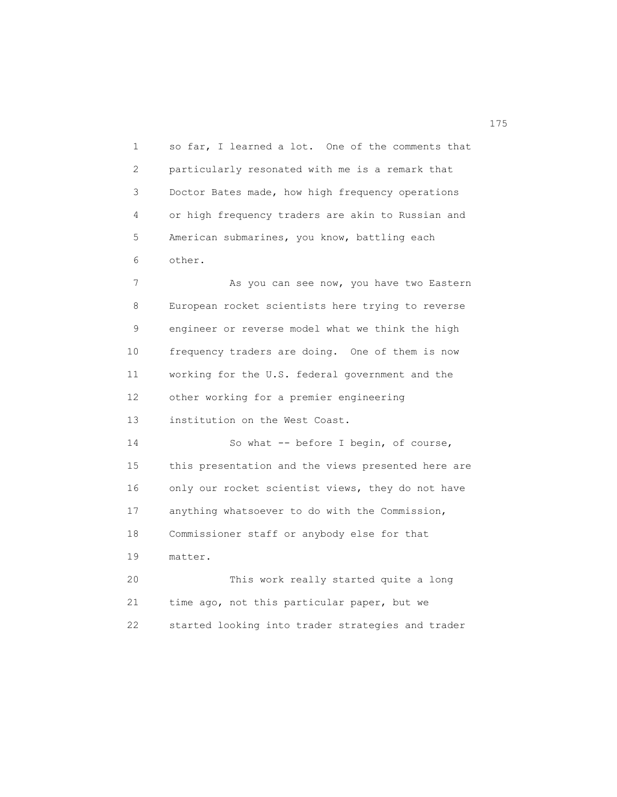1 so far, I learned a lot. One of the comments that 2 particularly resonated with me is a remark that 3 Doctor Bates made, how high frequency operations 4 or high frequency traders are akin to Russian and 5 American submarines, you know, battling each 6 other.

7 As you can see now, you have two Eastern 8 European rocket scientists here trying to reverse 9 engineer or reverse model what we think the high 10 frequency traders are doing. One of them is now 11 working for the U.S. federal government and the 12 other working for a premier engineering 13 institution on the West Coast.

14 So what -- before I begin, of course, 15 this presentation and the views presented here are 16 only our rocket scientist views, they do not have 17 anything whatsoever to do with the Commission, 18 Commissioner staff or anybody else for that 19 matter.

 20 This work really started quite a long 21 time ago, not this particular paper, but we 22 started looking into trader strategies and trader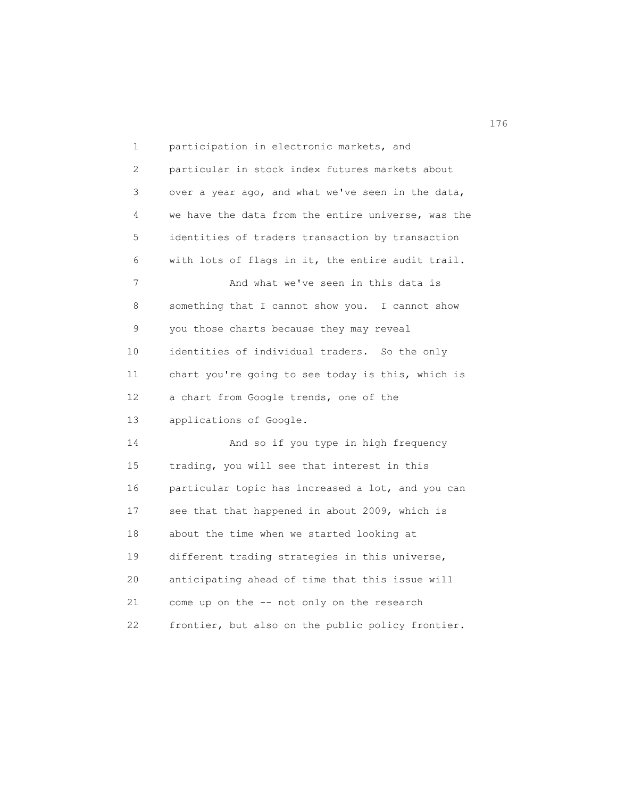1 participation in electronic markets, and 2 particular in stock index futures markets about 3 over a year ago, and what we've seen in the data, 4 we have the data from the entire universe, was the 5 identities of traders transaction by transaction 6 with lots of flags in it, the entire audit trail. 7 And what we've seen in this data is 8 something that I cannot show you. I cannot show 9 you those charts because they may reveal 10 identities of individual traders. So the only 11 chart you're going to see today is this, which is 12 a chart from Google trends, one of the 13 applications of Google. 14 And so if you type in high frequency 15 trading, you will see that interest in this 16 particular topic has increased a lot, and you can 17 see that that happened in about 2009, which is 18 about the time when we started looking at 19 different trading strategies in this universe, 20 anticipating ahead of time that this issue will 21 come up on the -- not only on the research 22 frontier, but also on the public policy frontier.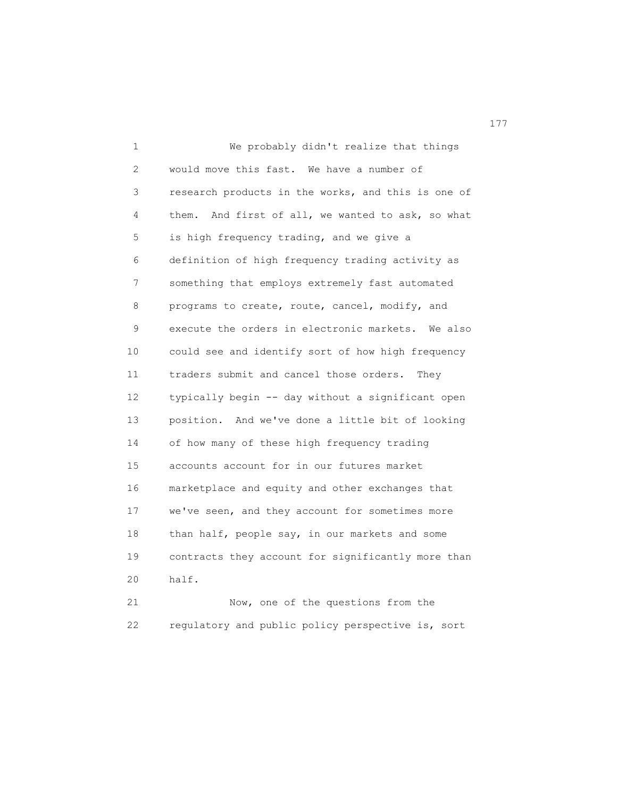1 We probably didn't realize that things 2 would move this fast. We have a number of 3 research products in the works, and this is one of 4 them. And first of all, we wanted to ask, so what 5 is high frequency trading, and we give a 6 definition of high frequency trading activity as 7 something that employs extremely fast automated 8 programs to create, route, cancel, modify, and 9 execute the orders in electronic markets. We also 10 could see and identify sort of how high frequency 11 traders submit and cancel those orders. They 12 typically begin -- day without a significant open 13 position. And we've done a little bit of looking 14 of how many of these high frequency trading 15 accounts account for in our futures market 16 marketplace and equity and other exchanges that 17 we've seen, and they account for sometimes more 18 than half, people say, in our markets and some 19 contracts they account for significantly more than 20 half. 21 Now, one of the questions from the

22 regulatory and public policy perspective is, sort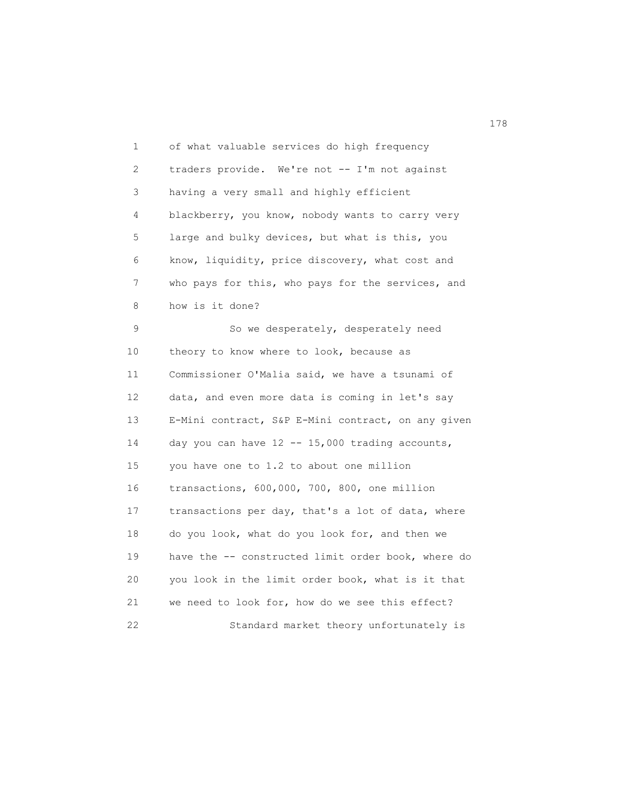1 of what valuable services do high frequency 2 traders provide. We're not -- I'm not against 3 having a very small and highly efficient 4 blackberry, you know, nobody wants to carry very 5 large and bulky devices, but what is this, you 6 know, liquidity, price discovery, what cost and 7 who pays for this, who pays for the services, and 8 how is it done? 9 So we desperately, desperately need 10 theory to know where to look, because as 11 Commissioner O'Malia said, we have a tsunami of 12 data, and even more data is coming in let's say 13 E-Mini contract, S&P E-Mini contract, on any given 14 day you can have 12 -- 15,000 trading accounts,

 15 you have one to 1.2 to about one million 16 transactions, 600,000, 700, 800, one million 17 transactions per day, that's a lot of data, where 18 do you look, what do you look for, and then we 19 have the -- constructed limit order book, where do 20 you look in the limit order book, what is it that 21 we need to look for, how do we see this effect? 22 Standard market theory unfortunately is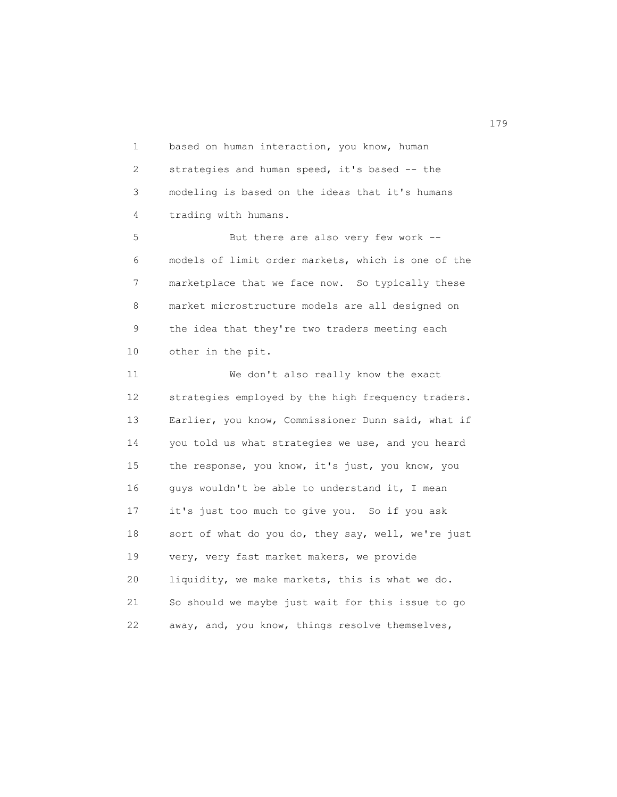1 based on human interaction, you know, human 2 strategies and human speed, it's based -- the 3 modeling is based on the ideas that it's humans 4 trading with humans. 5 But there are also very few work -- 6 models of limit order markets, which is one of the 7 marketplace that we face now. So typically these 8 market microstructure models are all designed on 9 the idea that they're two traders meeting each 10 other in the pit. 11 We don't also really know the exact 12 strategies employed by the high frequency traders. 13 Earlier, you know, Commissioner Dunn said, what if 14 you told us what strategies we use, and you heard

 15 the response, you know, it's just, you know, you 16 guys wouldn't be able to understand it, I mean 17 it's just too much to give you. So if you ask 18 sort of what do you do, they say, well, we're just 19 very, very fast market makers, we provide 20 liquidity, we make markets, this is what we do. 21 So should we maybe just wait for this issue to go 22 away, and, you know, things resolve themselves,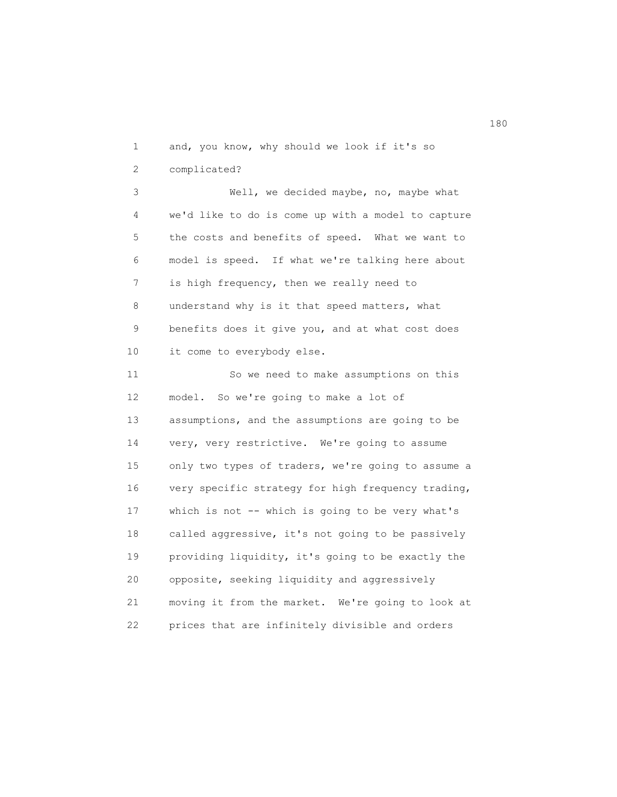1 and, you know, why should we look if it's so 2 complicated? 3 Well, we decided maybe, no, maybe what 4 we'd like to do is come up with a model to capture 5 the costs and benefits of speed. What we want to 6 model is speed. If what we're talking here about 7 is high frequency, then we really need to 8 understand why is it that speed matters, what 9 benefits does it give you, and at what cost does 10 it come to everybody else. 11 So we need to make assumptions on this

 12 model. So we're going to make a lot of 13 assumptions, and the assumptions are going to be 14 very, very restrictive. We're going to assume 15 only two types of traders, we're going to assume a 16 very specific strategy for high frequency trading, 17 which is not -- which is going to be very what's 18 called aggressive, it's not going to be passively 19 providing liquidity, it's going to be exactly the 20 opposite, seeking liquidity and aggressively 21 moving it from the market. We're going to look at 22 prices that are infinitely divisible and orders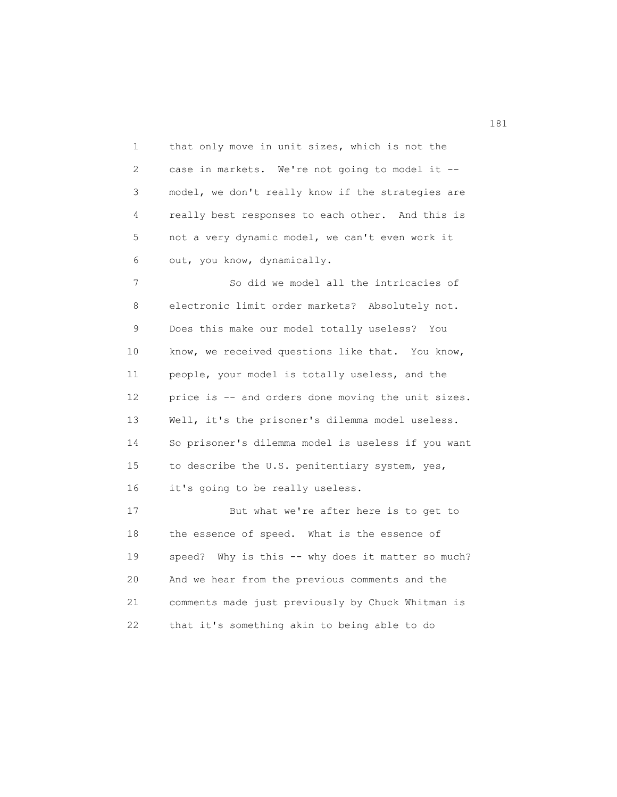1 that only move in unit sizes, which is not the 2 case in markets. We're not going to model it -- 3 model, we don't really know if the strategies are 4 really best responses to each other. And this is 5 not a very dynamic model, we can't even work it 6 out, you know, dynamically.

 7 So did we model all the intricacies of 8 electronic limit order markets? Absolutely not. 9 Does this make our model totally useless? You 10 know, we received questions like that. You know, 11 people, your model is totally useless, and the 12 price is -- and orders done moving the unit sizes. 13 Well, it's the prisoner's dilemma model useless. 14 So prisoner's dilemma model is useless if you want 15 to describe the U.S. penitentiary system, yes, 16 it's going to be really useless.

 17 But what we're after here is to get to 18 the essence of speed. What is the essence of 19 speed? Why is this -- why does it matter so much? 20 And we hear from the previous comments and the 21 comments made just previously by Chuck Whitman is 22 that it's something akin to being able to do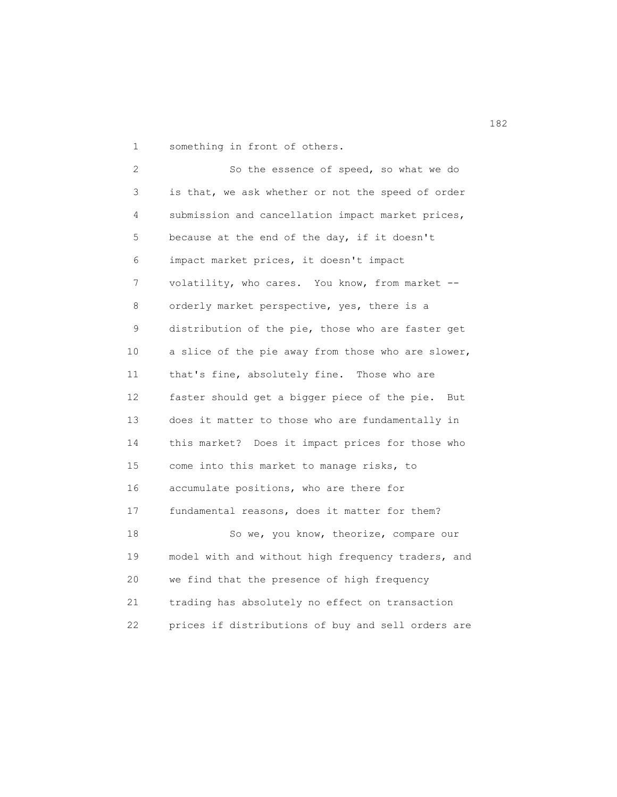1 something in front of others.

 2 So the essence of speed, so what we do 3 is that, we ask whether or not the speed of order 4 submission and cancellation impact market prices, 5 because at the end of the day, if it doesn't 6 impact market prices, it doesn't impact 7 volatility, who cares. You know, from market -- 8 orderly market perspective, yes, there is a 9 distribution of the pie, those who are faster get 10 a slice of the pie away from those who are slower, 11 that's fine, absolutely fine. Those who are 12 faster should get a bigger piece of the pie. But 13 does it matter to those who are fundamentally in 14 this market? Does it impact prices for those who 15 come into this market to manage risks, to 16 accumulate positions, who are there for 17 fundamental reasons, does it matter for them? 18 So we, you know, theorize, compare our 19 model with and without high frequency traders, and 20 we find that the presence of high frequency 21 trading has absolutely no effect on transaction 22 prices if distributions of buy and sell orders are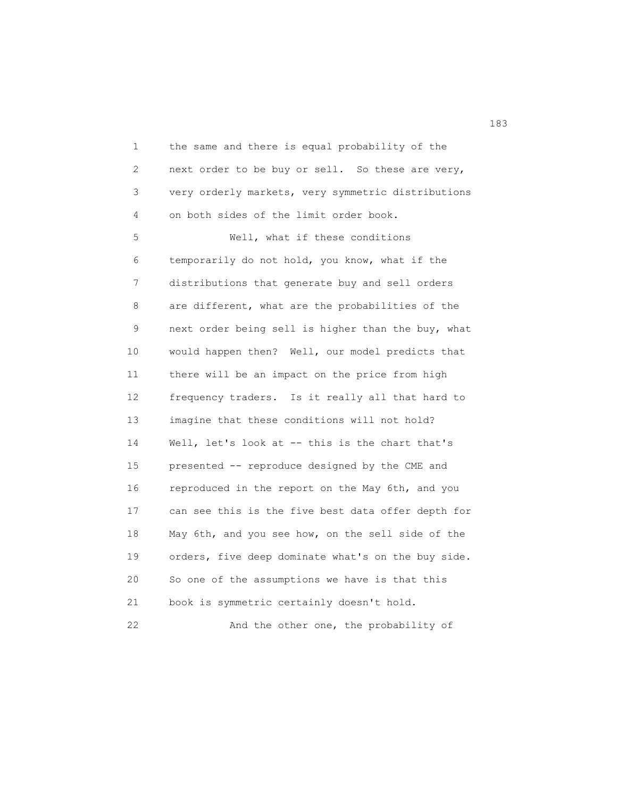1 the same and there is equal probability of the 2 next order to be buy or sell. So these are very, 3 very orderly markets, very symmetric distributions 4 on both sides of the limit order book. 5 Well, what if these conditions 6 temporarily do not hold, you know, what if the 7 distributions that generate buy and sell orders 8 are different, what are the probabilities of the 9 next order being sell is higher than the buy, what 10 would happen then? Well, our model predicts that 11 there will be an impact on the price from high 12 frequency traders. Is it really all that hard to 13 imagine that these conditions will not hold? 14 Well, let's look at -- this is the chart that's 15 presented -- reproduce designed by the CME and 16 reproduced in the report on the May 6th, and you 17 can see this is the five best data offer depth for 18 May 6th, and you see how, on the sell side of the 19 orders, five deep dominate what's on the buy side. 20 So one of the assumptions we have is that this 21 book is symmetric certainly doesn't hold. 22 And the other one, the probability of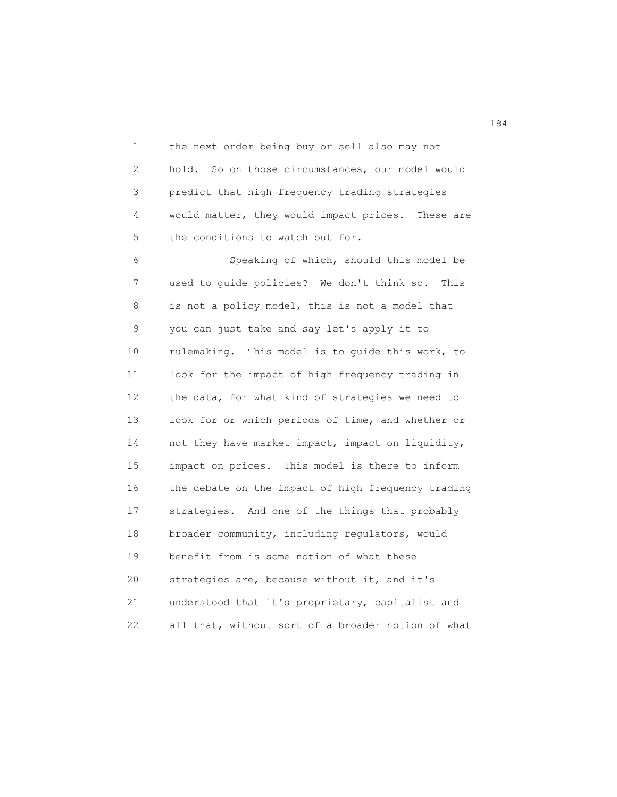1 the next order being buy or sell also may not 2 hold. So on those circumstances, our model would 3 predict that high frequency trading strategies 4 would matter, they would impact prices. These are 5 the conditions to watch out for.

 6 Speaking of which, should this model be 7 used to guide policies? We don't think so. This 8 is not a policy model, this is not a model that 9 you can just take and say let's apply it to 10 rulemaking. This model is to guide this work, to 11 look for the impact of high frequency trading in 12 the data, for what kind of strategies we need to 13 look for or which periods of time, and whether or 14 not they have market impact, impact on liquidity, 15 impact on prices. This model is there to inform 16 the debate on the impact of high frequency trading 17 strategies. And one of the things that probably 18 broader community, including regulators, would 19 benefit from is some notion of what these 20 strategies are, because without it, and it's 21 understood that it's proprietary, capitalist and 22 all that, without sort of a broader notion of what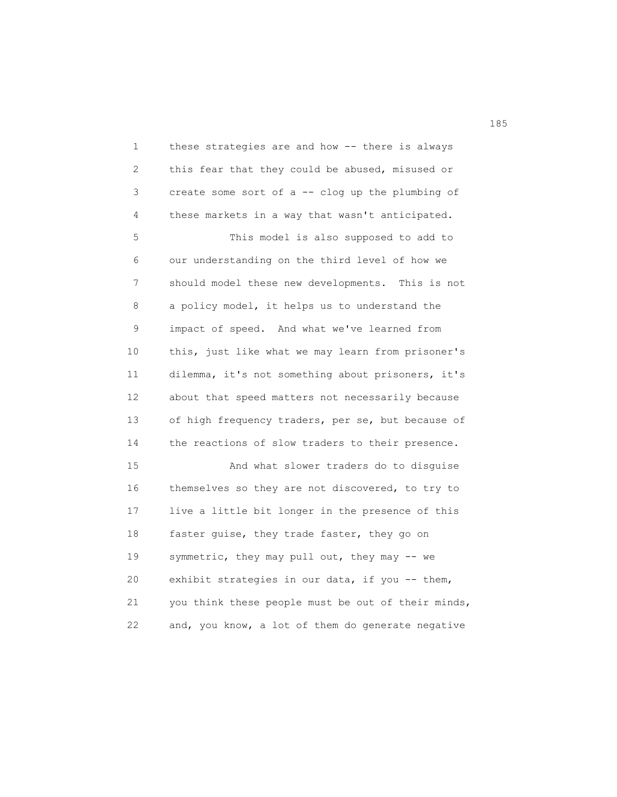1 these strategies are and how -- there is always 2 this fear that they could be abused, misused or 3 create some sort of a -- clog up the plumbing of 4 these markets in a way that wasn't anticipated. 5 This model is also supposed to add to 6 our understanding on the third level of how we 7 should model these new developments. This is not 8 a policy model, it helps us to understand the 9 impact of speed. And what we've learned from 10 this, just like what we may learn from prisoner's 11 dilemma, it's not something about prisoners, it's 12 about that speed matters not necessarily because 13 of high frequency traders, per se, but because of 14 the reactions of slow traders to their presence. 15 And what slower traders do to disguise 16 themselves so they are not discovered, to try to 17 live a little bit longer in the presence of this 18 faster guise, they trade faster, they go on 19 symmetric, they may pull out, they may -- we 20 exhibit strategies in our data, if you -- them, 21 you think these people must be out of their minds, 22 and, you know, a lot of them do generate negative

185<br>185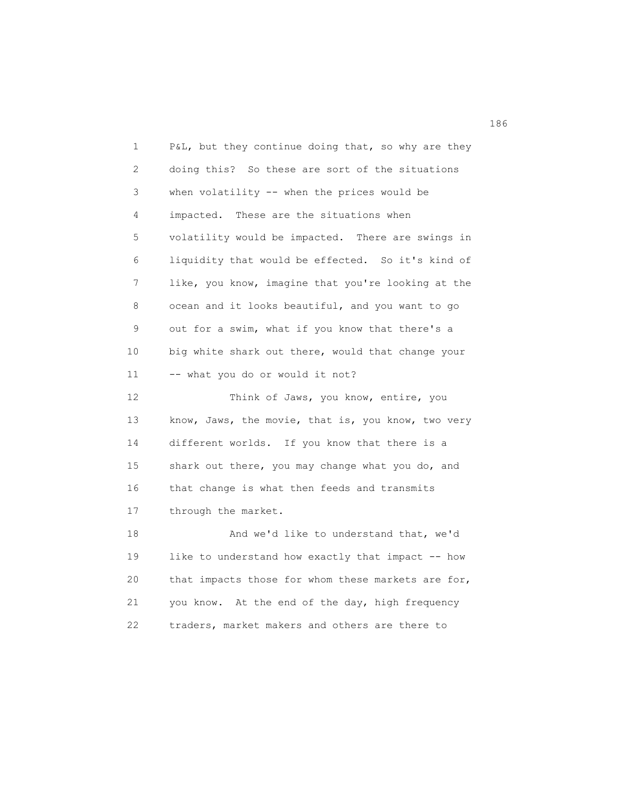1 P&L, but they continue doing that, so why are they 2 doing this? So these are sort of the situations 3 when volatility -- when the prices would be 4 impacted. These are the situations when 5 volatility would be impacted. There are swings in 6 liquidity that would be effected. So it's kind of 7 like, you know, imagine that you're looking at the 8 ocean and it looks beautiful, and you want to go 9 out for a swim, what if you know that there's a 10 big white shark out there, would that change your 11 -- what you do or would it not? 12 Think of Jaws, you know, entire, you 13 know, Jaws, the movie, that is, you know, two very 14 different worlds. If you know that there is a 15 shark out there, you may change what you do, and 16 that change is what then feeds and transmits 17 through the market. 18 And we'd like to understand that, we'd 19 like to understand how exactly that impact -- how 20 that impacts those for whom these markets are for, 21 you know. At the end of the day, high frequency 22 traders, market makers and others are there to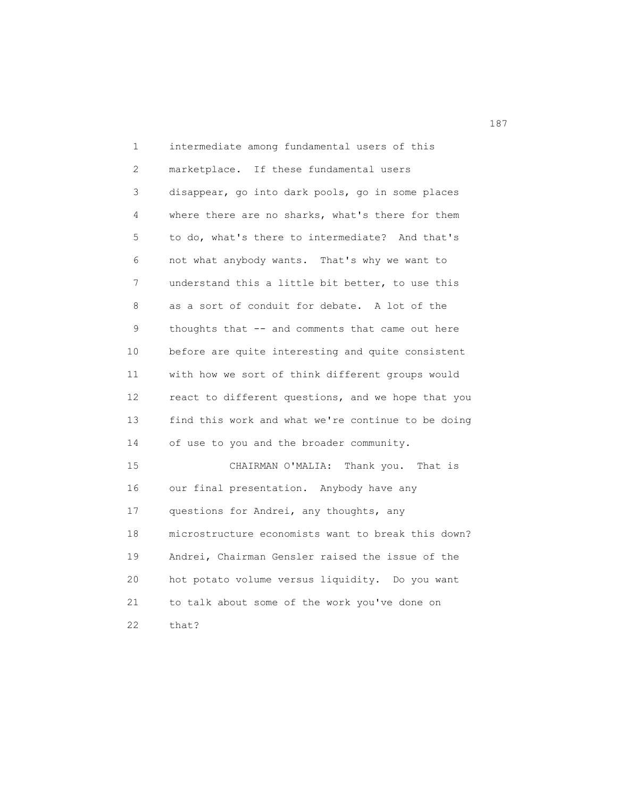1 intermediate among fundamental users of this 2 marketplace. If these fundamental users 3 disappear, go into dark pools, go in some places 4 where there are no sharks, what's there for them 5 to do, what's there to intermediate? And that's 6 not what anybody wants. That's why we want to 7 understand this a little bit better, to use this 8 as a sort of conduit for debate. A lot of the 9 thoughts that -- and comments that came out here 10 before are quite interesting and quite consistent 11 with how we sort of think different groups would 12 react to different questions, and we hope that you 13 find this work and what we're continue to be doing 14 of use to you and the broader community. 15 CHAIRMAN O'MALIA: Thank you. That is 16 our final presentation. Anybody have any 17 questions for Andrei, any thoughts, any 18 microstructure economists want to break this down? 19 Andrei, Chairman Gensler raised the issue of the 20 hot potato volume versus liquidity. Do you want 21 to talk about some of the work you've done on 22 that?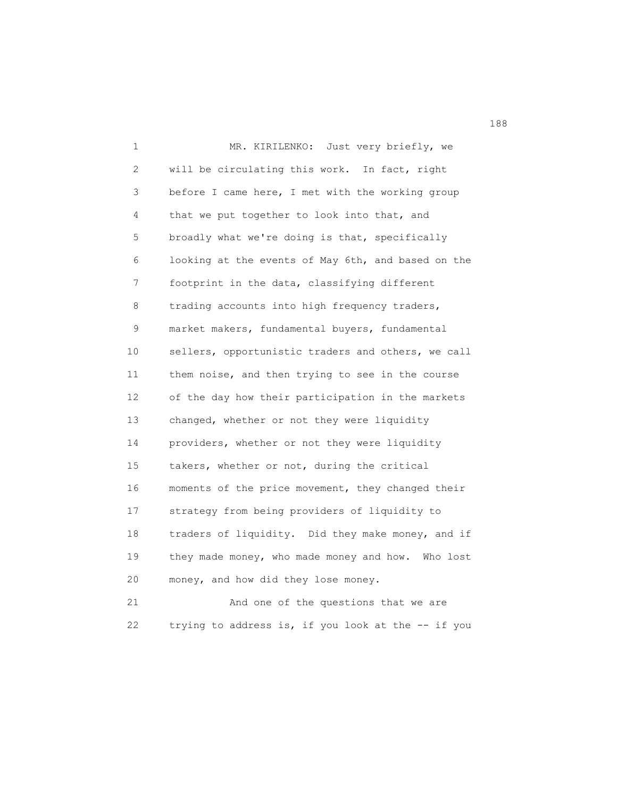1 MR. KIRILENKO: Just very briefly, we 2 will be circulating this work. In fact, right 3 before I came here, I met with the working group 4 that we put together to look into that, and 5 broadly what we're doing is that, specifically 6 looking at the events of May 6th, and based on the 7 footprint in the data, classifying different 8 trading accounts into high frequency traders, 9 market makers, fundamental buyers, fundamental 10 sellers, opportunistic traders and others, we call 11 them noise, and then trying to see in the course 12 of the day how their participation in the markets 13 changed, whether or not they were liquidity 14 providers, whether or not they were liquidity 15 takers, whether or not, during the critical 16 moments of the price movement, they changed their 17 strategy from being providers of liquidity to 18 traders of liquidity. Did they make money, and if 19 they made money, who made money and how. Who lost 20 money, and how did they lose money. 21 And one of the questions that we are

22 trying to address is, if you look at the -- if you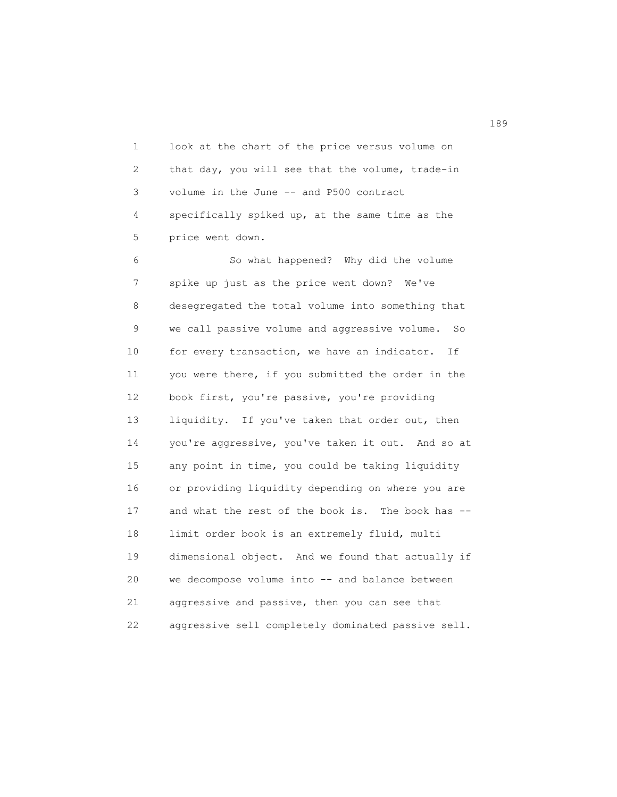1 look at the chart of the price versus volume on 2 that day, you will see that the volume, trade-in 3 volume in the June -- and P500 contract 4 specifically spiked up, at the same time as the 5 price went down.

 6 So what happened? Why did the volume 7 spike up just as the price went down? We've 8 desegregated the total volume into something that 9 we call passive volume and aggressive volume. So 10 for every transaction, we have an indicator. If 11 you were there, if you submitted the order in the 12 book first, you're passive, you're providing 13 liquidity. If you've taken that order out, then 14 you're aggressive, you've taken it out. And so at 15 any point in time, you could be taking liquidity 16 or providing liquidity depending on where you are 17 and what the rest of the book is. The book has -- 18 limit order book is an extremely fluid, multi 19 dimensional object. And we found that actually if 20 we decompose volume into -- and balance between 21 aggressive and passive, then you can see that 22 aggressive sell completely dominated passive sell.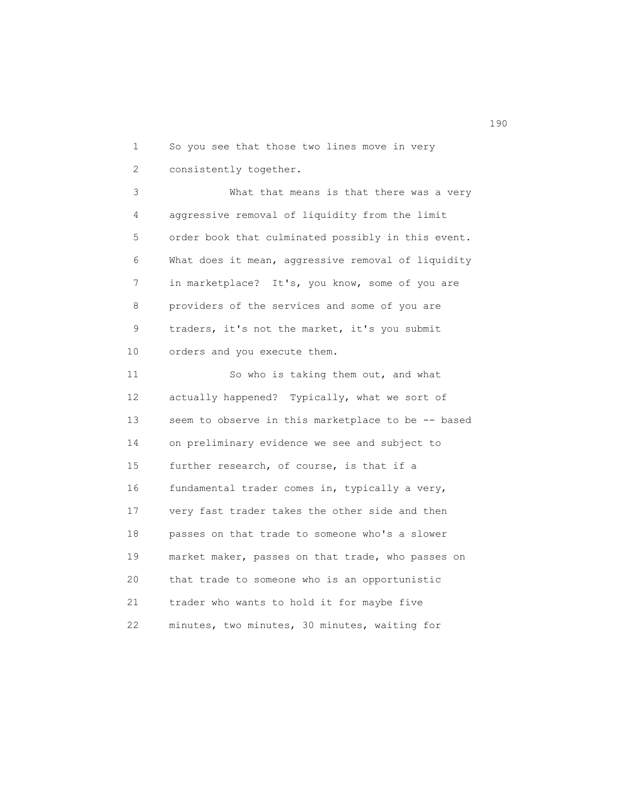1 So you see that those two lines move in very 2 consistently together.

 3 What that means is that there was a very 4 aggressive removal of liquidity from the limit 5 order book that culminated possibly in this event. 6 What does it mean, aggressive removal of liquidity 7 in marketplace? It's, you know, some of you are 8 providers of the services and some of you are 9 traders, it's not the market, it's you submit 10 orders and you execute them.

11 So who is taking them out, and what 12 actually happened? Typically, what we sort of 13 seem to observe in this marketplace to be -- based 14 on preliminary evidence we see and subject to 15 further research, of course, is that if a 16 fundamental trader comes in, typically a very, 17 very fast trader takes the other side and then 18 passes on that trade to someone who's a slower 19 market maker, passes on that trade, who passes on 20 that trade to someone who is an opportunistic 21 trader who wants to hold it for maybe five 22 minutes, two minutes, 30 minutes, waiting for

190<br>190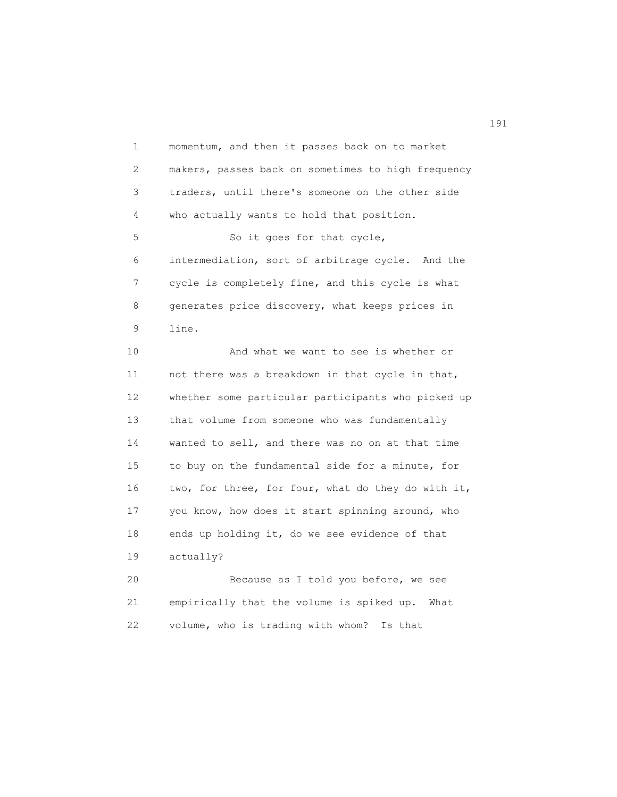1 momentum, and then it passes back on to market 2 makers, passes back on sometimes to high frequency 3 traders, until there's someone on the other side 4 who actually wants to hold that position. 5 So it goes for that cycle, 6 intermediation, sort of arbitrage cycle. And the 7 cycle is completely fine, and this cycle is what 8 generates price discovery, what keeps prices in 9 line. 10 And what we want to see is whether or 11 not there was a breakdown in that cycle in that, 12 whether some particular participants who picked up 13 that volume from someone who was fundamentally 14 wanted to sell, and there was no on at that time

 15 to buy on the fundamental side for a minute, for 16 two, for three, for four, what do they do with it, 17 you know, how does it start spinning around, who 18 ends up holding it, do we see evidence of that 19 actually?

 20 Because as I told you before, we see 21 empirically that the volume is spiked up. What 22 volume, who is trading with whom? Is that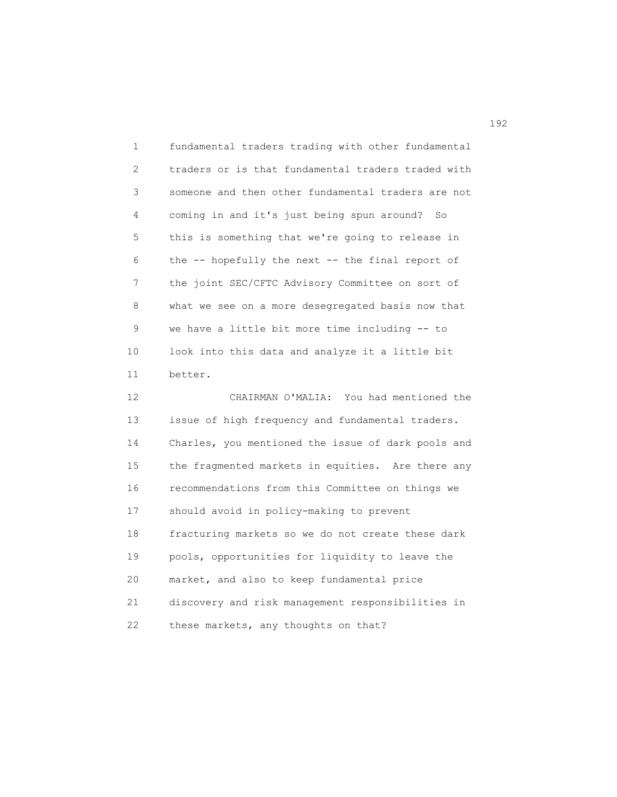1 fundamental traders trading with other fundamental 2 traders or is that fundamental traders traded with 3 someone and then other fundamental traders are not 4 coming in and it's just being spun around? So 5 this is something that we're going to release in 6 the -- hopefully the next -- the final report of 7 the joint SEC/CFTC Advisory Committee on sort of 8 what we see on a more desegregated basis now that 9 we have a little bit more time including -- to 10 look into this data and analyze it a little bit 11 better.

 12 CHAIRMAN O'MALIA: You had mentioned the 13 issue of high frequency and fundamental traders. 14 Charles, you mentioned the issue of dark pools and 15 the fragmented markets in equities. Are there any 16 recommendations from this Committee on things we 17 should avoid in policy-making to prevent 18 fracturing markets so we do not create these dark 19 pools, opportunities for liquidity to leave the 20 market, and also to keep fundamental price 21 discovery and risk management responsibilities in 22 these markets, any thoughts on that?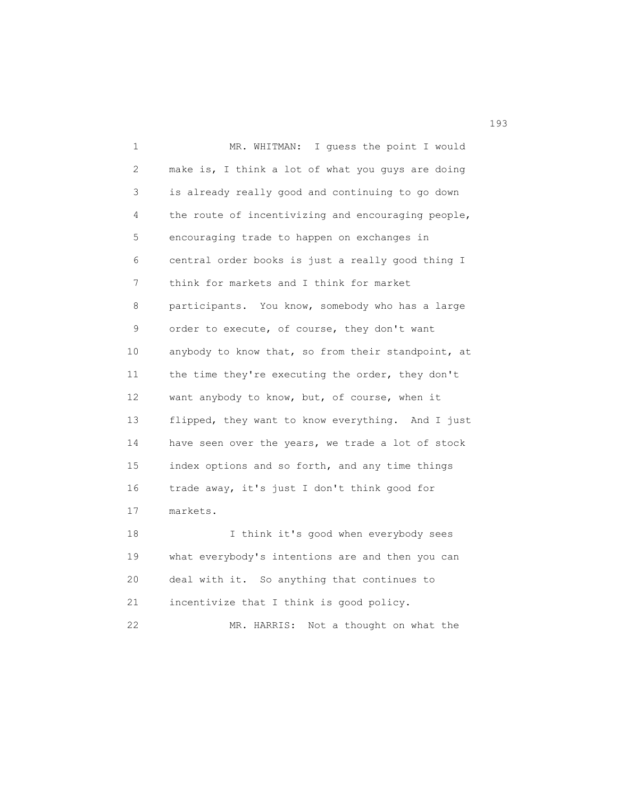1 MR. WHITMAN: I guess the point I would 2 make is, I think a lot of what you guys are doing 3 is already really good and continuing to go down 4 the route of incentivizing and encouraging people, 5 encouraging trade to happen on exchanges in 6 central order books is just a really good thing I 7 think for markets and I think for market 8 participants. You know, somebody who has a large 9 order to execute, of course, they don't want 10 anybody to know that, so from their standpoint, at 11 the time they're executing the order, they don't 12 want anybody to know, but, of course, when it 13 flipped, they want to know everything. And I just 14 have seen over the years, we trade a lot of stock 15 index options and so forth, and any time things 16 trade away, it's just I don't think good for 17 markets. 18 I think it's good when everybody sees 19 what everybody's intentions are and then you can 20 deal with it. So anything that continues to 21 incentivize that I think is good policy.

22 MR. HARRIS: Not a thought on what the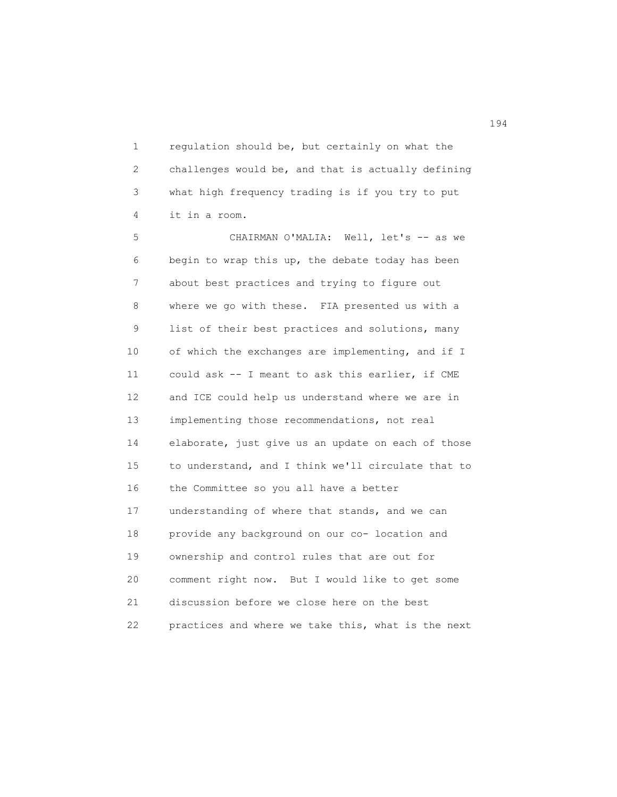1 regulation should be, but certainly on what the 2 challenges would be, and that is actually defining 3 what high frequency trading is if you try to put 4 it in a room.

 5 CHAIRMAN O'MALIA: Well, let's -- as we 6 begin to wrap this up, the debate today has been 7 about best practices and trying to figure out 8 where we go with these. FIA presented us with a 9 list of their best practices and solutions, many 10 of which the exchanges are implementing, and if I 11 could ask -- I meant to ask this earlier, if CME 12 and ICE could help us understand where we are in 13 implementing those recommendations, not real 14 elaborate, just give us an update on each of those 15 to understand, and I think we'll circulate that to 16 the Committee so you all have a better 17 understanding of where that stands, and we can 18 provide any background on our co- location and 19 ownership and control rules that are out for 20 comment right now. But I would like to get some 21 discussion before we close here on the best 22 practices and where we take this, what is the next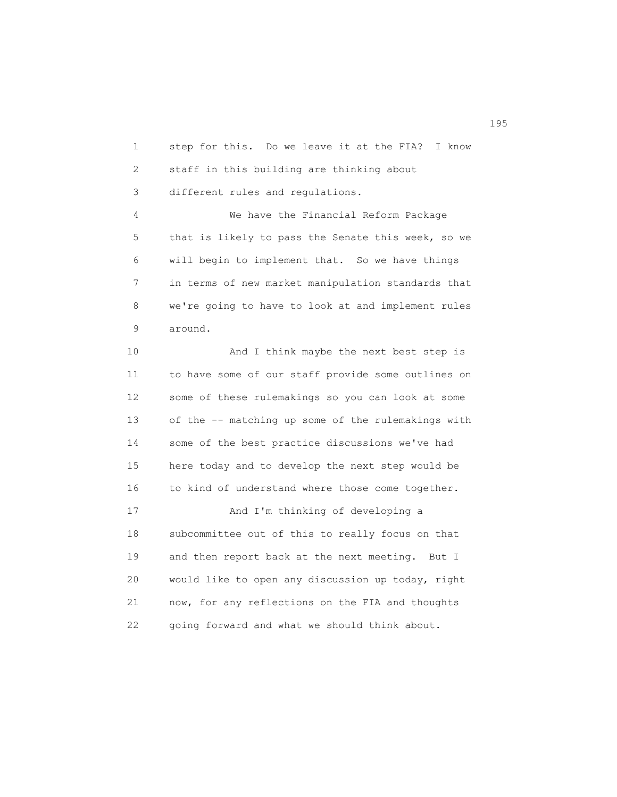1 step for this. Do we leave it at the FIA? I know 2 staff in this building are thinking about 3 different rules and regulations. 4 We have the Financial Reform Package 5 that is likely to pass the Senate this week, so we 6 will begin to implement that. So we have things 7 in terms of new market manipulation standards that 8 we're going to have to look at and implement rules 9 around.

10 And I think maybe the next best step is 11 to have some of our staff provide some outlines on 12 some of these rulemakings so you can look at some 13 of the -- matching up some of the rulemakings with 14 some of the best practice discussions we've had 15 here today and to develop the next step would be 16 to kind of understand where those come together.

 17 And I'm thinking of developing a 18 subcommittee out of this to really focus on that 19 and then report back at the next meeting. But I 20 would like to open any discussion up today, right 21 now, for any reflections on the FIA and thoughts 22 going forward and what we should think about.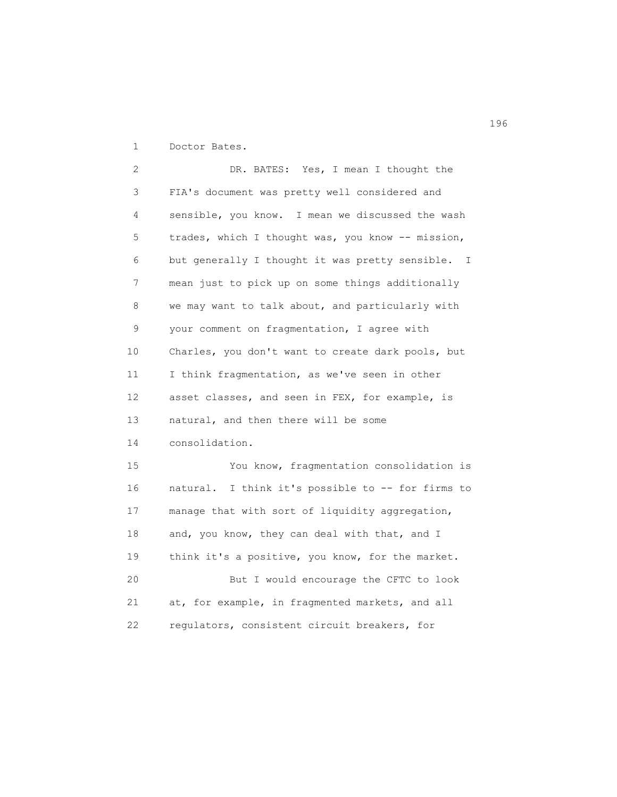1 Doctor Bates.

 2 DR. BATES: Yes, I mean I thought the 3 FIA's document was pretty well considered and 4 sensible, you know. I mean we discussed the wash 5 trades, which I thought was, you know -- mission, 6 but generally I thought it was pretty sensible. I 7 mean just to pick up on some things additionally 8 we may want to talk about, and particularly with 9 your comment on fragmentation, I agree with 10 Charles, you don't want to create dark pools, but 11 I think fragmentation, as we've seen in other 12 asset classes, and seen in FEX, for example, is 13 natural, and then there will be some 14 consolidation. 15 You know, fragmentation consolidation is 16 natural. I think it's possible to -- for firms to 17 manage that with sort of liquidity aggregation, 18 and, you know, they can deal with that, and I 19 think it's a positive, you know, for the market. 20 But I would encourage the CFTC to look 21 at, for example, in fragmented markets, and all 22 regulators, consistent circuit breakers, for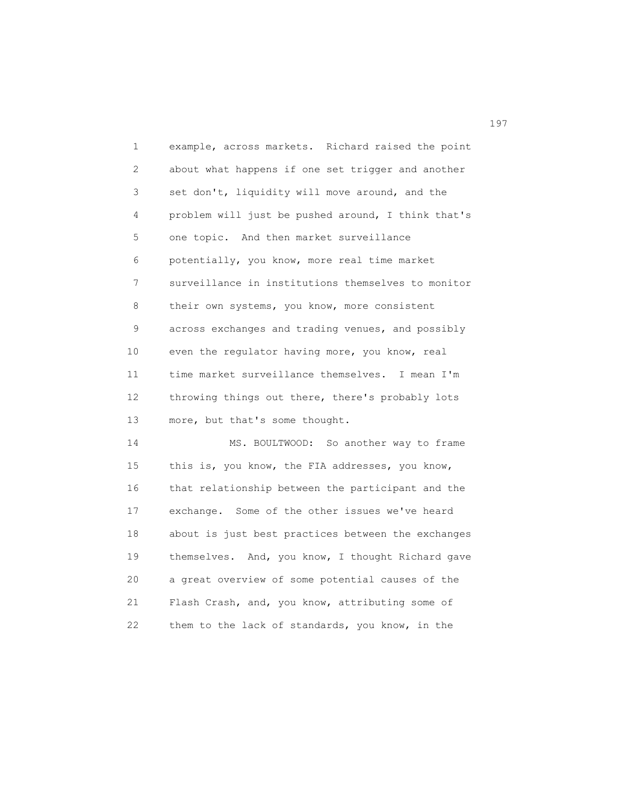1 example, across markets. Richard raised the point 2 about what happens if one set trigger and another 3 set don't, liquidity will move around, and the 4 problem will just be pushed around, I think that's 5 one topic. And then market surveillance 6 potentially, you know, more real time market 7 surveillance in institutions themselves to monitor 8 their own systems, you know, more consistent 9 across exchanges and trading venues, and possibly 10 even the regulator having more, you know, real 11 time market surveillance themselves. I mean I'm 12 throwing things out there, there's probably lots 13 more, but that's some thought. 14 MS. BOULTWOOD: So another way to frame

 15 this is, you know, the FIA addresses, you know, 16 that relationship between the participant and the 17 exchange. Some of the other issues we've heard 18 about is just best practices between the exchanges 19 themselves. And, you know, I thought Richard gave 20 a great overview of some potential causes of the 21 Flash Crash, and, you know, attributing some of 22 them to the lack of standards, you know, in the

197<sup>2</sup>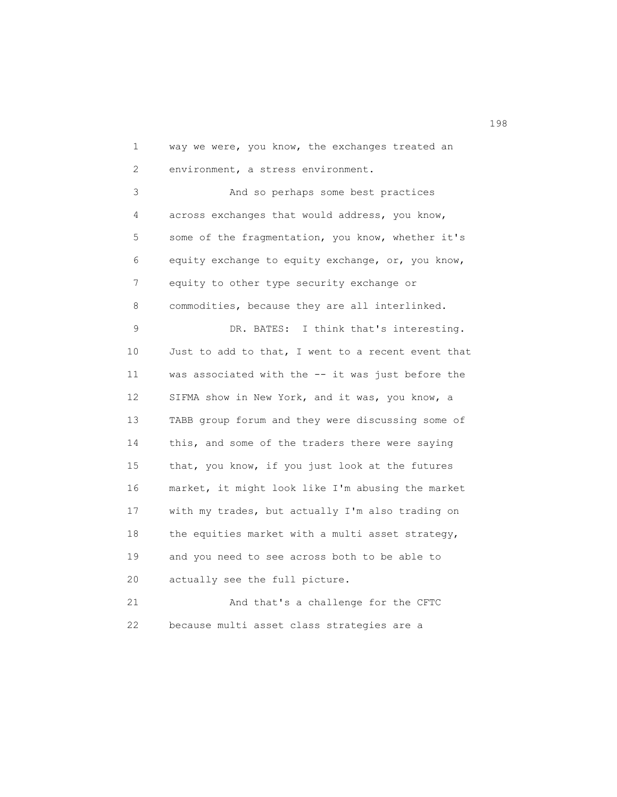1 way we were, you know, the exchanges treated an 2 environment, a stress environment.

 3 And so perhaps some best practices 4 across exchanges that would address, you know, 5 some of the fragmentation, you know, whether it's 6 equity exchange to equity exchange, or, you know, 7 equity to other type security exchange or 8 commodities, because they are all interlinked.

 9 DR. BATES: I think that's interesting. 10 Just to add to that, I went to a recent event that 11 was associated with the -- it was just before the 12 SIFMA show in New York, and it was, you know, a 13 TABB group forum and they were discussing some of 14 this, and some of the traders there were saying 15 that, you know, if you just look at the futures 16 market, it might look like I'm abusing the market 17 with my trades, but actually I'm also trading on 18 the equities market with a multi asset strategy, 19 and you need to see across both to be able to 20 actually see the full picture. 21 And that's a challenge for the CFTC

22 because multi asset class strategies are a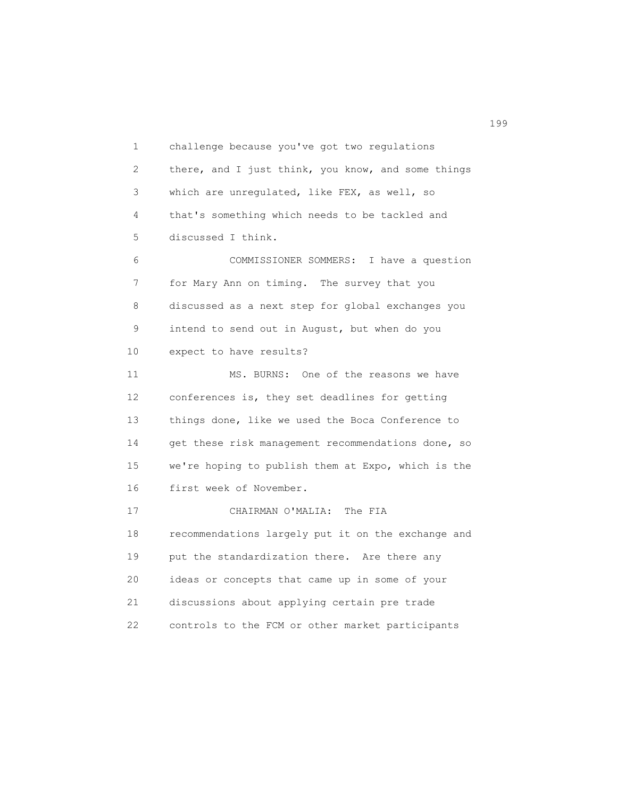1 challenge because you've got two regulations 2 there, and I just think, you know, and some things 3 which are unregulated, like FEX, as well, so 4 that's something which needs to be tackled and 5 discussed I think. 6 COMMISSIONER SOMMERS: I have a question 7 for Mary Ann on timing. The survey that you 8 discussed as a next step for global exchanges you 9 intend to send out in August, but when do you 10 expect to have results? 11 MS. BURNS: One of the reasons we have 12 conferences is, they set deadlines for getting 13 things done, like we used the Boca Conference to 14 get these risk management recommendations done, so 15 we're hoping to publish them at Expo, which is the 16 first week of November. 17 CHAIRMAN O'MALIA: The FIA 18 recommendations largely put it on the exchange and 19 put the standardization there. Are there any 20 ideas or concepts that came up in some of your 21 discussions about applying certain pre trade 22 controls to the FCM or other market participants

199<br>199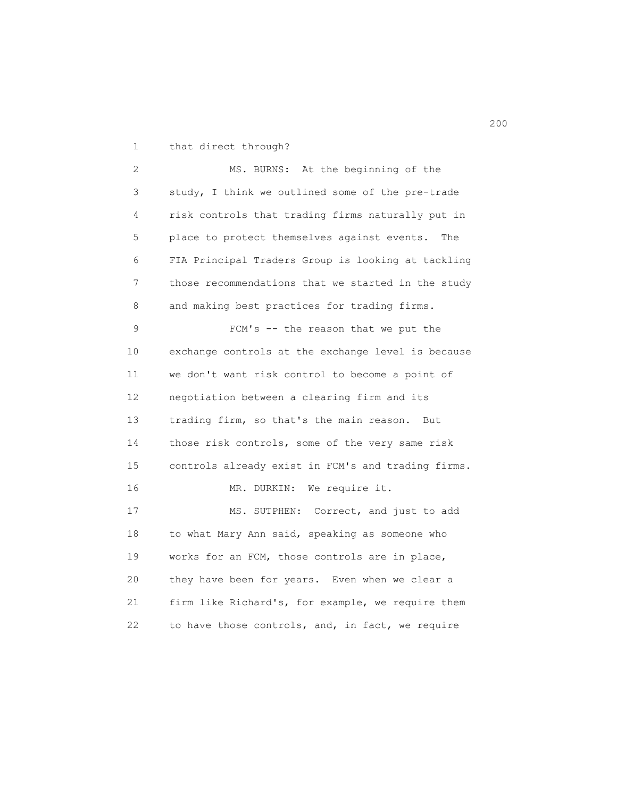1 that direct through?

 2 MS. BURNS: At the beginning of the 3 study, I think we outlined some of the pre-trade 4 risk controls that trading firms naturally put in 5 place to protect themselves against events. The 6 FIA Principal Traders Group is looking at tackling 7 those recommendations that we started in the study 8 and making best practices for trading firms. 9 FCM's -- the reason that we put the 10 exchange controls at the exchange level is because 11 we don't want risk control to become a point of 12 negotiation between a clearing firm and its 13 trading firm, so that's the main reason. But 14 those risk controls, some of the very same risk 15 controls already exist in FCM's and trading firms. 16 MR. DURKIN: We require it. 17 MS. SUTPHEN: Correct, and just to add 18 to what Mary Ann said, speaking as someone who 19 works for an FCM, those controls are in place, 20 they have been for years. Even when we clear a 21 firm like Richard's, for example, we require them 22 to have those controls, and, in fact, we require

последница и производство в село в село в село в село в село в село в село в село в село в село в село в село<br>200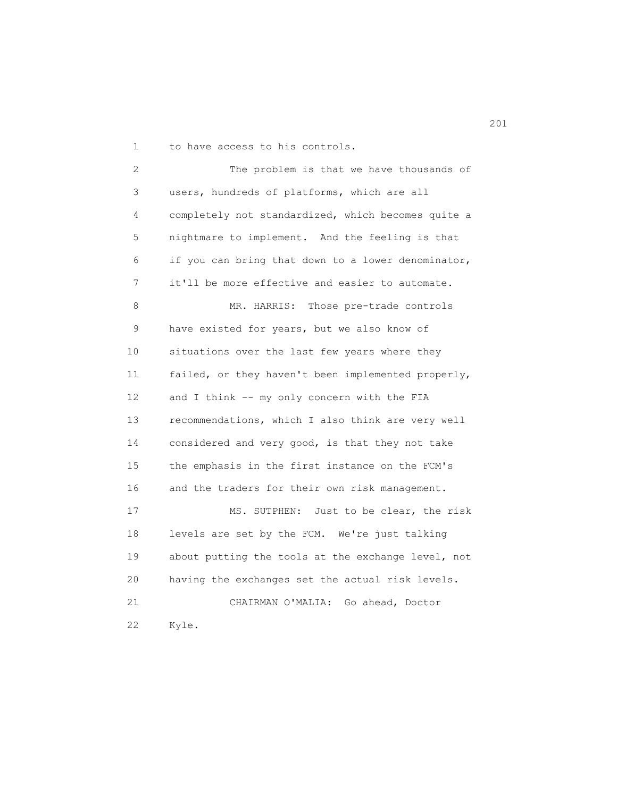1 to have access to his controls.

 2 The problem is that we have thousands of 3 users, hundreds of platforms, which are all 4 completely not standardized, which becomes quite a 5 nightmare to implement. And the feeling is that 6 if you can bring that down to a lower denominator, 7 it'll be more effective and easier to automate. 8 MR. HARRIS: Those pre-trade controls 9 have existed for years, but we also know of 10 situations over the last few years where they 11 failed, or they haven't been implemented properly, 12 and I think -- my only concern with the FIA 13 recommendations, which I also think are very well 14 considered and very good, is that they not take 15 the emphasis in the first instance on the FCM's 16 and the traders for their own risk management. 17 MS. SUTPHEN: Just to be clear, the risk 18 levels are set by the FCM. We're just talking 19 about putting the tools at the exchange level, not 20 having the exchanges set the actual risk levels. 21 CHAIRMAN O'MALIA: Go ahead, Doctor 22 Kyle.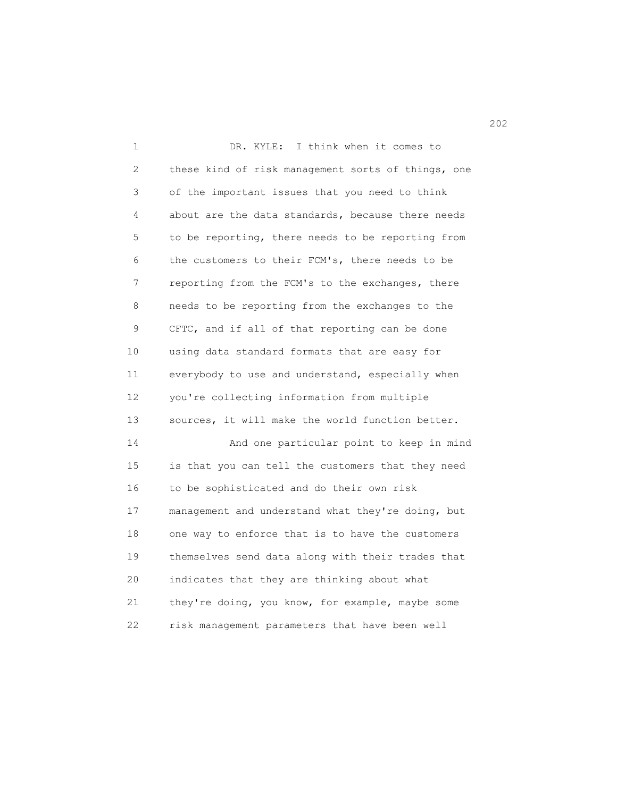1 DR. KYLE: I think when it comes to 2 these kind of risk management sorts of things, one 3 of the important issues that you need to think 4 about are the data standards, because there needs 5 to be reporting, there needs to be reporting from 6 the customers to their FCM's, there needs to be 7 reporting from the FCM's to the exchanges, there 8 needs to be reporting from the exchanges to the 9 CFTC, and if all of that reporting can be done 10 using data standard formats that are easy for 11 everybody to use and understand, especially when 12 you're collecting information from multiple 13 sources, it will make the world function better. 14 And one particular point to keep in mind 15 is that you can tell the customers that they need 16 to be sophisticated and do their own risk 17 management and understand what they're doing, but 18 one way to enforce that is to have the customers 19 themselves send data along with their trades that 20 indicates that they are thinking about what 21 they're doing, you know, for example, maybe some 22 risk management parameters that have been well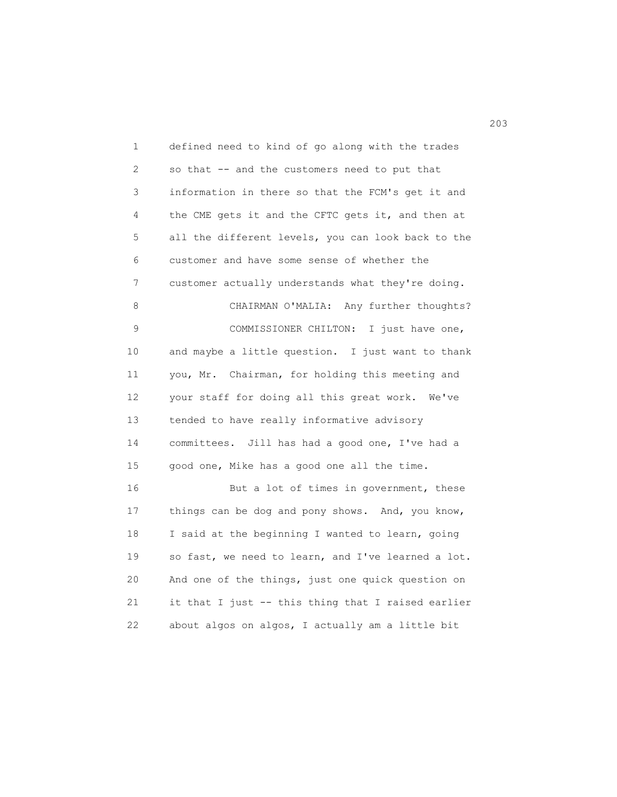1 defined need to kind of go along with the trades 2 so that -- and the customers need to put that 3 information in there so that the FCM's get it and 4 the CME gets it and the CFTC gets it, and then at 5 all the different levels, you can look back to the 6 customer and have some sense of whether the 7 customer actually understands what they're doing. 8 CHAIRMAN O'MALIA: Any further thoughts? 9 COMMISSIONER CHILTON: I just have one, 10 and maybe a little question. I just want to thank 11 you, Mr. Chairman, for holding this meeting and 12 your staff for doing all this great work. We've 13 tended to have really informative advisory 14 committees. Jill has had a good one, I've had a 15 good one, Mike has a good one all the time. 16 But a lot of times in government, these 17 things can be dog and pony shows. And, you know, 18 I said at the beginning I wanted to learn, going 19 so fast, we need to learn, and I've learned a lot. 20 And one of the things, just one quick question on 21 it that I just -- this thing that I raised earlier 22 about algos on algos, I actually am a little bit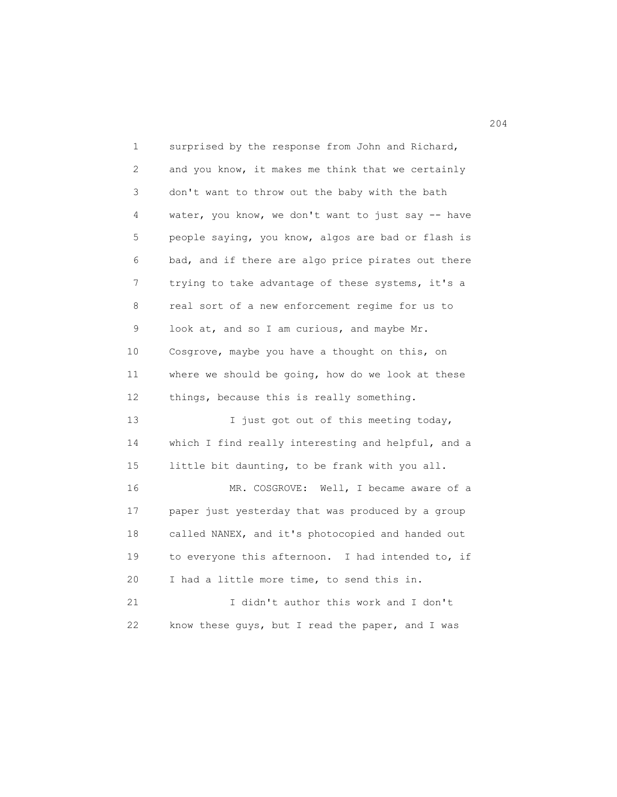1 surprised by the response from John and Richard, 2 and you know, it makes me think that we certainly 3 don't want to throw out the baby with the bath 4 water, you know, we don't want to just say -- have 5 people saying, you know, algos are bad or flash is 6 bad, and if there are algo price pirates out there 7 trying to take advantage of these systems, it's a 8 real sort of a new enforcement regime for us to 9 look at, and so I am curious, and maybe Mr. 10 Cosgrove, maybe you have a thought on this, on 11 where we should be going, how do we look at these 12 things, because this is really something. 13 I just got out of this meeting today, 14 which I find really interesting and helpful, and a 15 little bit daunting, to be frank with you all. 16 MR. COSGROVE: Well, I became aware of a 17 paper just yesterday that was produced by a group 18 called NANEX, and it's photocopied and handed out 19 to everyone this afternoon. I had intended to, if 20 I had a little more time, to send this in. 21 I didn't author this work and I don't 22 know these guys, but I read the paper, and I was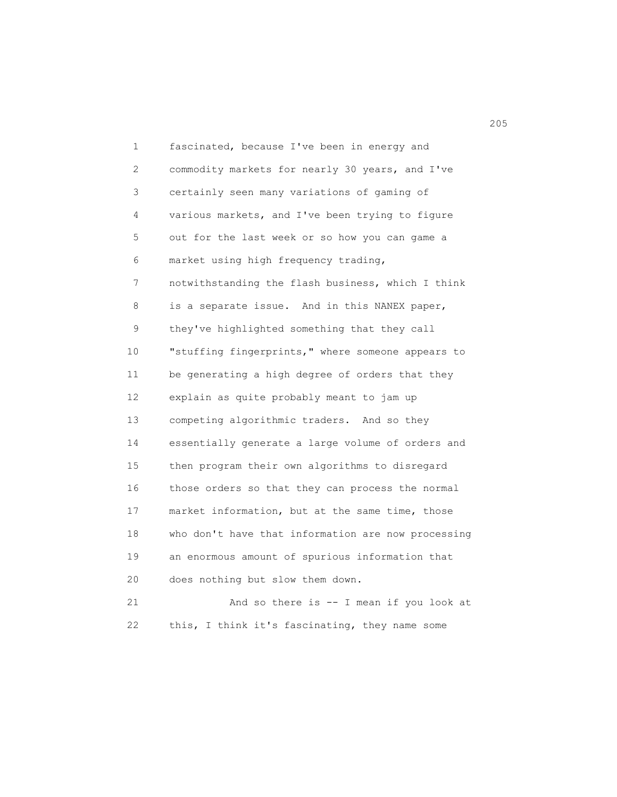1 fascinated, because I've been in energy and 2 commodity markets for nearly 30 years, and I've 3 certainly seen many variations of gaming of 4 various markets, and I've been trying to figure 5 out for the last week or so how you can game a 6 market using high frequency trading, 7 notwithstanding the flash business, which I think 8 is a separate issue. And in this NANEX paper, 9 they've highlighted something that they call 10 "stuffing fingerprints," where someone appears to 11 be generating a high degree of orders that they 12 explain as quite probably meant to jam up 13 competing algorithmic traders. And so they 14 essentially generate a large volume of orders and 15 then program their own algorithms to disregard 16 those orders so that they can process the normal 17 market information, but at the same time, those 18 who don't have that information are now processing 19 an enormous amount of spurious information that 20 does nothing but slow them down. 21 And so there is -- I mean if you look at 22 this, I think it's fascinating, they name some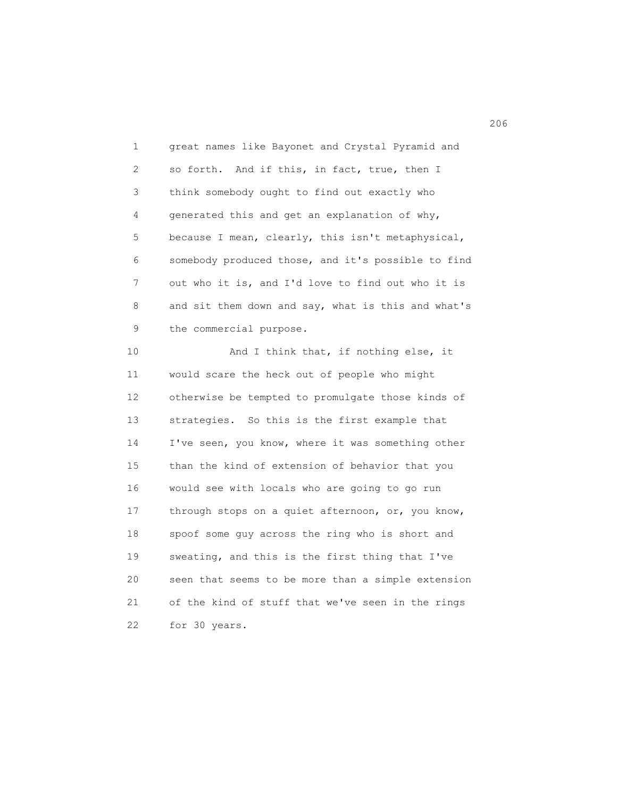1 great names like Bayonet and Crystal Pyramid and 2 so forth. And if this, in fact, true, then I 3 think somebody ought to find out exactly who 4 generated this and get an explanation of why, 5 because I mean, clearly, this isn't metaphysical, 6 somebody produced those, and it's possible to find 7 out who it is, and I'd love to find out who it is 8 and sit them down and say, what is this and what's 9 the commercial purpose.

10 And I think that, if nothing else, it 11 would scare the heck out of people who might 12 otherwise be tempted to promulgate those kinds of 13 strategies. So this is the first example that 14 I've seen, you know, where it was something other 15 than the kind of extension of behavior that you 16 would see with locals who are going to go run 17 through stops on a quiet afternoon, or, you know, 18 spoof some guy across the ring who is short and 19 sweating, and this is the first thing that I've 20 seen that seems to be more than a simple extension 21 of the kind of stuff that we've seen in the rings 22 for 30 years.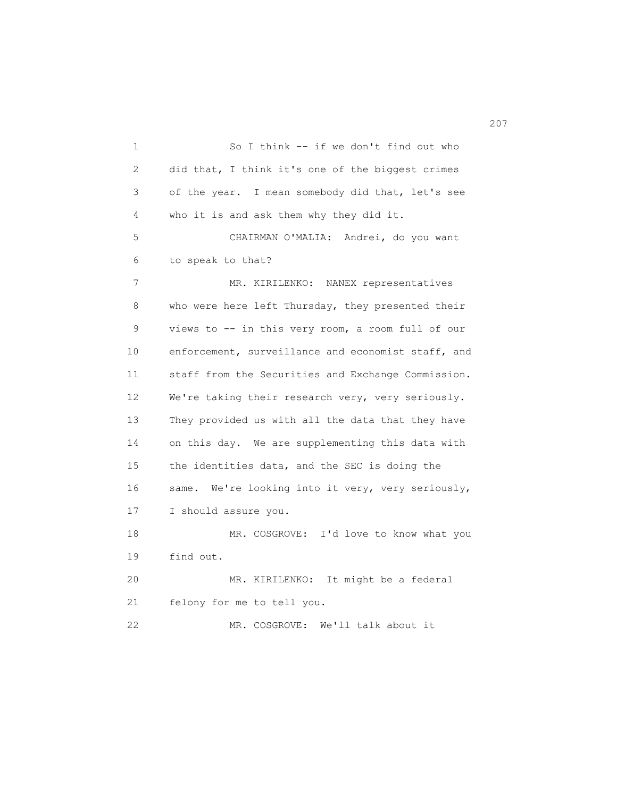1 So I think -- if we don't find out who 2 did that, I think it's one of the biggest crimes 3 of the year. I mean somebody did that, let's see 4 who it is and ask them why they did it. 5 CHAIRMAN O'MALIA: Andrei, do you want 6 to speak to that? 7 MR. KIRILENKO: NANEX representatives 8 who were here left Thursday, they presented their 9 views to -- in this very room, a room full of our 10 enforcement, surveillance and economist staff, and 11 staff from the Securities and Exchange Commission. 12 We're taking their research very, very seriously. 13 They provided us with all the data that they have 14 on this day. We are supplementing this data with 15 the identities data, and the SEC is doing the 16 same. We're looking into it very, very seriously, 17 I should assure you. 18 MR. COSGROVE: I'd love to know what you 19 find out. 20 MR. KIRILENKO: It might be a federal 21 felony for me to tell you. 22 MR. COSGROVE: We'll talk about it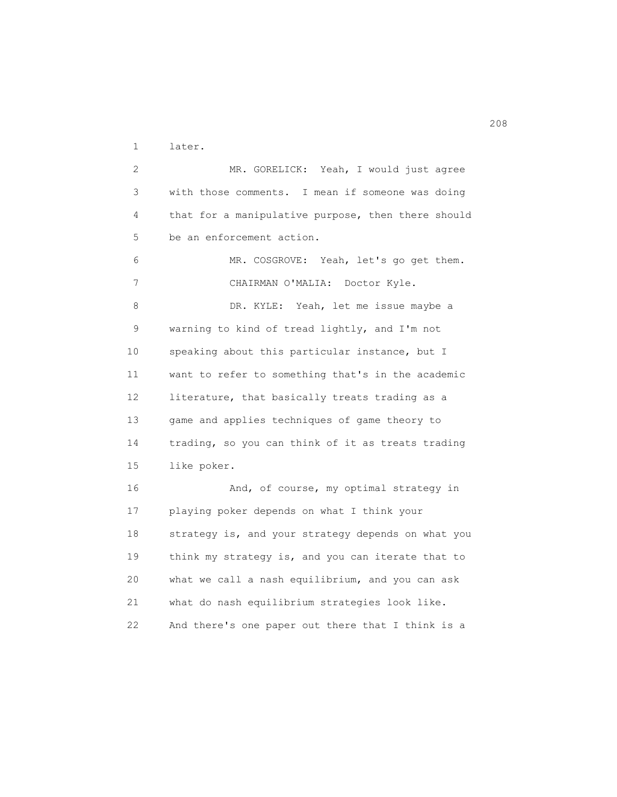1 later.

 2 MR. GORELICK: Yeah, I would just agree 3 with those comments. I mean if someone was doing 4 that for a manipulative purpose, then there should 5 be an enforcement action.

 6 MR. COSGROVE: Yeah, let's go get them. 7 CHAIRMAN O'MALIA: Doctor Kyle. 8 DR. KYLE: Yeah, let me issue maybe a 9 warning to kind of tread lightly, and I'm not 10 speaking about this particular instance, but I 11 want to refer to something that's in the academic 12 literature, that basically treats trading as a 13 game and applies techniques of game theory to 14 trading, so you can think of it as treats trading 15 like poker. 16 And, of course, my optimal strategy in 17 playing poker depends on what I think your

 18 strategy is, and your strategy depends on what you 19 think my strategy is, and you can iterate that to 20 what we call a nash equilibrium, and you can ask 21 what do nash equilibrium strategies look like. 22 And there's one paper out there that I think is a

208<br>208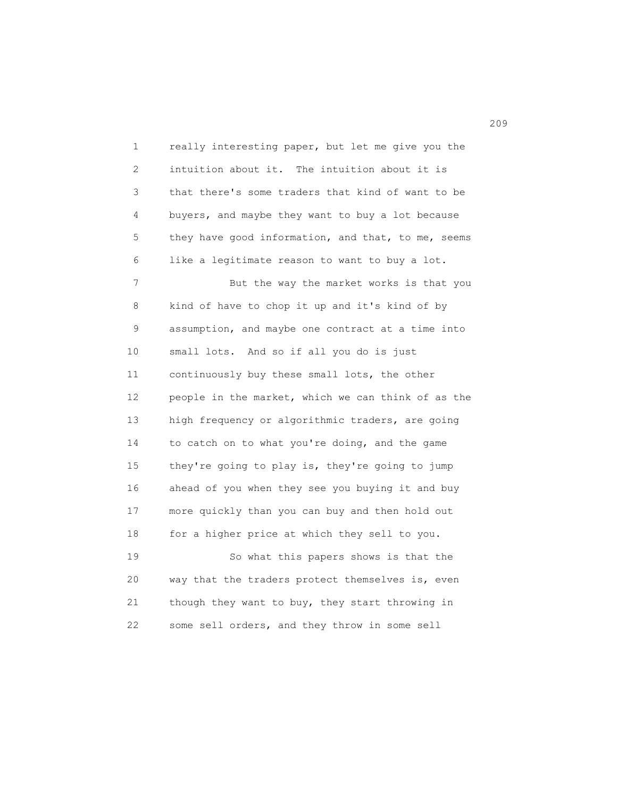1 really interesting paper, but let me give you the 2 intuition about it. The intuition about it is 3 that there's some traders that kind of want to be 4 buyers, and maybe they want to buy a lot because 5 they have good information, and that, to me, seems 6 like a legitimate reason to want to buy a lot. 7 But the way the market works is that you 8 kind of have to chop it up and it's kind of by 9 assumption, and maybe one contract at a time into 10 small lots. And so if all you do is just 11 continuously buy these small lots, the other 12 people in the market, which we can think of as the 13 high frequency or algorithmic traders, are going 14 to catch on to what you're doing, and the game 15 they're going to play is, they're going to jump 16 ahead of you when they see you buying it and buy 17 more quickly than you can buy and then hold out 18 for a higher price at which they sell to you. 19 So what this papers shows is that the 20 way that the traders protect themselves is, even 21 though they want to buy, they start throwing in 22 some sell orders, and they throw in some sell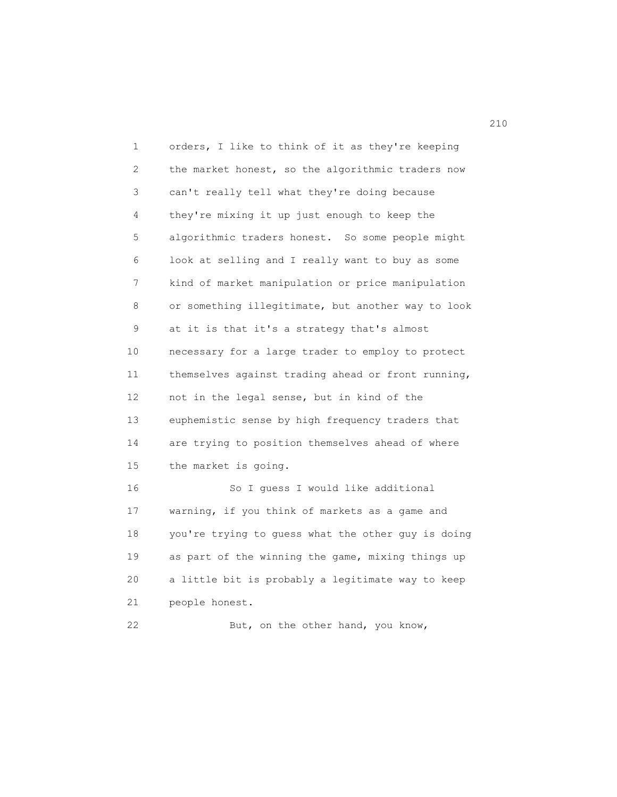| 1  | orders, I like to think of it as they're keeping   |
|----|----------------------------------------------------|
| 2  | the market honest, so the algorithmic traders now  |
| 3  | can't really tell what they're doing because       |
| 4  | they're mixing it up just enough to keep the       |
| 5  | algorithmic traders honest. So some people might   |
| 6  | look at selling and I really want to buy as some   |
| 7  | kind of market manipulation or price manipulation  |
| 8  | or something illegitimate, but another way to look |
| 9  | at it is that it's a strategy that's almost        |
| 10 | necessary for a large trader to employ to protect  |
| 11 | themselves against trading ahead or front running, |
| 12 | not in the legal sense, but in kind of the         |
| 13 | euphemistic sense by high frequency traders that   |
| 14 | are trying to position themselves ahead of where   |
| 15 | the market is going.                               |
| 16 | So I guess I would like additional                 |
| 17 | warning, if you think of markets as a game and     |
| 18 | you're trying to guess what the other guy is doing |
| 19 | as part of the winning the game, mixing things up  |
| 20 | a little bit is probably a legitimate way to keep  |
| 21 | people honest.                                     |
| 22 | But, on the other hand, you know,                  |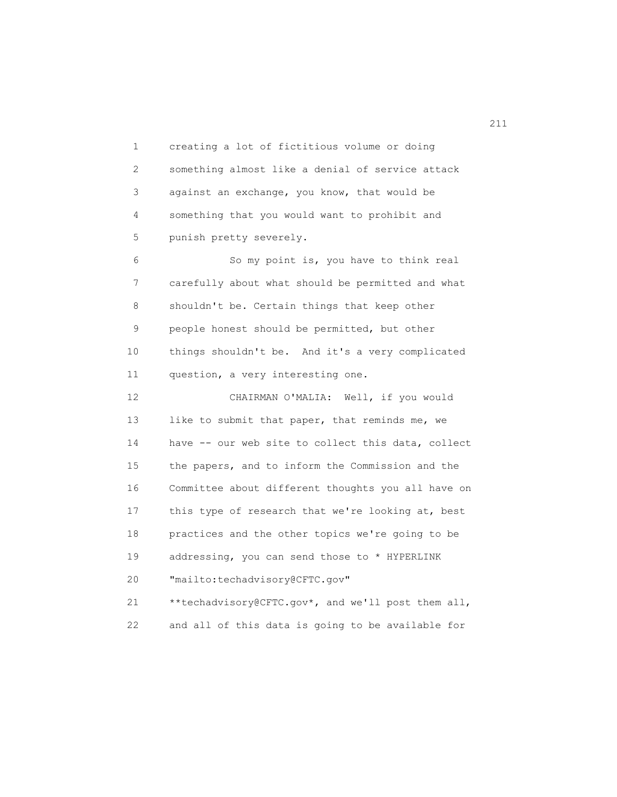1 creating a lot of fictitious volume or doing 2 something almost like a denial of service attack 3 against an exchange, you know, that would be 4 something that you would want to prohibit and 5 punish pretty severely.

 6 So my point is, you have to think real 7 carefully about what should be permitted and what 8 shouldn't be. Certain things that keep other 9 people honest should be permitted, but other 10 things shouldn't be. And it's a very complicated 11 question, a very interesting one.

 12 CHAIRMAN O'MALIA: Well, if you would 13 like to submit that paper, that reminds me, we 14 have -- our web site to collect this data, collect 15 the papers, and to inform the Commission and the 16 Committee about different thoughts you all have on 17 this type of research that we're looking at, best 18 practices and the other topics we're going to be 19 addressing, you can send those to \* HYPERLINK 20 "mailto:techadvisory@CFTC.gov"

 21 \*\*techadvisory@CFTC.gov\*, and we'll post them all, 22 and all of this data is going to be available for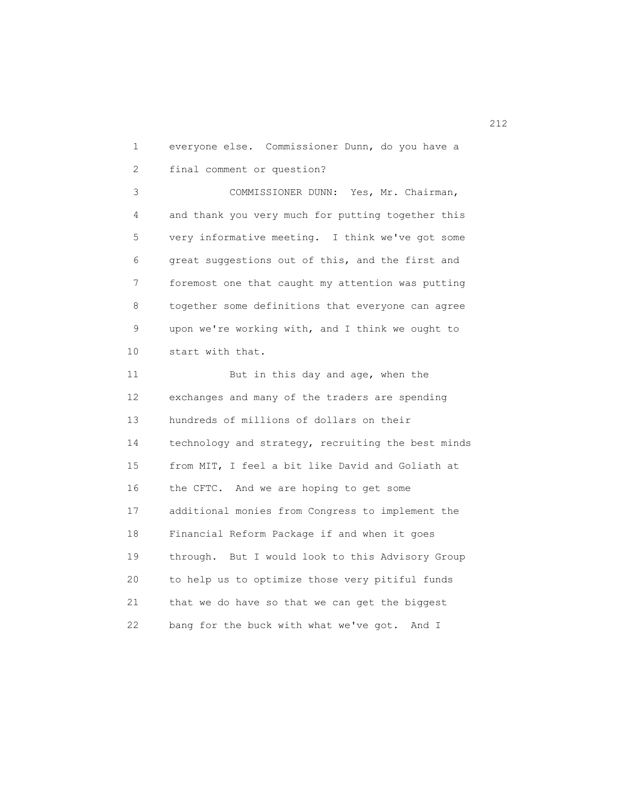1 everyone else. Commissioner Dunn, do you have a 2 final comment or question?

 3 COMMISSIONER DUNN: Yes, Mr. Chairman, 4 and thank you very much for putting together this 5 very informative meeting. I think we've got some 6 great suggestions out of this, and the first and 7 foremost one that caught my attention was putting 8 together some definitions that everyone can agree 9 upon we're working with, and I think we ought to 10 start with that.

11 But in this day and age, when the 12 exchanges and many of the traders are spending 13 hundreds of millions of dollars on their 14 technology and strategy, recruiting the best minds 15 from MIT, I feel a bit like David and Goliath at 16 the CFTC. And we are hoping to get some 17 additional monies from Congress to implement the 18 Financial Reform Package if and when it goes 19 through. But I would look to this Advisory Group 20 to help us to optimize those very pitiful funds 21 that we do have so that we can get the biggest 22 bang for the buck with what we've got. And I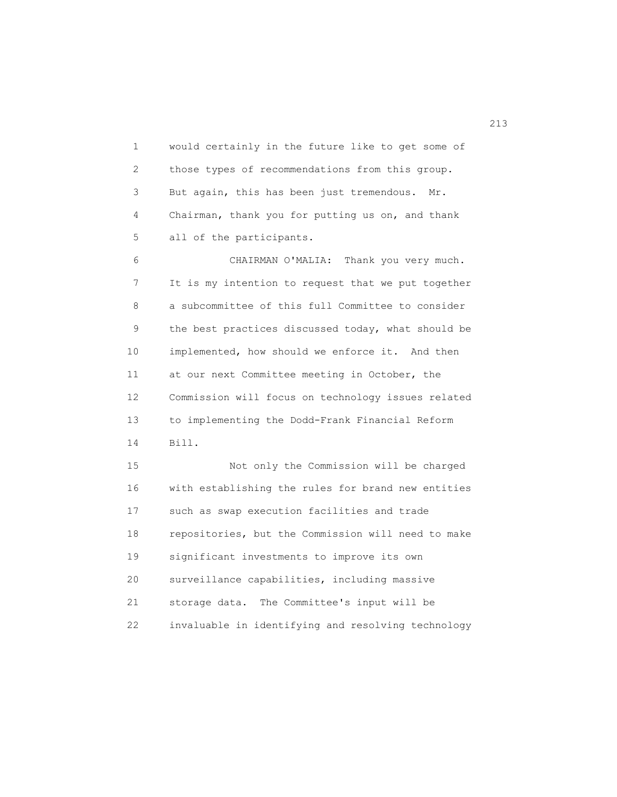1 would certainly in the future like to get some of 2 those types of recommendations from this group. 3 But again, this has been just tremendous. Mr. 4 Chairman, thank you for putting us on, and thank 5 all of the participants.

 6 CHAIRMAN O'MALIA: Thank you very much. 7 It is my intention to request that we put together 8 a subcommittee of this full Committee to consider 9 the best practices discussed today, what should be 10 implemented, how should we enforce it. And then 11 at our next Committee meeting in October, the 12 Commission will focus on technology issues related 13 to implementing the Dodd-Frank Financial Reform 14 Bill.

 15 Not only the Commission will be charged 16 with establishing the rules for brand new entities 17 such as swap execution facilities and trade 18 repositories, but the Commission will need to make 19 significant investments to improve its own 20 surveillance capabilities, including massive 21 storage data. The Committee's input will be 22 invaluable in identifying and resolving technology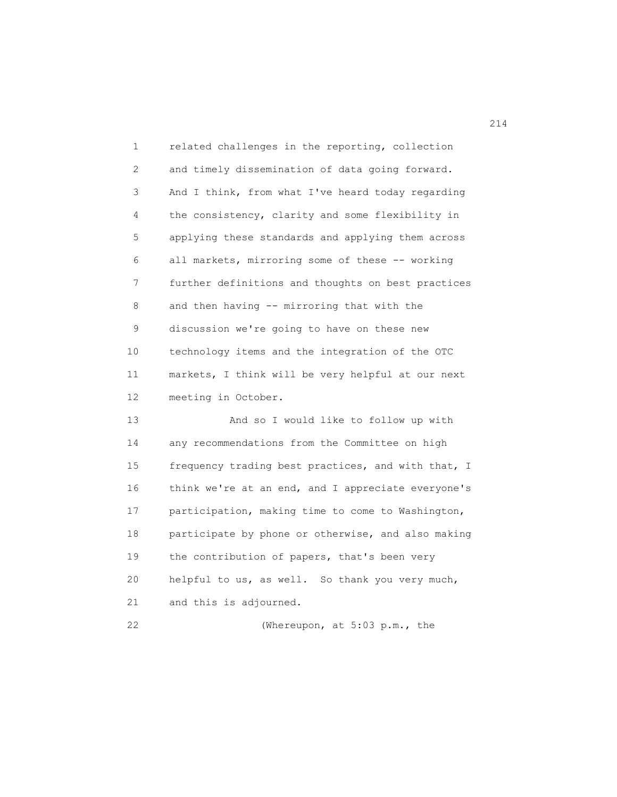| $\mathbf{1}$      | related challenges in the reporting, collection    |
|-------------------|----------------------------------------------------|
| $\overline{2}$    | and timely dissemination of data going forward.    |
| 3                 | And I think, from what I've heard today regarding  |
| 4                 | the consistency, clarity and some flexibility in   |
| 5                 | applying these standards and applying them across  |
| 6                 | all markets, mirroring some of these -- working    |
| 7                 | further definitions and thoughts on best practices |
| 8                 | and then having -- mirroring that with the         |
| 9                 | discussion we're going to have on these new        |
| 10                | technology items and the integration of the OTC    |
| 11                | markets, I think will be very helpful at our next  |
| $12 \overline{ }$ | meeting in October.                                |
| 13                | And so I would like to follow up with              |
| 14                | any recommendations from the Committee on high     |
|                   |                                                    |

 15 frequency trading best practices, and with that, I 16 think we're at an end, and I appreciate everyone's 17 participation, making time to come to Washington, 18 participate by phone or otherwise, and also making 19 the contribution of papers, that's been very 20 helpful to us, as well. So thank you very much, 21 and this is adjourned.

22 (Whereupon, at 5:03 p.m., the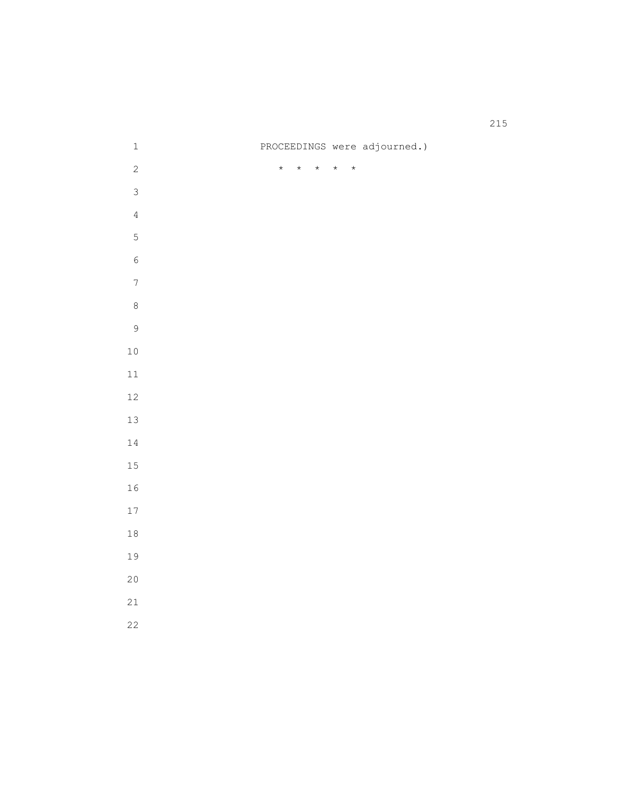| $\mathbf 1$              |         |         |         |         |         | PROCEEDINGS were adjourned.) |
|--------------------------|---------|---------|---------|---------|---------|------------------------------|
| $\overline{c}$           | $\star$ | $\star$ | $\star$ | $\star$ | $\star$ |                              |
| $\mathfrak{Z}$           |         |         |         |         |         |                              |
| $\overline{4}$           |         |         |         |         |         |                              |
| $\mathsf S$              |         |         |         |         |         |                              |
| $\sqrt{6}$               |         |         |         |         |         |                              |
| $\overline{\phantom{a}}$ |         |         |         |         |         |                              |
| $\,8\,$                  |         |         |         |         |         |                              |
| $\mathcal{G}$            |         |         |         |         |         |                              |
| $10$                     |         |         |         |         |         |                              |
| 11                       |         |         |         |         |         |                              |
| 12                       |         |         |         |         |         |                              |
| 13                       |         |         |         |         |         |                              |
| 14                       |         |         |         |         |         |                              |
| 15                       |         |         |         |         |         |                              |
| 16                       |         |         |         |         |         |                              |
| 17                       |         |         |         |         |         |                              |
| $18\,$                   |         |         |         |         |         |                              |
| 19                       |         |         |         |         |         |                              |
| 20                       |         |         |         |         |         |                              |
| 21                       |         |         |         |         |         |                              |
| 22                       |         |         |         |         |         |                              |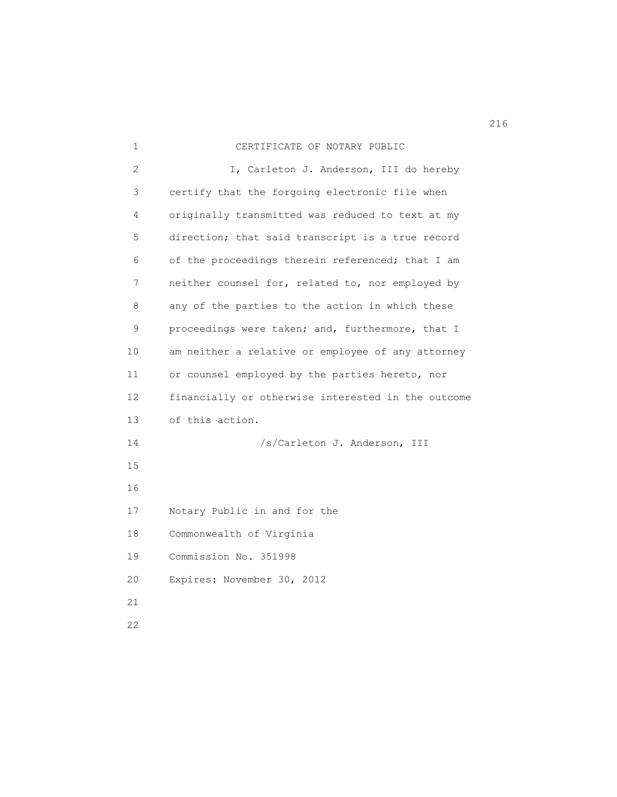| 1  | CERTIFICATE OF NOTARY PUBLIC                       |
|----|----------------------------------------------------|
| 2  | I, Carleton J. Anderson, III do hereby             |
| 3  | certify that the forgoing electronic file when     |
| 4  | originally transmitted was reduced to text at my   |
| 5  | direction; that said transcript is a true record   |
| 6  | of the proceedings therein referenced; that I am   |
| 7  | neither counsel for, related to, nor employed by   |
| 8  | any of the parties to the action in which these    |
| 9  | proceedings were taken; and, furthermore, that I   |
| 10 | am neither a relative or employee of any attorney  |
| 11 | or counsel employed by the parties hereto, nor     |
| 12 | financially or otherwise interested in the outcome |
| 13 | of this action.                                    |
| 14 | /s/Carleton J. Anderson, III                       |
| 15 |                                                    |
| 16 |                                                    |
| 17 | Notary Public in and for the                       |
| 18 | Commonwealth of Virginia                           |
| 19 | Commission No. 351998                              |
| 20 | Expires: November 30, 2012                         |
| 21 |                                                    |
| 22 |                                                    |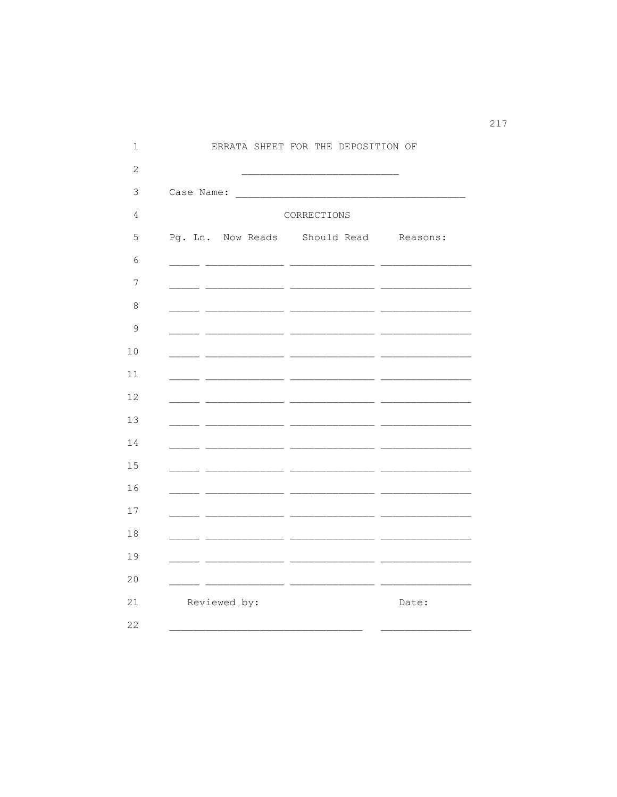